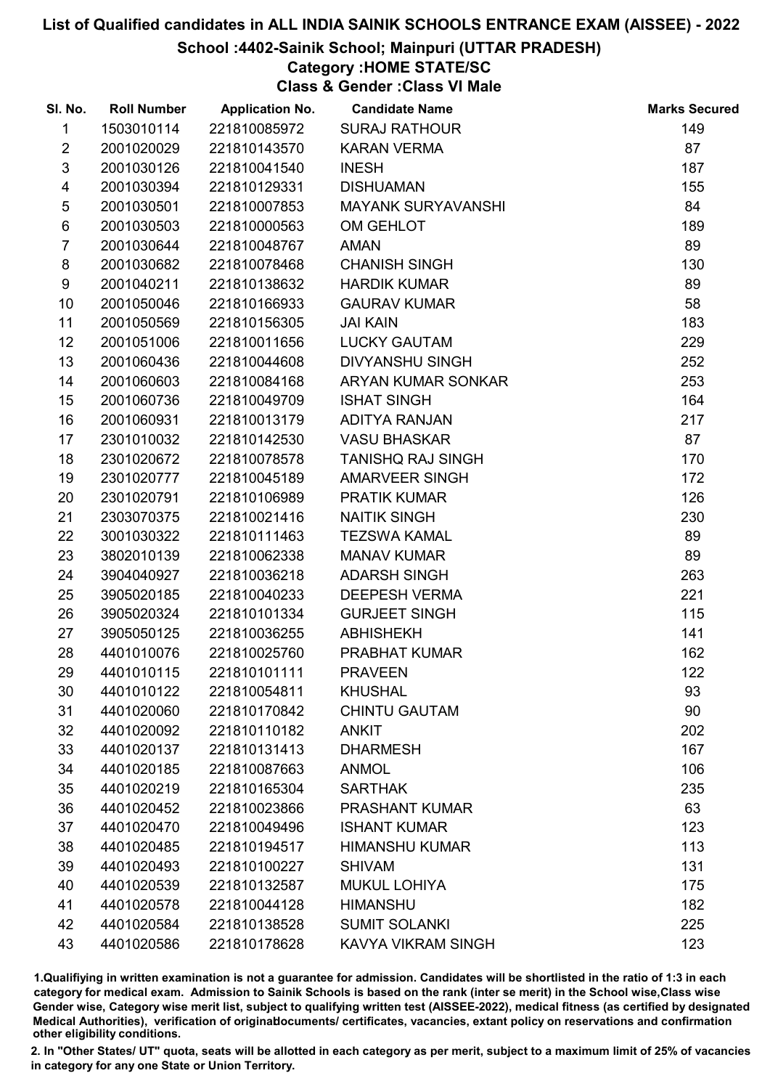# School :4402-Sainik School; Mainpuri (UTTAR PRADESH)

# Category :HOME STATE/SC

Class & Gender :Class VI Male

| SI. No.        | <b>Roll Number</b> | <b>Application No.</b> | <b>Candidate Name</b>     | <b>Marks Secured</b> |
|----------------|--------------------|------------------------|---------------------------|----------------------|
| 1              | 1503010114         | 221810085972           | <b>SURAJ RATHOUR</b>      | 149                  |
| $\overline{2}$ | 2001020029         | 221810143570           | <b>KARAN VERMA</b>        | 87                   |
| $\mathfrak{S}$ | 2001030126         | 221810041540           | <b>INESH</b>              | 187                  |
| 4              | 2001030394         | 221810129331           | <b>DISHUAMAN</b>          | 155                  |
| $\sqrt{5}$     | 2001030501         | 221810007853           | <b>MAYANK SURYAVANSHI</b> | 84                   |
| 6              | 2001030503         | 221810000563           | OM GEHLOT                 | 189                  |
| $\overline{7}$ | 2001030644         | 221810048767           | <b>AMAN</b>               | 89                   |
| 8              | 2001030682         | 221810078468           | <b>CHANISH SINGH</b>      | 130                  |
| 9              | 2001040211         | 221810138632           | <b>HARDIK KUMAR</b>       | 89                   |
| 10             | 2001050046         | 221810166933           | <b>GAURAV KUMAR</b>       | 58                   |
| 11             | 2001050569         | 221810156305           | <b>JAI KAIN</b>           | 183                  |
| 12             | 2001051006         | 221810011656           | <b>LUCKY GAUTAM</b>       | 229                  |
| 13             | 2001060436         | 221810044608           | <b>DIVYANSHU SINGH</b>    | 252                  |
| 14             | 2001060603         | 221810084168           | ARYAN KUMAR SONKAR        | 253                  |
| 15             | 2001060736         | 221810049709           | <b>ISHAT SINGH</b>        | 164                  |
| 16             | 2001060931         | 221810013179           | ADITYA RANJAN             | 217                  |
| 17             | 2301010032         | 221810142530           | <b>VASU BHASKAR</b>       | 87                   |
| 18             | 2301020672         | 221810078578           | <b>TANISHQ RAJ SINGH</b>  | 170                  |
| 19             | 2301020777         | 221810045189           | <b>AMARVEER SINGH</b>     | 172                  |
| 20             | 2301020791         | 221810106989           | <b>PRATIK KUMAR</b>       | 126                  |
| 21             | 2303070375         | 221810021416           | <b>NAITIK SINGH</b>       | 230                  |
| 22             | 3001030322         | 221810111463           | <b>TEZSWA KAMAL</b>       | 89                   |
| 23             | 3802010139         | 221810062338           | <b>MANAV KUMAR</b>        | 89                   |
| 24             | 3904040927         | 221810036218           | <b>ADARSH SINGH</b>       | 263                  |
| 25             | 3905020185         | 221810040233           | <b>DEEPESH VERMA</b>      | 221                  |
| 26             | 3905020324         | 221810101334           | <b>GURJEET SINGH</b>      | 115                  |
| 27             | 3905050125         | 221810036255           | <b>ABHISHEKH</b>          | 141                  |
| 28             | 4401010076         | 221810025760           | PRABHAT KUMAR             | 162                  |
| 29             | 4401010115         | 221810101111           | <b>PRAVEEN</b>            | 122                  |
| 30             | 4401010122         | 221810054811           | <b>KHUSHAL</b>            | 93                   |
| 31             | 4401020060         | 221810170842           | <b>CHINTU GAUTAM</b>      | 90                   |
| 32             | 4401020092         | 221810110182           | <b>ANKIT</b>              | 202                  |
| 33             | 4401020137         | 221810131413           | <b>DHARMESH</b>           | 167                  |
| 34             | 4401020185         | 221810087663           | <b>ANMOL</b>              | 106                  |
| 35             | 4401020219         | 221810165304           | <b>SARTHAK</b>            | 235                  |
| 36             | 4401020452         | 221810023866           | <b>PRASHANT KUMAR</b>     | 63                   |
| 37             | 4401020470         | 221810049496           | <b>ISHANT KUMAR</b>       | 123                  |
| 38             | 4401020485         | 221810194517           | <b>HIMANSHU KUMAR</b>     | 113                  |
| 39             | 4401020493         | 221810100227           | <b>SHIVAM</b>             | 131                  |
| 40             | 4401020539         | 221810132587           | <b>MUKUL LOHIYA</b>       | 175                  |
| 41             | 4401020578         | 221810044128           | <b>HIMANSHU</b>           | 182                  |
| 42             | 4401020584         | 221810138528           | <b>SUMIT SOLANKI</b>      | 225                  |
| 43             | 4401020586         | 221810178628           | KAVYA VIKRAM SINGH        | 123                  |

1.Qualifiying in written examination is not a guarantee for admission. Candidates will be shortlisted in the ratio of 1:3 in each category for medical exam. Admission to Sainik Schools is based on the rank (inter se merit) in the School wise,Class wise Gender wise, Category wise merit list, subject to qualifying written test (AISSEE-2022), medical fitness (as certified by designated Medical Authorities), verification of originablocuments/ certificates, vacancies, extant policy on reservations and confirmation other eligibility conditions.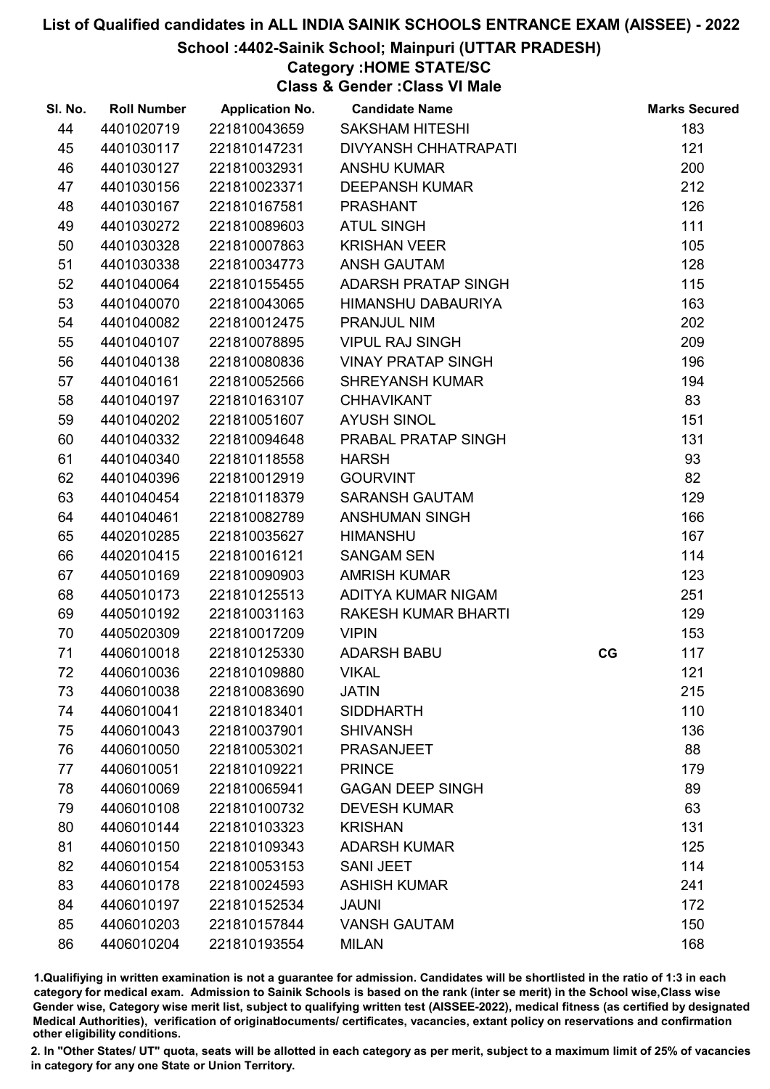## School :4402-Sainik School; Mainpuri (UTTAR PRADESH)

# Category :HOME STATE/SC

Class & Gender :Class VI Male

| SI. No. | <b>Roll Number</b> | <b>Application No.</b> | <b>Candidate Name</b>       |    | <b>Marks Secured</b> |
|---------|--------------------|------------------------|-----------------------------|----|----------------------|
| 44      | 4401020719         | 221810043659           | <b>SAKSHAM HITESHI</b>      |    | 183                  |
| 45      | 4401030117         | 221810147231           | <b>DIVYANSH CHHATRAPATI</b> |    | 121                  |
| 46      | 4401030127         | 221810032931           | <b>ANSHU KUMAR</b>          |    | 200                  |
| 47      | 4401030156         | 221810023371           | <b>DEEPANSH KUMAR</b>       |    | 212                  |
| 48      | 4401030167         | 221810167581           | <b>PRASHANT</b>             |    | 126                  |
| 49      | 4401030272         | 221810089603           | <b>ATUL SINGH</b>           |    | 111                  |
| 50      | 4401030328         | 221810007863           | <b>KRISHAN VEER</b>         |    | 105                  |
| 51      | 4401030338         | 221810034773           | <b>ANSH GAUTAM</b>          |    | 128                  |
| 52      | 4401040064         | 221810155455           | ADARSH PRATAP SINGH         |    | 115                  |
| 53      | 4401040070         | 221810043065           | HIMANSHU DABAURIYA          |    | 163                  |
| 54      | 4401040082         | 221810012475           | PRANJUL NIM                 |    | 202                  |
| 55      | 4401040107         | 221810078895           | <b>VIPUL RAJ SINGH</b>      |    | 209                  |
| 56      | 4401040138         | 221810080836           | <b>VINAY PRATAP SINGH</b>   |    | 196                  |
| 57      | 4401040161         | 221810052566           | <b>SHREYANSH KUMAR</b>      |    | 194                  |
| 58      | 4401040197         | 221810163107           | <b>CHHAVIKANT</b>           |    | 83                   |
| 59      | 4401040202         | 221810051607           | <b>AYUSH SINOL</b>          |    | 151                  |
| 60      | 4401040332         | 221810094648           | PRABAL PRATAP SINGH         |    | 131                  |
| 61      | 4401040340         | 221810118558           | <b>HARSH</b>                |    | 93                   |
| 62      | 4401040396         | 221810012919           | <b>GOURVINT</b>             |    | 82                   |
| 63      | 4401040454         | 221810118379           | <b>SARANSH GAUTAM</b>       |    | 129                  |
| 64      | 4401040461         | 221810082789           | <b>ANSHUMAN SINGH</b>       |    | 166                  |
| 65      | 4402010285         | 221810035627           | <b>HIMANSHU</b>             |    | 167                  |
| 66      | 4402010415         | 221810016121           | <b>SANGAM SEN</b>           |    | 114                  |
| 67      | 4405010169         | 221810090903           | <b>AMRISH KUMAR</b>         |    | 123                  |
| 68      | 4405010173         | 221810125513           | ADITYA KUMAR NIGAM          |    | 251                  |
| 69      | 4405010192         | 221810031163           | RAKESH KUMAR BHARTI         |    | 129                  |
| 70      | 4405020309         | 221810017209           | <b>VIPIN</b>                |    | 153                  |
| 71      | 4406010018         | 221810125330           | <b>ADARSH BABU</b>          | CG | 117                  |
| 72      | 4406010036         | 221810109880           | <b>VIKAL</b>                |    | 121                  |
| 73      | 4406010038         | 221810083690           | <b>JATIN</b>                |    | 215                  |
| 74      | 4406010041         | 221810183401           | <b>SIDDHARTH</b>            |    | 110                  |
| 75      | 4406010043         | 221810037901           | <b>SHIVANSH</b>             |    | 136                  |
| 76      | 4406010050         | 221810053021           | <b>PRASANJEET</b>           |    | 88                   |
| 77      | 4406010051         | 221810109221           | <b>PRINCE</b>               |    | 179                  |
| 78      | 4406010069         | 221810065941           | <b>GAGAN DEEP SINGH</b>     |    | 89                   |
| 79      | 4406010108         | 221810100732           | <b>DEVESH KUMAR</b>         |    | 63                   |
| 80      | 4406010144         | 221810103323           | <b>KRISHAN</b>              |    | 131                  |
| 81      | 4406010150         | 221810109343           | <b>ADARSH KUMAR</b>         |    | 125                  |
| 82      | 4406010154         | 221810053153           | <b>SANI JEET</b>            |    | 114                  |
| 83      | 4406010178         | 221810024593           | <b>ASHISH KUMAR</b>         |    | 241                  |
| 84      | 4406010197         | 221810152534           | <b>JAUNI</b>                |    | 172                  |
| 85      | 4406010203         | 221810157844           | <b>VANSH GAUTAM</b>         |    | 150                  |
| 86      | 4406010204         | 221810193554           | <b>MILAN</b>                |    | 168                  |

1.Qualifiying in written examination is not a guarantee for admission. Candidates will be shortlisted in the ratio of 1:3 in each category for medical exam. Admission to Sainik Schools is based on the rank (inter se merit) in the School wise,Class wise Gender wise, Category wise merit list, subject to qualifying written test (AISSEE-2022), medical fitness (as certified by designated Medical Authorities), verification of originablocuments/ certificates, vacancies, extant policy on reservations and confirmation other eligibility conditions.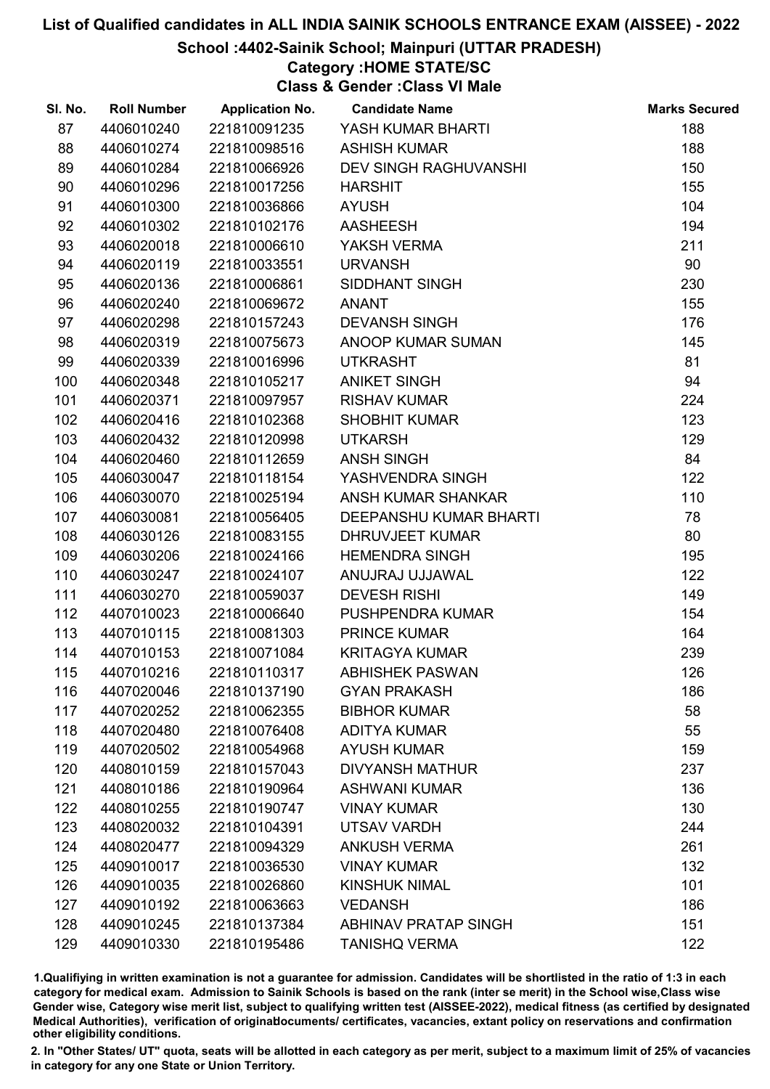## School :4402-Sainik School; Mainpuri (UTTAR PRADESH)

# Category :HOME STATE/SC

Class & Gender :Class VI Male

| SI. No. | <b>Roll Number</b> | <b>Application No.</b> | <b>Candidate Name</b>        | <b>Marks Secured</b> |
|---------|--------------------|------------------------|------------------------------|----------------------|
| 87      | 4406010240         | 221810091235           | YASH KUMAR BHARTI            | 188                  |
| 88      | 4406010274         | 221810098516           | <b>ASHISH KUMAR</b>          | 188                  |
| 89      | 4406010284         | 221810066926           | <b>DEV SINGH RAGHUVANSHI</b> | 150                  |
| 90      | 4406010296         | 221810017256           | <b>HARSHIT</b>               | 155                  |
| 91      | 4406010300         | 221810036866           | <b>AYUSH</b>                 | 104                  |
| 92      | 4406010302         | 221810102176           | <b>AASHEESH</b>              | 194                  |
| 93      | 4406020018         | 221810006610           | YAKSH VERMA                  | 211                  |
| 94      | 4406020119         | 221810033551           | <b>URVANSH</b>               | 90                   |
| 95      | 4406020136         | 221810006861           | SIDDHANT SINGH               | 230                  |
| 96      | 4406020240         | 221810069672           | <b>ANANT</b>                 | 155                  |
| 97      | 4406020298         | 221810157243           | <b>DEVANSH SINGH</b>         | 176                  |
| 98      | 4406020319         | 221810075673           | ANOOP KUMAR SUMAN            | 145                  |
| 99      | 4406020339         | 221810016996           | <b>UTKRASHT</b>              | 81                   |
| 100     | 4406020348         | 221810105217           | <b>ANIKET SINGH</b>          | 94                   |
| 101     | 4406020371         | 221810097957           | <b>RISHAV KUMAR</b>          | 224                  |
| 102     | 4406020416         | 221810102368           | <b>SHOBHIT KUMAR</b>         | 123                  |
| 103     | 4406020432         | 221810120998           | <b>UTKARSH</b>               | 129                  |
| 104     | 4406020460         | 221810112659           | <b>ANSH SINGH</b>            | 84                   |
| 105     | 4406030047         | 221810118154           | YASHVENDRA SINGH             | 122                  |
| 106     | 4406030070         | 221810025194           | ANSH KUMAR SHANKAR           | 110                  |
| 107     | 4406030081         | 221810056405           | DEEPANSHU KUMAR BHARTI       | 78                   |
| 108     | 4406030126         | 221810083155           | <b>DHRUVJEET KUMAR</b>       | 80                   |
| 109     | 4406030206         | 221810024166           | <b>HEMENDRA SINGH</b>        | 195                  |
| 110     | 4406030247         | 221810024107           | ANUJRAJ UJJAWAL              | 122                  |
| 111     | 4406030270         | 221810059037           | <b>DEVESH RISHI</b>          | 149                  |
| 112     | 4407010023         | 221810006640           | PUSHPENDRA KUMAR             | 154                  |
| 113     | 4407010115         | 221810081303           | <b>PRINCE KUMAR</b>          | 164                  |
| 114     | 4407010153         | 221810071084           | <b>KRITAGYA KUMAR</b>        | 239                  |
| 115     | 4407010216         | 221810110317           | <b>ABHISHEK PASWAN</b>       | 126                  |
| 116     | 4407020046         | 221810137190           | <b>GYAN PRAKASH</b>          | 186                  |
| 117     | 4407020252         | 221810062355           | <b>BIBHOR KUMAR</b>          | 58                   |
| 118     | 4407020480         | 221810076408           | <b>ADITYA KUMAR</b>          | 55                   |
| 119     | 4407020502         | 221810054968           | <b>AYUSH KUMAR</b>           | 159                  |
| 120     | 4408010159         | 221810157043           | <b>DIVYANSH MATHUR</b>       | 237                  |
| 121     | 4408010186         | 221810190964           | <b>ASHWANI KUMAR</b>         | 136                  |
| 122     | 4408010255         | 221810190747           | <b>VINAY KUMAR</b>           | 130                  |
| 123     | 4408020032         | 221810104391           | <b>UTSAV VARDH</b>           | 244                  |
| 124     | 4408020477         | 221810094329           | <b>ANKUSH VERMA</b>          | 261                  |
| 125     | 4409010017         | 221810036530           | <b>VINAY KUMAR</b>           | 132                  |
| 126     | 4409010035         | 221810026860           | <b>KINSHUK NIMAL</b>         | 101                  |
| 127     | 4409010192         | 221810063663           | <b>VEDANSH</b>               | 186                  |
| 128     | 4409010245         | 221810137384           | <b>ABHINAV PRATAP SINGH</b>  | 151                  |
| 129     | 4409010330         | 221810195486           | <b>TANISHQ VERMA</b>         | 122                  |

1.Qualifiying in written examination is not a guarantee for admission. Candidates will be shortlisted in the ratio of 1:3 in each category for medical exam. Admission to Sainik Schools is based on the rank (inter se merit) in the School wise,Class wise Gender wise, Category wise merit list, subject to qualifying written test (AISSEE-2022), medical fitness (as certified by designated Medical Authorities), verification of originablocuments/ certificates, vacancies, extant policy on reservations and confirmation other eligibility conditions.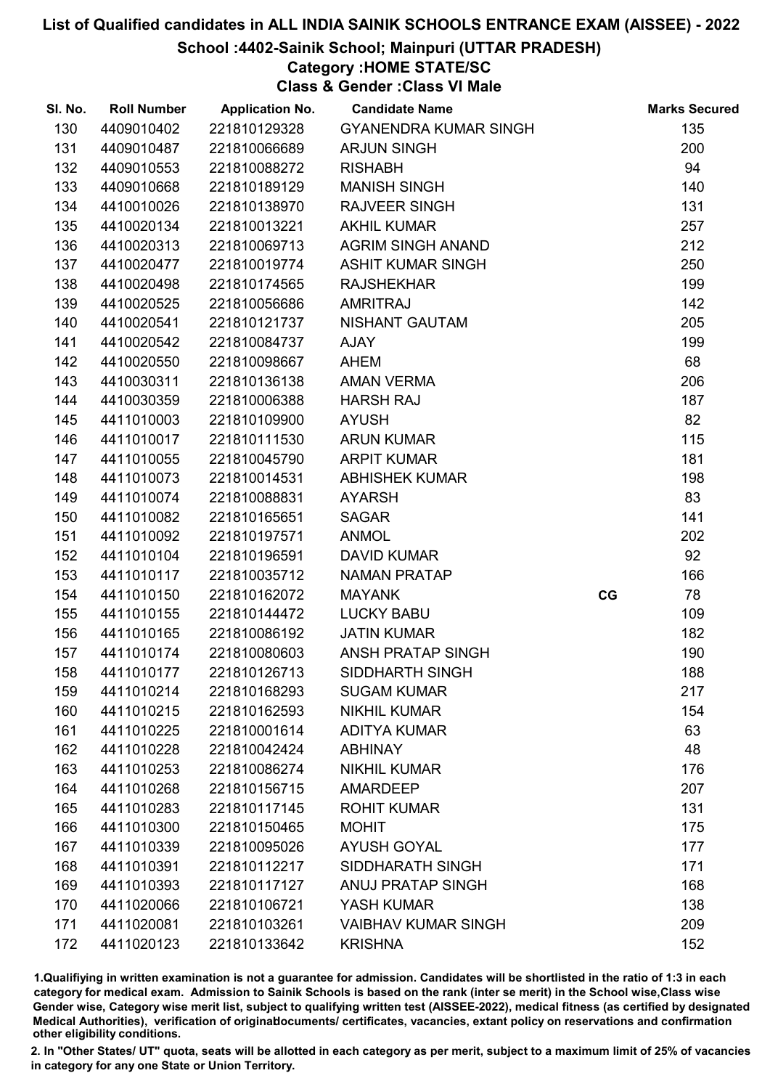School :4402-Sainik School; Mainpuri (UTTAR PRADESH)

# Category :HOME STATE/SC

Class & Gender :Class VI Male

| SI. No. | <b>Roll Number</b> | <b>Application No.</b> | <b>Candidate Name</b>        |    | <b>Marks Secured</b> |
|---------|--------------------|------------------------|------------------------------|----|----------------------|
| 130     | 4409010402         | 221810129328           | <b>GYANENDRA KUMAR SINGH</b> |    | 135                  |
| 131     | 4409010487         | 221810066689           | <b>ARJUN SINGH</b>           |    | 200                  |
| 132     | 4409010553         | 221810088272           | <b>RISHABH</b>               |    | 94                   |
| 133     | 4409010668         | 221810189129           | <b>MANISH SINGH</b>          |    | 140                  |
| 134     | 4410010026         | 221810138970           | <b>RAJVEER SINGH</b>         |    | 131                  |
| 135     | 4410020134         | 221810013221           | <b>AKHIL KUMAR</b>           |    | 257                  |
| 136     | 4410020313         | 221810069713           | <b>AGRIM SINGH ANAND</b>     |    | 212                  |
| 137     | 4410020477         | 221810019774           | <b>ASHIT KUMAR SINGH</b>     |    | 250                  |
| 138     | 4410020498         | 221810174565           | <b>RAJSHEKHAR</b>            |    | 199                  |
| 139     | 4410020525         | 221810056686           | <b>AMRITRAJ</b>              |    | 142                  |
| 140     | 4410020541         | 221810121737           | NISHANT GAUTAM               |    | 205                  |
| 141     | 4410020542         | 221810084737           | AJAY                         |    | 199                  |
| 142     | 4410020550         | 221810098667           | AHEM                         |    | 68                   |
| 143     | 4410030311         | 221810136138           | <b>AMAN VERMA</b>            |    | 206                  |
| 144     | 4410030359         | 221810006388           | <b>HARSH RAJ</b>             |    | 187                  |
| 145     | 4411010003         | 221810109900           | <b>AYUSH</b>                 |    | 82                   |
| 146     | 4411010017         | 221810111530           | <b>ARUN KUMAR</b>            |    | 115                  |
| 147     | 4411010055         | 221810045790           | <b>ARPIT KUMAR</b>           |    | 181                  |
| 148     | 4411010073         | 221810014531           | <b>ABHISHEK KUMAR</b>        |    | 198                  |
| 149     | 4411010074         | 221810088831           | <b>AYARSH</b>                |    | 83                   |
| 150     | 4411010082         | 221810165651           | <b>SAGAR</b>                 |    | 141                  |
| 151     | 4411010092         | 221810197571           | <b>ANMOL</b>                 |    | 202                  |
| 152     | 4411010104         | 221810196591           | <b>DAVID KUMAR</b>           |    | 92                   |
| 153     | 4411010117         | 221810035712           | NAMAN PRATAP                 |    | 166                  |
| 154     | 4411010150         | 221810162072           | <b>MAYANK</b>                | CG | 78                   |
| 155     | 4411010155         | 221810144472           | <b>LUCKY BABU</b>            |    | 109                  |
| 156     | 4411010165         | 221810086192           | <b>JATIN KUMAR</b>           |    | 182                  |
| 157     | 4411010174         | 221810080603           | ANSH PRATAP SINGH            |    | 190                  |
| 158     | 4411010177         | 221810126713           | SIDDHARTH SINGH              |    | 188                  |
| 159     | 4411010214         | 221810168293           | <b>SUGAM KUMAR</b>           |    | 217                  |
| 160     | 4411010215         | 221810162593           | <b>NIKHIL KUMAR</b>          |    | 154                  |
| 161     | 4411010225         | 221810001614           | <b>ADITYA KUMAR</b>          |    | 63                   |
| 162     | 4411010228         | 221810042424           | <b>ABHINAY</b>               |    | 48                   |
| 163     | 4411010253         | 221810086274           | <b>NIKHIL KUMAR</b>          |    | 176                  |
| 164     | 4411010268         | 221810156715           | <b>AMARDEEP</b>              |    | 207                  |
| 165     | 4411010283         | 221810117145           | <b>ROHIT KUMAR</b>           |    | 131                  |
| 166     | 4411010300         | 221810150465           | <b>MOHIT</b>                 |    | 175                  |
| 167     | 4411010339         | 221810095026           | <b>AYUSH GOYAL</b>           |    | 177                  |
| 168     | 4411010391         | 221810112217           | SIDDHARATH SINGH             |    | 171                  |
| 169     | 4411010393         | 221810117127           | <b>ANUJ PRATAP SINGH</b>     |    | 168                  |
| 170     | 4411020066         | 221810106721           | YASH KUMAR                   |    | 138                  |
| 171     | 4411020081         | 221810103261           | <b>VAIBHAV KUMAR SINGH</b>   |    | 209                  |
| 172     | 4411020123         | 221810133642           | <b>KRISHNA</b>               |    | 152                  |

1.Qualifiying in written examination is not a guarantee for admission. Candidates will be shortlisted in the ratio of 1:3 in each category for medical exam. Admission to Sainik Schools is based on the rank (inter se merit) in the School wise,Class wise Gender wise, Category wise merit list, subject to qualifying written test (AISSEE-2022), medical fitness (as certified by designated Medical Authorities), verification of originablocuments/ certificates, vacancies, extant policy on reservations and confirmation other eligibility conditions.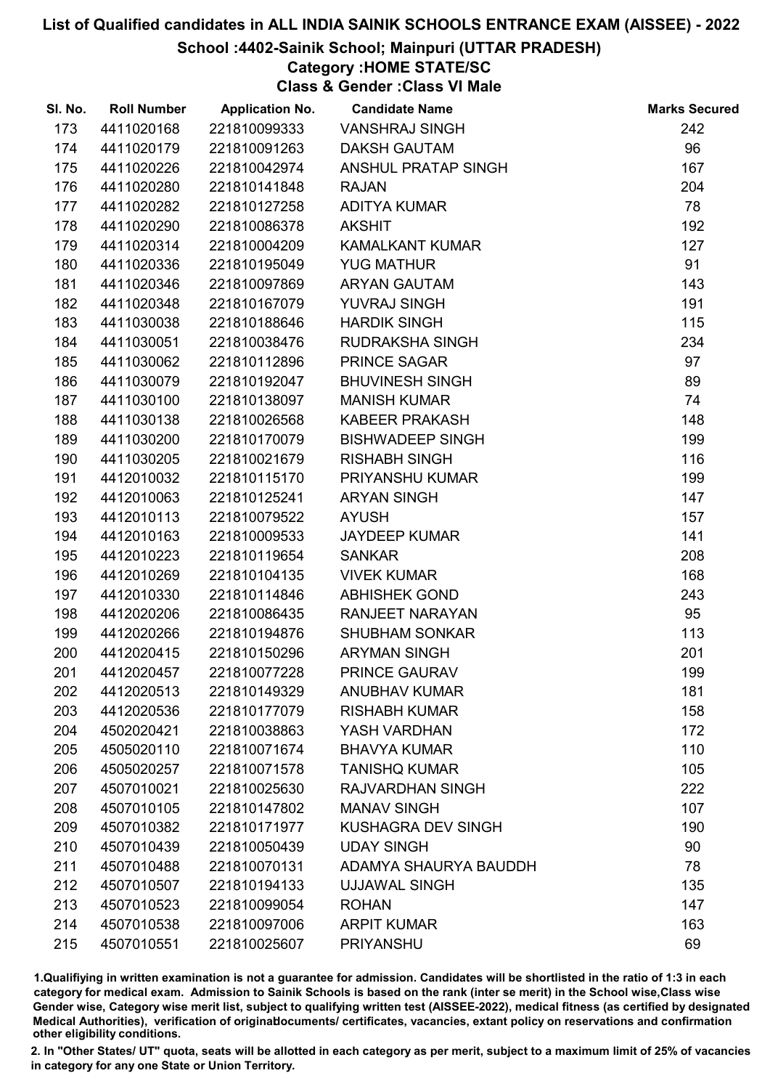## School :4402-Sainik School; Mainpuri (UTTAR PRADESH)

# Category :HOME STATE/SC

Class & Gender :Class VI Male

| SI. No. | <b>Roll Number</b> | <b>Application No.</b> | <b>Candidate Name</b>     | <b>Marks Secured</b> |
|---------|--------------------|------------------------|---------------------------|----------------------|
| 173     | 4411020168         | 221810099333           | <b>VANSHRAJ SINGH</b>     | 242                  |
| 174     | 4411020179         | 221810091263           | <b>DAKSH GAUTAM</b>       | 96                   |
| 175     | 4411020226         | 221810042974           | ANSHUL PRATAP SINGH       | 167                  |
| 176     | 4411020280         | 221810141848           | <b>RAJAN</b>              | 204                  |
| 177     | 4411020282         | 221810127258           | <b>ADITYA KUMAR</b>       | 78                   |
| 178     | 4411020290         | 221810086378           | <b>AKSHIT</b>             | 192                  |
| 179     | 4411020314         | 221810004209           | <b>KAMALKANT KUMAR</b>    | 127                  |
| 180     | 4411020336         | 221810195049           | <b>YUG MATHUR</b>         | 91                   |
| 181     | 4411020346         | 221810097869           | <b>ARYAN GAUTAM</b>       | 143                  |
| 182     | 4411020348         | 221810167079           | YUVRAJ SINGH              | 191                  |
| 183     | 4411030038         | 221810188646           | <b>HARDIK SINGH</b>       | 115                  |
| 184     | 4411030051         | 221810038476           | <b>RUDRAKSHA SINGH</b>    | 234                  |
| 185     | 4411030062         | 221810112896           | PRINCE SAGAR              | 97                   |
| 186     | 4411030079         | 221810192047           | <b>BHUVINESH SINGH</b>    | 89                   |
| 187     | 4411030100         | 221810138097           | <b>MANISH KUMAR</b>       | 74                   |
| 188     | 4411030138         | 221810026568           | KABEER PRAKASH            | 148                  |
| 189     | 4411030200         | 221810170079           | <b>BISHWADEEP SINGH</b>   | 199                  |
| 190     | 4411030205         | 221810021679           | <b>RISHABH SINGH</b>      | 116                  |
| 191     | 4412010032         | 221810115170           | <b>PRIYANSHU KUMAR</b>    | 199                  |
| 192     | 4412010063         | 221810125241           | <b>ARYAN SINGH</b>        | 147                  |
| 193     | 4412010113         | 221810079522           | <b>AYUSH</b>              | 157                  |
| 194     | 4412010163         | 221810009533           | <b>JAYDEEP KUMAR</b>      | 141                  |
| 195     | 4412010223         | 221810119654           | <b>SANKAR</b>             | 208                  |
| 196     | 4412010269         | 221810104135           | <b>VIVEK KUMAR</b>        | 168                  |
| 197     | 4412010330         | 221810114846           | <b>ABHISHEK GOND</b>      | 243                  |
| 198     | 4412020206         | 221810086435           | <b>RANJEET NARAYAN</b>    | 95                   |
| 199     | 4412020266         | 221810194876           | <b>SHUBHAM SONKAR</b>     | 113                  |
| 200     | 4412020415         | 221810150296           | <b>ARYMAN SINGH</b>       | 201                  |
| 201     | 4412020457         | 221810077228           | PRINCE GAURAV             | 199                  |
| 202     | 4412020513         | 221810149329           | <b>ANUBHAV KUMAR</b>      | 181                  |
| 203     | 4412020536         | 221810177079           | <b>RISHABH KUMAR</b>      | 158                  |
| 204     | 4502020421         | 221810038863           | YASH VARDHAN              | 172                  |
| 205     | 4505020110         | 221810071674           | <b>BHAVYA KUMAR</b>       | 110                  |
| 206     | 4505020257         | 221810071578           | <b>TANISHQ KUMAR</b>      | 105                  |
| 207     | 4507010021         | 221810025630           | <b>RAJVARDHAN SINGH</b>   | 222                  |
| 208     | 4507010105         | 221810147802           | <b>MANAV SINGH</b>        | 107                  |
| 209     | 4507010382         | 221810171977           | <b>KUSHAGRA DEV SINGH</b> | 190                  |
| 210     | 4507010439         | 221810050439           | <b>UDAY SINGH</b>         | 90                   |
| 211     | 4507010488         | 221810070131           | ADAMYA SHAURYA BAUDDH     | 78                   |
| 212     | 4507010507         | 221810194133           | <b>UJJAWAL SINGH</b>      | 135                  |
| 213     | 4507010523         | 221810099054           | <b>ROHAN</b>              | 147                  |
| 214     | 4507010538         | 221810097006           | <b>ARPIT KUMAR</b>        | 163                  |
| 215     | 4507010551         | 221810025607           | PRIYANSHU                 | 69                   |

1.Qualifiying in written examination is not a guarantee for admission. Candidates will be shortlisted in the ratio of 1:3 in each category for medical exam. Admission to Sainik Schools is based on the rank (inter se merit) in the School wise,Class wise Gender wise, Category wise merit list, subject to qualifying written test (AISSEE-2022), medical fitness (as certified by designated Medical Authorities), verification of originablocuments/ certificates, vacancies, extant policy on reservations and confirmation other eligibility conditions.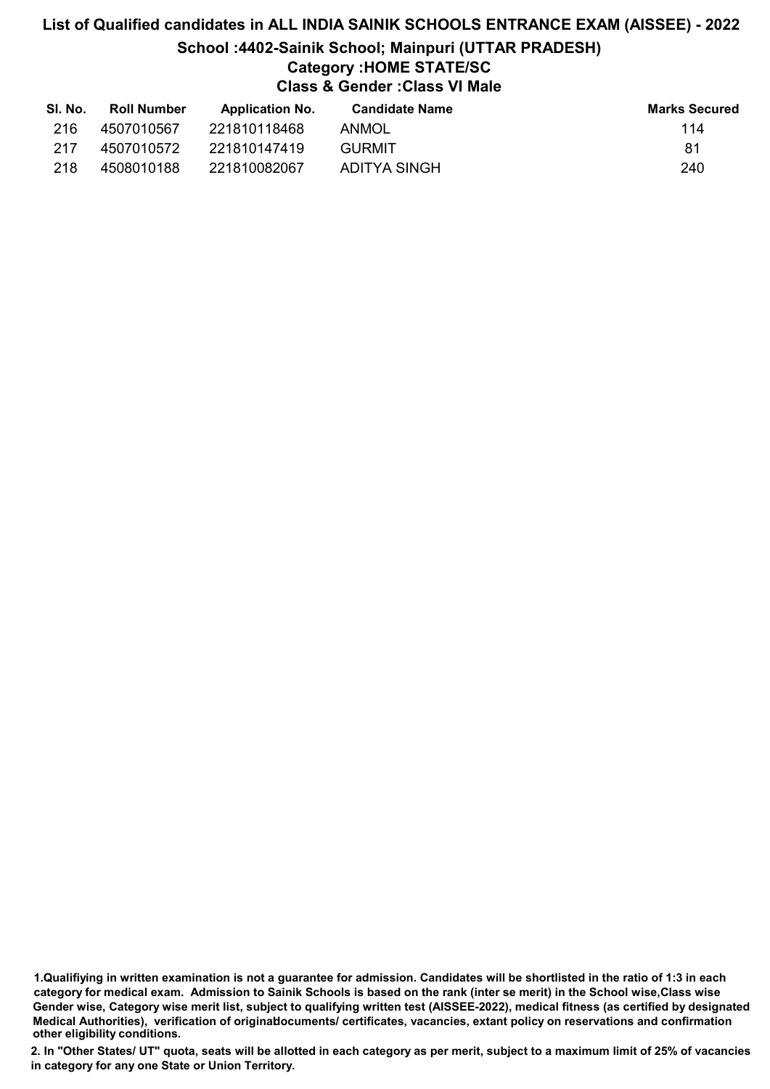# List of Qualified candidates in ALL INDIA SAINIK SCHOOLS ENTRANCE EXAM (AISSEE) - 2022 School :4402-Sainik School; Mainpuri (UTTAR PRADESH) Category :HOME STATE/SC Class & Gender :Class VI Male

| SI. No. | <b>Roll Number</b> | <b>Application No.</b> | <b>Candidate Name</b> | <b>Marks Secured</b> |
|---------|--------------------|------------------------|-----------------------|----------------------|
| 216     | 4507010567         | 221810118468           | ANMOL                 | 114                  |
| 217     | 4507010572         | 221810147419           | GURMIT                | 81                   |
| 218     | 4508010188         | 221810082067           | ADITYA SINGH          | 240                  |

1.Qualifiying in written examination is not a guarantee for admission. Candidates will be shortlisted in the ratio of 1:3 in each category for medical exam. Admission to Sainik Schools is based on the rank (inter se merit) in the School wise,Class wise Gender wise, Category wise merit list, subject to qualifying written test (AISSEE-2022), medical fitness (as certified by designated Medical Authorities), verification of originablocuments/ certificates, vacancies, extant policy on reservations and confirmation other eligibility conditions.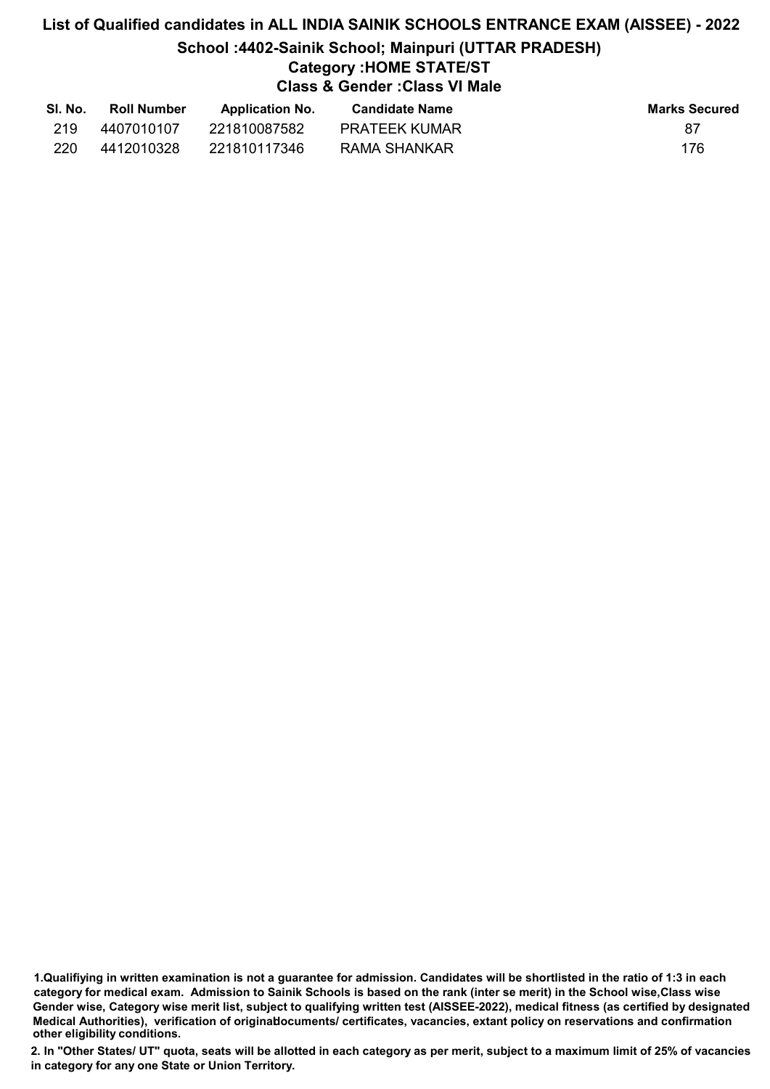# List of Qualified candidates in ALL INDIA SAINIK SCHOOLS ENTRANCE EXAM (AISSEE) - 2022 School :4402-Sainik School; Mainpuri (UTTAR PRADESH) Category :HOME STATE/ST Class & Gender :Class VI Male

| SI. No. | <b>Roll Number</b> | <b>Application No.</b> | <b>Candidate Name</b> | <b>Marks Secured</b> |
|---------|--------------------|------------------------|-----------------------|----------------------|
| 219     | 4407010107         | 221810087582           | <b>PRATEEK KUMAR</b>  | 87                   |
| 220     | 4412010328         | 221810117346           | RAMA SHANKAR          | 176                  |

<sup>1.</sup>Qualifiying in written examination is not a guarantee for admission. Candidates will be shortlisted in the ratio of 1:3 in each category for medical exam. Admission to Sainik Schools is based on the rank (inter se merit) in the School wise,Class wise Gender wise, Category wise merit list, subject to qualifying written test (AISSEE-2022), medical fitness (as certified by designated Medical Authorities), verification of originablocuments/ certificates, vacancies, extant policy on reservations and confirmation other eligibility conditions.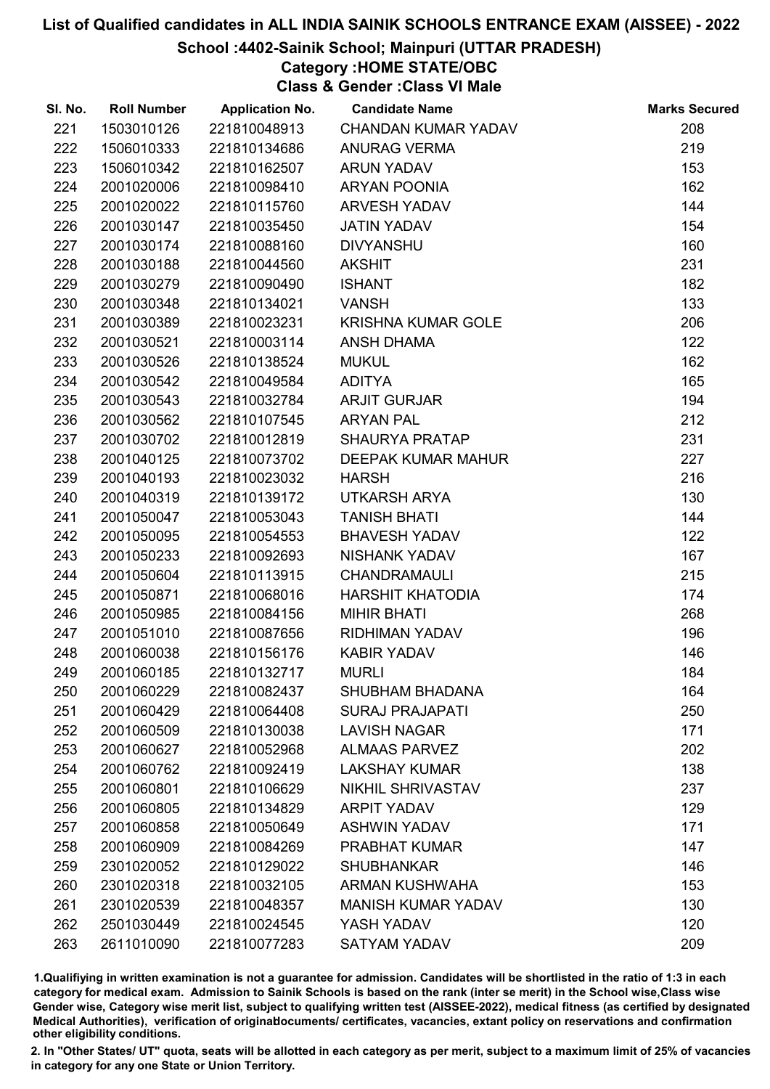## School :4402-Sainik School; Mainpuri (UTTAR PRADESH)

# Category :HOME STATE/OBC

Class & Gender :Class VI Male

| SI. No. | <b>Roll Number</b> | <b>Application No.</b> | <b>Candidate Name</b>      | <b>Marks Secured</b> |
|---------|--------------------|------------------------|----------------------------|----------------------|
| 221     | 1503010126         | 221810048913           | <b>CHANDAN KUMAR YADAV</b> | 208                  |
| 222     | 1506010333         | 221810134686           | <b>ANURAG VERMA</b>        | 219                  |
| 223     | 1506010342         | 221810162507           | <b>ARUN YADAV</b>          | 153                  |
| 224     | 2001020006         | 221810098410           | <b>ARYAN POONIA</b>        | 162                  |
| 225     | 2001020022         | 221810115760           | <b>ARVESH YADAV</b>        | 144                  |
| 226     | 2001030147         | 221810035450           | <b>JATIN YADAV</b>         | 154                  |
| 227     | 2001030174         | 221810088160           | <b>DIVYANSHU</b>           | 160                  |
| 228     | 2001030188         | 221810044560           | <b>AKSHIT</b>              | 231                  |
| 229     | 2001030279         | 221810090490           | <b>ISHANT</b>              | 182                  |
| 230     | 2001030348         | 221810134021           | <b>VANSH</b>               | 133                  |
| 231     | 2001030389         | 221810023231           | <b>KRISHNA KUMAR GOLE</b>  | 206                  |
| 232     | 2001030521         | 221810003114           | <b>ANSH DHAMA</b>          | 122                  |
| 233     | 2001030526         | 221810138524           | <b>MUKUL</b>               | 162                  |
| 234     | 2001030542         | 221810049584           | <b>ADITYA</b>              | 165                  |
| 235     | 2001030543         | 221810032784           | <b>ARJIT GURJAR</b>        | 194                  |
| 236     | 2001030562         | 221810107545           | <b>ARYAN PAL</b>           | 212                  |
| 237     | 2001030702         | 221810012819           | <b>SHAURYA PRATAP</b>      | 231                  |
| 238     | 2001040125         | 221810073702           | DEEPAK KUMAR MAHUR         | 227                  |
| 239     | 2001040193         | 221810023032           | <b>HARSH</b>               | 216                  |
| 240     | 2001040319         | 221810139172           | UTKARSH ARYA               | 130                  |
| 241     | 2001050047         | 221810053043           | <b>TANISH BHATI</b>        | 144                  |
| 242     | 2001050095         | 221810054553           | <b>BHAVESH YADAV</b>       | 122                  |
| 243     | 2001050233         | 221810092693           | NISHANK YADAV              | 167                  |
| 244     | 2001050604         | 221810113915           | <b>CHANDRAMAULI</b>        | 215                  |
| 245     | 2001050871         | 221810068016           | <b>HARSHIT KHATODIA</b>    | 174                  |
| 246     | 2001050985         | 221810084156           | <b>MIHIR BHATI</b>         | 268                  |
| 247     | 2001051010         | 221810087656           | <b>RIDHIMAN YADAV</b>      | 196                  |
| 248     | 2001060038         | 221810156176           | <b>KABIR YADAV</b>         | 146                  |
| 249     | 2001060185         | 221810132717           | <b>MURLI</b>               | 184                  |
| 250     | 2001060229         | 221810082437           | <b>SHUBHAM BHADANA</b>     | 164                  |
| 251     | 2001060429         | 221810064408           | <b>SURAJ PRAJAPATI</b>     | 250                  |
| 252     | 2001060509         | 221810130038           | <b>LAVISH NAGAR</b>        | 171                  |
| 253     | 2001060627         | 221810052968           | <b>ALMAAS PARVEZ</b>       | 202                  |
| 254     | 2001060762         | 221810092419           | <b>LAKSHAY KUMAR</b>       | 138                  |
| 255     | 2001060801         | 221810106629           | NIKHIL SHRIVASTAV          | 237                  |
| 256     | 2001060805         | 221810134829           | <b>ARPIT YADAV</b>         | 129                  |
| 257     | 2001060858         | 221810050649           | <b>ASHWIN YADAV</b>        | 171                  |
| 258     | 2001060909         | 221810084269           | <b>PRABHAT KUMAR</b>       | 147                  |
| 259     | 2301020052         | 221810129022           | <b>SHUBHANKAR</b>          | 146                  |
| 260     | 2301020318         | 221810032105           | <b>ARMAN KUSHWAHA</b>      | 153                  |
| 261     | 2301020539         | 221810048357           | <b>MANISH KUMAR YADAV</b>  | 130                  |
| 262     | 2501030449         | 221810024545           | YASH YADAV                 | 120                  |
| 263     | 2611010090         | 221810077283           | <b>SATYAM YADAV</b>        | 209                  |

1.Qualifiying in written examination is not a guarantee for admission. Candidates will be shortlisted in the ratio of 1:3 in each category for medical exam. Admission to Sainik Schools is based on the rank (inter se merit) in the School wise,Class wise Gender wise, Category wise merit list, subject to qualifying written test (AISSEE-2022), medical fitness (as certified by designated Medical Authorities), verification of originablocuments/ certificates, vacancies, extant policy on reservations and confirmation other eligibility conditions.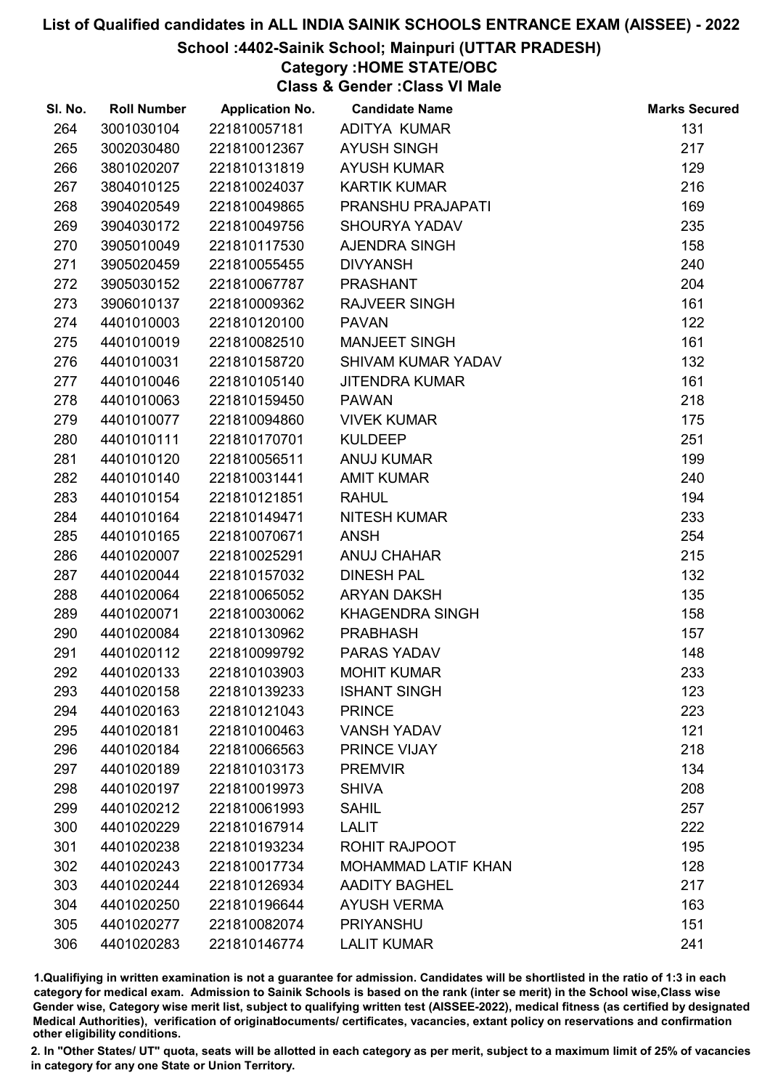# School :4402-Sainik School; Mainpuri (UTTAR PRADESH)

# Category :HOME STATE/OBC

Class & Gender :Class VI Male

| SI. No. | <b>Roll Number</b> | <b>Application No.</b> | <b>Candidate Name</b>      | <b>Marks Secured</b> |
|---------|--------------------|------------------------|----------------------------|----------------------|
| 264     | 3001030104         | 221810057181           | ADITYA KUMAR               | 131                  |
| 265     | 3002030480         | 221810012367           | <b>AYUSH SINGH</b>         | 217                  |
| 266     | 3801020207         | 221810131819           | <b>AYUSH KUMAR</b>         | 129                  |
| 267     | 3804010125         | 221810024037           | <b>KARTIK KUMAR</b>        | 216                  |
| 268     | 3904020549         | 221810049865           | PRANSHU PRAJAPATI          | 169                  |
| 269     | 3904030172         | 221810049756           | <b>SHOURYA YADAV</b>       | 235                  |
| 270     | 3905010049         | 221810117530           | AJENDRA SINGH              | 158                  |
| 271     | 3905020459         | 221810055455           | <b>DIVYANSH</b>            | 240                  |
| 272     | 3905030152         | 221810067787           | <b>PRASHANT</b>            | 204                  |
| 273     | 3906010137         | 221810009362           | <b>RAJVEER SINGH</b>       | 161                  |
| 274     | 4401010003         | 221810120100           | <b>PAVAN</b>               | 122                  |
| 275     | 4401010019         | 221810082510           | <b>MANJEET SINGH</b>       | 161                  |
| 276     | 4401010031         | 221810158720           | SHIVAM KUMAR YADAV         | 132                  |
| 277     | 4401010046         | 221810105140           | <b>JITENDRA KUMAR</b>      | 161                  |
| 278     | 4401010063         | 221810159450           | <b>PAWAN</b>               | 218                  |
| 279     | 4401010077         | 221810094860           | <b>VIVEK KUMAR</b>         | 175                  |
| 280     | 4401010111         | 221810170701           | <b>KULDEEP</b>             | 251                  |
| 281     | 4401010120         | 221810056511           | <b>ANUJ KUMAR</b>          | 199                  |
| 282     | 4401010140         | 221810031441           | <b>AMIT KUMAR</b>          | 240                  |
| 283     | 4401010154         | 221810121851           | <b>RAHUL</b>               | 194                  |
| 284     | 4401010164         | 221810149471           | <b>NITESH KUMAR</b>        | 233                  |
| 285     | 4401010165         | 221810070671           | <b>ANSH</b>                | 254                  |
| 286     | 4401020007         | 221810025291           | <b>ANUJ CHAHAR</b>         | 215                  |
| 287     | 4401020044         | 221810157032           | <b>DINESH PAL</b>          | 132                  |
| 288     | 4401020064         | 221810065052           | <b>ARYAN DAKSH</b>         | 135                  |
| 289     | 4401020071         | 221810030062           | <b>KHAGENDRA SINGH</b>     | 158                  |
| 290     | 4401020084         | 221810130962           | <b>PRABHASH</b>            | 157                  |
| 291     | 4401020112         | 221810099792           | PARAS YADAV                | 148                  |
| 292     | 4401020133         | 221810103903           | <b>MOHIT KUMAR</b>         | 233                  |
| 293     | 4401020158         | 221810139233           | <b>ISHANT SINGH</b>        | 123                  |
| 294     | 4401020163         | 221810121043           | <b>PRINCE</b>              | 223                  |
| 295     | 4401020181         | 221810100463           | <b>VANSH YADAV</b>         | 121                  |
| 296     | 4401020184         | 221810066563           | PRINCE VIJAY               | 218                  |
| 297     | 4401020189         | 221810103173           | <b>PREMVIR</b>             | 134                  |
| 298     | 4401020197         | 221810019973           | <b>SHIVA</b>               | 208                  |
| 299     | 4401020212         | 221810061993           | <b>SAHIL</b>               | 257                  |
| 300     | 4401020229         | 221810167914           | <b>LALIT</b>               | 222                  |
| 301     | 4401020238         | 221810193234           | <b>ROHIT RAJPOOT</b>       | 195                  |
| 302     | 4401020243         | 221810017734           | <b>MOHAMMAD LATIF KHAN</b> | 128                  |
| 303     | 4401020244         | 221810126934           | <b>AADITY BAGHEL</b>       | 217                  |
| 304     | 4401020250         | 221810196644           | <b>AYUSH VERMA</b>         | 163                  |
| 305     | 4401020277         | 221810082074           | <b>PRIYANSHU</b>           | 151                  |
| 306     | 4401020283         | 221810146774           | <b>LALIT KUMAR</b>         | 241                  |

1.Qualifiying in written examination is not a guarantee for admission. Candidates will be shortlisted in the ratio of 1:3 in each category for medical exam. Admission to Sainik Schools is based on the rank (inter se merit) in the School wise,Class wise Gender wise, Category wise merit list, subject to qualifying written test (AISSEE-2022), medical fitness (as certified by designated Medical Authorities), verification of originablocuments/ certificates, vacancies, extant policy on reservations and confirmation other eligibility conditions.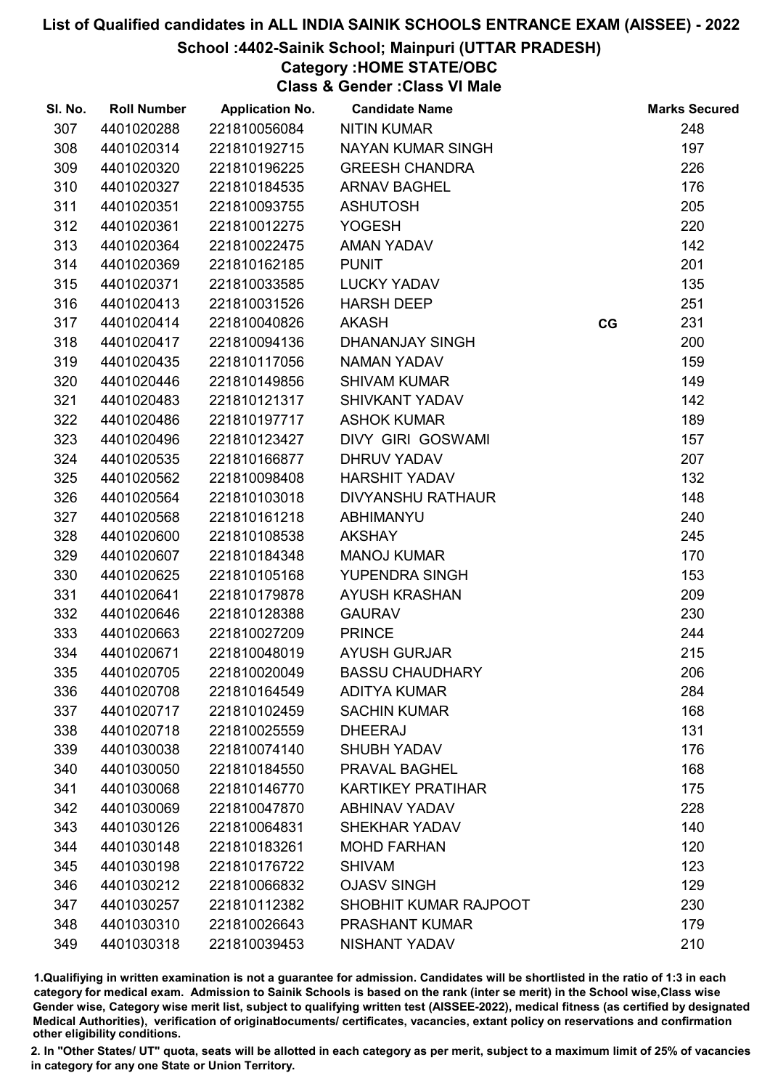## School :4402-Sainik School; Mainpuri (UTTAR PRADESH)

# Category :HOME STATE/OBC

Class & Gender :Class VI Male

| SI. No. | <b>Roll Number</b> | <b>Application No.</b> | <b>Candidate Name</b>    |    | <b>Marks Secured</b> |
|---------|--------------------|------------------------|--------------------------|----|----------------------|
| 307     | 4401020288         | 221810056084           | <b>NITIN KUMAR</b>       |    | 248                  |
| 308     | 4401020314         | 221810192715           | NAYAN KUMAR SINGH        |    | 197                  |
| 309     | 4401020320         | 221810196225           | <b>GREESH CHANDRA</b>    |    | 226                  |
| 310     | 4401020327         | 221810184535           | <b>ARNAV BAGHEL</b>      |    | 176                  |
| 311     | 4401020351         | 221810093755           | <b>ASHUTOSH</b>          |    | 205                  |
| 312     | 4401020361         | 221810012275           | <b>YOGESH</b>            |    | 220                  |
| 313     | 4401020364         | 221810022475           | AMAN YADAV               |    | 142                  |
| 314     | 4401020369         | 221810162185           | <b>PUNIT</b>             |    | 201                  |
| 315     | 4401020371         | 221810033585           | <b>LUCKY YADAV</b>       |    | 135                  |
| 316     | 4401020413         | 221810031526           | <b>HARSH DEEP</b>        |    | 251                  |
| 317     | 4401020414         | 221810040826           | <b>AKASH</b>             | CG | 231                  |
| 318     | 4401020417         | 221810094136           | <b>DHANANJAY SINGH</b>   |    | 200                  |
| 319     | 4401020435         | 221810117056           | <b>NAMAN YADAV</b>       |    | 159                  |
| 320     | 4401020446         | 221810149856           | <b>SHIVAM KUMAR</b>      |    | 149                  |
| 321     | 4401020483         | 221810121317           | <b>SHIVKANT YADAV</b>    |    | 142                  |
| 322     | 4401020486         | 221810197717           | <b>ASHOK KUMAR</b>       |    | 189                  |
| 323     | 4401020496         | 221810123427           | DIVY GIRI GOSWAMI        |    | 157                  |
| 324     | 4401020535         | 221810166877           | <b>DHRUV YADAV</b>       |    | 207                  |
| 325     | 4401020562         | 221810098408           | <b>HARSHIT YADAV</b>     |    | 132                  |
| 326     | 4401020564         | 221810103018           | DIVYANSHU RATHAUR        |    | 148                  |
| 327     | 4401020568         | 221810161218           | <b>ABHIMANYU</b>         |    | 240                  |
| 328     | 4401020600         | 221810108538           | <b>AKSHAY</b>            |    | 245                  |
| 329     | 4401020607         | 221810184348           | <b>MANOJ KUMAR</b>       |    | 170                  |
| 330     | 4401020625         | 221810105168           | YUPENDRA SINGH           |    | 153                  |
| 331     | 4401020641         | 221810179878           | <b>AYUSH KRASHAN</b>     |    | 209                  |
| 332     | 4401020646         | 221810128388           | <b>GAURAV</b>            |    | 230                  |
| 333     | 4401020663         | 221810027209           | <b>PRINCE</b>            |    | 244                  |
| 334     | 4401020671         | 221810048019           | <b>AYUSH GURJAR</b>      |    | 215                  |
| 335     | 4401020705         | 221810020049           | <b>BASSU CHAUDHARY</b>   |    | 206                  |
| 336     | 4401020708         | 221810164549           | <b>ADITYA KUMAR</b>      |    | 284                  |
| 337     | 4401020717         | 221810102459           | <b>SACHIN KUMAR</b>      |    | 168                  |
| 338     | 4401020718         | 221810025559           | <b>DHEERAJ</b>           |    | 131                  |
| 339     | 4401030038         | 221810074140           | <b>SHUBH YADAV</b>       |    | 176                  |
| 340     | 4401030050         | 221810184550           | PRAVAL BAGHEL            |    | 168                  |
| 341     | 4401030068         | 221810146770           | <b>KARTIKEY PRATIHAR</b> |    | 175                  |
| 342     | 4401030069         | 221810047870           | <b>ABHINAV YADAV</b>     |    | 228                  |
| 343     | 4401030126         | 221810064831           | <b>SHEKHAR YADAV</b>     |    | 140                  |
| 344     | 4401030148         | 221810183261           | <b>MOHD FARHAN</b>       |    | 120                  |
| 345     | 4401030198         | 221810176722           | <b>SHIVAM</b>            |    | 123                  |
| 346     | 4401030212         | 221810066832           | <b>OJASV SINGH</b>       |    | 129                  |
| 347     | 4401030257         | 221810112382           | SHOBHIT KUMAR RAJPOOT    |    | 230                  |
| 348     | 4401030310         | 221810026643           | <b>PRASHANT KUMAR</b>    |    | 179                  |
| 349     | 4401030318         | 221810039453           | <b>NISHANT YADAV</b>     |    | 210                  |

1.Qualifiying in written examination is not a guarantee for admission. Candidates will be shortlisted in the ratio of 1:3 in each category for medical exam. Admission to Sainik Schools is based on the rank (inter se merit) in the School wise,Class wise Gender wise, Category wise merit list, subject to qualifying written test (AISSEE-2022), medical fitness (as certified by designated Medical Authorities), verification of originablocuments/ certificates, vacancies, extant policy on reservations and confirmation other eligibility conditions.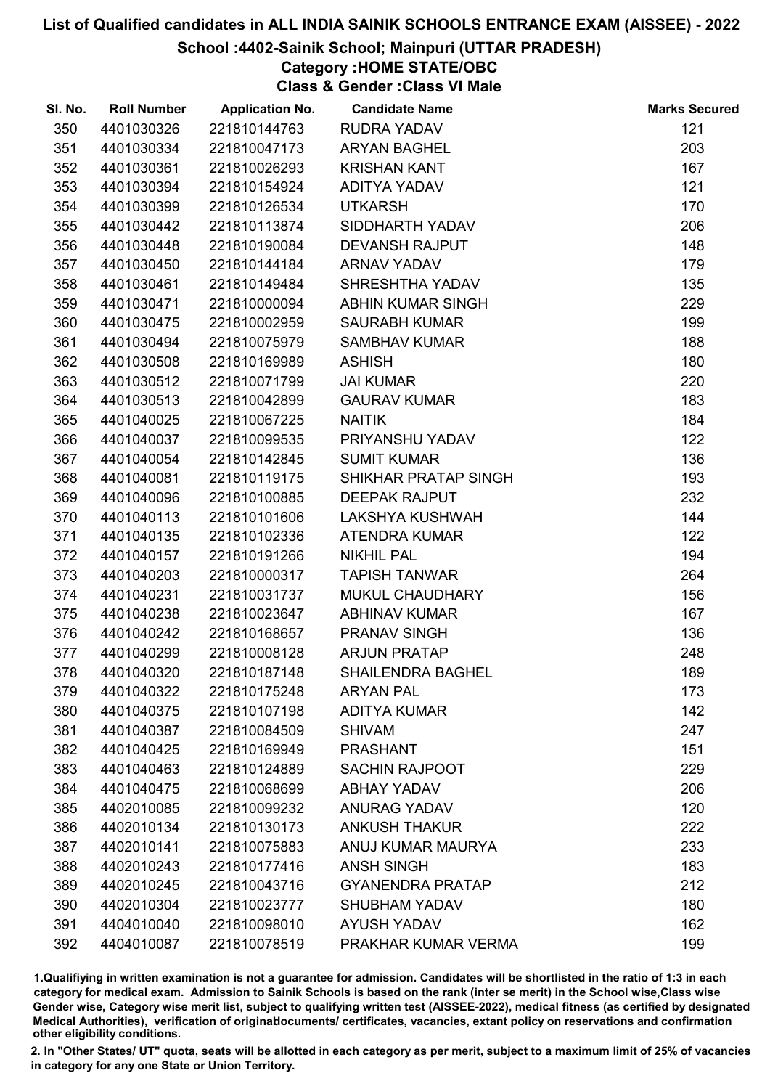School :4402-Sainik School; Mainpuri (UTTAR PRADESH)

# Category :HOME STATE/OBC

Class & Gender :Class VI Male

| SI. No. | <b>Roll Number</b> | <b>Application No.</b> | <b>Candidate Name</b>    | <b>Marks Secured</b> |
|---------|--------------------|------------------------|--------------------------|----------------------|
| 350     | 4401030326         | 221810144763           | <b>RUDRA YADAV</b>       | 121                  |
| 351     | 4401030334         | 221810047173           | <b>ARYAN BAGHEL</b>      | 203                  |
| 352     | 4401030361         | 221810026293           | <b>KRISHAN KANT</b>      | 167                  |
| 353     | 4401030394         | 221810154924           | <b>ADITYA YADAV</b>      | 121                  |
| 354     | 4401030399         | 221810126534           | <b>UTKARSH</b>           | 170                  |
| 355     | 4401030442         | 221810113874           | SIDDHARTH YADAV          | 206                  |
| 356     | 4401030448         | 221810190084           | <b>DEVANSH RAJPUT</b>    | 148                  |
| 357     | 4401030450         | 221810144184           | <b>ARNAV YADAV</b>       | 179                  |
| 358     | 4401030461         | 221810149484           | SHRESHTHA YADAV          | 135                  |
| 359     | 4401030471         | 221810000094           | <b>ABHIN KUMAR SINGH</b> | 229                  |
| 360     | 4401030475         | 221810002959           | <b>SAURABH KUMAR</b>     | 199                  |
| 361     | 4401030494         | 221810075979           | <b>SAMBHAV KUMAR</b>     | 188                  |
| 362     | 4401030508         | 221810169989           | <b>ASHISH</b>            | 180                  |
| 363     | 4401030512         | 221810071799           | <b>JAI KUMAR</b>         | 220                  |
| 364     | 4401030513         | 221810042899           | <b>GAURAV KUMAR</b>      | 183                  |
| 365     | 4401040025         | 221810067225           | <b>NAITIK</b>            | 184                  |
| 366     | 4401040037         | 221810099535           | PRIYANSHU YADAV          | 122                  |
| 367     | 4401040054         | 221810142845           | <b>SUMIT KUMAR</b>       | 136                  |
| 368     | 4401040081         | 221810119175           | SHIKHAR PRATAP SINGH     | 193                  |
| 369     | 4401040096         | 221810100885           | <b>DEEPAK RAJPUT</b>     | 232                  |
| 370     | 4401040113         | 221810101606           | LAKSHYA KUSHWAH          | 144                  |
| 371     | 4401040135         | 221810102336           | <b>ATENDRA KUMAR</b>     | 122                  |
| 372     | 4401040157         | 221810191266           | <b>NIKHIL PAL</b>        | 194                  |
| 373     | 4401040203         | 221810000317           | <b>TAPISH TANWAR</b>     | 264                  |
| 374     | 4401040231         | 221810031737           | MUKUL CHAUDHARY          | 156                  |
| 375     | 4401040238         | 221810023647           | <b>ABHINAV KUMAR</b>     | 167                  |
| 376     | 4401040242         | 221810168657           | PRANAV SINGH             | 136                  |
| 377     | 4401040299         | 221810008128           | <b>ARJUN PRATAP</b>      | 248                  |
| 378     | 4401040320         | 221810187148           | <b>SHAILENDRA BAGHEL</b> | 189                  |
| 379     | 4401040322         | 221810175248           | <b>ARYAN PAL</b>         | 173                  |
| 380     | 4401040375         | 221810107198           | <b>ADITYA KUMAR</b>      | 142                  |
| 381     | 4401040387         | 221810084509           | <b>SHIVAM</b>            | 247                  |
| 382     | 4401040425         | 221810169949           | <b>PRASHANT</b>          | 151                  |
| 383     | 4401040463         | 221810124889           | <b>SACHIN RAJPOOT</b>    | 229                  |
| 384     | 4401040475         | 221810068699           | <b>ABHAY YADAV</b>       | 206                  |
| 385     | 4402010085         | 221810099232           | <b>ANURAG YADAV</b>      | 120                  |
| 386     | 4402010134         | 221810130173           | <b>ANKUSH THAKUR</b>     | 222                  |
| 387     | 4402010141         | 221810075883           | ANUJ KUMAR MAURYA        | 233                  |
| 388     | 4402010243         | 221810177416           | <b>ANSH SINGH</b>        | 183                  |
| 389     | 4402010245         | 221810043716           | <b>GYANENDRA PRATAP</b>  | 212                  |
| 390     | 4402010304         | 221810023777           | <b>SHUBHAM YADAV</b>     | 180                  |
| 391     | 4404010040         | 221810098010           | <b>AYUSH YADAV</b>       | 162                  |
| 392     | 4404010087         | 221810078519           | PRAKHAR KUMAR VERMA      | 199                  |

1.Qualifiying in written examination is not a guarantee for admission. Candidates will be shortlisted in the ratio of 1:3 in each category for medical exam. Admission to Sainik Schools is based on the rank (inter se merit) in the School wise,Class wise Gender wise, Category wise merit list, subject to qualifying written test (AISSEE-2022), medical fitness (as certified by designated Medical Authorities), verification of originablocuments/ certificates, vacancies, extant policy on reservations and confirmation other eligibility conditions.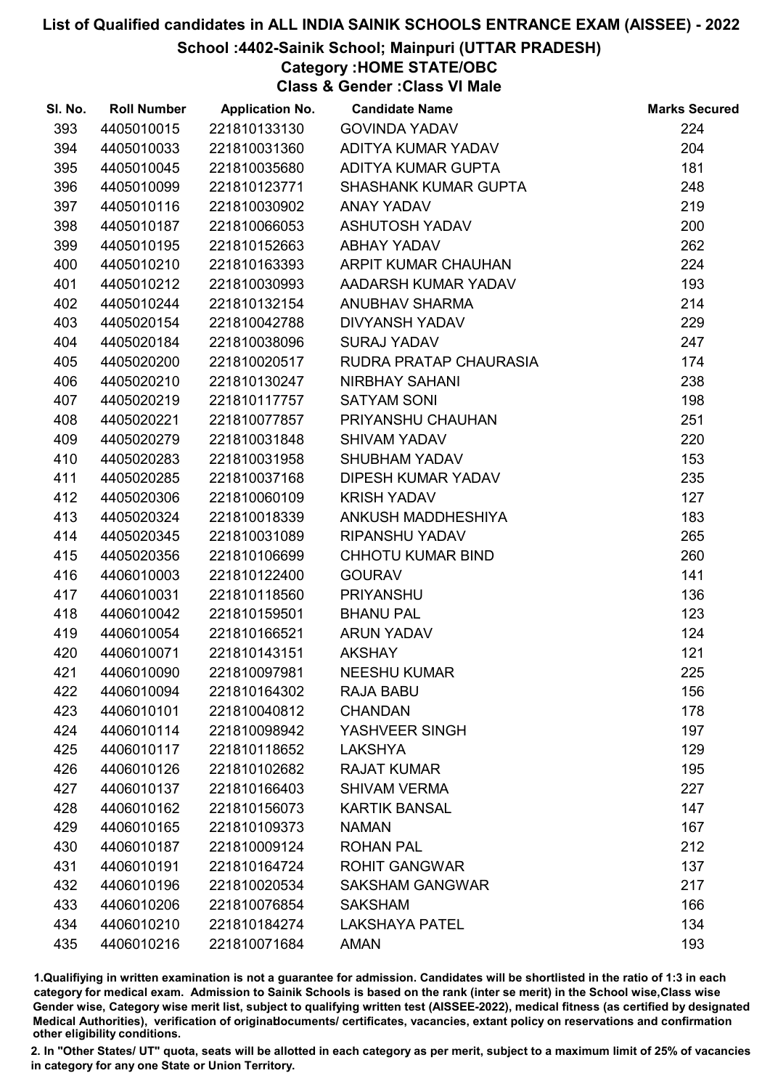# School :4402-Sainik School; Mainpuri (UTTAR PRADESH)

Category :HOME STATE/OBC

Class & Gender :Class VI Male

| SI. No. | <b>Roll Number</b> | <b>Application No.</b> | <b>Candidate Name</b>       | <b>Marks Secured</b> |
|---------|--------------------|------------------------|-----------------------------|----------------------|
| 393     | 4405010015         | 221810133130           | <b>GOVINDA YADAV</b>        | 224                  |
| 394     | 4405010033         | 221810031360           | ADITYA KUMAR YADAV          | 204                  |
| 395     | 4405010045         | 221810035680           | ADITYA KUMAR GUPTA          | 181                  |
| 396     | 4405010099         | 221810123771           | <b>SHASHANK KUMAR GUPTA</b> | 248                  |
| 397     | 4405010116         | 221810030902           | ANAY YADAV                  | 219                  |
| 398     | 4405010187         | 221810066053           | <b>ASHUTOSH YADAV</b>       | 200                  |
| 399     | 4405010195         | 221810152663           | <b>ABHAY YADAV</b>          | 262                  |
| 400     | 4405010210         | 221810163393           | ARPIT KUMAR CHAUHAN         | 224                  |
| 401     | 4405010212         | 221810030993           | AADARSH KUMAR YADAV         | 193                  |
| 402     | 4405010244         | 221810132154           | <b>ANUBHAV SHARMA</b>       | 214                  |
| 403     | 4405020154         | 221810042788           | <b>DIVYANSH YADAV</b>       | 229                  |
| 404     | 4405020184         | 221810038096           | <b>SURAJ YADAV</b>          | 247                  |
| 405     | 4405020200         | 221810020517           | RUDRA PRATAP CHAURASIA      | 174                  |
| 406     | 4405020210         | 221810130247           | NIRBHAY SAHANI              | 238                  |
| 407     | 4405020219         | 221810117757           | <b>SATYAM SONI</b>          | 198                  |
| 408     | 4405020221         | 221810077857           | PRIYANSHU CHAUHAN           | 251                  |
| 409     | 4405020279         | 221810031848           | <b>SHIVAM YADAV</b>         | 220                  |
| 410     | 4405020283         | 221810031958           | <b>SHUBHAM YADAV</b>        | 153                  |
| 411     | 4405020285         | 221810037168           | <b>DIPESH KUMAR YADAV</b>   | 235                  |
| 412     | 4405020306         | 221810060109           | <b>KRISH YADAV</b>          | 127                  |
| 413     | 4405020324         | 221810018339           | ANKUSH MADDHESHIYA          | 183                  |
| 414     | 4405020345         | 221810031089           | RIPANSHU YADAV              | 265                  |
| 415     | 4405020356         | 221810106699           | CHHOTU KUMAR BIND           | 260                  |
| 416     | 4406010003         | 221810122400           | <b>GOURAV</b>               | 141                  |
| 417     | 4406010031         | 221810118560           | <b>PRIYANSHU</b>            | 136                  |
| 418     | 4406010042         | 221810159501           | <b>BHANU PAL</b>            | 123                  |
| 419     | 4406010054         | 221810166521           | <b>ARUN YADAV</b>           | 124                  |
| 420     | 4406010071         | 221810143151           | <b>AKSHAY</b>               | 121                  |
| 421     | 4406010090         | 221810097981           | <b>NEESHU KUMAR</b>         | 225                  |
| 422     | 4406010094         | 221810164302           | <b>RAJA BABU</b>            | 156                  |
| 423     | 4406010101         | 221810040812           | <b>CHANDAN</b>              | 178                  |
| 424     | 4406010114         | 221810098942           | YASHVEER SINGH              | 197                  |
| 425     | 4406010117         | 221810118652           | <b>LAKSHYA</b>              | 129                  |
| 426     | 4406010126         | 221810102682           | <b>RAJAT KUMAR</b>          | 195                  |
| 427     | 4406010137         | 221810166403           | <b>SHIVAM VERMA</b>         | 227                  |
| 428     | 4406010162         | 221810156073           | <b>KARTIK BANSAL</b>        | 147                  |
| 429     | 4406010165         | 221810109373           | <b>NAMAN</b>                | 167                  |
| 430     | 4406010187         | 221810009124           | <b>ROHAN PAL</b>            | 212                  |
| 431     | 4406010191         | 221810164724           | <b>ROHIT GANGWAR</b>        | 137                  |
| 432     | 4406010196         | 221810020534           | <b>SAKSHAM GANGWAR</b>      | 217                  |
| 433     | 4406010206         | 221810076854           | <b>SAKSHAM</b>              | 166                  |
| 434     | 4406010210         | 221810184274           | <b>LAKSHAYA PATEL</b>       | 134                  |
| 435     | 4406010216         | 221810071684           | <b>AMAN</b>                 | 193                  |

1.Qualifiying in written examination is not a guarantee for admission. Candidates will be shortlisted in the ratio of 1:3 in each category for medical exam. Admission to Sainik Schools is based on the rank (inter se merit) in the School wise,Class wise Gender wise, Category wise merit list, subject to qualifying written test (AISSEE-2022), medical fitness (as certified by designated Medical Authorities), verification of originablocuments/ certificates, vacancies, extant policy on reservations and confirmation other eligibility conditions.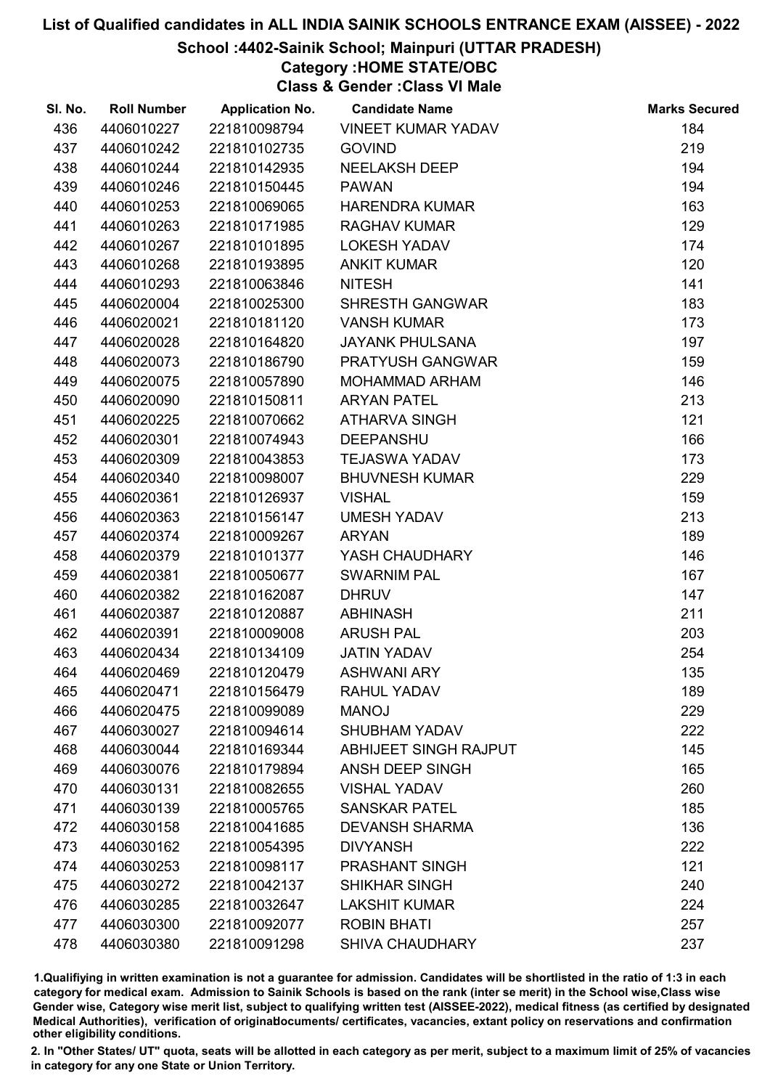## School :4402-Sainik School; Mainpuri (UTTAR PRADESH)

# Category :HOME STATE/OBC

Class & Gender :Class VI Male

| SI. No. | <b>Roll Number</b> | <b>Application No.</b> | <b>Candidate Name</b>     | <b>Marks Secured</b> |
|---------|--------------------|------------------------|---------------------------|----------------------|
| 436     | 4406010227         | 221810098794           | <b>VINEET KUMAR YADAV</b> | 184                  |
| 437     | 4406010242         | 221810102735           | <b>GOVIND</b>             | 219                  |
| 438     | 4406010244         | 221810142935           | <b>NEELAKSH DEEP</b>      | 194                  |
| 439     | 4406010246         | 221810150445           | <b>PAWAN</b>              | 194                  |
| 440     | 4406010253         | 221810069065           | <b>HARENDRA KUMAR</b>     | 163                  |
| 441     | 4406010263         | 221810171985           | <b>RAGHAV KUMAR</b>       | 129                  |
| 442     | 4406010267         | 221810101895           | <b>LOKESH YADAV</b>       | 174                  |
| 443     | 4406010268         | 221810193895           | <b>ANKIT KUMAR</b>        | 120                  |
| 444     | 4406010293         | 221810063846           | <b>NITESH</b>             | 141                  |
| 445     | 4406020004         | 221810025300           | <b>SHRESTH GANGWAR</b>    | 183                  |
| 446     | 4406020021         | 221810181120           | <b>VANSH KUMAR</b>        | 173                  |
| 447     | 4406020028         | 221810164820           | <b>JAYANK PHULSANA</b>    | 197                  |
| 448     | 4406020073         | 221810186790           | PRATYUSH GANGWAR          | 159                  |
| 449     | 4406020075         | 221810057890           | <b>MOHAMMAD ARHAM</b>     | 146                  |
| 450     | 4406020090         | 221810150811           | <b>ARYAN PATEL</b>        | 213                  |
| 451     | 4406020225         | 221810070662           | <b>ATHARVA SINGH</b>      | 121                  |
| 452     | 4406020301         | 221810074943           | <b>DEEPANSHU</b>          | 166                  |
| 453     | 4406020309         | 221810043853           | <b>TEJASWA YADAV</b>      | 173                  |
| 454     | 4406020340         | 221810098007           | <b>BHUVNESH KUMAR</b>     | 229                  |
| 455     | 4406020361         | 221810126937           | <b>VISHAL</b>             | 159                  |
| 456     | 4406020363         | 221810156147           | <b>UMESH YADAV</b>        | 213                  |
| 457     | 4406020374         | 221810009267           | <b>ARYAN</b>              | 189                  |
| 458     | 4406020379         | 221810101377           | YASH CHAUDHARY            | 146                  |
| 459     | 4406020381         | 221810050677           | <b>SWARNIM PAL</b>        | 167                  |
| 460     | 4406020382         | 221810162087           | <b>DHRUV</b>              | 147                  |
| 461     | 4406020387         | 221810120887           | <b>ABHINASH</b>           | 211                  |
| 462     | 4406020391         | 221810009008           | <b>ARUSH PAL</b>          | 203                  |
| 463     | 4406020434         | 221810134109           | <b>JATIN YADAV</b>        | 254                  |
| 464     | 4406020469         | 221810120479           | <b>ASHWANI ARY</b>        | 135                  |
| 465     | 4406020471         | 221810156479           | <b>RAHUL YADAV</b>        | 189                  |
| 466     | 4406020475         | 221810099089           | <b>MANOJ</b>              | 229                  |
| 467     | 4406030027         | 221810094614           | <b>SHUBHAM YADAV</b>      | 222                  |
| 468     | 4406030044         | 221810169344           | ABHIJEET SINGH RAJPUT     | 145                  |
| 469     | 4406030076         | 221810179894           | ANSH DEEP SINGH           | 165                  |
| 470     | 4406030131         | 221810082655           | <b>VISHAL YADAV</b>       | 260                  |
| 471     | 4406030139         | 221810005765           | <b>SANSKAR PATEL</b>      | 185                  |
| 472     | 4406030158         | 221810041685           | <b>DEVANSH SHARMA</b>     | 136                  |
| 473     | 4406030162         | 221810054395           | <b>DIVYANSH</b>           | 222                  |
| 474     | 4406030253         | 221810098117           | <b>PRASHANT SINGH</b>     | 121                  |
| 475     | 4406030272         | 221810042137           | <b>SHIKHAR SINGH</b>      | 240                  |
| 476     | 4406030285         | 221810032647           | <b>LAKSHIT KUMAR</b>      | 224                  |
| 477     | 4406030300         | 221810092077           | <b>ROBIN BHATI</b>        | 257                  |
| 478     | 4406030380         | 221810091298           | <b>SHIVA CHAUDHARY</b>    | 237                  |

1.Qualifiying in written examination is not a guarantee for admission. Candidates will be shortlisted in the ratio of 1:3 in each category for medical exam. Admission to Sainik Schools is based on the rank (inter se merit) in the School wise,Class wise Gender wise, Category wise merit list, subject to qualifying written test (AISSEE-2022), medical fitness (as certified by designated Medical Authorities), verification of originablocuments/ certificates, vacancies, extant policy on reservations and confirmation other eligibility conditions.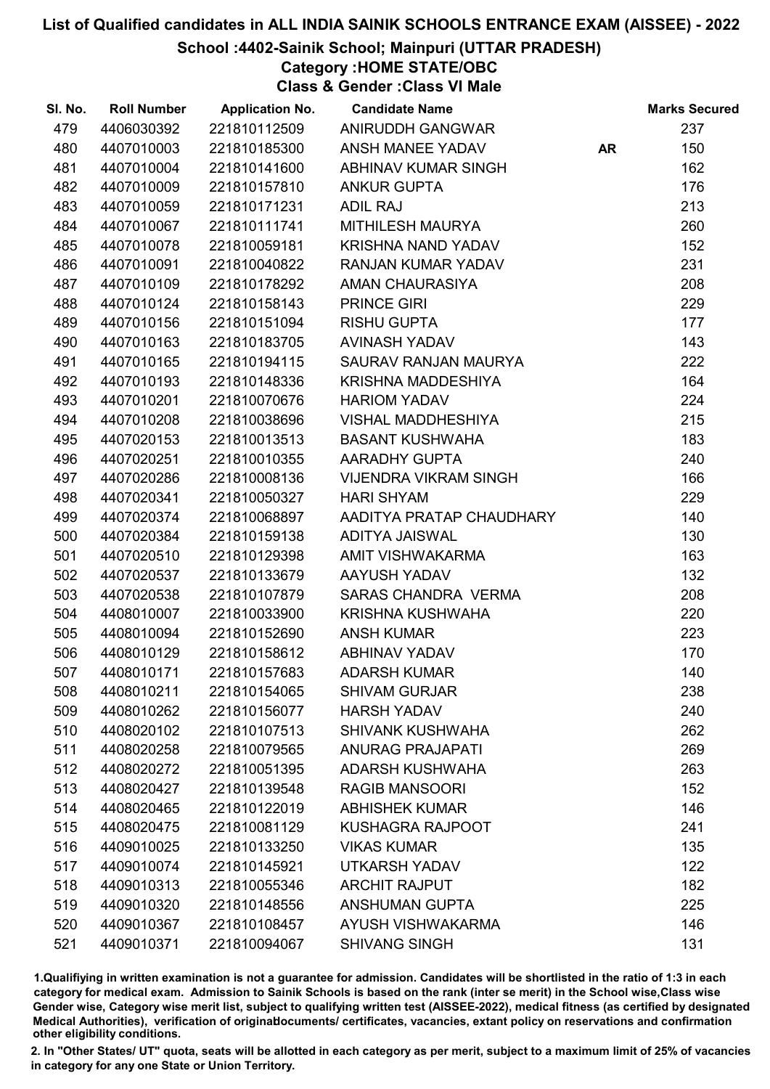# School :4402-Sainik School; Mainpuri (UTTAR PRADESH)

Category :HOME STATE/OBC

Class & Gender :Class VI Male

| SI. No. | <b>Roll Number</b> | <b>Application No.</b> | <b>Candidate Name</b>        |           | <b>Marks Secured</b> |
|---------|--------------------|------------------------|------------------------------|-----------|----------------------|
| 479     | 4406030392         | 221810112509           | ANIRUDDH GANGWAR             |           | 237                  |
| 480     | 4407010003         | 221810185300           | ANSH MANEE YADAV             | <b>AR</b> | 150                  |
| 481     | 4407010004         | 221810141600           | ABHINAV KUMAR SINGH          |           | 162                  |
| 482     | 4407010009         | 221810157810           | <b>ANKUR GUPTA</b>           |           | 176                  |
| 483     | 4407010059         | 221810171231           | <b>ADIL RAJ</b>              |           | 213                  |
| 484     | 4407010067         | 221810111741           | MITHILESH MAURYA             |           | 260                  |
| 485     | 4407010078         | 221810059181           | <b>KRISHNA NAND YADAV</b>    |           | 152                  |
| 486     | 4407010091         | 221810040822           | RANJAN KUMAR YADAV           |           | 231                  |
| 487     | 4407010109         | 221810178292           | AMAN CHAURASIYA              |           | 208                  |
| 488     | 4407010124         | 221810158143           | <b>PRINCE GIRI</b>           |           | 229                  |
| 489     | 4407010156         | 221810151094           | <b>RISHU GUPTA</b>           |           | 177                  |
| 490     | 4407010163         | 221810183705           | AVINASH YADAV                |           | 143                  |
| 491     | 4407010165         | 221810194115           | SAURAV RANJAN MAURYA         |           | 222                  |
| 492     | 4407010193         | 221810148336           | KRISHNA MADDESHIYA           |           | 164                  |
| 493     | 4407010201         | 221810070676           | <b>HARIOM YADAV</b>          |           | 224                  |
| 494     | 4407010208         | 221810038696           | VISHAL MADDHESHIYA           |           | 215                  |
| 495     | 4407020153         | 221810013513           | <b>BASANT KUSHWAHA</b>       |           | 183                  |
| 496     | 4407020251         | 221810010355           | <b>AARADHY GUPTA</b>         |           | 240                  |
| 497     | 4407020286         | 221810008136           | <b>VIJENDRA VIKRAM SINGH</b> |           | 166                  |
| 498     | 4407020341         | 221810050327           | <b>HARI SHYAM</b>            |           | 229                  |
| 499     | 4407020374         | 221810068897           | AADITYA PRATAP CHAUDHARY     |           | 140                  |
| 500     | 4407020384         | 221810159138           | <b>ADITYA JAISWAL</b>        |           | 130                  |
| 501     | 4407020510         | 221810129398           | AMIT VISHWAKARMA             |           | 163                  |
| 502     | 4407020537         | 221810133679           | AAYUSH YADAV                 |           | 132                  |
| 503     | 4407020538         | 221810107879           | SARAS CHANDRA VERMA          |           | 208                  |
| 504     | 4408010007         | 221810033900           | <b>KRISHNA KUSHWAHA</b>      |           | 220                  |
| 505     | 4408010094         | 221810152690           | <b>ANSH KUMAR</b>            |           | 223                  |
| 506     | 4408010129         | 221810158612           | ABHINAV YADAV                |           | 170                  |
| 507     | 4408010171         | 221810157683           | <b>ADARSH KUMAR</b>          |           | 140                  |
| 508     | 4408010211         | 221810154065           | <b>SHIVAM GURJAR</b>         |           | 238                  |
| 509     | 4408010262         | 221810156077           | <b>HARSH YADAV</b>           |           | 240                  |
| 510     | 4408020102         | 221810107513           | <b>SHIVANK KUSHWAHA</b>      |           | 262                  |
| 511     | 4408020258         | 221810079565           | <b>ANURAG PRAJAPATI</b>      |           | 269                  |
| 512     | 4408020272         | 221810051395           | <b>ADARSH KUSHWAHA</b>       |           | 263                  |
| 513     | 4408020427         | 221810139548           | <b>RAGIB MANSOORI</b>        |           | 152                  |
| 514     | 4408020465         | 221810122019           | <b>ABHISHEK KUMAR</b>        |           | 146                  |
| 515     | 4408020475         | 221810081129           | <b>KUSHAGRA RAJPOOT</b>      |           | 241                  |
| 516     | 4409010025         | 221810133250           | <b>VIKAS KUMAR</b>           |           | 135                  |
| 517     | 4409010074         | 221810145921           | <b>UTKARSH YADAV</b>         |           | 122                  |
| 518     | 4409010313         | 221810055346           | <b>ARCHIT RAJPUT</b>         |           | 182                  |
| 519     | 4409010320         | 221810148556           | <b>ANSHUMAN GUPTA</b>        |           | 225                  |
| 520     | 4409010367         | 221810108457           | AYUSH VISHWAKARMA            |           | 146                  |
| 521     | 4409010371         | 221810094067           | <b>SHIVANG SINGH</b>         |           | 131                  |

1.Qualifiying in written examination is not a guarantee for admission. Candidates will be shortlisted in the ratio of 1:3 in each category for medical exam. Admission to Sainik Schools is based on the rank (inter se merit) in the School wise,Class wise Gender wise, Category wise merit list, subject to qualifying written test (AISSEE-2022), medical fitness (as certified by designated Medical Authorities), verification of originablocuments/ certificates, vacancies, extant policy on reservations and confirmation other eligibility conditions.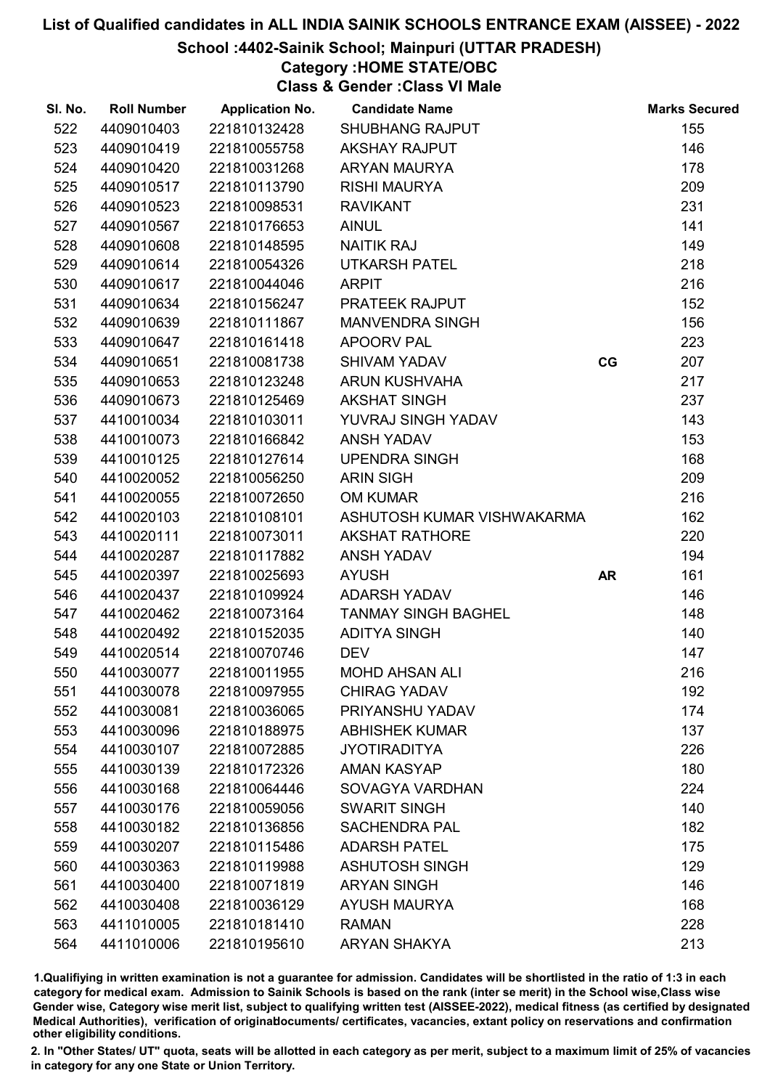## School :4402-Sainik School; Mainpuri (UTTAR PRADESH)

# Category :HOME STATE/OBC

Class & Gender :Class VI Male

| SI. No. | <b>Roll Number</b> | <b>Application No.</b> | <b>Candidate Name</b>      |           | <b>Marks Secured</b> |
|---------|--------------------|------------------------|----------------------------|-----------|----------------------|
| 522     | 4409010403         | 221810132428           | <b>SHUBHANG RAJPUT</b>     |           | 155                  |
| 523     | 4409010419         | 221810055758           | <b>AKSHAY RAJPUT</b>       |           | 146                  |
| 524     | 4409010420         | 221810031268           | ARYAN MAURYA               |           | 178                  |
| 525     | 4409010517         | 221810113790           | <b>RISHI MAURYA</b>        |           | 209                  |
| 526     | 4409010523         | 221810098531           | <b>RAVIKANT</b>            |           | 231                  |
| 527     | 4409010567         | 221810176653           | <b>AINUL</b>               |           | 141                  |
| 528     | 4409010608         | 221810148595           | <b>NAITIK RAJ</b>          |           | 149                  |
| 529     | 4409010614         | 221810054326           | <b>UTKARSH PATEL</b>       |           | 218                  |
| 530     | 4409010617         | 221810044046           | <b>ARPIT</b>               |           | 216                  |
| 531     | 4409010634         | 221810156247           | PRATEEK RAJPUT             |           | 152                  |
| 532     | 4409010639         | 221810111867           | <b>MANVENDRA SINGH</b>     |           | 156                  |
| 533     | 4409010647         | 221810161418           | <b>APOORV PAL</b>          |           | 223                  |
| 534     | 4409010651         | 221810081738           | <b>SHIVAM YADAV</b>        | CG        | 207                  |
| 535     | 4409010653         | 221810123248           | <b>ARUN KUSHVAHA</b>       |           | 217                  |
| 536     | 4409010673         | 221810125469           | <b>AKSHAT SINGH</b>        |           | 237                  |
| 537     | 4410010034         | 221810103011           | YUVRAJ SINGH YADAV         |           | 143                  |
| 538     | 4410010073         | 221810166842           | <b>ANSH YADAV</b>          |           | 153                  |
| 539     | 4410010125         | 221810127614           | <b>UPENDRA SINGH</b>       |           | 168                  |
| 540     | 4410020052         | 221810056250           | <b>ARIN SIGH</b>           |           | 209                  |
| 541     | 4410020055         | 221810072650           | <b>OM KUMAR</b>            |           | 216                  |
| 542     | 4410020103         | 221810108101           | ASHUTOSH KUMAR VISHWAKARMA |           | 162                  |
| 543     | 4410020111         | 221810073011           | <b>AKSHAT RATHORE</b>      |           | 220                  |
| 544     | 4410020287         | 221810117882           | <b>ANSH YADAV</b>          |           | 194                  |
| 545     | 4410020397         | 221810025693           | <b>AYUSH</b>               | <b>AR</b> | 161                  |
| 546     | 4410020437         | 221810109924           | ADARSH YADAV               |           | 146                  |
| 547     | 4410020462         | 221810073164           | <b>TANMAY SINGH BAGHEL</b> |           | 148                  |
| 548     | 4410020492         | 221810152035           | <b>ADITYA SINGH</b>        |           | 140                  |
| 549     | 4410020514         | 221810070746           | <b>DEV</b>                 |           | 147                  |
| 550     | 4410030077         | 221810011955           | <b>MOHD AHSAN ALI</b>      |           | 216                  |
| 551     | 4410030078         | 221810097955           | <b>CHIRAG YADAV</b>        |           | 192                  |
| 552     | 4410030081         | 221810036065           | PRIYANSHU YADAV            |           | 174                  |
| 553     | 4410030096         | 221810188975           | <b>ABHISHEK KUMAR</b>      |           | 137                  |
| 554     | 4410030107         | 221810072885           | <b>JYOTIRADITYA</b>        |           | 226                  |
| 555     | 4410030139         | 221810172326           | <b>AMAN KASYAP</b>         |           | 180                  |
| 556     | 4410030168         | 221810064446           | SOVAGYA VARDHAN            |           | 224                  |
| 557     | 4410030176         | 221810059056           | <b>SWARIT SINGH</b>        |           | 140                  |
| 558     | 4410030182         | 221810136856           | <b>SACHENDRA PAL</b>       |           | 182                  |
| 559     | 4410030207         | 221810115486           | <b>ADARSH PATEL</b>        |           | 175                  |
| 560     | 4410030363         | 221810119988           | <b>ASHUTOSH SINGH</b>      |           | 129                  |
| 561     | 4410030400         | 221810071819           | <b>ARYAN SINGH</b>         |           | 146                  |
| 562     | 4410030408         | 221810036129           | <b>AYUSH MAURYA</b>        |           | 168                  |
| 563     | 4411010005         | 221810181410           | <b>RAMAN</b>               |           | 228                  |
| 564     | 4411010006         | 221810195610           | <b>ARYAN SHAKYA</b>        |           | 213                  |

1.Qualifiying in written examination is not a guarantee for admission. Candidates will be shortlisted in the ratio of 1:3 in each category for medical exam. Admission to Sainik Schools is based on the rank (inter se merit) in the School wise,Class wise Gender wise, Category wise merit list, subject to qualifying written test (AISSEE-2022), medical fitness (as certified by designated Medical Authorities), verification of originablocuments/ certificates, vacancies, extant policy on reservations and confirmation other eligibility conditions.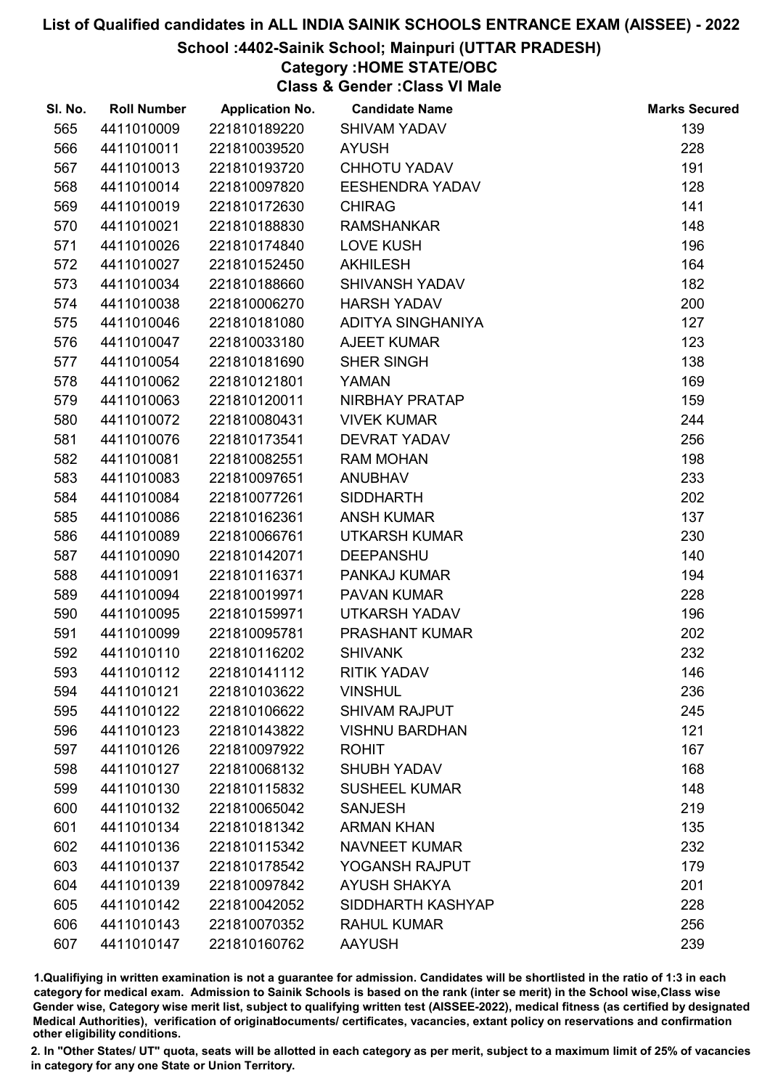# School :4402-Sainik School; Mainpuri (UTTAR PRADESH)

# Category :HOME STATE/OBC

Class & Gender :Class VI Male

| SI. No. | <b>Roll Number</b> | <b>Application No.</b> | <b>Candidate Name</b>  | <b>Marks Secured</b> |
|---------|--------------------|------------------------|------------------------|----------------------|
| 565     | 4411010009         | 221810189220           | <b>SHIVAM YADAV</b>    | 139                  |
| 566     | 4411010011         | 221810039520           | <b>AYUSH</b>           | 228                  |
| 567     | 4411010013         | 221810193720           | <b>CHHOTU YADAV</b>    | 191                  |
| 568     | 4411010014         | 221810097820           | <b>EESHENDRA YADAV</b> | 128                  |
| 569     | 4411010019         | 221810172630           | <b>CHIRAG</b>          | 141                  |
| 570     | 4411010021         | 221810188830           | <b>RAMSHANKAR</b>      | 148                  |
| 571     | 4411010026         | 221810174840           | <b>LOVE KUSH</b>       | 196                  |
| 572     | 4411010027         | 221810152450           | <b>AKHILESH</b>        | 164                  |
| 573     | 4411010034         | 221810188660           | SHIVANSH YADAV         | 182                  |
| 574     | 4411010038         | 221810006270           | <b>HARSH YADAV</b>     | 200                  |
| 575     | 4411010046         | 221810181080           | ADITYA SINGHANIYA      | 127                  |
| 576     | 4411010047         | 221810033180           | <b>AJEET KUMAR</b>     | 123                  |
| 577     | 4411010054         | 221810181690           | SHER SINGH             | 138                  |
| 578     | 4411010062         | 221810121801           | <b>YAMAN</b>           | 169                  |
| 579     | 4411010063         | 221810120011           | NIRBHAY PRATAP         | 159                  |
| 580     | 4411010072         | 221810080431           | <b>VIVEK KUMAR</b>     | 244                  |
| 581     | 4411010076         | 221810173541           | <b>DEVRAT YADAV</b>    | 256                  |
| 582     | 4411010081         | 221810082551           | <b>RAM MOHAN</b>       | 198                  |
| 583     | 4411010083         | 221810097651           | <b>ANUBHAV</b>         | 233                  |
| 584     | 4411010084         | 221810077261           | <b>SIDDHARTH</b>       | 202                  |
| 585     | 4411010086         | 221810162361           | <b>ANSH KUMAR</b>      | 137                  |
| 586     | 4411010089         | 221810066761           | <b>UTKARSH KUMAR</b>   | 230                  |
| 587     | 4411010090         | 221810142071           | <b>DEEPANSHU</b>       | 140                  |
| 588     | 4411010091         | 221810116371           | PANKAJ KUMAR           | 194                  |
| 589     | 4411010094         | 221810019971           | PAVAN KUMAR            | 228                  |
| 590     | 4411010095         | 221810159971           | <b>UTKARSH YADAV</b>   | 196                  |
| 591     | 4411010099         | 221810095781           | PRASHANT KUMAR         | 202                  |
| 592     | 4411010110         | 221810116202           | <b>SHIVANK</b>         | 232                  |
| 593     | 4411010112         | 221810141112           | <b>RITIK YADAV</b>     | 146                  |
| 594     | 4411010121         | 221810103622           | <b>VINSHUL</b>         | 236                  |
| 595     | 4411010122         | 221810106622           | <b>SHIVAM RAJPUT</b>   | 245                  |
| 596     | 4411010123         | 221810143822           | <b>VISHNU BARDHAN</b>  | 121                  |
| 597     | 4411010126         | 221810097922           | <b>ROHIT</b>           | 167                  |
| 598     | 4411010127         | 221810068132           | <b>SHUBH YADAV</b>     | 168                  |
| 599     | 4411010130         | 221810115832           | <b>SUSHEEL KUMAR</b>   | 148                  |
| 600     | 4411010132         | 221810065042           | <b>SANJESH</b>         | 219                  |
| 601     | 4411010134         | 221810181342           | <b>ARMAN KHAN</b>      | 135                  |
| 602     | 4411010136         | 221810115342           | <b>NAVNEET KUMAR</b>   | 232                  |
| 603     | 4411010137         | 221810178542           | YOGANSH RAJPUT         | 179                  |
| 604     | 4411010139         | 221810097842           | <b>AYUSH SHAKYA</b>    | 201                  |
| 605     | 4411010142         | 221810042052           | SIDDHARTH KASHYAP      | 228                  |
| 606     | 4411010143         | 221810070352           | <b>RAHUL KUMAR</b>     | 256                  |
| 607     | 4411010147         | 221810160762           | <b>AAYUSH</b>          | 239                  |

1.Qualifiying in written examination is not a guarantee for admission. Candidates will be shortlisted in the ratio of 1:3 in each category for medical exam. Admission to Sainik Schools is based on the rank (inter se merit) in the School wise,Class wise Gender wise, Category wise merit list, subject to qualifying written test (AISSEE-2022), medical fitness (as certified by designated Medical Authorities), verification of originablocuments/ certificates, vacancies, extant policy on reservations and confirmation other eligibility conditions.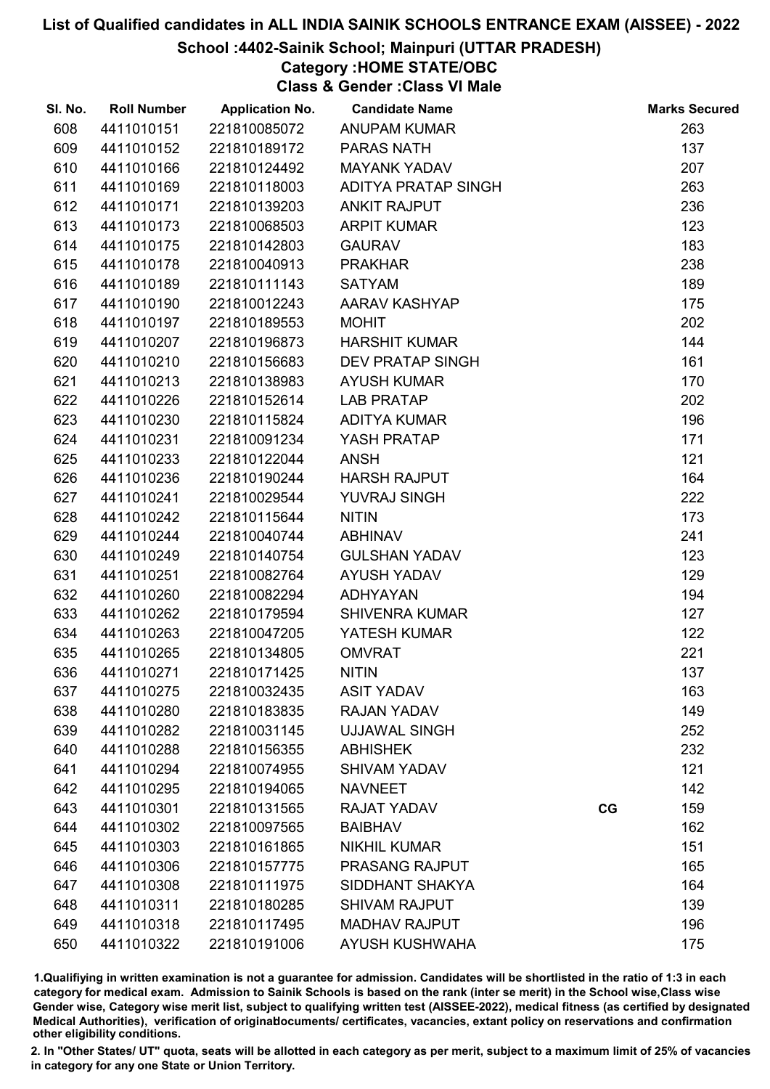## School :4402-Sainik School; Mainpuri (UTTAR PRADESH)

# Category :HOME STATE/OBC

Class & Gender :Class VI Male

| SI. No. | <b>Roll Number</b> | <b>Application No.</b> | <b>Candidate Name</b>   |    | <b>Marks Secured</b> |
|---------|--------------------|------------------------|-------------------------|----|----------------------|
| 608     | 4411010151         | 221810085072           | <b>ANUPAM KUMAR</b>     |    | 263                  |
| 609     | 4411010152         | 221810189172           | PARAS NATH              |    | 137                  |
| 610     | 4411010166         | 221810124492           | <b>MAYANK YADAV</b>     |    | 207                  |
| 611     | 4411010169         | 221810118003           | ADITYA PRATAP SINGH     |    | 263                  |
| 612     | 4411010171         | 221810139203           | <b>ANKIT RAJPUT</b>     |    | 236                  |
| 613     | 4411010173         | 221810068503           | <b>ARPIT KUMAR</b>      |    | 123                  |
| 614     | 4411010175         | 221810142803           | <b>GAURAV</b>           |    | 183                  |
| 615     | 4411010178         | 221810040913           | <b>PRAKHAR</b>          |    | 238                  |
| 616     | 4411010189         | 221810111143           | <b>SATYAM</b>           |    | 189                  |
| 617     | 4411010190         | 221810012243           | AARAV KASHYAP           |    | 175                  |
| 618     | 4411010197         | 221810189553           | <b>MOHIT</b>            |    | 202                  |
| 619     | 4411010207         | 221810196873           | <b>HARSHIT KUMAR</b>    |    | 144                  |
| 620     | 4411010210         | 221810156683           | <b>DEV PRATAP SINGH</b> |    | 161                  |
| 621     | 4411010213         | 221810138983           | <b>AYUSH KUMAR</b>      |    | 170                  |
| 622     | 4411010226         | 221810152614           | <b>LAB PRATAP</b>       |    | 202                  |
| 623     | 4411010230         | 221810115824           | <b>ADITYA KUMAR</b>     |    | 196                  |
| 624     | 4411010231         | 221810091234           | YASH PRATAP             |    | 171                  |
| 625     | 4411010233         | 221810122044           | <b>ANSH</b>             |    | 121                  |
| 626     | 4411010236         | 221810190244           | <b>HARSH RAJPUT</b>     |    | 164                  |
| 627     | 4411010241         | 221810029544           | YUVRAJ SINGH            |    | 222                  |
| 628     | 4411010242         | 221810115644           | <b>NITIN</b>            |    | 173                  |
| 629     | 4411010244         | 221810040744           | <b>ABHINAV</b>          |    | 241                  |
| 630     | 4411010249         | 221810140754           | <b>GULSHAN YADAV</b>    |    | 123                  |
| 631     | 4411010251         | 221810082764           | <b>AYUSH YADAV</b>      |    | 129                  |
| 632     | 4411010260         | 221810082294           | <b>ADHYAYAN</b>         |    | 194                  |
| 633     | 4411010262         | 221810179594           | <b>SHIVENRA KUMAR</b>   |    | 127                  |
| 634     | 4411010263         | 221810047205           | YATESH KUMAR            |    | 122                  |
| 635     | 4411010265         | 221810134805           | <b>OMVRAT</b>           |    | 221                  |
| 636     | 4411010271         | 221810171425           | <b>NITIN</b>            |    | 137                  |
| 637     | 4411010275         | 221810032435           | <b>ASIT YADAV</b>       |    | 163                  |
| 638     | 4411010280         | 221810183835           | <b>RAJAN YADAV</b>      |    | 149                  |
| 639     | 4411010282         | 221810031145           | <b>UJJAWAL SINGH</b>    |    | 252                  |
| 640     | 4411010288         | 221810156355           | <b>ABHISHEK</b>         |    | 232                  |
| 641     | 4411010294         | 221810074955           | <b>SHIVAM YADAV</b>     |    | 121                  |
| 642     | 4411010295         | 221810194065           | <b>NAVNEET</b>          |    | 142                  |
| 643     | 4411010301         | 221810131565           | <b>RAJAT YADAV</b>      | CG | 159                  |
| 644     | 4411010302         | 221810097565           | <b>BAIBHAV</b>          |    | 162                  |
| 645     | 4411010303         | 221810161865           | <b>NIKHIL KUMAR</b>     |    | 151                  |
| 646     | 4411010306         | 221810157775           | PRASANG RAJPUT          |    | 165                  |
| 647     | 4411010308         | 221810111975           | SIDDHANT SHAKYA         |    | 164                  |
| 648     | 4411010311         | 221810180285           | <b>SHIVAM RAJPUT</b>    |    | 139                  |
| 649     | 4411010318         | 221810117495           | <b>MADHAV RAJPUT</b>    |    | 196                  |
| 650     | 4411010322         | 221810191006           | <b>AYUSH KUSHWAHA</b>   |    | 175                  |

1.Qualifiying in written examination is not a guarantee for admission. Candidates will be shortlisted in the ratio of 1:3 in each category for medical exam. Admission to Sainik Schools is based on the rank (inter se merit) in the School wise,Class wise Gender wise, Category wise merit list, subject to qualifying written test (AISSEE-2022), medical fitness (as certified by designated Medical Authorities), verification of originablocuments/ certificates, vacancies, extant policy on reservations and confirmation other eligibility conditions.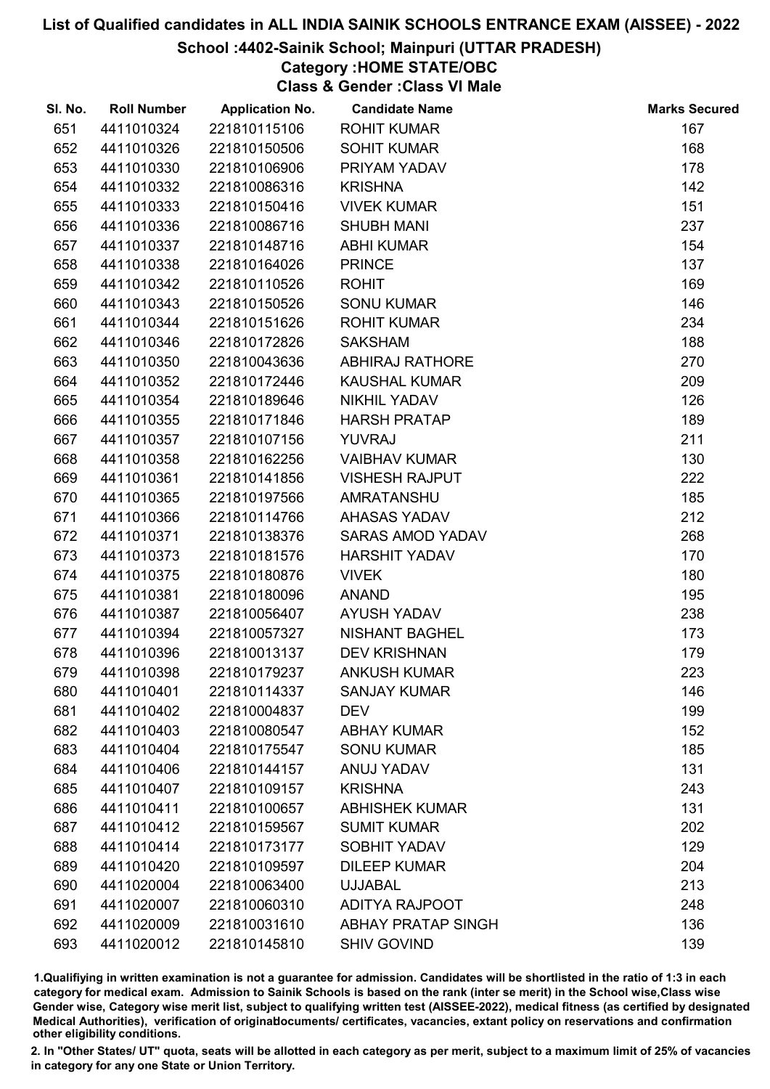School :4402-Sainik School; Mainpuri (UTTAR PRADESH)

# Category :HOME STATE/OBC

Class & Gender :Class VI Male

| SI. No. | <b>Roll Number</b> | <b>Application No.</b> | <b>Candidate Name</b>     | <b>Marks Secured</b> |
|---------|--------------------|------------------------|---------------------------|----------------------|
| 651     | 4411010324         | 221810115106           | <b>ROHIT KUMAR</b>        | 167                  |
| 652     | 4411010326         | 221810150506           | <b>SOHIT KUMAR</b>        | 168                  |
| 653     | 4411010330         | 221810106906           | PRIYAM YADAV              | 178                  |
| 654     | 4411010332         | 221810086316           | <b>KRISHNA</b>            | 142                  |
| 655     | 4411010333         | 221810150416           | <b>VIVEK KUMAR</b>        | 151                  |
| 656     | 4411010336         | 221810086716           | <b>SHUBH MANI</b>         | 237                  |
| 657     | 4411010337         | 221810148716           | <b>ABHI KUMAR</b>         | 154                  |
| 658     | 4411010338         | 221810164026           | <b>PRINCE</b>             | 137                  |
| 659     | 4411010342         | 221810110526           | <b>ROHIT</b>              | 169                  |
| 660     | 4411010343         | 221810150526           | <b>SONU KUMAR</b>         | 146                  |
| 661     | 4411010344         | 221810151626           | <b>ROHIT KUMAR</b>        | 234                  |
| 662     | 4411010346         | 221810172826           | <b>SAKSHAM</b>            | 188                  |
| 663     | 4411010350         | 221810043636           | <b>ABHIRAJ RATHORE</b>    | 270                  |
| 664     | 4411010352         | 221810172446           | <b>KAUSHAL KUMAR</b>      | 209                  |
| 665     | 4411010354         | 221810189646           | NIKHIL YADAV              | 126                  |
| 666     | 4411010355         | 221810171846           | <b>HARSH PRATAP</b>       | 189                  |
| 667     | 4411010357         | 221810107156           | <b>YUVRAJ</b>             | 211                  |
| 668     | 4411010358         | 221810162256           | <b>VAIBHAV KUMAR</b>      | 130                  |
| 669     | 4411010361         | 221810141856           | <b>VISHESH RAJPUT</b>     | 222                  |
| 670     | 4411010365         | 221810197566           | AMRATANSHU                | 185                  |
| 671     | 4411010366         | 221810114766           | AHASAS YADAV              | 212                  |
| 672     | 4411010371         | 221810138376           | <b>SARAS AMOD YADAV</b>   | 268                  |
| 673     | 4411010373         | 221810181576           | <b>HARSHIT YADAV</b>      | 170                  |
| 674     | 4411010375         | 221810180876           | <b>VIVEK</b>              | 180                  |
| 675     | 4411010381         | 221810180096           | <b>ANAND</b>              | 195                  |
| 676     | 4411010387         | 221810056407           | <b>AYUSH YADAV</b>        | 238                  |
| 677     | 4411010394         | 221810057327           | <b>NISHANT BAGHEL</b>     | 173                  |
| 678     | 4411010396         | 221810013137           | <b>DEV KRISHNAN</b>       | 179                  |
| 679     | 4411010398         | 221810179237           | <b>ANKUSH KUMAR</b>       | 223                  |
| 680     | 4411010401         | 221810114337           | <b>SANJAY KUMAR</b>       | 146                  |
| 681     | 4411010402         | 221810004837           | <b>DEV</b>                | 199                  |
| 682     | 4411010403         | 221810080547           | <b>ABHAY KUMAR</b>        | 152                  |
| 683     | 4411010404         | 221810175547           | <b>SONU KUMAR</b>         | 185                  |
| 684     | 4411010406         | 221810144157           | ANUJ YADAV                | 131                  |
| 685     | 4411010407         | 221810109157           | <b>KRISHNA</b>            | 243                  |
| 686     | 4411010411         | 221810100657           | <b>ABHISHEK KUMAR</b>     | 131                  |
| 687     | 4411010412         | 221810159567           | <b>SUMIT KUMAR</b>        | 202                  |
| 688     | 4411010414         | 221810173177           | <b>SOBHIT YADAV</b>       | 129                  |
| 689     | 4411010420         | 221810109597           | <b>DILEEP KUMAR</b>       | 204                  |
| 690     | 4411020004         | 221810063400           | <b>UJJABAL</b>            | 213                  |
| 691     | 4411020007         | 221810060310           | <b>ADITYA RAJPOOT</b>     | 248                  |
| 692     | 4411020009         | 221810031610           | <b>ABHAY PRATAP SINGH</b> | 136                  |
| 693     | 4411020012         | 221810145810           | <b>SHIV GOVIND</b>        | 139                  |

1.Qualifiying in written examination is not a guarantee for admission. Candidates will be shortlisted in the ratio of 1:3 in each category for medical exam. Admission to Sainik Schools is based on the rank (inter se merit) in the School wise,Class wise Gender wise, Category wise merit list, subject to qualifying written test (AISSEE-2022), medical fitness (as certified by designated Medical Authorities), verification of originablocuments/ certificates, vacancies, extant policy on reservations and confirmation other eligibility conditions.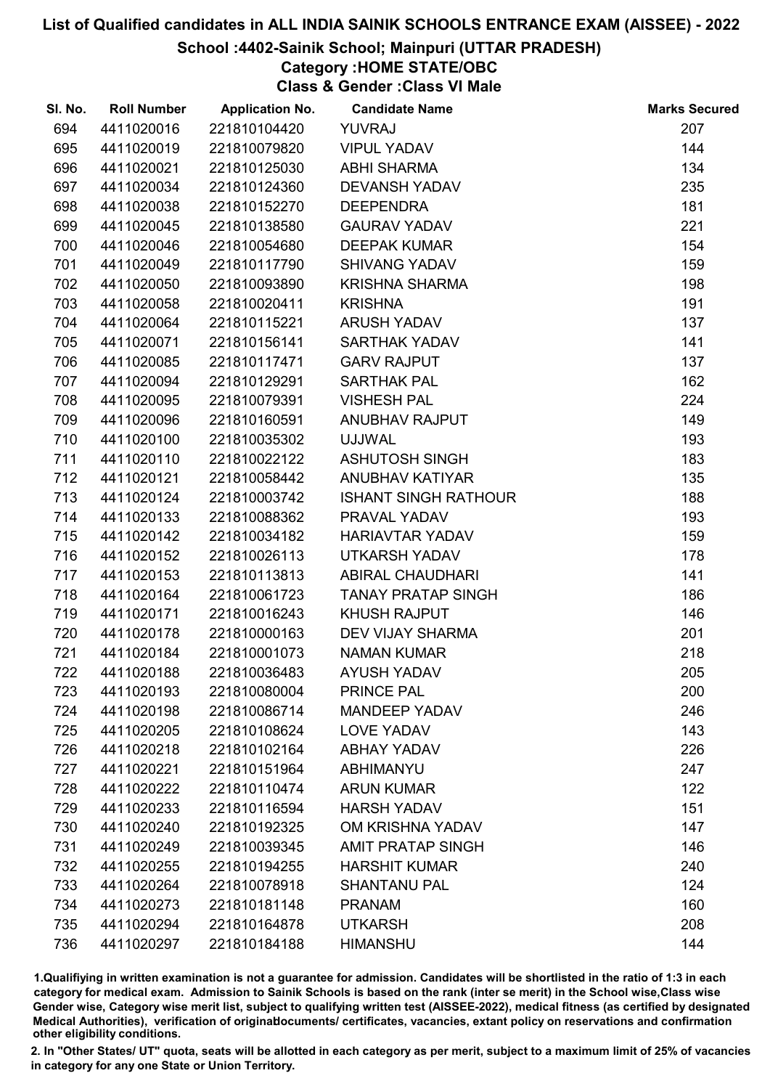#### School :4402-Sainik School; Mainpuri (UTTAR PRADESH)

Category :HOME STATE/OBC

Class & Gender :Class VI Male

| SI. No. | <b>Roll Number</b> | <b>Application No.</b> | <b>Candidate Name</b>       | <b>Marks Secured</b> |
|---------|--------------------|------------------------|-----------------------------|----------------------|
| 694     | 4411020016         | 221810104420           | <b>YUVRAJ</b>               | 207                  |
| 695     | 4411020019         | 221810079820           | <b>VIPUL YADAV</b>          | 144                  |
| 696     | 4411020021         | 221810125030           | <b>ABHI SHARMA</b>          | 134                  |
| 697     | 4411020034         | 221810124360           | <b>DEVANSH YADAV</b>        | 235                  |
| 698     | 4411020038         | 221810152270           | <b>DEEPENDRA</b>            | 181                  |
| 699     | 4411020045         | 221810138580           | <b>GAURAV YADAV</b>         | 221                  |
| 700     | 4411020046         | 221810054680           | <b>DEEPAK KUMAR</b>         | 154                  |
| 701     | 4411020049         | 221810117790           | <b>SHIVANG YADAV</b>        | 159                  |
| 702     | 4411020050         | 221810093890           | <b>KRISHNA SHARMA</b>       | 198                  |
| 703     | 4411020058         | 221810020411           | <b>KRISHNA</b>              | 191                  |
| 704     | 4411020064         | 221810115221           | <b>ARUSH YADAV</b>          | 137                  |
| 705     | 4411020071         | 221810156141           | <b>SARTHAK YADAV</b>        | 141                  |
| 706     | 4411020085         | 221810117471           | <b>GARV RAJPUT</b>          | 137                  |
| 707     | 4411020094         | 221810129291           | SARTHAK PAL                 | 162                  |
| 708     | 4411020095         | 221810079391           | <b>VISHESH PAL</b>          | 224                  |
| 709     | 4411020096         | 221810160591           | ANUBHAV RAJPUT              | 149                  |
| 710     | 4411020100         | 221810035302           | <b>UJJWAL</b>               | 193                  |
| 711     | 4411020110         | 221810022122           | <b>ASHUTOSH SINGH</b>       | 183                  |
| 712     | 4411020121         | 221810058442           | ANUBHAV KATIYAR             | 135                  |
| 713     | 4411020124         | 221810003742           | <b>ISHANT SINGH RATHOUR</b> | 188                  |
| 714     | 4411020133         | 221810088362           | PRAVAL YADAV                | 193                  |
| 715     | 4411020142         | 221810034182           | <b>HARIAVTAR YADAV</b>      | 159                  |
| 716     | 4411020152         | 221810026113           | <b>UTKARSH YADAV</b>        | 178                  |
| 717     | 4411020153         | 221810113813           | <b>ABIRAL CHAUDHARI</b>     | 141                  |
| 718     | 4411020164         | 221810061723           | <b>TANAY PRATAP SINGH</b>   | 186                  |
| 719     | 4411020171         | 221810016243           | <b>KHUSH RAJPUT</b>         | 146                  |
| 720     | 4411020178         | 221810000163           | DEV VIJAY SHARMA            | 201                  |
| 721     | 4411020184         | 221810001073           | <b>NAMAN KUMAR</b>          | 218                  |
| 722     | 4411020188         | 221810036483           | <b>AYUSH YADAV</b>          | 205                  |
| 723     | 4411020193         | 221810080004           | <b>PRINCE PAL</b>           | 200                  |
| 724     | 4411020198         | 221810086714           | <b>MANDEEP YADAV</b>        | 246                  |
| 725     | 4411020205         | 221810108624           | <b>LOVE YADAV</b>           | 143                  |
| 726     | 4411020218         | 221810102164           | <b>ABHAY YADAV</b>          | 226                  |
| 727     | 4411020221         | 221810151964           | <b>ABHIMANYU</b>            | 247                  |
| 728     | 4411020222         | 221810110474           | <b>ARUN KUMAR</b>           | 122                  |
| 729     | 4411020233         | 221810116594           | <b>HARSH YADAV</b>          | 151                  |
| 730     | 4411020240         | 221810192325           | OM KRISHNA YADAV            | 147                  |
| 731     | 4411020249         | 221810039345           | <b>AMIT PRATAP SINGH</b>    | 146                  |
| 732     | 4411020255         | 221810194255           | <b>HARSHIT KUMAR</b>        | 240                  |
| 733     | 4411020264         | 221810078918           | <b>SHANTANU PAL</b>         | 124                  |
| 734     | 4411020273         | 221810181148           | <b>PRANAM</b>               | 160                  |
| 735     | 4411020294         | 221810164878           | <b>UTKARSH</b>              | 208                  |
| 736     | 4411020297         | 221810184188           | <b>HIMANSHU</b>             | 144                  |

1.Qualifiying in written examination is not a guarantee for admission. Candidates will be shortlisted in the ratio of 1:3 in each category for medical exam. Admission to Sainik Schools is based on the rank (inter se merit) in the School wise,Class wise Gender wise, Category wise merit list, subject to qualifying written test (AISSEE-2022), medical fitness (as certified by designated Medical Authorities), verification of originablocuments/ certificates, vacancies, extant policy on reservations and confirmation other eligibility conditions.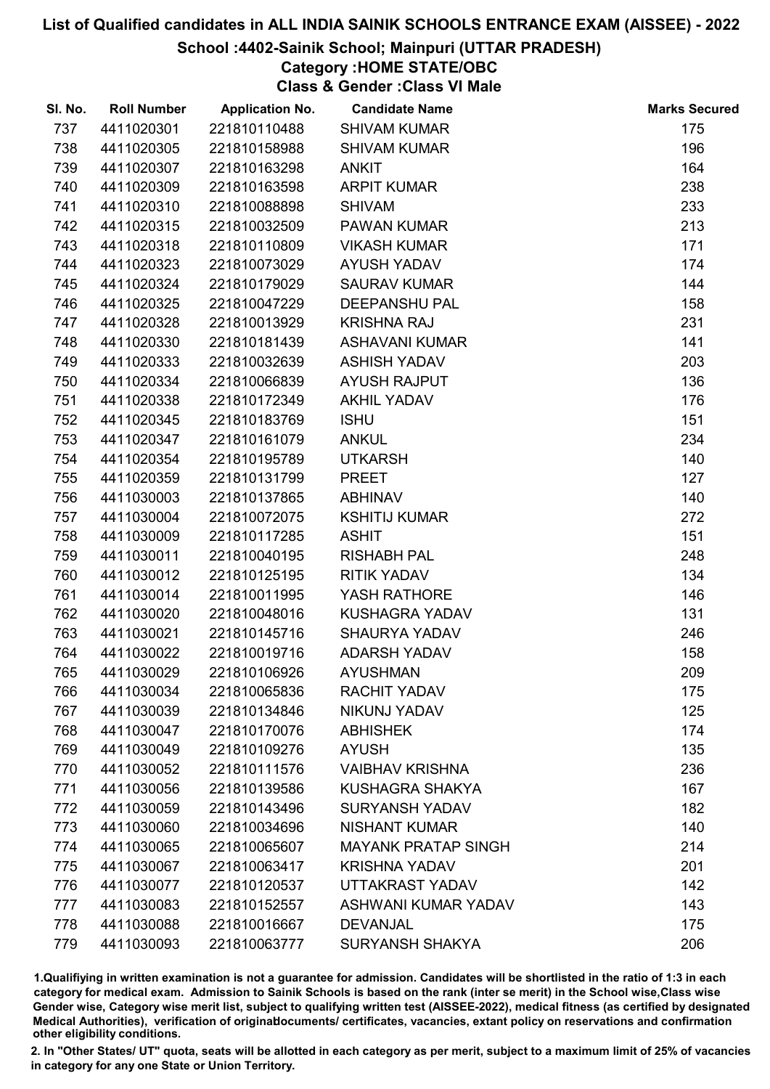## School :4402-Sainik School; Mainpuri (UTTAR PRADESH)

# Category :HOME STATE/OBC

Class & Gender :Class VI Male

| SI. No. | <b>Roll Number</b> | <b>Application No.</b> | <b>Candidate Name</b>      | <b>Marks Secured</b> |
|---------|--------------------|------------------------|----------------------------|----------------------|
| 737     | 4411020301         | 221810110488           | <b>SHIVAM KUMAR</b>        | 175                  |
| 738     | 4411020305         | 221810158988           | <b>SHIVAM KUMAR</b>        | 196                  |
| 739     | 4411020307         | 221810163298           | <b>ANKIT</b>               | 164                  |
| 740     | 4411020309         | 221810163598           | <b>ARPIT KUMAR</b>         | 238                  |
| 741     | 4411020310         | 221810088898           | <b>SHIVAM</b>              | 233                  |
| 742     | 4411020315         | 221810032509           | <b>PAWAN KUMAR</b>         | 213                  |
| 743     | 4411020318         | 221810110809           | <b>VIKASH KUMAR</b>        | 171                  |
| 744     | 4411020323         | 221810073029           | <b>AYUSH YADAV</b>         | 174                  |
| 745     | 4411020324         | 221810179029           | <b>SAURAV KUMAR</b>        | 144                  |
| 746     | 4411020325         | 221810047229           | <b>DEEPANSHU PAL</b>       | 158                  |
| 747     | 4411020328         | 221810013929           | <b>KRISHNA RAJ</b>         | 231                  |
| 748     | 4411020330         | 221810181439           | <b>ASHAVANI KUMAR</b>      | 141                  |
| 749     | 4411020333         | 221810032639           | <b>ASHISH YADAV</b>        | 203                  |
| 750     | 4411020334         | 221810066839           | <b>AYUSH RAJPUT</b>        | 136                  |
| 751     | 4411020338         | 221810172349           | <b>AKHIL YADAV</b>         | 176                  |
| 752     | 4411020345         | 221810183769           | <b>ISHU</b>                | 151                  |
| 753     | 4411020347         | 221810161079           | <b>ANKUL</b>               | 234                  |
| 754     | 4411020354         | 221810195789           | <b>UTKARSH</b>             | 140                  |
| 755     | 4411020359         | 221810131799           | <b>PREET</b>               | 127                  |
| 756     | 4411030003         | 221810137865           | <b>ABHINAV</b>             | 140                  |
| 757     | 4411030004         | 221810072075           | <b>KSHITIJ KUMAR</b>       | 272                  |
| 758     | 4411030009         | 221810117285           | <b>ASHIT</b>               | 151                  |
| 759     | 4411030011         | 221810040195           | <b>RISHABH PAL</b>         | 248                  |
| 760     | 4411030012         | 221810125195           | <b>RITIK YADAV</b>         | 134                  |
| 761     | 4411030014         | 221810011995           | YASH RATHORE               | 146                  |
| 762     | 4411030020         | 221810048016           | KUSHAGRA YADAV             | 131                  |
| 763     | 4411030021         | 221810145716           | <b>SHAURYA YADAV</b>       | 246                  |
| 764     | 4411030022         | 221810019716           | <b>ADARSH YADAV</b>        | 158                  |
| 765     | 4411030029         | 221810106926           | <b>AYUSHMAN</b>            | 209                  |
| 766     | 4411030034         | 221810065836           | <b>RACHIT YADAV</b>        | 175                  |
| 767     | 4411030039         | 221810134846           | NIKUNJ YADAV               | 125                  |
| 768     | 4411030047         | 221810170076           | <b>ABHISHEK</b>            | 174                  |
| 769     | 4411030049         | 221810109276           | <b>AYUSH</b>               | 135                  |
| 770     | 4411030052         | 221810111576           | <b>VAIBHAV KRISHNA</b>     | 236                  |
| 771     | 4411030056         | 221810139586           | KUSHAGRA SHAKYA            | 167                  |
| 772     | 4411030059         | 221810143496           | <b>SURYANSH YADAV</b>      | 182                  |
| 773     | 4411030060         | 221810034696           | <b>NISHANT KUMAR</b>       | 140                  |
| 774     | 4411030065         | 221810065607           | <b>MAYANK PRATAP SINGH</b> | 214                  |
| 775     | 4411030067         | 221810063417           | <b>KRISHNA YADAV</b>       | 201                  |
| 776     | 4411030077         | 221810120537           | UTTAKRAST YADAV            | 142                  |
| 777     | 4411030083         | 221810152557           | ASHWANI KUMAR YADAV        | 143                  |
| 778     | 4411030088         | 221810016667           | <b>DEVANJAL</b>            | 175                  |
| 779     | 4411030093         | 221810063777           | <b>SURYANSH SHAKYA</b>     | 206                  |

1.Qualifiying in written examination is not a guarantee for admission. Candidates will be shortlisted in the ratio of 1:3 in each category for medical exam. Admission to Sainik Schools is based on the rank (inter se merit) in the School wise,Class wise Gender wise, Category wise merit list, subject to qualifying written test (AISSEE-2022), medical fitness (as certified by designated Medical Authorities), verification of originablocuments/ certificates, vacancies, extant policy on reservations and confirmation other eligibility conditions.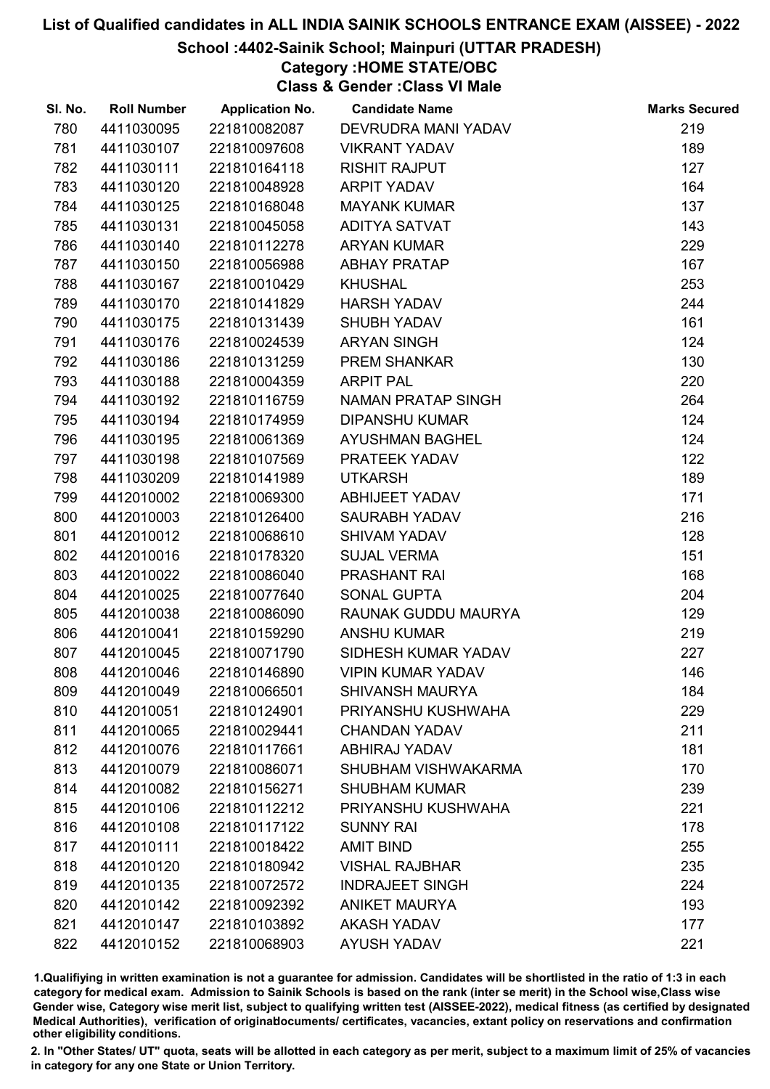## School :4402-Sainik School; Mainpuri (UTTAR PRADESH)

# Category :HOME STATE/OBC

Class & Gender :Class VI Male

| SI. No. | <b>Roll Number</b> | <b>Application No.</b> | <b>Candidate Name</b>     | <b>Marks Secured</b> |
|---------|--------------------|------------------------|---------------------------|----------------------|
| 780     | 4411030095         | 221810082087           | DEVRUDRA MANI YADAV       | 219                  |
| 781     | 4411030107         | 221810097608           | <b>VIKRANT YADAV</b>      | 189                  |
| 782     | 4411030111         | 221810164118           | <b>RISHIT RAJPUT</b>      | 127                  |
| 783     | 4411030120         | 221810048928           | <b>ARPIT YADAV</b>        | 164                  |
| 784     | 4411030125         | 221810168048           | <b>MAYANK KUMAR</b>       | 137                  |
| 785     | 4411030131         | 221810045058           | <b>ADITYA SATVAT</b>      | 143                  |
| 786     | 4411030140         | 221810112278           | <b>ARYAN KUMAR</b>        | 229                  |
| 787     | 4411030150         | 221810056988           | <b>ABHAY PRATAP</b>       | 167                  |
| 788     | 4411030167         | 221810010429           | <b>KHUSHAL</b>            | 253                  |
| 789     | 4411030170         | 221810141829           | <b>HARSH YADAV</b>        | 244                  |
| 790     | 4411030175         | 221810131439           | <b>SHUBH YADAV</b>        | 161                  |
| 791     | 4411030176         | 221810024539           | <b>ARYAN SINGH</b>        | 124                  |
| 792     | 4411030186         | 221810131259           | <b>PREM SHANKAR</b>       | 130                  |
| 793     | 4411030188         | 221810004359           | <b>ARPIT PAL</b>          | 220                  |
| 794     | 4411030192         | 221810116759           | <b>NAMAN PRATAP SINGH</b> | 264                  |
| 795     | 4411030194         | 221810174959           | <b>DIPANSHU KUMAR</b>     | 124                  |
| 796     | 4411030195         | 221810061369           | <b>AYUSHMAN BAGHEL</b>    | 124                  |
| 797     | 4411030198         | 221810107569           | PRATEEK YADAV             | 122                  |
| 798     | 4411030209         | 221810141989           | <b>UTKARSH</b>            | 189                  |
| 799     | 4412010002         | 221810069300           | <b>ABHIJEET YADAV</b>     | 171                  |
| 800     | 4412010003         | 221810126400           | <b>SAURABH YADAV</b>      | 216                  |
| 801     | 4412010012         | 221810068610           | <b>SHIVAM YADAV</b>       | 128                  |
| 802     | 4412010016         | 221810178320           | <b>SUJAL VERMA</b>        | 151                  |
| 803     | 4412010022         | 221810086040           | PRASHANT RAI              | 168                  |
| 804     | 4412010025         | 221810077640           | SONAL GUPTA               | 204                  |
| 805     | 4412010038         | 221810086090           | RAUNAK GUDDU MAURYA       | 129                  |
| 806     | 4412010041         | 221810159290           | <b>ANSHU KUMAR</b>        | 219                  |
| 807     | 4412010045         | 221810071790           | SIDHESH KUMAR YADAV       | 227                  |
| 808     | 4412010046         | 221810146890           | <b>VIPIN KUMAR YADAV</b>  | 146                  |
| 809     | 4412010049         | 221810066501           | <b>SHIVANSH MAURYA</b>    | 184                  |
| 810     | 4412010051         | 221810124901           | PRIYANSHU KUSHWAHA        | 229                  |
| 811     | 4412010065         | 221810029441           | <b>CHANDAN YADAV</b>      | 211                  |
| 812     | 4412010076         | 221810117661           | ABHIRAJ YADAV             | 181                  |
| 813     | 4412010079         | 221810086071           | SHUBHAM VISHWAKARMA       | 170                  |
| 814     | 4412010082         | 221810156271           | <b>SHUBHAM KUMAR</b>      | 239                  |
| 815     | 4412010106         | 221810112212           | PRIYANSHU KUSHWAHA        | 221                  |
| 816     | 4412010108         | 221810117122           | <b>SUNNY RAI</b>          | 178                  |
| 817     | 4412010111         | 221810018422           | <b>AMIT BIND</b>          | 255                  |
| 818     | 4412010120         | 221810180942           | <b>VISHAL RAJBHAR</b>     | 235                  |
| 819     | 4412010135         | 221810072572           | <b>INDRAJEET SINGH</b>    | 224                  |
| 820     | 4412010142         | 221810092392           | <b>ANIKET MAURYA</b>      | 193                  |
| 821     | 4412010147         | 221810103892           | <b>AKASH YADAV</b>        | 177                  |
| 822     | 4412010152         | 221810068903           | <b>AYUSH YADAV</b>        | 221                  |

1.Qualifiying in written examination is not a guarantee for admission. Candidates will be shortlisted in the ratio of 1:3 in each category for medical exam. Admission to Sainik Schools is based on the rank (inter se merit) in the School wise,Class wise Gender wise, Category wise merit list, subject to qualifying written test (AISSEE-2022), medical fitness (as certified by designated Medical Authorities), verification of originablocuments/ certificates, vacancies, extant policy on reservations and confirmation other eligibility conditions.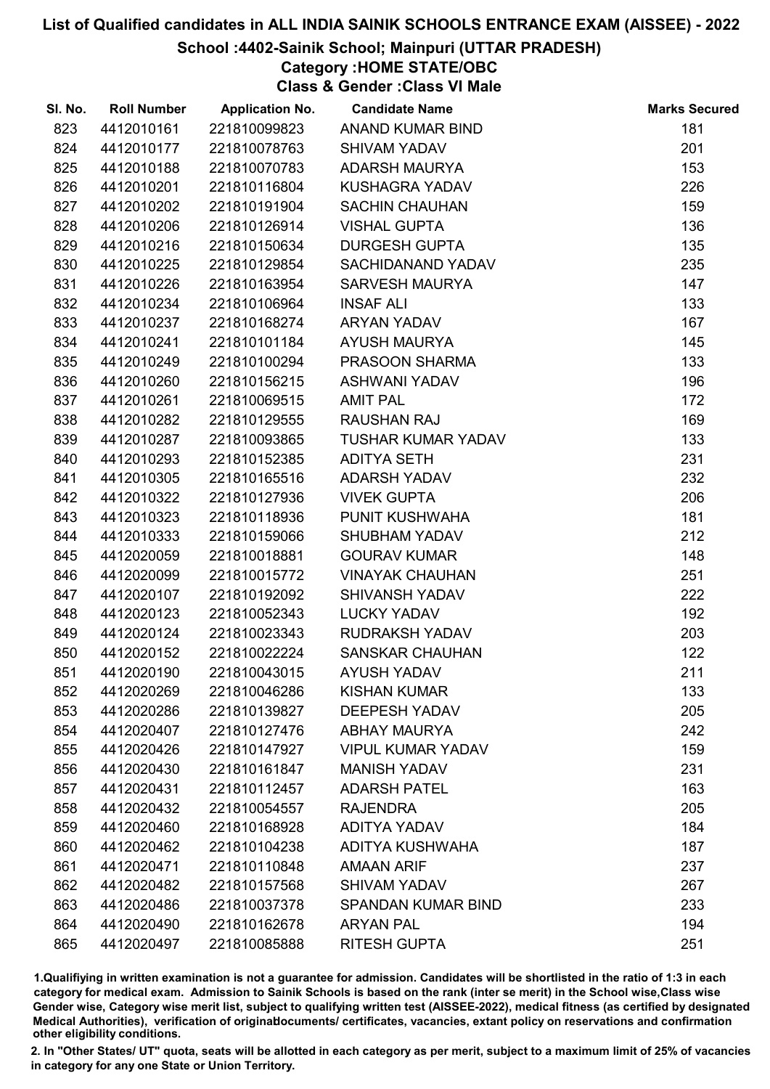## School :4402-Sainik School; Mainpuri (UTTAR PRADESH)

Category :HOME STATE/OBC

Class & Gender :Class VI Male

| SI. No. | <b>Roll Number</b> | <b>Application No.</b> | <b>Candidate Name</b>     | <b>Marks Secured</b> |
|---------|--------------------|------------------------|---------------------------|----------------------|
| 823     | 4412010161         | 221810099823           | ANAND KUMAR BIND          | 181                  |
| 824     | 4412010177         | 221810078763           | <b>SHIVAM YADAV</b>       | 201                  |
| 825     | 4412010188         | 221810070783           | <b>ADARSH MAURYA</b>      | 153                  |
| 826     | 4412010201         | 221810116804           | KUSHAGRA YADAV            | 226                  |
| 827     | 4412010202         | 221810191904           | <b>SACHIN CHAUHAN</b>     | 159                  |
| 828     | 4412010206         | 221810126914           | <b>VISHAL GUPTA</b>       | 136                  |
| 829     | 4412010216         | 221810150634           | <b>DURGESH GUPTA</b>      | 135                  |
| 830     | 4412010225         | 221810129854           | SACHIDANAND YADAV         | 235                  |
| 831     | 4412010226         | 221810163954           | SARVESH MAURYA            | 147                  |
| 832     | 4412010234         | 221810106964           | <b>INSAF ALI</b>          | 133                  |
| 833     | 4412010237         | 221810168274           | ARYAN YADAV               | 167                  |
| 834     | 4412010241         | 221810101184           | <b>AYUSH MAURYA</b>       | 145                  |
| 835     | 4412010249         | 221810100294           | PRASOON SHARMA            | 133                  |
| 836     | 4412010260         | 221810156215           | <b>ASHWANI YADAV</b>      | 196                  |
| 837     | 4412010261         | 221810069515           | <b>AMIT PAL</b>           | 172                  |
| 838     | 4412010282         | 221810129555           | <b>RAUSHAN RAJ</b>        | 169                  |
| 839     | 4412010287         | 221810093865           | <b>TUSHAR KUMAR YADAV</b> | 133                  |
| 840     | 4412010293         | 221810152385           | <b>ADITYA SETH</b>        | 231                  |
| 841     | 4412010305         | 221810165516           | <b>ADARSH YADAV</b>       | 232                  |
| 842     | 4412010322         | 221810127936           | <b>VIVEK GUPTA</b>        | 206                  |
| 843     | 4412010323         | 221810118936           | PUNIT KUSHWAHA            | 181                  |
| 844     | 4412010333         | 221810159066           | <b>SHUBHAM YADAV</b>      | 212                  |
| 845     | 4412020059         | 221810018881           | <b>GOURAV KUMAR</b>       | 148                  |
| 846     | 4412020099         | 221810015772           | <b>VINAYAK CHAUHAN</b>    | 251                  |
| 847     | 4412020107         | 221810192092           | <b>SHIVANSH YADAV</b>     | 222                  |
| 848     | 4412020123         | 221810052343           | <b>LUCKY YADAV</b>        | 192                  |
| 849     | 4412020124         | 221810023343           | RUDRAKSH YADAV            | 203                  |
| 850     | 4412020152         | 221810022224           | <b>SANSKAR CHAUHAN</b>    | 122                  |
| 851     | 4412020190         | 221810043015           | <b>AYUSH YADAV</b>        | 211                  |
| 852     | 4412020269         | 221810046286           | <b>KISHAN KUMAR</b>       | 133                  |
| 853     | 4412020286         | 221810139827           | <b>DEEPESH YADAV</b>      | 205                  |
| 854     | 4412020407         | 221810127476           | <b>ABHAY MAURYA</b>       | 242                  |
| 855     | 4412020426         | 221810147927           | <b>VIPUL KUMAR YADAV</b>  | 159                  |
| 856     | 4412020430         | 221810161847           | <b>MANISH YADAV</b>       | 231                  |
| 857     | 4412020431         | 221810112457           | <b>ADARSH PATEL</b>       | 163                  |
| 858     | 4412020432         | 221810054557           | <b>RAJENDRA</b>           | 205                  |
| 859     | 4412020460         | 221810168928           | <b>ADITYA YADAV</b>       | 184                  |
| 860     | 4412020462         | 221810104238           | ADITYA KUSHWAHA           | 187                  |
| 861     | 4412020471         | 221810110848           | <b>AMAAN ARIF</b>         | 237                  |
| 862     | 4412020482         | 221810157568           | <b>SHIVAM YADAV</b>       | 267                  |
| 863     | 4412020486         | 221810037378           | <b>SPANDAN KUMAR BIND</b> | 233                  |
| 864     | 4412020490         | 221810162678           | <b>ARYAN PAL</b>          | 194                  |
| 865     | 4412020497         | 221810085888           | <b>RITESH GUPTA</b>       | 251                  |

1.Qualifiying in written examination is not a guarantee for admission. Candidates will be shortlisted in the ratio of 1:3 in each category for medical exam. Admission to Sainik Schools is based on the rank (inter se merit) in the School wise,Class wise Gender wise, Category wise merit list, subject to qualifying written test (AISSEE-2022), medical fitness (as certified by designated Medical Authorities), verification of originablocuments/ certificates, vacancies, extant policy on reservations and confirmation other eligibility conditions.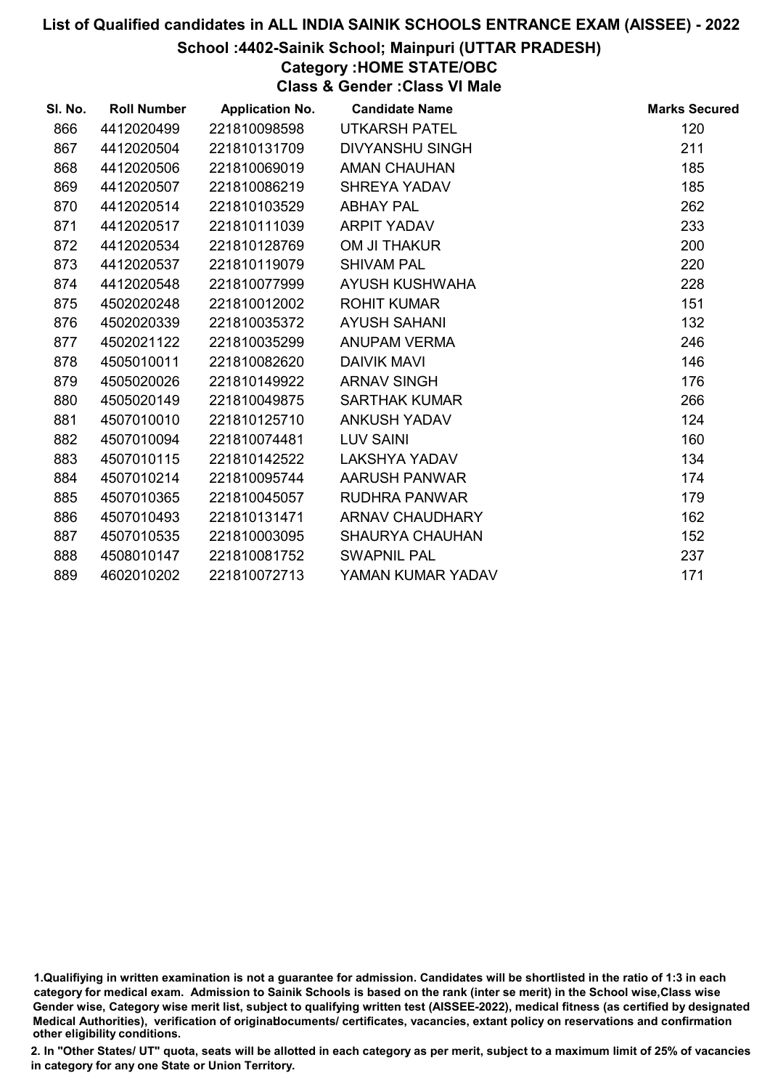## School :4402-Sainik School; Mainpuri (UTTAR PRADESH)

# Category :HOME STATE/OBC

Class & Gender :Class VI Male

| SI. No. | <b>Roll Number</b> | <b>Application No.</b> | <b>Candidate Name</b>  | <b>Marks Secured</b> |
|---------|--------------------|------------------------|------------------------|----------------------|
| 866     | 4412020499         | 221810098598           | <b>UTKARSH PATEL</b>   | 120                  |
| 867     | 4412020504         | 221810131709           | <b>DIVYANSHU SINGH</b> | 211                  |
| 868     | 4412020506         | 221810069019           | <b>AMAN CHAUHAN</b>    | 185                  |
| 869     | 4412020507         | 221810086219           | SHREYA YADAV           | 185                  |
| 870     | 4412020514         | 221810103529           | <b>ABHAY PAL</b>       | 262                  |
| 871     | 4412020517         | 221810111039           | <b>ARPIT YADAV</b>     | 233                  |
| 872     | 4412020534         | 221810128769           | OM JI THAKUR           | 200                  |
| 873     | 4412020537         | 221810119079           | <b>SHIVAM PAL</b>      | 220                  |
| 874     | 4412020548         | 221810077999           | AYUSH KUSHWAHA         | 228                  |
| 875     | 4502020248         | 221810012002           | <b>ROHIT KUMAR</b>     | 151                  |
| 876     | 4502020339         | 221810035372           | <b>AYUSH SAHANI</b>    | 132                  |
| 877     | 4502021122         | 221810035299           | ANUPAM VERMA           | 246                  |
| 878     | 4505010011         | 221810082620           | <b>DAIVIK MAVI</b>     | 146                  |
| 879     | 4505020026         | 221810149922           | <b>ARNAV SINGH</b>     | 176                  |
| 880     | 4505020149         | 221810049875           | <b>SARTHAK KUMAR</b>   | 266                  |
| 881     | 4507010010         | 221810125710           | <b>ANKUSH YADAV</b>    | 124                  |
| 882     | 4507010094         | 221810074481           | <b>LUV SAINI</b>       | 160                  |
| 883     | 4507010115         | 221810142522           | <b>LAKSHYA YADAV</b>   | 134                  |
| 884     | 4507010214         | 221810095744           | <b>AARUSH PANWAR</b>   | 174                  |
| 885     | 4507010365         | 221810045057           | <b>RUDHRA PANWAR</b>   | 179                  |
| 886     | 4507010493         | 221810131471           | <b>ARNAV CHAUDHARY</b> | 162                  |
| 887     | 4507010535         | 221810003095           | <b>SHAURYA CHAUHAN</b> | 152                  |
| 888     | 4508010147         | 221810081752           | <b>SWAPNIL PAL</b>     | 237                  |
| 889     | 4602010202         | 221810072713           | YAMAN KUMAR YADAV      | 171                  |

1.Qualifiying in written examination is not a guarantee for admission. Candidates will be shortlisted in the ratio of 1:3 in each category for medical exam. Admission to Sainik Schools is based on the rank (inter se merit) in the School wise,Class wise Gender wise, Category wise merit list, subject to qualifying written test (AISSEE-2022), medical fitness (as certified by designated Medical Authorities), verification of originablocuments/ certificates, vacancies, extant policy on reservations and confirmation other eligibility conditions.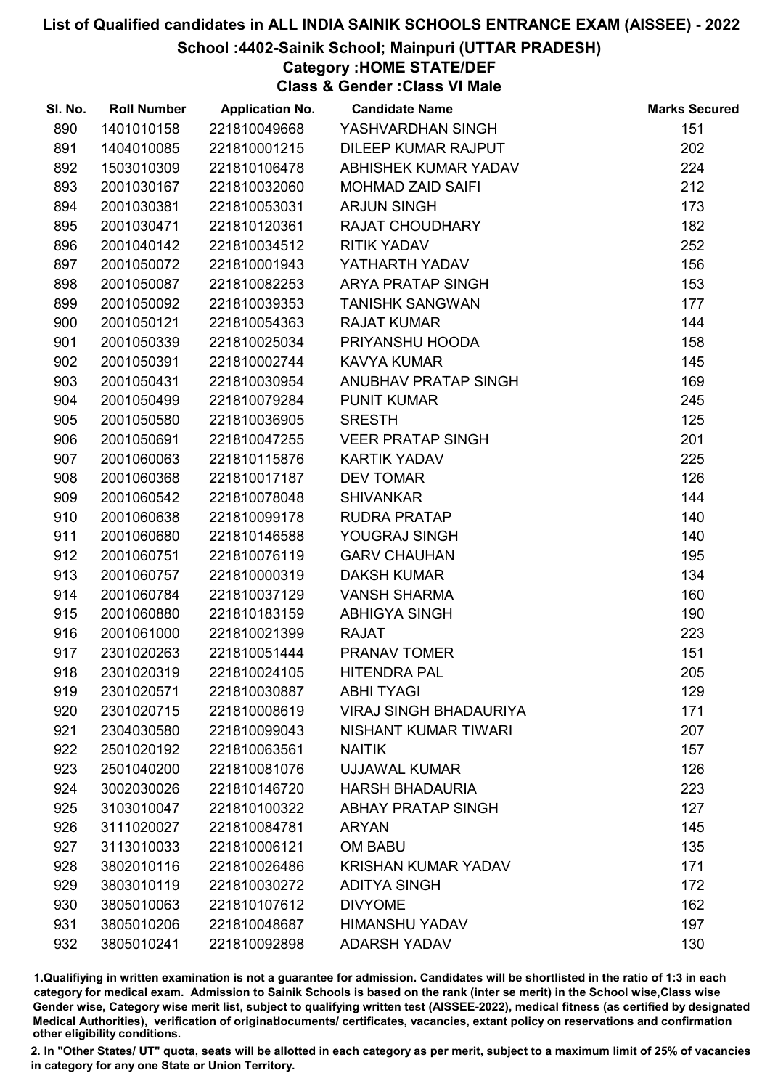## School :4402-Sainik School; Mainpuri (UTTAR PRADESH)

# Category :HOME STATE/DEF

Class & Gender :Class VI Male

| SI. No. | <b>Roll Number</b> | <b>Application No.</b> | <b>Candidate Name</b>         | <b>Marks Secured</b> |
|---------|--------------------|------------------------|-------------------------------|----------------------|
| 890     | 1401010158         | 221810049668           | YASHVARDHAN SINGH             | 151                  |
| 891     | 1404010085         | 221810001215           | DILEEP KUMAR RAJPUT           | 202                  |
| 892     | 1503010309         | 221810106478           | ABHISHEK KUMAR YADAV          | 224                  |
| 893     | 2001030167         | 221810032060           | <b>MOHMAD ZAID SAIFI</b>      | 212                  |
| 894     | 2001030381         | 221810053031           | <b>ARJUN SINGH</b>            | 173                  |
| 895     | 2001030471         | 221810120361           | <b>RAJAT CHOUDHARY</b>        | 182                  |
| 896     | 2001040142         | 221810034512           | <b>RITIK YADAV</b>            | 252                  |
| 897     | 2001050072         | 221810001943           | YATHARTH YADAV                | 156                  |
| 898     | 2001050087         | 221810082253           | <b>ARYA PRATAP SINGH</b>      | 153                  |
| 899     | 2001050092         | 221810039353           | <b>TANISHK SANGWAN</b>        | 177                  |
| 900     | 2001050121         | 221810054363           | <b>RAJAT KUMAR</b>            | 144                  |
| 901     | 2001050339         | 221810025034           | PRIYANSHU HOODA               | 158                  |
| 902     | 2001050391         | 221810002744           | <b>KAVYA KUMAR</b>            | 145                  |
| 903     | 2001050431         | 221810030954           | ANUBHAV PRATAP SINGH          | 169                  |
| 904     | 2001050499         | 221810079284           | <b>PUNIT KUMAR</b>            | 245                  |
| 905     | 2001050580         | 221810036905           | <b>SRESTH</b>                 | 125                  |
| 906     | 2001050691         | 221810047255           | <b>VEER PRATAP SINGH</b>      | 201                  |
| 907     | 2001060063         | 221810115876           | <b>KARTIK YADAV</b>           | 225                  |
| 908     | 2001060368         | 221810017187           | <b>DEV TOMAR</b>              | 126                  |
| 909     | 2001060542         | 221810078048           | <b>SHIVANKAR</b>              | 144                  |
| 910     | 2001060638         | 221810099178           | <b>RUDRA PRATAP</b>           | 140                  |
| 911     | 2001060680         | 221810146588           | YOUGRAJ SINGH                 | 140                  |
| 912     | 2001060751         | 221810076119           | <b>GARV CHAUHAN</b>           | 195                  |
| 913     | 2001060757         | 221810000319           | <b>DAKSH KUMAR</b>            | 134                  |
| 914     | 2001060784         | 221810037129           | <b>VANSH SHARMA</b>           | 160                  |
| 915     | 2001060880         | 221810183159           | <b>ABHIGYA SINGH</b>          | 190                  |
| 916     | 2001061000         | 221810021399           | <b>RAJAT</b>                  | 223                  |
| 917     | 2301020263         | 221810051444           | PRANAV TOMER                  | 151                  |
| 918     | 2301020319         | 221810024105           | <b>HITENDRA PAL</b>           | 205                  |
| 919     | 2301020571         | 221810030887           | <b>ABHI TYAGI</b>             | 129                  |
| 920     | 2301020715         | 221810008619           | <b>VIRAJ SINGH BHADAURIYA</b> | 171                  |
| 921     | 2304030580         | 221810099043           | NISHANT KUMAR TIWARI          | 207                  |
| 922     | 2501020192         | 221810063561           | <b>NAITIK</b>                 | 157                  |
| 923     | 2501040200         | 221810081076           | <b>UJJAWAL KUMAR</b>          | 126                  |
| 924     | 3002030026         | 221810146720           | <b>HARSH BHADAURIA</b>        | 223                  |
| 925     | 3103010047         | 221810100322           | <b>ABHAY PRATAP SINGH</b>     | 127                  |
| 926     | 3111020027         | 221810084781           | <b>ARYAN</b>                  | 145                  |
| 927     | 3113010033         | 221810006121           | <b>OM BABU</b>                | 135                  |
| 928     | 3802010116         | 221810026486           | <b>KRISHAN KUMAR YADAV</b>    | 171                  |
| 929     | 3803010119         | 221810030272           | <b>ADITYA SINGH</b>           | 172                  |
| 930     | 3805010063         | 221810107612           | <b>DIVYOME</b>                | 162                  |
| 931     | 3805010206         | 221810048687           | <b>HIMANSHU YADAV</b>         | 197                  |
| 932     | 3805010241         | 221810092898           | <b>ADARSH YADAV</b>           | 130                  |

1.Qualifiying in written examination is not a guarantee for admission. Candidates will be shortlisted in the ratio of 1:3 in each category for medical exam. Admission to Sainik Schools is based on the rank (inter se merit) in the School wise,Class wise Gender wise, Category wise merit list, subject to qualifying written test (AISSEE-2022), medical fitness (as certified by designated Medical Authorities), verification of originablocuments/ certificates, vacancies, extant policy on reservations and confirmation other eligibility conditions.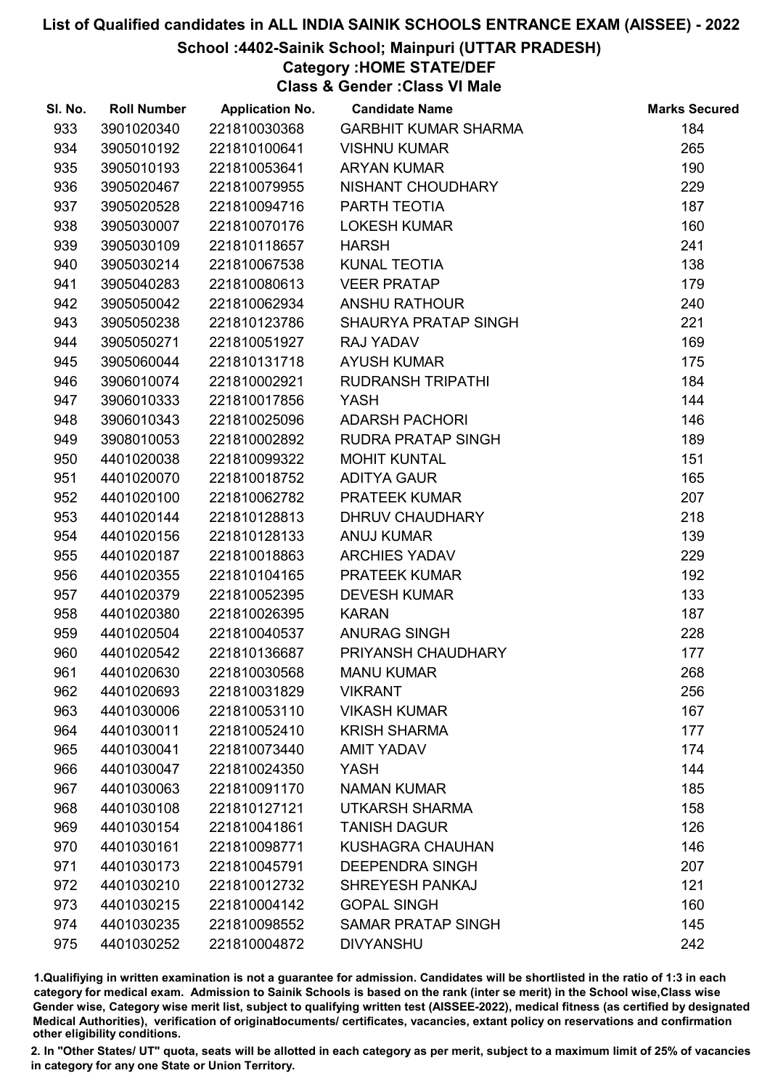## School :4402-Sainik School; Mainpuri (UTTAR PRADESH)

# Category :HOME STATE/DEF

Class & Gender :Class VI Male

| SI. No. | <b>Roll Number</b> | <b>Application No.</b> | <b>Candidate Name</b>       | <b>Marks Secured</b> |
|---------|--------------------|------------------------|-----------------------------|----------------------|
| 933     | 3901020340         | 221810030368           | <b>GARBHIT KUMAR SHARMA</b> | 184                  |
| 934     | 3905010192         | 221810100641           | <b>VISHNU KUMAR</b>         | 265                  |
| 935     | 3905010193         | 221810053641           | <b>ARYAN KUMAR</b>          | 190                  |
| 936     | 3905020467         | 221810079955           | NISHANT CHOUDHARY           | 229                  |
| 937     | 3905020528         | 221810094716           | PARTH TEOTIA                | 187                  |
| 938     | 3905030007         | 221810070176           | <b>LOKESH KUMAR</b>         | 160                  |
| 939     | 3905030109         | 221810118657           | <b>HARSH</b>                | 241                  |
| 940     | 3905030214         | 221810067538           | KUNAL TEOTIA                | 138                  |
| 941     | 3905040283         | 221810080613           | <b>VEER PRATAP</b>          | 179                  |
| 942     | 3905050042         | 221810062934           | <b>ANSHU RATHOUR</b>        | 240                  |
| 943     | 3905050238         | 221810123786           | SHAURYA PRATAP SINGH        | 221                  |
| 944     | 3905050271         | 221810051927           | RAJ YADAV                   | 169                  |
| 945     | 3905060044         | 221810131718           | <b>AYUSH KUMAR</b>          | 175                  |
| 946     | 3906010074         | 221810002921           | <b>RUDRANSH TRIPATHI</b>    | 184                  |
| 947     | 3906010333         | 221810017856           | <b>YASH</b>                 | 144                  |
| 948     | 3906010343         | 221810025096           | <b>ADARSH PACHORI</b>       | 146                  |
| 949     | 3908010053         | 221810002892           | RUDRA PRATAP SINGH          | 189                  |
| 950     | 4401020038         | 221810099322           | <b>MOHIT KUNTAL</b>         | 151                  |
| 951     | 4401020070         | 221810018752           | <b>ADITYA GAUR</b>          | 165                  |
| 952     | 4401020100         | 221810062782           | PRATEEK KUMAR               | 207                  |
| 953     | 4401020144         | 221810128813           | DHRUV CHAUDHARY             | 218                  |
| 954     | 4401020156         | 221810128133           | <b>ANUJ KUMAR</b>           | 139                  |
| 955     | 4401020187         | 221810018863           | <b>ARCHIES YADAV</b>        | 229                  |
| 956     | 4401020355         | 221810104165           | PRATEEK KUMAR               | 192                  |
| 957     | 4401020379         | 221810052395           | <b>DEVESH KUMAR</b>         | 133                  |
| 958     | 4401020380         | 221810026395           | <b>KARAN</b>                | 187                  |
| 959     | 4401020504         | 221810040537           | <b>ANURAG SINGH</b>         | 228                  |
| 960     | 4401020542         | 221810136687           | PRIYANSH CHAUDHARY          | 177                  |
| 961     | 4401020630         | 221810030568           | <b>MANU KUMAR</b>           | 268                  |
| 962     | 4401020693         | 221810031829           | <b>VIKRANT</b>              | 256                  |
| 963     | 4401030006         | 221810053110           | <b>VIKASH KUMAR</b>         | 167                  |
| 964     | 4401030011         | 221810052410           | <b>KRISH SHARMA</b>         | 177                  |
| 965     | 4401030041         | 221810073440           | <b>AMIT YADAV</b>           | 174                  |
| 966     | 4401030047         | 221810024350           | YASH                        | 144                  |
| 967     | 4401030063         | 221810091170           | <b>NAMAN KUMAR</b>          | 185                  |
| 968     | 4401030108         | 221810127121           | <b>UTKARSH SHARMA</b>       | 158                  |
| 969     | 4401030154         | 221810041861           | <b>TANISH DAGUR</b>         | 126                  |
| 970     | 4401030161         | 221810098771           | <b>KUSHAGRA CHAUHAN</b>     | 146                  |
| 971     | 4401030173         | 221810045791           | <b>DEEPENDRA SINGH</b>      | 207                  |
| 972     | 4401030210         | 221810012732           | <b>SHREYESH PANKAJ</b>      | 121                  |
| 973     | 4401030215         | 221810004142           | <b>GOPAL SINGH</b>          | 160                  |
| 974     | 4401030235         | 221810098552           | <b>SAMAR PRATAP SINGH</b>   | 145                  |
| 975     | 4401030252         | 221810004872           | <b>DIVYANSHU</b>            | 242                  |

1.Qualifiying in written examination is not a guarantee for admission. Candidates will be shortlisted in the ratio of 1:3 in each category for medical exam. Admission to Sainik Schools is based on the rank (inter se merit) in the School wise,Class wise Gender wise, Category wise merit list, subject to qualifying written test (AISSEE-2022), medical fitness (as certified by designated Medical Authorities), verification of originablocuments/ certificates, vacancies, extant policy on reservations and confirmation other eligibility conditions.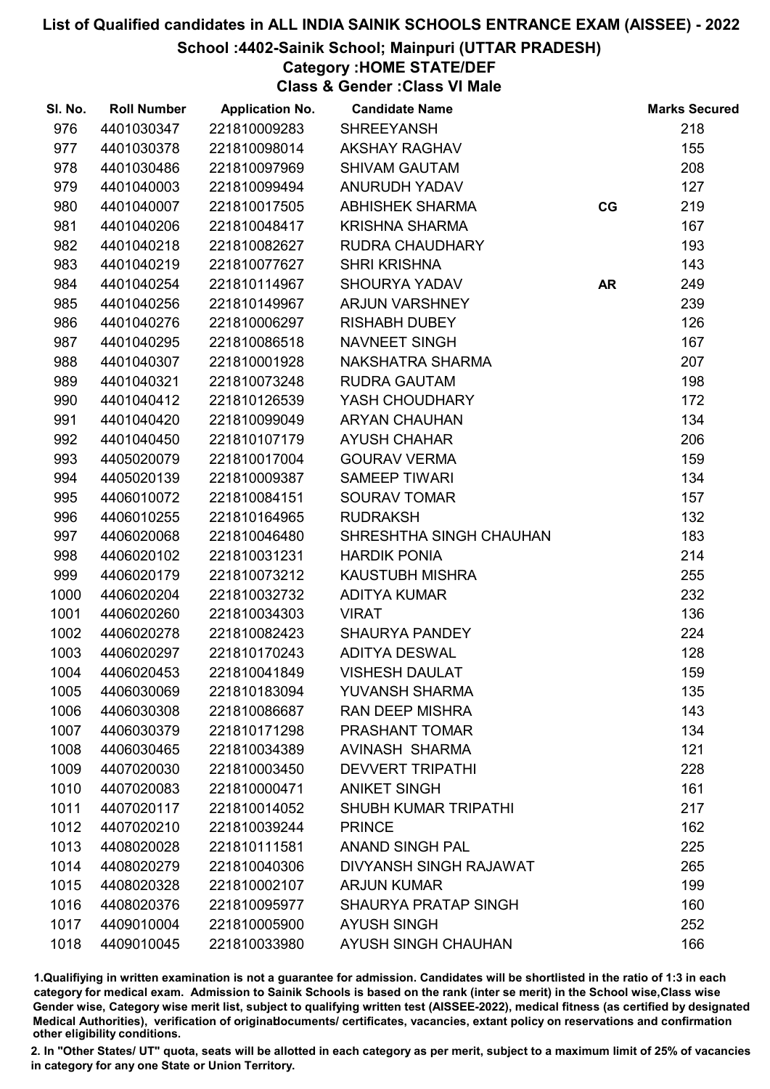School :4402-Sainik School; Mainpuri (UTTAR PRADESH)

Category :HOME STATE/DEF

Class & Gender :Class VI Male

| SI. No. | <b>Roll Number</b> | <b>Application No.</b> | <b>Candidate Name</b>       |           | <b>Marks Secured</b> |
|---------|--------------------|------------------------|-----------------------------|-----------|----------------------|
| 976     | 4401030347         | 221810009283           | <b>SHREEYANSH</b>           |           | 218                  |
| 977     | 4401030378         | 221810098014           | <b>AKSHAY RAGHAV</b>        |           | 155                  |
| 978     | 4401030486         | 221810097969           | <b>SHIVAM GAUTAM</b>        |           | 208                  |
| 979     | 4401040003         | 221810099494           | <b>ANURUDH YADAV</b>        |           | 127                  |
| 980     | 4401040007         | 221810017505           | <b>ABHISHEK SHARMA</b>      | CG        | 219                  |
| 981     | 4401040206         | 221810048417           | <b>KRISHNA SHARMA</b>       |           | 167                  |
| 982     | 4401040218         | 221810082627           | RUDRA CHAUDHARY             |           | 193                  |
| 983     | 4401040219         | 221810077627           | <b>SHRI KRISHNA</b>         |           | 143                  |
| 984     | 4401040254         | 221810114967           | <b>SHOURYA YADAV</b>        | <b>AR</b> | 249                  |
| 985     | 4401040256         | 221810149967           | <b>ARJUN VARSHNEY</b>       |           | 239                  |
| 986     | 4401040276         | 221810006297           | <b>RISHABH DUBEY</b>        |           | 126                  |
| 987     | 4401040295         | 221810086518           | NAVNEET SINGH               |           | 167                  |
| 988     | 4401040307         | 221810001928           | NAKSHATRA SHARMA            |           | 207                  |
| 989     | 4401040321         | 221810073248           | <b>RUDRA GAUTAM</b>         |           | 198                  |
| 990     | 4401040412         | 221810126539           | YASH CHOUDHARY              |           | 172                  |
| 991     | 4401040420         | 221810099049           | <b>ARYAN CHAUHAN</b>        |           | 134                  |
| 992     | 4401040450         | 221810107179           | <b>AYUSH CHAHAR</b>         |           | 206                  |
| 993     | 4405020079         | 221810017004           | <b>GOURAV VERMA</b>         |           | 159                  |
| 994     | 4405020139         | 221810009387           | <b>SAMEEP TIWARI</b>        |           | 134                  |
| 995     | 4406010072         | 221810084151           | <b>SOURAV TOMAR</b>         |           | 157                  |
| 996     | 4406010255         | 221810164965           | <b>RUDRAKSH</b>             |           | 132                  |
| 997     | 4406020068         | 221810046480           | SHRESHTHA SINGH CHAUHAN     |           | 183                  |
| 998     | 4406020102         | 221810031231           | <b>HARDIK PONIA</b>         |           | 214                  |
| 999     | 4406020179         | 221810073212           | <b>KAUSTUBH MISHRA</b>      |           | 255                  |
| 1000    | 4406020204         | 221810032732           | <b>ADITYA KUMAR</b>         |           | 232                  |
| 1001    | 4406020260         | 221810034303           | <b>VIRAT</b>                |           | 136                  |
| 1002    | 4406020278         | 221810082423           | <b>SHAURYA PANDEY</b>       |           | 224                  |
| 1003    | 4406020297         | 221810170243           | <b>ADITYA DESWAL</b>        |           | 128                  |
| 1004    | 4406020453         | 221810041849           | <b>VISHESH DAULAT</b>       |           | 159                  |
| 1005    | 4406030069         | 221810183094           | <b>YUVANSH SHARMA</b>       |           | 135                  |
| 1006    | 4406030308         | 221810086687           | <b>RAN DEEP MISHRA</b>      |           | 143                  |
| 1007    | 4406030379         | 221810171298           | PRASHANT TOMAR              |           | 134                  |
| 1008    | 4406030465         | 221810034389           | AVINASH SHARMA              |           | 121                  |
| 1009    | 4407020030         | 221810003450           | <b>DEVVERT TRIPATHI</b>     |           | 228                  |
| 1010    | 4407020083         | 221810000471           | <b>ANIKET SINGH</b>         |           | 161                  |
| 1011    | 4407020117         | 221810014052           | <b>SHUBH KUMAR TRIPATHI</b> |           | 217                  |
| 1012    | 4407020210         | 221810039244           | <b>PRINCE</b>               |           | 162                  |
| 1013    | 4408020028         | 221810111581           | <b>ANAND SINGH PAL</b>      |           | 225                  |
| 1014    | 4408020279         | 221810040306           | DIVYANSH SINGH RAJAWAT      |           | 265                  |
| 1015    | 4408020328         | 221810002107           | <b>ARJUN KUMAR</b>          |           | 199                  |
| 1016    | 4408020376         | 221810095977           | <b>SHAURYA PRATAP SINGH</b> |           | 160                  |
| 1017    | 4409010004         | 221810005900           | <b>AYUSH SINGH</b>          |           | 252                  |
| 1018    | 4409010045         | 221810033980           | AYUSH SINGH CHAUHAN         |           | 166                  |

1.Qualifiying in written examination is not a guarantee for admission. Candidates will be shortlisted in the ratio of 1:3 in each category for medical exam. Admission to Sainik Schools is based on the rank (inter se merit) in the School wise,Class wise Gender wise, Category wise merit list, subject to qualifying written test (AISSEE-2022), medical fitness (as certified by designated Medical Authorities), verification of originablocuments/ certificates, vacancies, extant policy on reservations and confirmation other eligibility conditions.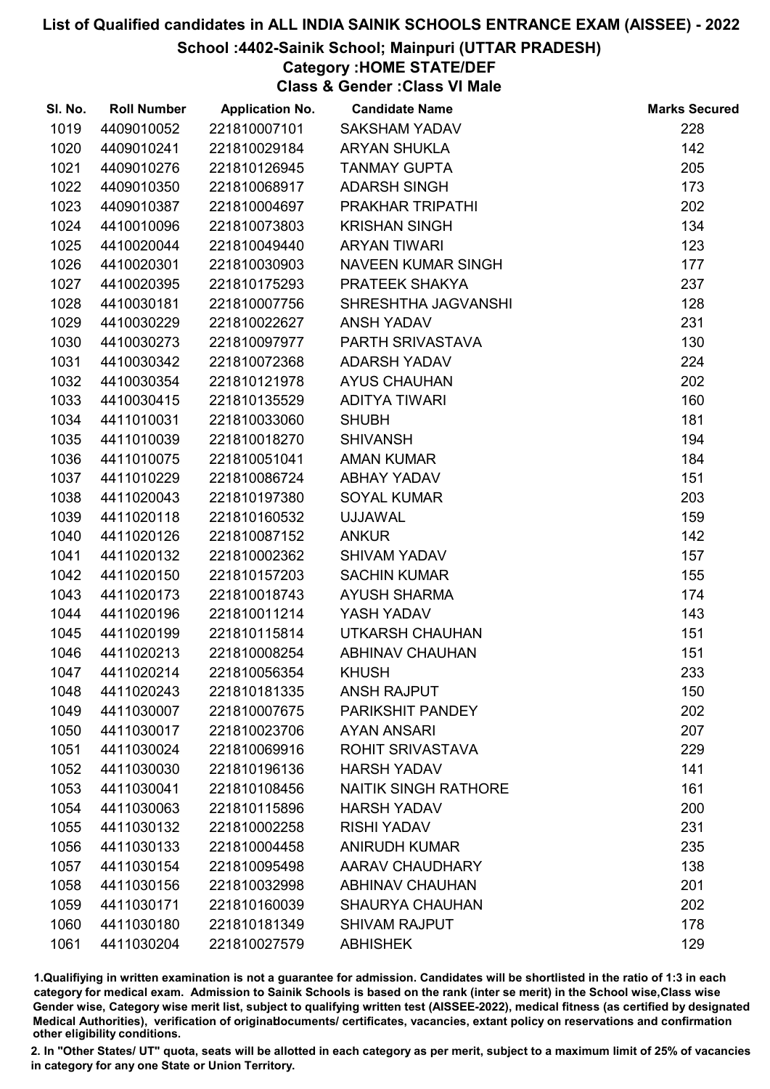# School :4402-Sainik School; Mainpuri (UTTAR PRADESH)

# Category :HOME STATE/DEF

Class & Gender :Class VI Male

| SI. No. | <b>Roll Number</b> | <b>Application No.</b> | <b>Candidate Name</b>       | <b>Marks Secured</b> |
|---------|--------------------|------------------------|-----------------------------|----------------------|
| 1019    | 4409010052         | 221810007101           | <b>SAKSHAM YADAV</b>        | 228                  |
| 1020    | 4409010241         | 221810029184           | <b>ARYAN SHUKLA</b>         | 142                  |
| 1021    | 4409010276         | 221810126945           | <b>TANMAY GUPTA</b>         | 205                  |
| 1022    | 4409010350         | 221810068917           | <b>ADARSH SINGH</b>         | 173                  |
| 1023    | 4409010387         | 221810004697           | PRAKHAR TRIPATHI            | 202                  |
| 1024    | 4410010096         | 221810073803           | <b>KRISHAN SINGH</b>        | 134                  |
| 1025    | 4410020044         | 221810049440           | <b>ARYAN TIWARI</b>         | 123                  |
| 1026    | 4410020301         | 221810030903           | NAVEEN KUMAR SINGH          | 177                  |
| 1027    | 4410020395         | 221810175293           | <b>PRATEEK SHAKYA</b>       | 237                  |
| 1028    | 4410030181         | 221810007756           | SHRESHTHA JAGVANSHI         | 128                  |
| 1029    | 4410030229         | 221810022627           | ANSH YADAV                  | 231                  |
| 1030    | 4410030273         | 221810097977           | PARTH SRIVASTAVA            | 130                  |
| 1031    | 4410030342         | 221810072368           | <b>ADARSH YADAV</b>         | 224                  |
| 1032    | 4410030354         | 221810121978           | <b>AYUS CHAUHAN</b>         | 202                  |
| 1033    | 4410030415         | 221810135529           | <b>ADITYA TIWARI</b>        | 160                  |
| 1034    | 4411010031         | 221810033060           | <b>SHUBH</b>                | 181                  |
| 1035    | 4411010039         | 221810018270           | <b>SHIVANSH</b>             | 194                  |
| 1036    | 4411010075         | 221810051041           | <b>AMAN KUMAR</b>           | 184                  |
| 1037    | 4411010229         | 221810086724           | ABHAY YADAV                 | 151                  |
| 1038    | 4411020043         | 221810197380           | <b>SOYAL KUMAR</b>          | 203                  |
| 1039    | 4411020118         | 221810160532           | <b>UJJAWAL</b>              | 159                  |
| 1040    | 4411020126         | 221810087152           | <b>ANKUR</b>                | 142                  |
| 1041    | 4411020132         | 221810002362           | <b>SHIVAM YADAV</b>         | 157                  |
| 1042    | 4411020150         | 221810157203           | <b>SACHIN KUMAR</b>         | 155                  |
| 1043    | 4411020173         | 221810018743           | <b>AYUSH SHARMA</b>         | 174                  |
| 1044    | 4411020196         | 221810011214           | YASH YADAV                  | 143                  |
| 1045    | 4411020199         | 221810115814           | UTKARSH CHAUHAN             | 151                  |
| 1046    | 4411020213         | 221810008254           | <b>ABHINAV CHAUHAN</b>      | 151                  |
| 1047    | 4411020214         | 221810056354           | <b>KHUSH</b>                | 233                  |
| 1048    | 4411020243         | 221810181335           | <b>ANSH RAJPUT</b>          | 150                  |
| 1049    | 4411030007         | 221810007675           | PARIKSHIT PANDEY            | 202                  |
| 1050    | 4411030017         | 221810023706           | <b>AYAN ANSARI</b>          | 207                  |
| 1051    | 4411030024         | 221810069916           | <b>ROHIT SRIVASTAVA</b>     | 229                  |
| 1052    | 4411030030         | 221810196136           | <b>HARSH YADAV</b>          | 141                  |
| 1053    | 4411030041         | 221810108456           | <b>NAITIK SINGH RATHORE</b> | 161                  |
| 1054    | 4411030063         | 221810115896           | <b>HARSH YADAV</b>          | 200                  |
| 1055    | 4411030132         | 221810002258           | <b>RISHI YADAV</b>          | 231                  |
| 1056    | 4411030133         | 221810004458           | <b>ANIRUDH KUMAR</b>        | 235                  |
| 1057    | 4411030154         | 221810095498           | AARAV CHAUDHARY             | 138                  |
| 1058    | 4411030156         | 221810032998           | <b>ABHINAV CHAUHAN</b>      | 201                  |
| 1059    | 4411030171         | 221810160039           | <b>SHAURYA CHAUHAN</b>      | 202                  |
| 1060    | 4411030180         | 221810181349           | <b>SHIVAM RAJPUT</b>        | 178                  |
| 1061    | 4411030204         | 221810027579           | <b>ABHISHEK</b>             | 129                  |

1.Qualifiying in written examination is not a guarantee for admission. Candidates will be shortlisted in the ratio of 1:3 in each category for medical exam. Admission to Sainik Schools is based on the rank (inter se merit) in the School wise,Class wise Gender wise, Category wise merit list, subject to qualifying written test (AISSEE-2022), medical fitness (as certified by designated Medical Authorities), verification of originablocuments/ certificates, vacancies, extant policy on reservations and confirmation other eligibility conditions.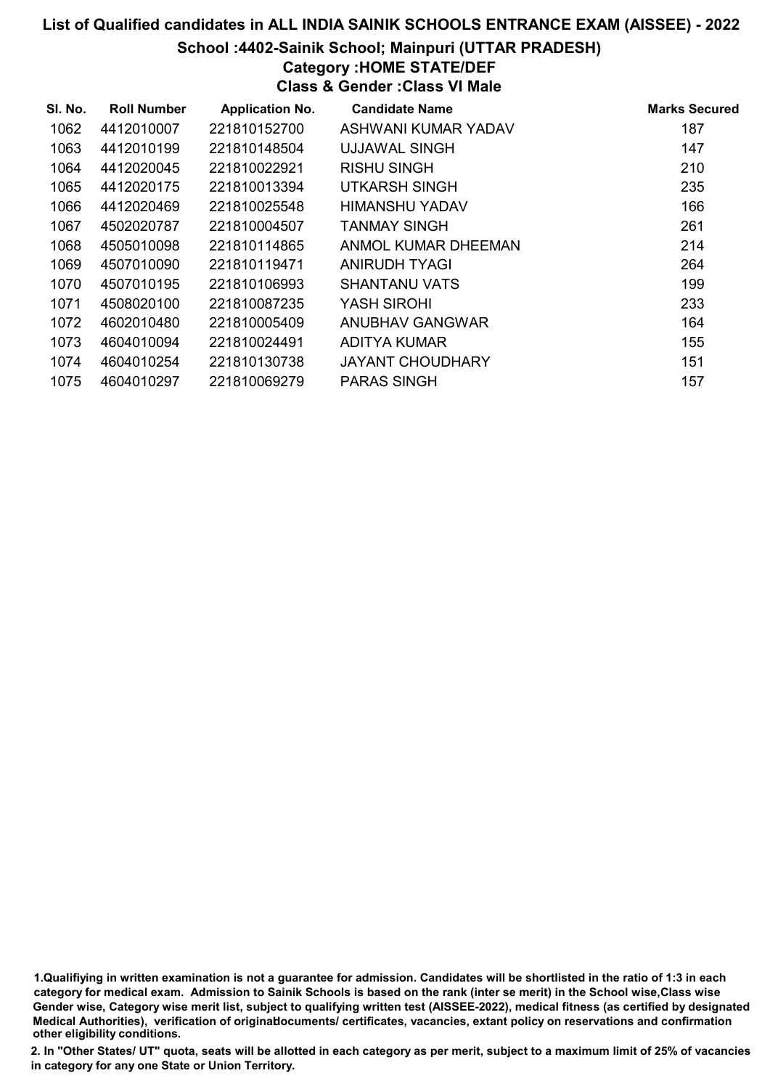#### School :4402-Sainik School; Mainpuri (UTTAR PRADESH)

# Category :HOME STATE/DEF

Class & Gender :Class VI Male

| SI. No. | <b>Roll Number</b> | <b>Application No.</b> | <b>Candidate Name</b>   | <b>Marks Secured</b> |
|---------|--------------------|------------------------|-------------------------|----------------------|
| 1062    | 4412010007         | 221810152700           | ASHWANI KUMAR YADAV     | 187                  |
| 1063    | 4412010199         | 221810148504           | <b>UJJAWAL SINGH</b>    | 147                  |
| 1064    | 4412020045         | 221810022921           | <b>RISHU SINGH</b>      | 210                  |
| 1065    | 4412020175         | 221810013394           | UTKARSH SINGH           | 235                  |
| 1066    | 4412020469         | 221810025548           | HIMANSHU YADAV          | 166                  |
| 1067    | 4502020787         | 221810004507           | <b>TANMAY SINGH</b>     | 261                  |
| 1068    | 4505010098         | 221810114865           | ANMOL KUMAR DHEEMAN     | 214                  |
| 1069    | 4507010090         | 221810119471           | ANIRUDH TYAGI           | 264                  |
| 1070    | 4507010195         | 221810106993           | <b>SHANTANU VATS</b>    | 199                  |
| 1071    | 4508020100         | 221810087235           | YASH SIROHI             | 233                  |
| 1072    | 4602010480         | 221810005409           | <b>ANUBHAV GANGWAR</b>  | 164                  |
| 1073    | 4604010094         | 221810024491           | ADITYA KUMAR            | 155                  |
| 1074    | 4604010254         | 221810130738           | <b>JAYANT CHOUDHARY</b> | 151                  |
| 1075    | 4604010297         | 221810069279           | <b>PARAS SINGH</b>      | 157                  |

1.Qualifiying in written examination is not a guarantee for admission. Candidates will be shortlisted in the ratio of 1:3 in each category for medical exam. Admission to Sainik Schools is based on the rank (inter se merit) in the School wise,Class wise Gender wise, Category wise merit list, subject to qualifying written test (AISSEE-2022), medical fitness (as certified by designated Medical Authorities), verification of originablocuments/ certificates, vacancies, extant policy on reservations and confirmation other eligibility conditions.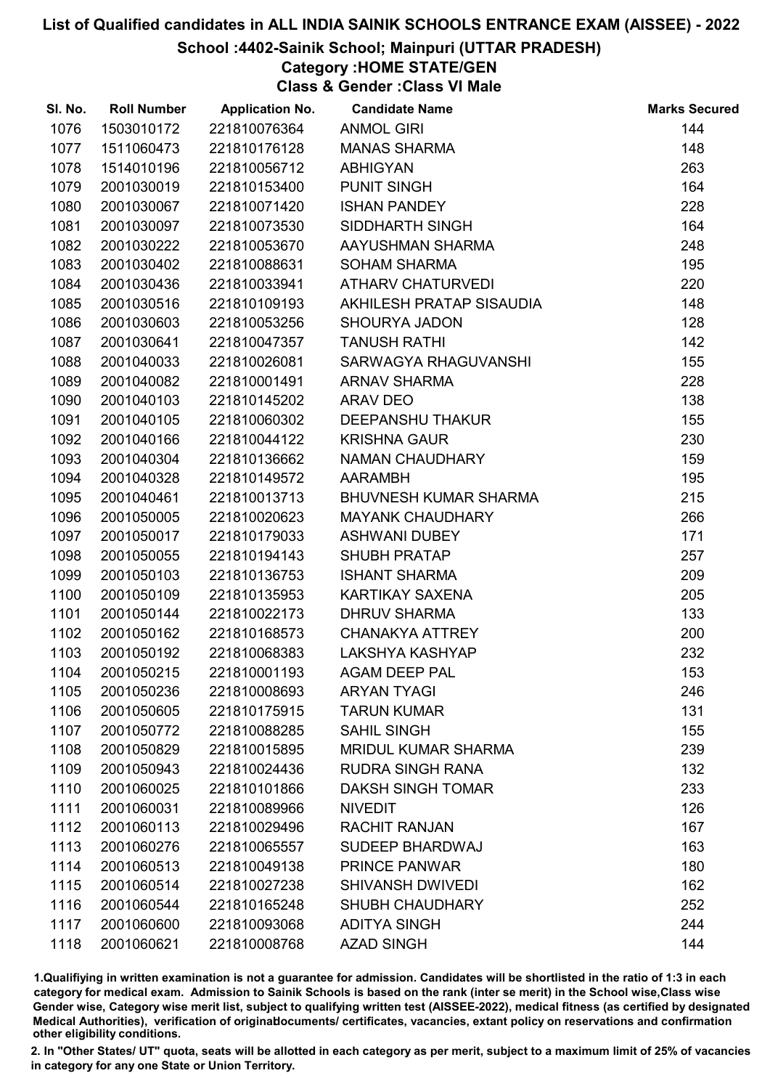School :4402-Sainik School; Mainpuri (UTTAR PRADESH)

Category :HOME STATE/GEN

Class & Gender :Class VI Male

| SI. No. | <b>Roll Number</b> | <b>Application No.</b> | <b>Candidate Name</b>        | <b>Marks Secured</b> |
|---------|--------------------|------------------------|------------------------------|----------------------|
| 1076    | 1503010172         | 221810076364           | <b>ANMOL GIRI</b>            | 144                  |
| 1077    | 1511060473         | 221810176128           | <b>MANAS SHARMA</b>          | 148                  |
| 1078    | 1514010196         | 221810056712           | <b>ABHIGYAN</b>              | 263                  |
| 1079    | 2001030019         | 221810153400           | <b>PUNIT SINGH</b>           | 164                  |
| 1080    | 2001030067         | 221810071420           | <b>ISHAN PANDEY</b>          | 228                  |
| 1081    | 2001030097         | 221810073530           | SIDDHARTH SINGH              | 164                  |
| 1082    | 2001030222         | 221810053670           | AAYUSHMAN SHARMA             | 248                  |
| 1083    | 2001030402         | 221810088631           | <b>SOHAM SHARMA</b>          | 195                  |
| 1084    | 2001030436         | 221810033941           | <b>ATHARV CHATURVEDI</b>     | 220                  |
| 1085    | 2001030516         | 221810109193           | AKHILESH PRATAP SISAUDIA     | 148                  |
| 1086    | 2001030603         | 221810053256           | <b>SHOURYA JADON</b>         | 128                  |
| 1087    | 2001030641         | 221810047357           | <b>TANUSH RATHI</b>          | 142                  |
| 1088    | 2001040033         | 221810026081           | SARWAGYA RHAGUVANSHI         | 155                  |
| 1089    | 2001040082         | 221810001491           | <b>ARNAV SHARMA</b>          | 228                  |
| 1090    | 2001040103         | 221810145202           | <b>ARAV DEO</b>              | 138                  |
| 1091    | 2001040105         | 221810060302           | <b>DEEPANSHU THAKUR</b>      | 155                  |
| 1092    | 2001040166         | 221810044122           | <b>KRISHNA GAUR</b>          | 230                  |
| 1093    | 2001040304         | 221810136662           | <b>NAMAN CHAUDHARY</b>       | 159                  |
| 1094    | 2001040328         | 221810149572           | <b>AARAMBH</b>               | 195                  |
| 1095    | 2001040461         | 221810013713           | <b>BHUVNESH KUMAR SHARMA</b> | 215                  |
| 1096    | 2001050005         | 221810020623           | <b>MAYANK CHAUDHARY</b>      | 266                  |
| 1097    | 2001050017         | 221810179033           | <b>ASHWANI DUBEY</b>         | 171                  |
| 1098    | 2001050055         | 221810194143           | <b>SHUBH PRATAP</b>          | 257                  |
| 1099    | 2001050103         | 221810136753           | <b>ISHANT SHARMA</b>         | 209                  |
| 1100    | 2001050109         | 221810135953           | KARTIKAY SAXENA              | 205                  |
| 1101    | 2001050144         | 221810022173           | <b>DHRUV SHARMA</b>          | 133                  |
| 1102    | 2001050162         | 221810168573           | <b>CHANAKYA ATTREY</b>       | 200                  |
| 1103    | 2001050192         | 221810068383           | LAKSHYA KASHYAP              | 232                  |
| 1104    | 2001050215         | 221810001193           | <b>AGAM DEEP PAL</b>         | 153                  |
| 1105    | 2001050236         | 221810008693           | <b>ARYAN TYAGI</b>           | 246                  |
| 1106    | 2001050605         | 221810175915           | <b>TARUN KUMAR</b>           | 131                  |
| 1107    | 2001050772         | 221810088285           | <b>SAHIL SINGH</b>           | 155                  |
| 1108    | 2001050829         | 221810015895           | <b>MRIDUL KUMAR SHARMA</b>   | 239                  |
| 1109    | 2001050943         | 221810024436           | <b>RUDRA SINGH RANA</b>      | 132                  |
| 1110    | 2001060025         | 221810101866           | <b>DAKSH SINGH TOMAR</b>     | 233                  |
| 1111    | 2001060031         | 221810089966           | <b>NIVEDIT</b>               | 126                  |
| 1112    | 2001060113         | 221810029496           | <b>RACHIT RANJAN</b>         | 167                  |
| 1113    | 2001060276         | 221810065557           | SUDEEP BHARDWAJ              | 163                  |
| 1114    | 2001060513         | 221810049138           | <b>PRINCE PANWAR</b>         | 180                  |
| 1115    | 2001060514         | 221810027238           | <b>SHIVANSH DWIVEDI</b>      | 162                  |
| 1116    | 2001060544         | 221810165248           | <b>SHUBH CHAUDHARY</b>       | 252                  |
| 1117    | 2001060600         | 221810093068           | <b>ADITYA SINGH</b>          | 244                  |
| 1118    | 2001060621         | 221810008768           | <b>AZAD SINGH</b>            | 144                  |
|         |                    |                        |                              |                      |

1.Qualifiying in written examination is not a guarantee for admission. Candidates will be shortlisted in the ratio of 1:3 in each category for medical exam. Admission to Sainik Schools is based on the rank (inter se merit) in the School wise,Class wise Gender wise, Category wise merit list, subject to qualifying written test (AISSEE-2022), medical fitness (as certified by designated Medical Authorities), verification of originablocuments/ certificates, vacancies, extant policy on reservations and confirmation other eligibility conditions.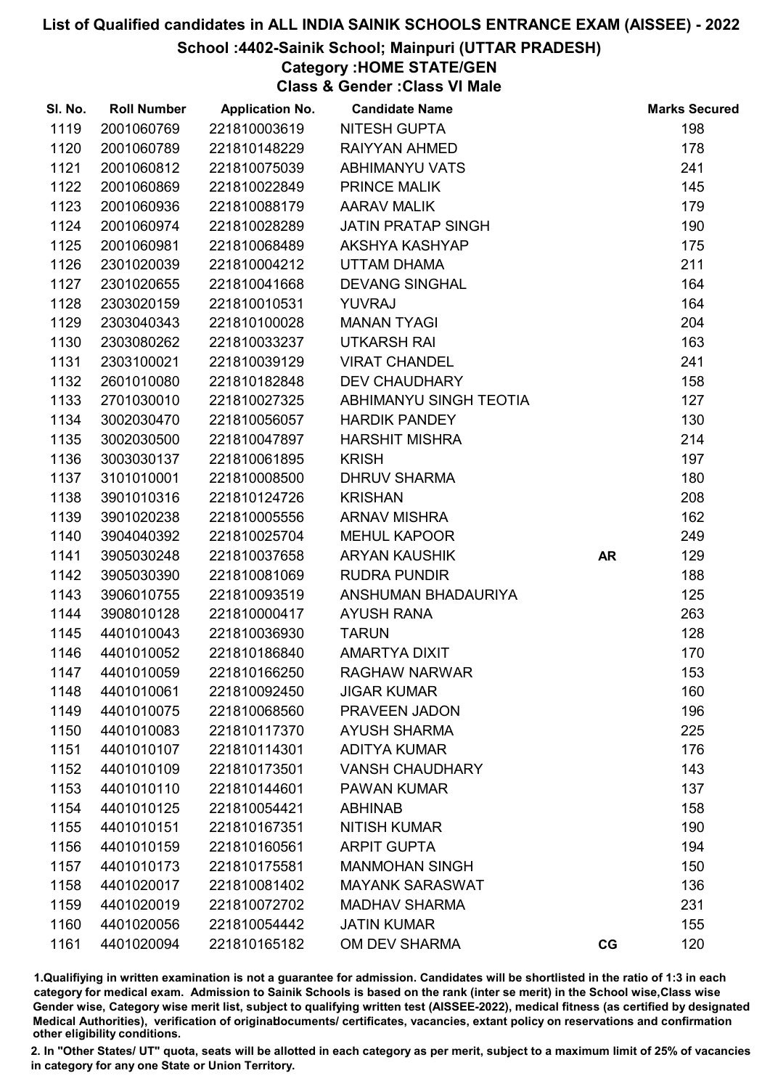## School :4402-Sainik School; Mainpuri (UTTAR PRADESH)

Category :HOME STATE/GEN

Class & Gender :Class VI Male

| SI. No. | <b>Roll Number</b> | <b>Application No.</b> | <b>Candidate Name</b>     |           | <b>Marks Secured</b> |
|---------|--------------------|------------------------|---------------------------|-----------|----------------------|
| 1119    | 2001060769         | 221810003619           | <b>NITESH GUPTA</b>       |           | 198                  |
| 1120    | 2001060789         | 221810148229           | RAIYYAN AHMED             |           | 178                  |
| 1121    | 2001060812         | 221810075039           | <b>ABHIMANYU VATS</b>     |           | 241                  |
| 1122    | 2001060869         | 221810022849           | <b>PRINCE MALIK</b>       |           | 145                  |
| 1123    | 2001060936         | 221810088179           | <b>AARAV MALIK</b>        |           | 179                  |
| 1124    | 2001060974         | 221810028289           | <b>JATIN PRATAP SINGH</b> |           | 190                  |
| 1125    | 2001060981         | 221810068489           | AKSHYA KASHYAP            |           | 175                  |
| 1126    | 2301020039         | 221810004212           | UTTAM DHAMA               |           | 211                  |
| 1127    | 2301020655         | 221810041668           | <b>DEVANG SINGHAL</b>     |           | 164                  |
| 1128    | 2303020159         | 221810010531           | YUVRAJ                    |           | 164                  |
| 1129    | 2303040343         | 221810100028           | <b>MANAN TYAGI</b>        |           | 204                  |
| 1130    | 2303080262         | 221810033237           | <b>UTKARSH RAI</b>        |           | 163                  |
| 1131    | 2303100021         | 221810039129           | <b>VIRAT CHANDEL</b>      |           | 241                  |
| 1132    | 2601010080         | 221810182848           | <b>DEV CHAUDHARY</b>      |           | 158                  |
| 1133    | 2701030010         | 221810027325           | ABHIMANYU SINGH TEOTIA    |           | 127                  |
| 1134    | 3002030470         | 221810056057           | <b>HARDIK PANDEY</b>      |           | 130                  |
| 1135    | 3002030500         | 221810047897           | <b>HARSHIT MISHRA</b>     |           | 214                  |
| 1136    | 3003030137         | 221810061895           | <b>KRISH</b>              |           | 197                  |
| 1137    | 3101010001         | 221810008500           | <b>DHRUV SHARMA</b>       |           | 180                  |
| 1138    | 3901010316         | 221810124726           | <b>KRISHAN</b>            |           | 208                  |
| 1139    | 3901020238         | 221810005556           | <b>ARNAV MISHRA</b>       |           | 162                  |
| 1140    | 3904040392         | 221810025704           | <b>MEHUL KAPOOR</b>       |           | 249                  |
| 1141    | 3905030248         | 221810037658           | <b>ARYAN KAUSHIK</b>      | <b>AR</b> | 129                  |
| 1142    | 3905030390         | 221810081069           | <b>RUDRA PUNDIR</b>       |           | 188                  |
| 1143    | 3906010755         | 221810093519           | ANSHUMAN BHADAURIYA       |           | 125                  |
| 1144    | 3908010128         | 221810000417           | <b>AYUSH RANA</b>         |           | 263                  |
| 1145    | 4401010043         | 221810036930           | <b>TARUN</b>              |           | 128                  |
| 1146    | 4401010052         | 221810186840           | AMARTYA DIXIT             |           | 170                  |
| 1147    | 4401010059         | 221810166250           | <b>RAGHAW NARWAR</b>      |           | 153                  |
| 1148    | 4401010061         | 221810092450           | <b>JIGAR KUMAR</b>        |           | 160                  |
| 1149    | 4401010075         | 221810068560           | PRAVEEN JADON             |           | 196                  |
| 1150    | 4401010083         | 221810117370           | <b>AYUSH SHARMA</b>       |           | 225                  |
| 1151    | 4401010107         | 221810114301           | <b>ADITYA KUMAR</b>       |           | 176                  |
| 1152    | 4401010109         | 221810173501           | <b>VANSH CHAUDHARY</b>    |           | 143                  |
| 1153    | 4401010110         | 221810144601           | <b>PAWAN KUMAR</b>        |           | 137                  |
| 1154    | 4401010125         | 221810054421           | <b>ABHINAB</b>            |           | 158                  |
| 1155    | 4401010151         | 221810167351           | <b>NITISH KUMAR</b>       |           | 190                  |
| 1156    | 4401010159         | 221810160561           | <b>ARPIT GUPTA</b>        |           | 194                  |
| 1157    | 4401010173         | 221810175581           | <b>MANMOHAN SINGH</b>     |           | 150                  |
| 1158    | 4401020017         | 221810081402           | <b>MAYANK SARASWAT</b>    |           | 136                  |
| 1159    | 4401020019         | 221810072702           | <b>MADHAV SHARMA</b>      |           | 231                  |
| 1160    | 4401020056         | 221810054442           | <b>JATIN KUMAR</b>        |           | 155                  |
| 1161    | 4401020094         | 221810165182           | OM DEV SHARMA             | CG        | 120                  |

1.Qualifiying in written examination is not a guarantee for admission. Candidates will be shortlisted in the ratio of 1:3 in each category for medical exam. Admission to Sainik Schools is based on the rank (inter se merit) in the School wise,Class wise Gender wise, Category wise merit list, subject to qualifying written test (AISSEE-2022), medical fitness (as certified by designated Medical Authorities), verification of originablocuments/ certificates, vacancies, extant policy on reservations and confirmation other eligibility conditions.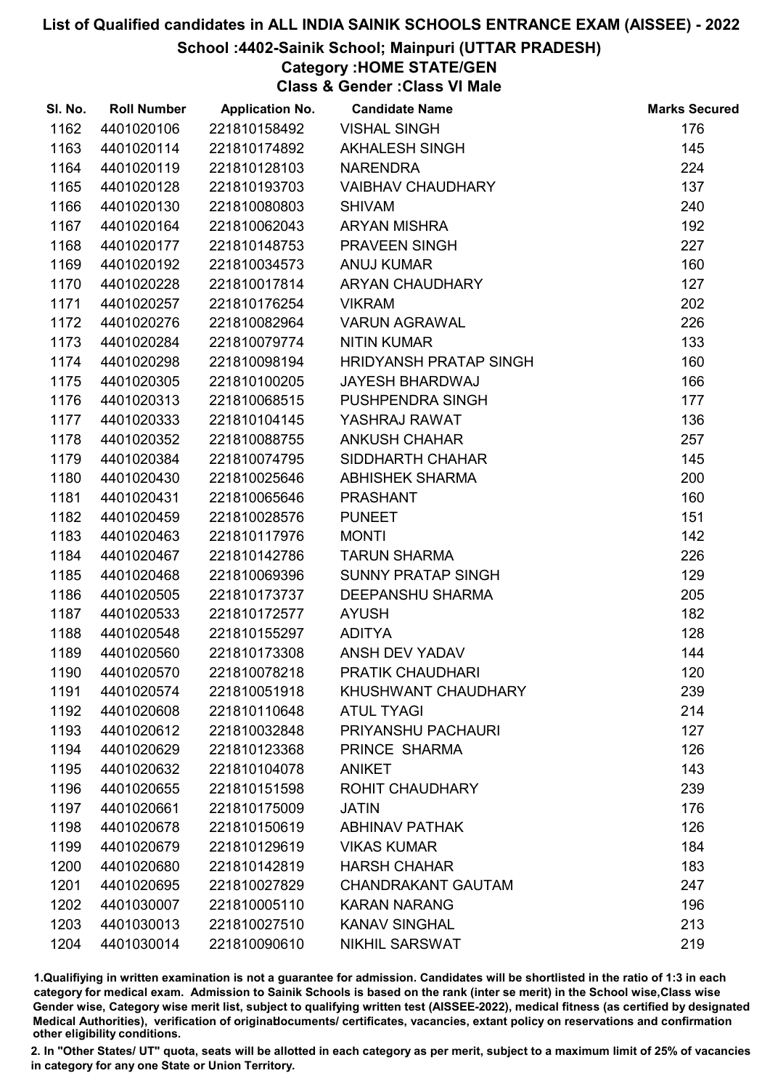## School :4402-Sainik School; Mainpuri (UTTAR PRADESH)

# Category :HOME STATE/GEN

Class & Gender :Class VI Male

| SI. No. | <b>Roll Number</b> | <b>Application No.</b> | <b>Candidate Name</b>     | <b>Marks Secured</b> |
|---------|--------------------|------------------------|---------------------------|----------------------|
| 1162    | 4401020106         | 221810158492           | <b>VISHAL SINGH</b>       | 176                  |
| 1163    | 4401020114         | 221810174892           | <b>AKHALESH SINGH</b>     | 145                  |
| 1164    | 4401020119         | 221810128103           | <b>NARENDRA</b>           | 224                  |
| 1165    | 4401020128         | 221810193703           | <b>VAIBHAV CHAUDHARY</b>  | 137                  |
| 1166    | 4401020130         | 221810080803           | <b>SHIVAM</b>             | 240                  |
| 1167    | 4401020164         | 221810062043           | <b>ARYAN MISHRA</b>       | 192                  |
| 1168    | 4401020177         | 221810148753           | PRAVEEN SINGH             | 227                  |
| 1169    | 4401020192         | 221810034573           | <b>ANUJ KUMAR</b>         | 160                  |
| 1170    | 4401020228         | 221810017814           | ARYAN CHAUDHARY           | 127                  |
| 1171    | 4401020257         | 221810176254           | <b>VIKRAM</b>             | 202                  |
| 1172    | 4401020276         | 221810082964           | <b>VARUN AGRAWAL</b>      | 226                  |
| 1173    | 4401020284         | 221810079774           | <b>NITIN KUMAR</b>        | 133                  |
| 1174    | 4401020298         | 221810098194           | HRIDYANSH PRATAP SINGH    | 160                  |
| 1175    | 4401020305         | 221810100205           | <b>JAYESH BHARDWAJ</b>    | 166                  |
| 1176    | 4401020313         | 221810068515           | PUSHPENDRA SINGH          | 177                  |
| 1177    | 4401020333         | 221810104145           | YASHRAJ RAWAT             | 136                  |
| 1178    | 4401020352         | 221810088755           | <b>ANKUSH CHAHAR</b>      | 257                  |
| 1179    | 4401020384         | 221810074795           | SIDDHARTH CHAHAR          | 145                  |
| 1180    | 4401020430         | 221810025646           | <b>ABHISHEK SHARMA</b>    | 200                  |
| 1181    | 4401020431         | 221810065646           | <b>PRASHANT</b>           | 160                  |
| 1182    | 4401020459         | 221810028576           | <b>PUNEET</b>             | 151                  |
| 1183    | 4401020463         | 221810117976           | <b>MONTI</b>              | 142                  |
| 1184    | 4401020467         | 221810142786           | <b>TARUN SHARMA</b>       | 226                  |
| 1185    | 4401020468         | 221810069396           | <b>SUNNY PRATAP SINGH</b> | 129                  |
| 1186    | 4401020505         | 221810173737           | <b>DEEPANSHU SHARMA</b>   | 205                  |
| 1187    | 4401020533         | 221810172577           | <b>AYUSH</b>              | 182                  |
| 1188    | 4401020548         | 221810155297           | <b>ADITYA</b>             | 128                  |
| 1189    | 4401020560         | 221810173308           | ANSH DEV YADAV            | 144                  |
| 1190    | 4401020570         | 221810078218           | <b>PRATIK CHAUDHARI</b>   | 120                  |
| 1191    | 4401020574         | 221810051918           | KHUSHWANT CHAUDHARY       | 239                  |
| 1192    | 4401020608         | 221810110648           | <b>ATUL TYAGI</b>         | 214                  |
| 1193    | 4401020612         | 221810032848           | PRIYANSHU PACHAURI        | 127                  |
| 1194    | 4401020629         | 221810123368           | PRINCE SHARMA             | 126                  |
| 1195    | 4401020632         | 221810104078           | <b>ANIKET</b>             | 143                  |
| 1196    | 4401020655         | 221810151598           | <b>ROHIT CHAUDHARY</b>    | 239                  |
| 1197    | 4401020661         | 221810175009           | <b>JATIN</b>              | 176                  |
| 1198    | 4401020678         | 221810150619           | <b>ABHINAV PATHAK</b>     | 126                  |
| 1199    | 4401020679         | 221810129619           | <b>VIKAS KUMAR</b>        | 184                  |
| 1200    | 4401020680         | 221810142819           | <b>HARSH CHAHAR</b>       | 183                  |
| 1201    | 4401020695         | 221810027829           | <b>CHANDRAKANT GAUTAM</b> | 247                  |
| 1202    | 4401030007         | 221810005110           | <b>KARAN NARANG</b>       | 196                  |
| 1203    | 4401030013         | 221810027510           | <b>KANAV SINGHAL</b>      | 213                  |
| 1204    | 4401030014         | 221810090610           | <b>NIKHIL SARSWAT</b>     | 219                  |

1.Qualifiying in written examination is not a guarantee for admission. Candidates will be shortlisted in the ratio of 1:3 in each category for medical exam. Admission to Sainik Schools is based on the rank (inter se merit) in the School wise,Class wise Gender wise, Category wise merit list, subject to qualifying written test (AISSEE-2022), medical fitness (as certified by designated Medical Authorities), verification of originablocuments/ certificates, vacancies, extant policy on reservations and confirmation other eligibility conditions.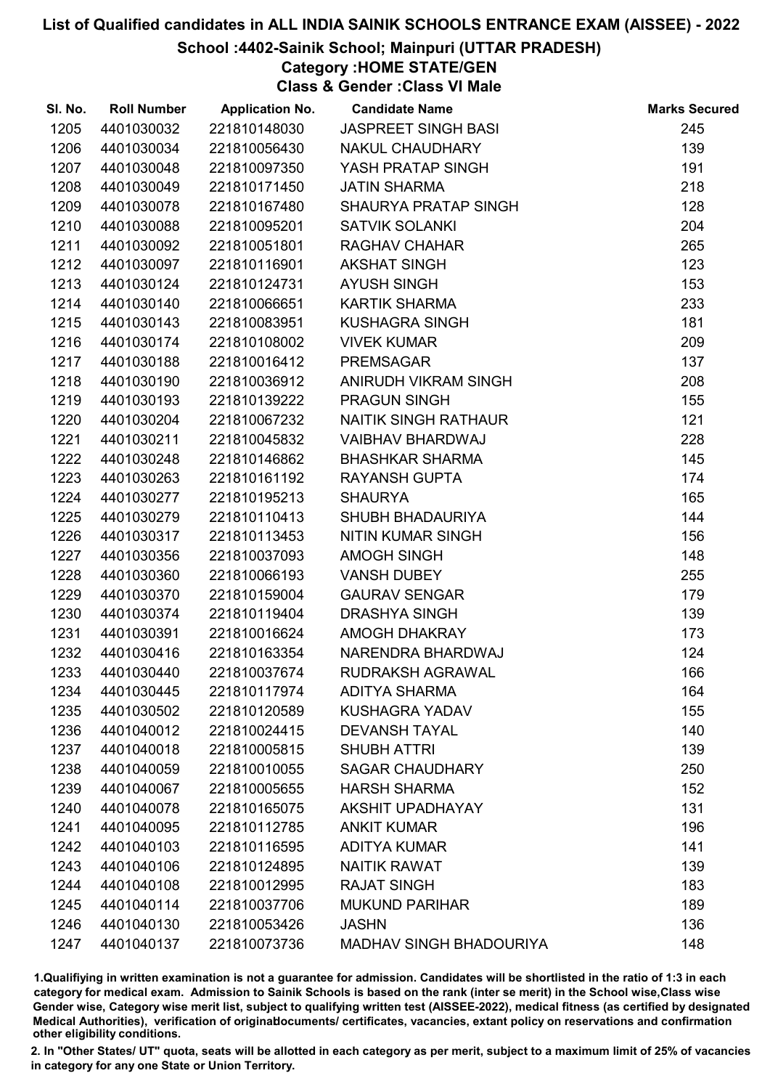## School :4402-Sainik School; Mainpuri (UTTAR PRADESH)

Category :HOME STATE/GEN

Class & Gender :Class VI Male

| SI. No. | <b>Roll Number</b> | <b>Application No.</b> | <b>Candidate Name</b>          | <b>Marks Secured</b> |
|---------|--------------------|------------------------|--------------------------------|----------------------|
| 1205    | 4401030032         | 221810148030           | <b>JASPREET SINGH BASI</b>     | 245                  |
| 1206    | 4401030034         | 221810056430           | <b>NAKUL CHAUDHARY</b>         | 139                  |
| 1207    | 4401030048         | 221810097350           | YASH PRATAP SINGH              | 191                  |
| 1208    | 4401030049         | 221810171450           | <b>JATIN SHARMA</b>            | 218                  |
| 1209    | 4401030078         | 221810167480           | SHAURYA PRATAP SINGH           | 128                  |
| 1210    | 4401030088         | 221810095201           | <b>SATVIK SOLANKI</b>          | 204                  |
| 1211    | 4401030092         | 221810051801           | <b>RAGHAV CHAHAR</b>           | 265                  |
| 1212    | 4401030097         | 221810116901           | <b>AKSHAT SINGH</b>            | 123                  |
| 1213    | 4401030124         | 221810124731           | <b>AYUSH SINGH</b>             | 153                  |
| 1214    | 4401030140         | 221810066651           | <b>KARTIK SHARMA</b>           | 233                  |
| 1215    | 4401030143         | 221810083951           | <b>KUSHAGRA SINGH</b>          | 181                  |
| 1216    | 4401030174         | 221810108002           | <b>VIVEK KUMAR</b>             | 209                  |
| 1217    | 4401030188         | 221810016412           | <b>PREMSAGAR</b>               | 137                  |
| 1218    | 4401030190         | 221810036912           | ANIRUDH VIKRAM SINGH           | 208                  |
| 1219    | 4401030193         | 221810139222           | <b>PRAGUN SINGH</b>            | 155                  |
| 1220    | 4401030204         | 221810067232           | NAITIK SINGH RATHAUR           | 121                  |
| 1221    | 4401030211         | 221810045832           | <b>VAIBHAV BHARDWAJ</b>        | 228                  |
| 1222    | 4401030248         | 221810146862           | <b>BHASHKAR SHARMA</b>         | 145                  |
| 1223    | 4401030263         | 221810161192           | <b>RAYANSH GUPTA</b>           | 174                  |
| 1224    | 4401030277         | 221810195213           | <b>SHAURYA</b>                 | 165                  |
| 1225    | 4401030279         | 221810110413           | SHUBH BHADAURIYA               | 144                  |
| 1226    | 4401030317         | 221810113453           | <b>NITIN KUMAR SINGH</b>       | 156                  |
| 1227    | 4401030356         | 221810037093           | AMOGH SINGH                    | 148                  |
| 1228    | 4401030360         | 221810066193           | <b>VANSH DUBEY</b>             | 255                  |
| 1229    | 4401030370         | 221810159004           | <b>GAURAV SENGAR</b>           | 179                  |
| 1230    | 4401030374         | 221810119404           | <b>DRASHYA SINGH</b>           | 139                  |
| 1231    | 4401030391         | 221810016624           | AMOGH DHAKRAY                  | 173                  |
| 1232    | 4401030416         | 221810163354           | NARENDRA BHARDWAJ              | 124                  |
| 1233    | 4401030440         | 221810037674           | <b>RUDRAKSH AGRAWAL</b>        | 166                  |
| 1234    | 4401030445         | 221810117974           | <b>ADITYA SHARMA</b>           | 164                  |
| 1235    | 4401030502         | 221810120589           | <b>KUSHAGRA YADAV</b>          | 155                  |
| 1236    | 4401040012         | 221810024415           | <b>DEVANSH TAYAL</b>           | 140                  |
| 1237    | 4401040018         | 221810005815           | <b>SHUBH ATTRI</b>             | 139                  |
| 1238    | 4401040059         | 221810010055           | <b>SAGAR CHAUDHARY</b>         | 250                  |
| 1239    | 4401040067         | 221810005655           | <b>HARSH SHARMA</b>            | 152                  |
| 1240    | 4401040078         | 221810165075           | <b>AKSHIT UPADHAYAY</b>        | 131                  |
| 1241    | 4401040095         | 221810112785           | <b>ANKIT KUMAR</b>             | 196                  |
| 1242    | 4401040103         | 221810116595           | <b>ADITYA KUMAR</b>            | 141                  |
| 1243    | 4401040106         | 221810124895           | <b>NAITIK RAWAT</b>            | 139                  |
| 1244    | 4401040108         | 221810012995           | <b>RAJAT SINGH</b>             | 183                  |
| 1245    | 4401040114         | 221810037706           | <b>MUKUND PARIHAR</b>          | 189                  |
| 1246    | 4401040130         | 221810053426           | <b>JASHN</b>                   | 136                  |
| 1247    | 4401040137         | 221810073736           | <b>MADHAV SINGH BHADOURIYA</b> | 148                  |

1.Qualifiying in written examination is not a guarantee for admission. Candidates will be shortlisted in the ratio of 1:3 in each category for medical exam. Admission to Sainik Schools is based on the rank (inter se merit) in the School wise,Class wise Gender wise, Category wise merit list, subject to qualifying written test (AISSEE-2022), medical fitness (as certified by designated Medical Authorities), verification of originablocuments/ certificates, vacancies, extant policy on reservations and confirmation other eligibility conditions.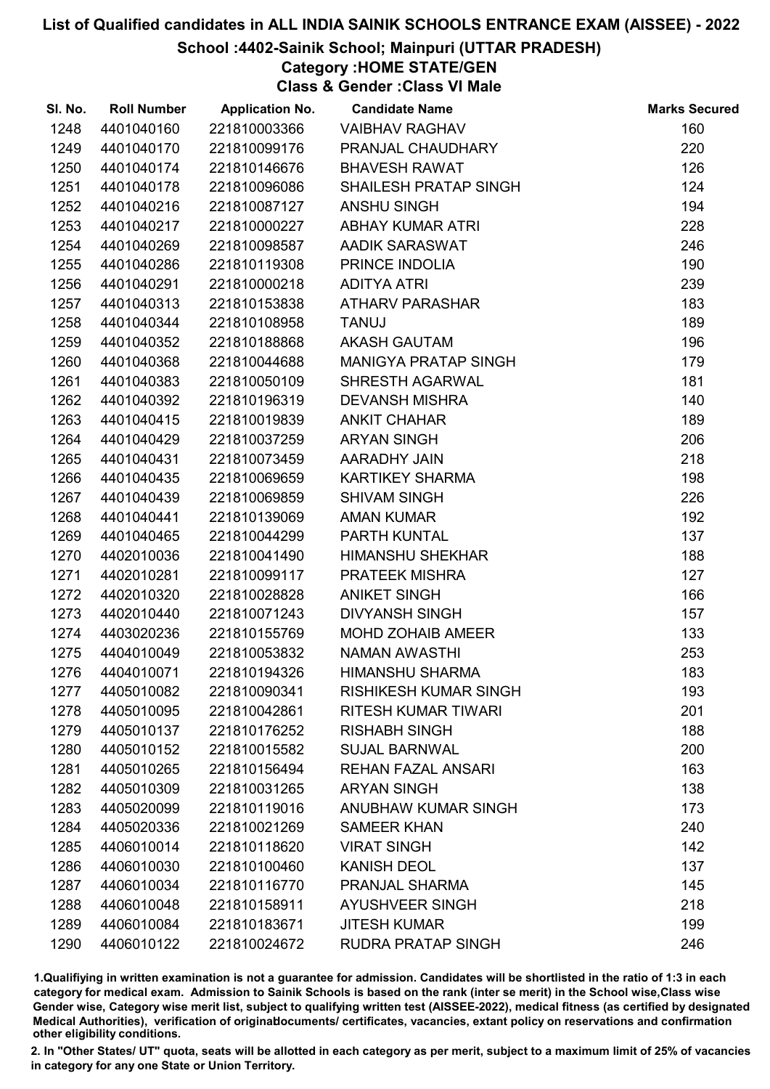## School :4402-Sainik School; Mainpuri (UTTAR PRADESH)

Category :HOME STATE/GEN

Class & Gender :Class VI Male

| SI. No. | <b>Roll Number</b> | <b>Application No.</b> | <b>Candidate Name</b>        | <b>Marks Secured</b> |
|---------|--------------------|------------------------|------------------------------|----------------------|
| 1248    | 4401040160         | 221810003366           | <b>VAIBHAV RAGHAV</b>        | 160                  |
| 1249    | 4401040170         | 221810099176           | PRANJAL CHAUDHARY            | 220                  |
| 1250    | 4401040174         | 221810146676           | <b>BHAVESH RAWAT</b>         | 126                  |
| 1251    | 4401040178         | 221810096086           | <b>SHAILESH PRATAP SINGH</b> | 124                  |
| 1252    | 4401040216         | 221810087127           | <b>ANSHU SINGH</b>           | 194                  |
| 1253    | 4401040217         | 221810000227           | <b>ABHAY KUMAR ATRI</b>      | 228                  |
| 1254    | 4401040269         | 221810098587           | AADIK SARASWAT               | 246                  |
| 1255    | 4401040286         | 221810119308           | PRINCE INDOLIA               | 190                  |
| 1256    | 4401040291         | 221810000218           | <b>ADITYA ATRI</b>           | 239                  |
| 1257    | 4401040313         | 221810153838           | <b>ATHARV PARASHAR</b>       | 183                  |
| 1258    | 4401040344         | 221810108958           | <b>TANUJ</b>                 | 189                  |
| 1259    | 4401040352         | 221810188868           | <b>AKASH GAUTAM</b>          | 196                  |
| 1260    | 4401040368         | 221810044688           | MANIGYA PRATAP SINGH         | 179                  |
| 1261    | 4401040383         | 221810050109           | SHRESTH AGARWAL              | 181                  |
| 1262    | 4401040392         | 221810196319           | <b>DEVANSH MISHRA</b>        | 140                  |
| 1263    | 4401040415         | 221810019839           | <b>ANKIT CHAHAR</b>          | 189                  |
| 1264    | 4401040429         | 221810037259           | <b>ARYAN SINGH</b>           | 206                  |
| 1265    | 4401040431         | 221810073459           | AARADHY JAIN                 | 218                  |
| 1266    | 4401040435         | 221810069659           | <b>KARTIKEY SHARMA</b>       | 198                  |
| 1267    | 4401040439         | 221810069859           | <b>SHIVAM SINGH</b>          | 226                  |
| 1268    | 4401040441         | 221810139069           | <b>AMAN KUMAR</b>            | 192                  |
| 1269    | 4401040465         | 221810044299           | PARTH KUNTAL                 | 137                  |
| 1270    | 4402010036         | 221810041490           | <b>HIMANSHU SHEKHAR</b>      | 188                  |
| 1271    | 4402010281         | 221810099117           | PRATEEK MISHRA               | 127                  |
| 1272    | 4402010320         | 221810028828           | <b>ANIKET SINGH</b>          | 166                  |
| 1273    | 4402010440         | 221810071243           | <b>DIVYANSH SINGH</b>        | 157                  |
| 1274    | 4403020236         | 221810155769           | <b>MOHD ZOHAIB AMEER</b>     | 133                  |
| 1275    | 4404010049         | 221810053832           | <b>NAMAN AWASTHI</b>         | 253                  |
| 1276    | 4404010071         | 221810194326           | <b>HIMANSHU SHARMA</b>       | 183                  |
| 1277    | 4405010082         | 221810090341           | <b>RISHIKESH KUMAR SINGH</b> | 193                  |
| 1278    | 4405010095         | 221810042861           | RITESH KUMAR TIWARI          | 201                  |
| 1279    | 4405010137         | 221810176252           | <b>RISHABH SINGH</b>         | 188                  |
| 1280    | 4405010152         | 221810015582           | <b>SUJAL BARNWAL</b>         | 200                  |
| 1281    | 4405010265         | 221810156494           | <b>REHAN FAZAL ANSARI</b>    | 163                  |
| 1282    | 4405010309         | 221810031265           | <b>ARYAN SINGH</b>           | 138                  |
| 1283    | 4405020099         | 221810119016           | <b>ANUBHAW KUMAR SINGH</b>   | 173                  |
| 1284    | 4405020336         | 221810021269           | <b>SAMEER KHAN</b>           | 240                  |
| 1285    | 4406010014         | 221810118620           | <b>VIRAT SINGH</b>           | 142                  |
| 1286    | 4406010030         | 221810100460           | <b>KANISH DEOL</b>           | 137                  |
| 1287    | 4406010034         | 221810116770           | PRANJAL SHARMA               | 145                  |
| 1288    | 4406010048         | 221810158911           | <b>AYUSHVEER SINGH</b>       | 218                  |
| 1289    | 4406010084         | 221810183671           | <b>JITESH KUMAR</b>          | 199                  |
| 1290    | 4406010122         | 221810024672           | <b>RUDRA PRATAP SINGH</b>    | 246                  |

1.Qualifiying in written examination is not a guarantee for admission. Candidates will be shortlisted in the ratio of 1:3 in each category for medical exam. Admission to Sainik Schools is based on the rank (inter se merit) in the School wise,Class wise Gender wise, Category wise merit list, subject to qualifying written test (AISSEE-2022), medical fitness (as certified by designated Medical Authorities), verification of originablocuments/ certificates, vacancies, extant policy on reservations and confirmation other eligibility conditions.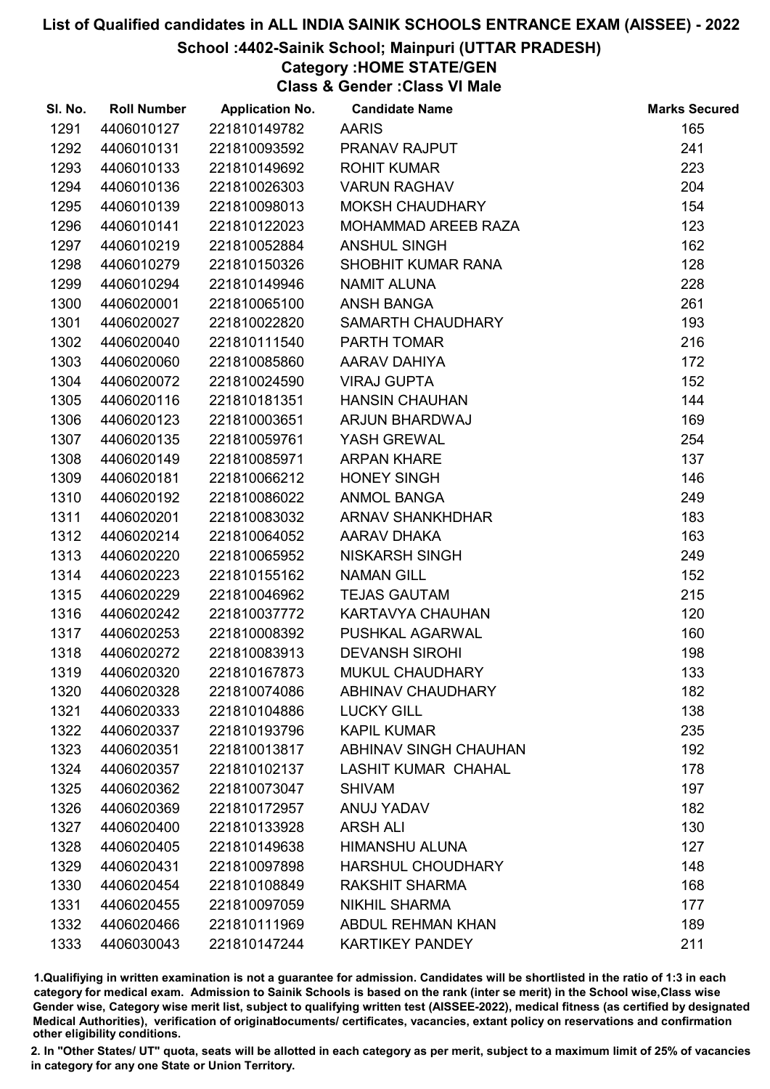#### School :4402-Sainik School; Mainpuri (UTTAR PRADESH)

Category :HOME STATE/GEN

Class & Gender :Class VI Male

| SI. No. | <b>Roll Number</b> | <b>Application No.</b> | <b>Candidate Name</b>        | <b>Marks Secured</b> |
|---------|--------------------|------------------------|------------------------------|----------------------|
| 1291    | 4406010127         | 221810149782           | <b>AARIS</b>                 | 165                  |
| 1292    | 4406010131         | 221810093592           | PRANAV RAJPUT                | 241                  |
| 1293    | 4406010133         | 221810149692           | <b>ROHIT KUMAR</b>           | 223                  |
| 1294    | 4406010136         | 221810026303           | <b>VARUN RAGHAV</b>          | 204                  |
| 1295    | 4406010139         | 221810098013           | <b>MOKSH CHAUDHARY</b>       | 154                  |
| 1296    | 4406010141         | 221810122023           | MOHAMMAD AREEB RAZA          | 123                  |
| 1297    | 4406010219         | 221810052884           | <b>ANSHUL SINGH</b>          | 162                  |
| 1298    | 4406010279         | 221810150326           | SHOBHIT KUMAR RANA           | 128                  |
| 1299    | 4406010294         | 221810149946           | <b>NAMIT ALUNA</b>           | 228                  |
| 1300    | 4406020001         | 221810065100           | <b>ANSH BANGA</b>            | 261                  |
| 1301    | 4406020027         | 221810022820           | SAMARTH CHAUDHARY            | 193                  |
| 1302    | 4406020040         | 221810111540           | PARTH TOMAR                  | 216                  |
| 1303    | 4406020060         | 221810085860           | AARAV DAHIYA                 | 172                  |
| 1304    | 4406020072         | 221810024590           | <b>VIRAJ GUPTA</b>           | 152                  |
| 1305    | 4406020116         | 221810181351           | <b>HANSIN CHAUHAN</b>        | 144                  |
| 1306    | 4406020123         | 221810003651           | ARJUN BHARDWAJ               | 169                  |
| 1307    | 4406020135         | 221810059761           | YASH GREWAL                  | 254                  |
| 1308    | 4406020149         | 221810085971           | <b>ARPAN KHARE</b>           | 137                  |
| 1309    | 4406020181         | 221810066212           | <b>HONEY SINGH</b>           | 146                  |
| 1310    | 4406020192         | 221810086022           | <b>ANMOL BANGA</b>           | 249                  |
| 1311    | 4406020201         | 221810083032           | ARNAV SHANKHDHAR             | 183                  |
| 1312    | 4406020214         | 221810064052           | <b>AARAV DHAKA</b>           | 163                  |
| 1313    | 4406020220         | 221810065952           | <b>NISKARSH SINGH</b>        | 249                  |
| 1314    | 4406020223         | 221810155162           | <b>NAMAN GILL</b>            | 152                  |
| 1315    | 4406020229         | 221810046962           | <b>TEJAS GAUTAM</b>          | 215                  |
| 1316    | 4406020242         | 221810037772           | KARTAVYA CHAUHAN             | 120                  |
| 1317    | 4406020253         | 221810008392           | PUSHKAL AGARWAL              | 160                  |
| 1318    | 4406020272         | 221810083913           | <b>DEVANSH SIROHI</b>        | 198                  |
| 1319    | 4406020320         | 221810167873           | <b>MUKUL CHAUDHARY</b>       | 133                  |
| 1320    | 4406020328         | 221810074086           | <b>ABHINAV CHAUDHARY</b>     | 182                  |
| 1321    | 4406020333         | 221810104886           | <b>LUCKY GILL</b>            | 138                  |
| 1322    | 4406020337         | 221810193796           | <b>KAPIL KUMAR</b>           | 235                  |
| 1323    | 4406020351         | 221810013817           | <b>ABHINAV SINGH CHAUHAN</b> | 192                  |
| 1324    | 4406020357         | 221810102137           | <b>LASHIT KUMAR CHAHAL</b>   | 178                  |
| 1325    | 4406020362         | 221810073047           | <b>SHIVAM</b>                | 197                  |
| 1326    | 4406020369         | 221810172957           | ANUJ YADAV                   | 182                  |
| 1327    | 4406020400         | 221810133928           | <b>ARSH ALI</b>              | 130                  |
| 1328    | 4406020405         | 221810149638           | <b>HIMANSHU ALUNA</b>        | 127                  |
| 1329    | 4406020431         | 221810097898           | <b>HARSHUL CHOUDHARY</b>     | 148                  |
| 1330    | 4406020454         | 221810108849           | RAKSHIT SHARMA               | 168                  |
| 1331    | 4406020455         | 221810097059           | <b>NIKHIL SHARMA</b>         | 177                  |
| 1332    | 4406020466         | 221810111969           | <b>ABDUL REHMAN KHAN</b>     | 189                  |
| 1333    | 4406030043         | 221810147244           | <b>KARTIKEY PANDEY</b>       | 211                  |

1.Qualifiying in written examination is not a guarantee for admission. Candidates will be shortlisted in the ratio of 1:3 in each category for medical exam. Admission to Sainik Schools is based on the rank (inter se merit) in the School wise,Class wise Gender wise, Category wise merit list, subject to qualifying written test (AISSEE-2022), medical fitness (as certified by designated Medical Authorities), verification of originablocuments/ certificates, vacancies, extant policy on reservations and confirmation other eligibility conditions.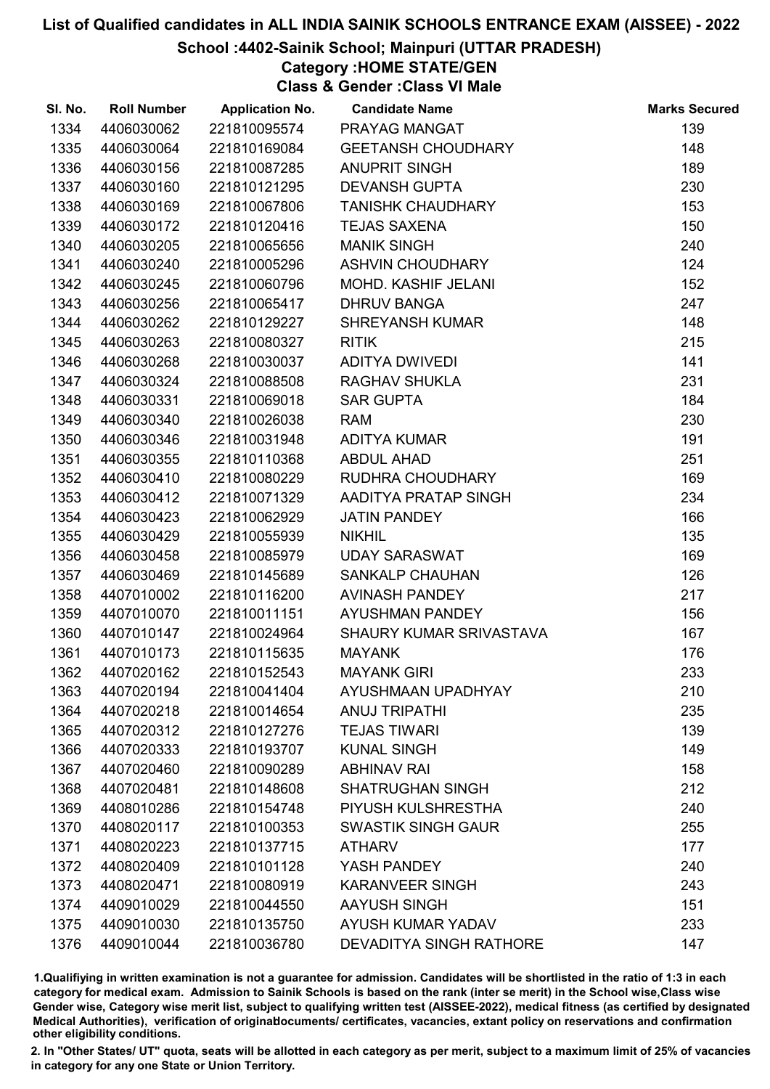## School :4402-Sainik School; Mainpuri (UTTAR PRADESH)

Category :HOME STATE/GEN

Class & Gender :Class VI Male

| SI. No. | <b>Roll Number</b> | <b>Application No.</b> | <b>Candidate Name</b>          | <b>Marks Secured</b> |
|---------|--------------------|------------------------|--------------------------------|----------------------|
| 1334    | 4406030062         | 221810095574           | PRAYAG MANGAT                  | 139                  |
| 1335    | 4406030064         | 221810169084           | <b>GEETANSH CHOUDHARY</b>      | 148                  |
| 1336    | 4406030156         | 221810087285           | <b>ANUPRIT SINGH</b>           | 189                  |
| 1337    | 4406030160         | 221810121295           | <b>DEVANSH GUPTA</b>           | 230                  |
| 1338    | 4406030169         | 221810067806           | <b>TANISHK CHAUDHARY</b>       | 153                  |
| 1339    | 4406030172         | 221810120416           | <b>TEJAS SAXENA</b>            | 150                  |
| 1340    | 4406030205         | 221810065656           | <b>MANIK SINGH</b>             | 240                  |
| 1341    | 4406030240         | 221810005296           | ASHVIN CHOUDHARY               | 124                  |
| 1342    | 4406030245         | 221810060796           | MOHD. KASHIF JELANI            | 152                  |
| 1343    | 4406030256         | 221810065417           | <b>DHRUV BANGA</b>             | 247                  |
| 1344    | 4406030262         | 221810129227           | <b>SHREYANSH KUMAR</b>         | 148                  |
| 1345    | 4406030263         | 221810080327           | <b>RITIK</b>                   | 215                  |
| 1346    | 4406030268         | 221810030037           | ADITYA DWIVEDI                 | 141                  |
| 1347    | 4406030324         | 221810088508           | RAGHAV SHUKLA                  | 231                  |
| 1348    | 4406030331         | 221810069018           | <b>SAR GUPTA</b>               | 184                  |
| 1349    | 4406030340         | 221810026038           | <b>RAM</b>                     | 230                  |
| 1350    | 4406030346         | 221810031948           | <b>ADITYA KUMAR</b>            | 191                  |
| 1351    | 4406030355         | 221810110368           | <b>ABDUL AHAD</b>              | 251                  |
| 1352    | 4406030410         | 221810080229           | RUDHRA CHOUDHARY               | 169                  |
| 1353    | 4406030412         | 221810071329           | AADITYA PRATAP SINGH           | 234                  |
| 1354    | 4406030423         | 221810062929           | <b>JATIN PANDEY</b>            | 166                  |
| 1355    | 4406030429         | 221810055939           | <b>NIKHIL</b>                  | 135                  |
| 1356    | 4406030458         | 221810085979           | <b>UDAY SARASWAT</b>           | 169                  |
| 1357    | 4406030469         | 221810145689           | <b>SANKALP CHAUHAN</b>         | 126                  |
| 1358    | 4407010002         | 221810116200           | <b>AVINASH PANDEY</b>          | 217                  |
| 1359    | 4407010070         | 221810011151           | <b>AYUSHMAN PANDEY</b>         | 156                  |
| 1360    | 4407010147         | 221810024964           | SHAURY KUMAR SRIVASTAVA        | 167                  |
| 1361    | 4407010173         | 221810115635           | <b>MAYANK</b>                  | 176                  |
| 1362    | 4407020162         | 221810152543           | <b>MAYANK GIRI</b>             | 233                  |
| 1363    | 4407020194         | 221810041404           | AYUSHMAAN UPADHYAY             | 210                  |
| 1364    | 4407020218         | 221810014654           | <b>ANUJ TRIPATHI</b>           | 235                  |
| 1365    | 4407020312         | 221810127276           | <b>TEJAS TIWARI</b>            | 139                  |
| 1366    | 4407020333         | 221810193707           | <b>KUNAL SINGH</b>             | 149                  |
| 1367    | 4407020460         | 221810090289           | <b>ABHINAV RAI</b>             | 158                  |
| 1368    | 4407020481         | 221810148608           | <b>SHATRUGHAN SINGH</b>        | 212                  |
| 1369    | 4408010286         | 221810154748           | PIYUSH KULSHRESTHA             | 240                  |
| 1370    | 4408020117         | 221810100353           | <b>SWASTIK SINGH GAUR</b>      | 255                  |
| 1371    | 4408020223         | 221810137715           | <b>ATHARV</b>                  | 177                  |
| 1372    | 4408020409         | 221810101128           | YASH PANDEY                    | 240                  |
| 1373    | 4408020471         | 221810080919           | <b>KARANVEER SINGH</b>         | 243                  |
| 1374    | 4409010029         | 221810044550           | <b>AAYUSH SINGH</b>            | 151                  |
| 1375    | 4409010030         | 221810135750           | <b>AYUSH KUMAR YADAV</b>       | 233                  |
| 1376    | 4409010044         | 221810036780           | <b>DEVADITYA SINGH RATHORE</b> | 147                  |

1.Qualifiying in written examination is not a guarantee for admission. Candidates will be shortlisted in the ratio of 1:3 in each category for medical exam. Admission to Sainik Schools is based on the rank (inter se merit) in the School wise,Class wise Gender wise, Category wise merit list, subject to qualifying written test (AISSEE-2022), medical fitness (as certified by designated Medical Authorities), verification of originablocuments/ certificates, vacancies, extant policy on reservations and confirmation other eligibility conditions.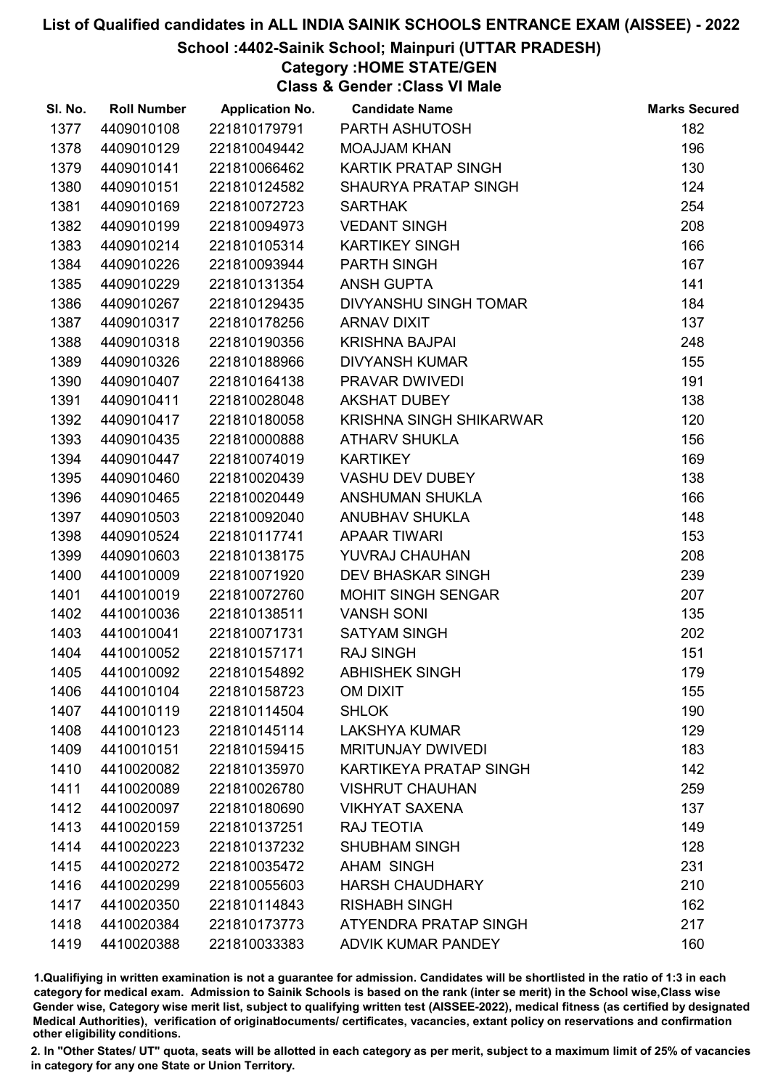## School :4402-Sainik School; Mainpuri (UTTAR PRADESH)

Category :HOME STATE/GEN

Class & Gender :Class VI Male

| SI. No. | <b>Roll Number</b> | <b>Application No.</b> | <b>Candidate Name</b>         | <b>Marks Secured</b> |
|---------|--------------------|------------------------|-------------------------------|----------------------|
| 1377    | 4409010108         | 221810179791           | PARTH ASHUTOSH                | 182                  |
| 1378    | 4409010129         | 221810049442           | <b>MOAJJAM KHAN</b>           | 196                  |
| 1379    | 4409010141         | 221810066462           | KARTIK PRATAP SINGH           | 130                  |
| 1380    | 4409010151         | 221810124582           | SHAURYA PRATAP SINGH          | 124                  |
| 1381    | 4409010169         | 221810072723           | <b>SARTHAK</b>                | 254                  |
| 1382    | 4409010199         | 221810094973           | <b>VEDANT SINGH</b>           | 208                  |
| 1383    | 4409010214         | 221810105314           | <b>KARTIKEY SINGH</b>         | 166                  |
| 1384    | 4409010226         | 221810093944           | <b>PARTH SINGH</b>            | 167                  |
| 1385    | 4409010229         | 221810131354           | <b>ANSH GUPTA</b>             | 141                  |
| 1386    | 4409010267         | 221810129435           | <b>DIVYANSHU SINGH TOMAR</b>  | 184                  |
| 1387    | 4409010317         | 221810178256           | <b>ARNAV DIXIT</b>            | 137                  |
| 1388    | 4409010318         | 221810190356           | <b>KRISHNA BAJPAI</b>         | 248                  |
| 1389    | 4409010326         | 221810188966           | <b>DIVYANSH KUMAR</b>         | 155                  |
| 1390    | 4409010407         | 221810164138           | PRAVAR DWIVEDI                | 191                  |
| 1391    | 4409010411         | 221810028048           | <b>AKSHAT DUBEY</b>           | 138                  |
| 1392    | 4409010417         | 221810180058           | KRISHNA SINGH SHIKARWAR       | 120                  |
| 1393    | 4409010435         | 221810000888           | <b>ATHARV SHUKLA</b>          | 156                  |
| 1394    | 4409010447         | 221810074019           | <b>KARTIKEY</b>               | 169                  |
| 1395    | 4409010460         | 221810020439           | VASHU DEV DUBEY               | 138                  |
| 1396    | 4409010465         | 221810020449           | ANSHUMAN SHUKLA               | 166                  |
| 1397    | 4409010503         | 221810092040           | <b>ANUBHAV SHUKLA</b>         | 148                  |
| 1398    | 4409010524         | 221810117741           | <b>APAAR TIWARI</b>           | 153                  |
| 1399    | 4409010603         | 221810138175           | YUVRAJ CHAUHAN                | 208                  |
| 1400    | 4410010009         | 221810071920           | <b>DEV BHASKAR SINGH</b>      | 239                  |
| 1401    | 4410010019         | 221810072760           | <b>MOHIT SINGH SENGAR</b>     | 207                  |
| 1402    | 4410010036         | 221810138511           | <b>VANSH SONI</b>             | 135                  |
| 1403    | 4410010041         | 221810071731           | <b>SATYAM SINGH</b>           | 202                  |
| 1404    | 4410010052         | 221810157171           | <b>RAJ SINGH</b>              | 151                  |
| 1405    | 4410010092         | 221810154892           | <b>ABHISHEK SINGH</b>         | 179                  |
| 1406    | 4410010104         | 221810158723           | <b>OM DIXIT</b>               | 155                  |
| 1407    | 4410010119         | 221810114504           | <b>SHLOK</b>                  | 190                  |
| 1408    | 4410010123         | 221810145114           | <b>LAKSHYA KUMAR</b>          | 129                  |
| 1409    | 4410010151         | 221810159415           | <b>MRITUNJAY DWIVEDI</b>      | 183                  |
| 1410    | 4410020082         | 221810135970           | <b>KARTIKEYA PRATAP SINGH</b> | 142                  |
| 1411    | 4410020089         | 221810026780           | <b>VISHRUT CHAUHAN</b>        | 259                  |
| 1412    | 4410020097         | 221810180690           | <b>VIKHYAT SAXENA</b>         | 137                  |
| 1413    | 4410020159         | 221810137251           | <b>RAJ TEOTIA</b>             | 149                  |
| 1414    | 4410020223         | 221810137232           | <b>SHUBHAM SINGH</b>          | 128                  |
| 1415    | 4410020272         | 221810035472           | <b>AHAM SINGH</b>             | 231                  |
| 1416    | 4410020299         | 221810055603           | <b>HARSH CHAUDHARY</b>        | 210                  |
| 1417    | 4410020350         | 221810114843           | <b>RISHABH SINGH</b>          | 162                  |
| 1418    | 4410020384         | 221810173773           | ATYENDRA PRATAP SINGH         | 217                  |
| 1419    | 4410020388         | 221810033383           | <b>ADVIK KUMAR PANDEY</b>     | 160                  |

1.Qualifiying in written examination is not a guarantee for admission. Candidates will be shortlisted in the ratio of 1:3 in each category for medical exam. Admission to Sainik Schools is based on the rank (inter se merit) in the School wise,Class wise Gender wise, Category wise merit list, subject to qualifying written test (AISSEE-2022), medical fitness (as certified by designated Medical Authorities), verification of originablocuments/ certificates, vacancies, extant policy on reservations and confirmation other eligibility conditions.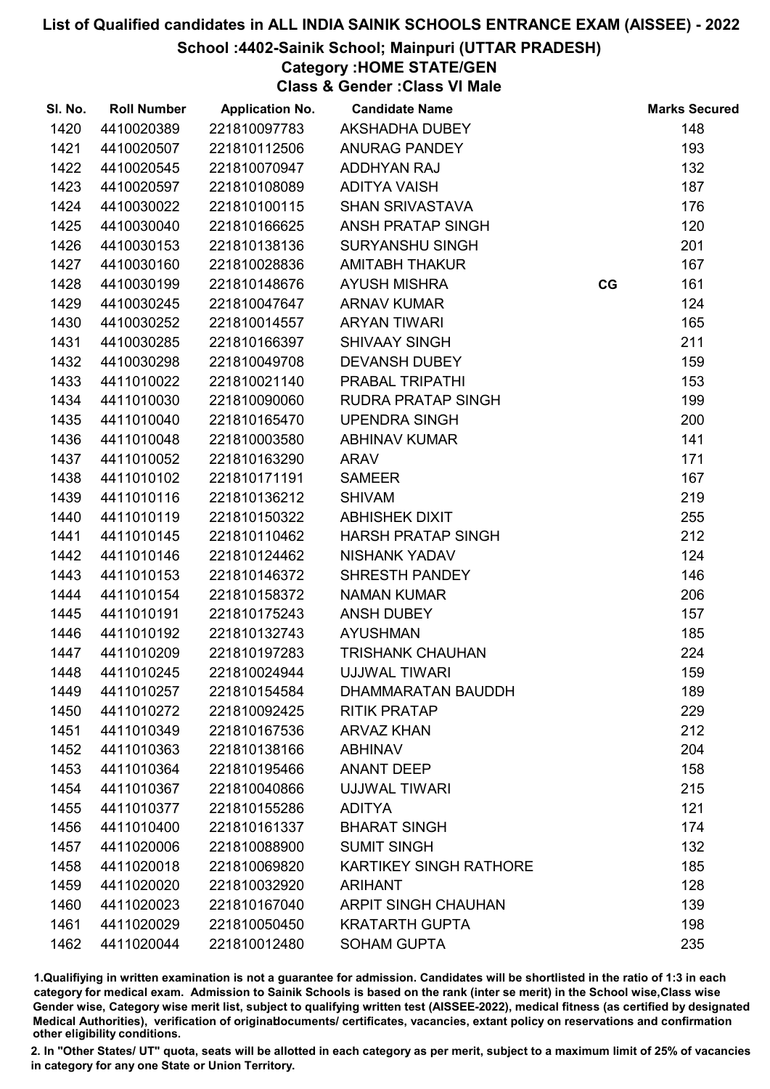## School :4402-Sainik School; Mainpuri (UTTAR PRADESH)

Category :HOME STATE/GEN

Class & Gender :Class VI Male

| SI. No. | <b>Roll Number</b> | <b>Application No.</b> | <b>Candidate Name</b>         |    | <b>Marks Secured</b> |
|---------|--------------------|------------------------|-------------------------------|----|----------------------|
| 1420    | 4410020389         | 221810097783           | AKSHADHA DUBEY                |    | 148                  |
| 1421    | 4410020507         | 221810112506           | <b>ANURAG PANDEY</b>          |    | 193                  |
| 1422    | 4410020545         | 221810070947           | ADDHYAN RAJ                   |    | 132                  |
| 1423    | 4410020597         | 221810108089           | <b>ADITYA VAISH</b>           |    | 187                  |
| 1424    | 4410030022         | 221810100115           | <b>SHAN SRIVASTAVA</b>        |    | 176                  |
| 1425    | 4410030040         | 221810166625           | ANSH PRATAP SINGH             |    | 120                  |
| 1426    | 4410030153         | 221810138136           | <b>SURYANSHU SINGH</b>        |    | 201                  |
| 1427    | 4410030160         | 221810028836           | <b>AMITABH THAKUR</b>         |    | 167                  |
| 1428    | 4410030199         | 221810148676           | <b>AYUSH MISHRA</b>           | CG | 161                  |
| 1429    | 4410030245         | 221810047647           | <b>ARNAV KUMAR</b>            |    | 124                  |
| 1430    | 4410030252         | 221810014557           | <b>ARYAN TIWARI</b>           |    | 165                  |
| 1431    | 4410030285         | 221810166397           | <b>SHIVAAY SINGH</b>          |    | 211                  |
| 1432    | 4410030298         | 221810049708           | <b>DEVANSH DUBEY</b>          |    | 159                  |
| 1433    | 4411010022         | 221810021140           | PRABAL TRIPATHI               |    | 153                  |
| 1434    | 4411010030         | 221810090060           | <b>RUDRA PRATAP SINGH</b>     |    | 199                  |
| 1435    | 4411010040         | 221810165470           | <b>UPENDRA SINGH</b>          |    | 200                  |
| 1436    | 4411010048         | 221810003580           | <b>ABHINAV KUMAR</b>          |    | 141                  |
| 1437    | 4411010052         | 221810163290           | <b>ARAV</b>                   |    | 171                  |
| 1438    | 4411010102         | 221810171191           | <b>SAMEER</b>                 |    | 167                  |
| 1439    | 4411010116         | 221810136212           | <b>SHIVAM</b>                 |    | 219                  |
| 1440    | 4411010119         | 221810150322           | <b>ABHISHEK DIXIT</b>         |    | 255                  |
| 1441    | 4411010145         | 221810110462           | <b>HARSH PRATAP SINGH</b>     |    | 212                  |
| 1442    | 4411010146         | 221810124462           | <b>NISHANK YADAV</b>          |    | 124                  |
| 1443    | 4411010153         | 221810146372           | SHRESTH PANDEY                |    | 146                  |
| 1444    | 4411010154         | 221810158372           | <b>NAMAN KUMAR</b>            |    | 206                  |
| 1445    | 4411010191         | 221810175243           | <b>ANSH DUBEY</b>             |    | 157                  |
| 1446    | 4411010192         | 221810132743           | <b>AYUSHMAN</b>               |    | 185                  |
| 1447    | 4411010209         | 221810197283           | <b>TRISHANK CHAUHAN</b>       |    | 224                  |
| 1448    | 4411010245         | 221810024944           | <b>UJJWAL TIWARI</b>          |    | 159                  |
| 1449    | 4411010257         | 221810154584           | DHAMMARATAN BAUDDH            |    | 189                  |
| 1450    | 4411010272         | 221810092425           | <b>RITIK PRATAP</b>           |    | 229                  |
| 1451    | 4411010349         | 221810167536           | <b>ARVAZ KHAN</b>             |    | 212                  |
| 1452    | 4411010363         | 221810138166           | <b>ABHINAV</b>                |    | 204                  |
| 1453    | 4411010364         | 221810195466           | <b>ANANT DEEP</b>             |    | 158                  |
| 1454    | 4411010367         | 221810040866           | <b>UJJWAL TIWARI</b>          |    | 215                  |
| 1455    | 4411010377         | 221810155286           | <b>ADITYA</b>                 |    | 121                  |
| 1456    | 4411010400         | 221810161337           | <b>BHARAT SINGH</b>           |    | 174                  |
| 1457    | 4411020006         | 221810088900           | <b>SUMIT SINGH</b>            |    | 132                  |
| 1458    | 4411020018         | 221810069820           | <b>KARTIKEY SINGH RATHORE</b> |    | 185                  |
| 1459    | 4411020020         | 221810032920           | <b>ARIHANT</b>                |    | 128                  |
| 1460    | 4411020023         | 221810167040           | <b>ARPIT SINGH CHAUHAN</b>    |    | 139                  |
| 1461    | 4411020029         | 221810050450           | <b>KRATARTH GUPTA</b>         |    | 198                  |
| 1462    | 4411020044         | 221810012480           | <b>SOHAM GUPTA</b>            |    | 235                  |
|         |                    |                        |                               |    |                      |

1.Qualifiying in written examination is not a guarantee for admission. Candidates will be shortlisted in the ratio of 1:3 in each category for medical exam. Admission to Sainik Schools is based on the rank (inter se merit) in the School wise,Class wise Gender wise, Category wise merit list, subject to qualifying written test (AISSEE-2022), medical fitness (as certified by designated Medical Authorities), verification of originablocuments/ certificates, vacancies, extant policy on reservations and confirmation other eligibility conditions.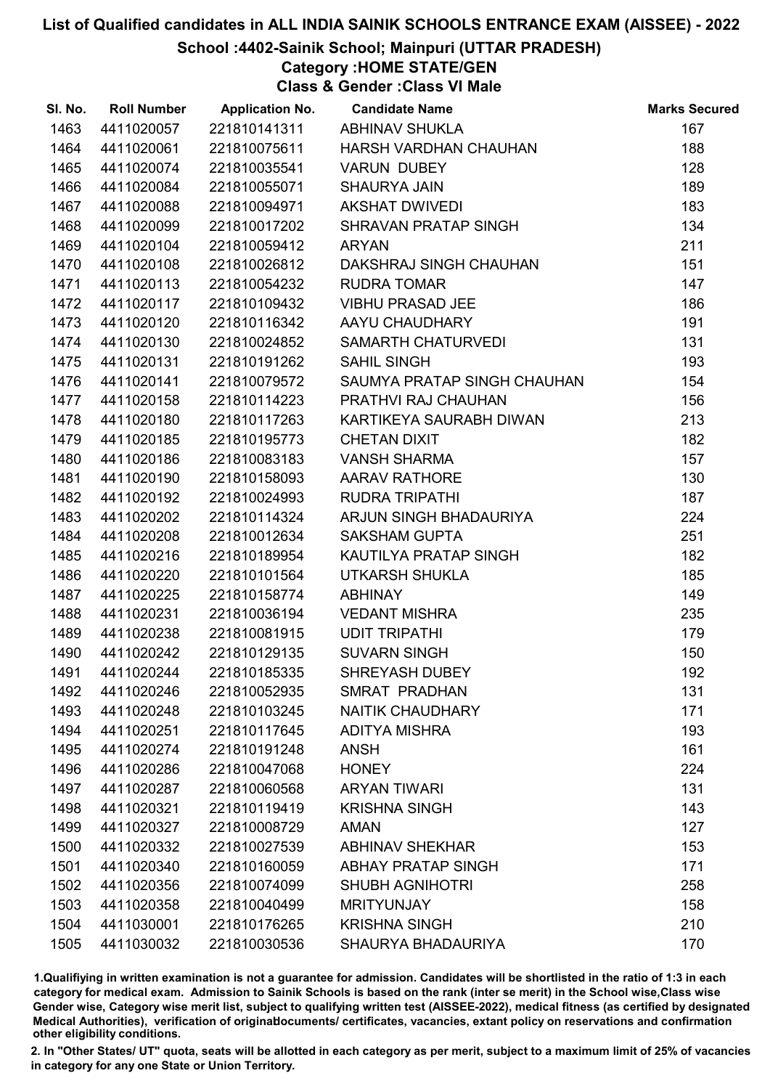## School :4402-Sainik School; Mainpuri (UTTAR PRADESH)

Category :HOME STATE/GEN

Class & Gender :Class VI Male

| SI. No. | <b>Roll Number</b> | <b>Application No.</b> | <b>Candidate Name</b>       | <b>Marks Secured</b> |
|---------|--------------------|------------------------|-----------------------------|----------------------|
| 1463    | 4411020057         | 221810141311           | ABHINAV SHUKLA              | 167                  |
| 1464    | 4411020061         | 221810075611           | HARSH VARDHAN CHAUHAN       | 188                  |
| 1465    | 4411020074         | 221810035541           | <b>VARUN DUBEY</b>          | 128                  |
| 1466    | 4411020084         | 221810055071           | <b>SHAURYA JAIN</b>         | 189                  |
| 1467    | 4411020088         | 221810094971           | <b>AKSHAT DWIVEDI</b>       | 183                  |
| 1468    | 4411020099         | 221810017202           | SHRAVAN PRATAP SINGH        | 134                  |
| 1469    | 4411020104         | 221810059412           | <b>ARYAN</b>                | 211                  |
| 1470    | 4411020108         | 221810026812           | DAKSHRAJ SINGH CHAUHAN      | 151                  |
| 1471    | 4411020113         | 221810054232           | <b>RUDRA TOMAR</b>          | 147                  |
| 1472    | 4411020117         | 221810109432           | <b>VIBHU PRASAD JEE</b>     | 186                  |
| 1473    | 4411020120         | 221810116342           | AAYU CHAUDHARY              | 191                  |
| 1474    | 4411020130         | 221810024852           | SAMARTH CHATURVEDI          | 131                  |
| 1475    | 4411020131         | 221810191262           | <b>SAHIL SINGH</b>          | 193                  |
| 1476    | 4411020141         | 221810079572           | SAUMYA PRATAP SINGH CHAUHAN | 154                  |
| 1477    | 4411020158         | 221810114223           | PRATHVI RAJ CHAUHAN         | 156                  |
| 1478    | 4411020180         | 221810117263           | KARTIKEYA SAURABH DIWAN     | 213                  |
| 1479    | 4411020185         | 221810195773           | <b>CHETAN DIXIT</b>         | 182                  |
| 1480    | 4411020186         | 221810083183           | <b>VANSH SHARMA</b>         | 157                  |
| 1481    | 4411020190         | 221810158093           | <b>AARAV RATHORE</b>        | 130                  |
| 1482    | 4411020192         | 221810024993           | <b>RUDRA TRIPATHI</b>       | 187                  |
| 1483    | 4411020202         | 221810114324           | ARJUN SINGH BHADAURIYA      | 224                  |
| 1484    | 4411020208         | 221810012634           | <b>SAKSHAM GUPTA</b>        | 251                  |
| 1485    | 4411020216         | 221810189954           | KAUTILYA PRATAP SINGH       | 182                  |
| 1486    | 4411020220         | 221810101564           | UTKARSH SHUKLA              | 185                  |
| 1487    | 4411020225         | 221810158774           | <b>ABHINAY</b>              | 149                  |
| 1488    | 4411020231         | 221810036194           | <b>VEDANT MISHRA</b>        | 235                  |
| 1489    | 4411020238         | 221810081915           | <b>UDIT TRIPATHI</b>        | 179                  |
| 1490    | 4411020242         | 221810129135           | <b>SUVARN SINGH</b>         | 150                  |
| 1491    | 4411020244         | 221810185335           | <b>SHREYASH DUBEY</b>       | 192                  |
| 1492    | 4411020246         | 221810052935           | SMRAT PRADHAN               | 131                  |
| 1493    | 4411020248         | 221810103245           | <b>NAITIK CHAUDHARY</b>     | 171                  |
| 1494    | 4411020251         | 221810117645           | <b>ADITYA MISHRA</b>        | 193                  |
| 1495    | 4411020274         | 221810191248           | <b>ANSH</b>                 | 161                  |
| 1496    | 4411020286         | 221810047068           | <b>HONEY</b>                | 224                  |
| 1497    | 4411020287         | 221810060568           | <b>ARYAN TIWARI</b>         | 131                  |
| 1498    | 4411020321         | 221810119419           | <b>KRISHNA SINGH</b>        | 143                  |
| 1499    | 4411020327         | 221810008729           | <b>AMAN</b>                 | 127                  |
| 1500    | 4411020332         | 221810027539           | <b>ABHINAV SHEKHAR</b>      | 153                  |
| 1501    | 4411020340         | 221810160059           | <b>ABHAY PRATAP SINGH</b>   | 171                  |
| 1502    | 4411020356         | 221810074099           | <b>SHUBH AGNIHOTRI</b>      | 258                  |
| 1503    | 4411020358         | 221810040499           | <b>MRITYUNJAY</b>           | 158                  |
| 1504    | 4411030001         | 221810176265           | <b>KRISHNA SINGH</b>        | 210                  |
| 1505    | 4411030032         | 221810030536           | SHAURYA BHADAURIYA          | 170                  |

1.Qualifiying in written examination is not a guarantee for admission. Candidates will be shortlisted in the ratio of 1:3 in each category for medical exam. Admission to Sainik Schools is based on the rank (inter se merit) in the School wise,Class wise Gender wise, Category wise merit list, subject to qualifying written test (AISSEE-2022), medical fitness (as certified by designated Medical Authorities), verification of originablocuments/ certificates, vacancies, extant policy on reservations and confirmation other eligibility conditions.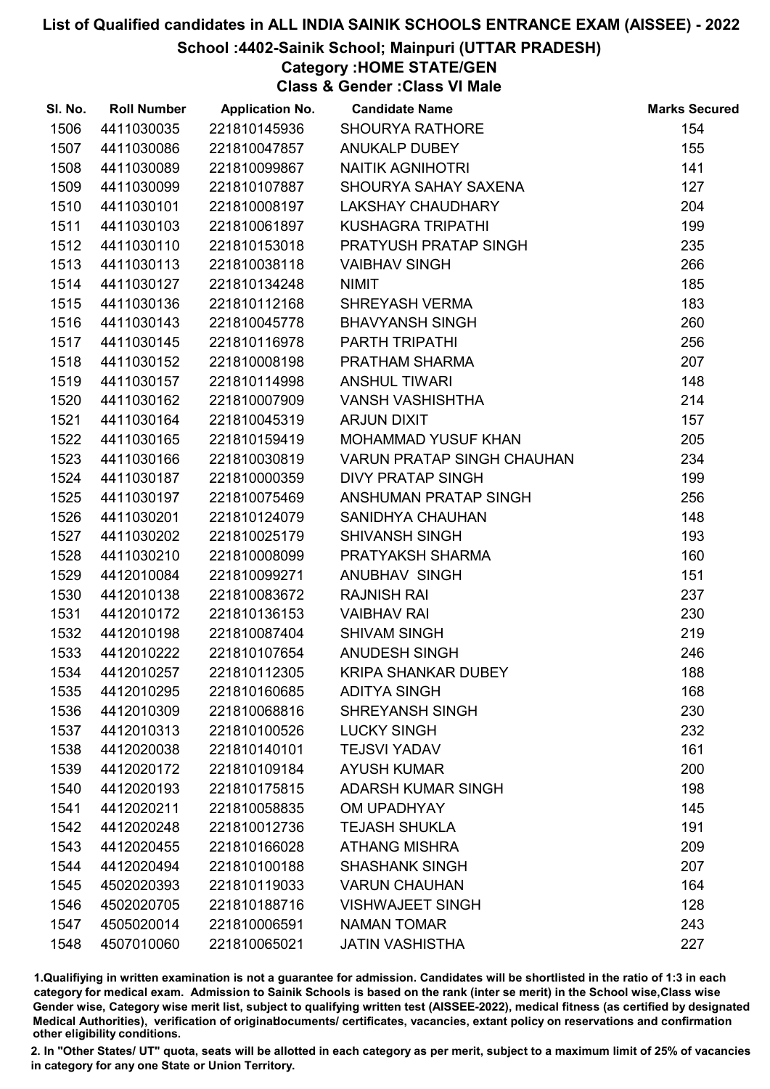## School :4402-Sainik School; Mainpuri (UTTAR PRADESH)

Category :HOME STATE/GEN

Class & Gender :Class VI Male

| SI. No. | <b>Roll Number</b> | <b>Application No.</b> | <b>Candidate Name</b>             | <b>Marks Secured</b> |
|---------|--------------------|------------------------|-----------------------------------|----------------------|
| 1506    | 4411030035         | 221810145936           | <b>SHOURYA RATHORE</b>            | 154                  |
| 1507    | 4411030086         | 221810047857           | <b>ANUKALP DUBEY</b>              | 155                  |
| 1508    | 4411030089         | 221810099867           | <b>NAITIK AGNIHOTRI</b>           | 141                  |
| 1509    | 4411030099         | 221810107887           | SHOURYA SAHAY SAXENA              | 127                  |
| 1510    | 4411030101         | 221810008197           | <b>LAKSHAY CHAUDHARY</b>          | 204                  |
| 1511    | 4411030103         | 221810061897           | <b>KUSHAGRA TRIPATHI</b>          | 199                  |
| 1512    | 4411030110         | 221810153018           | PRATYUSH PRATAP SINGH             | 235                  |
| 1513    | 4411030113         | 221810038118           | <b>VAIBHAV SINGH</b>              | 266                  |
| 1514    | 4411030127         | 221810134248           | <b>NIMIT</b>                      | 185                  |
| 1515    | 4411030136         | 221810112168           | <b>SHREYASH VERMA</b>             | 183                  |
| 1516    | 4411030143         | 221810045778           | <b>BHAVYANSH SINGH</b>            | 260                  |
| 1517    | 4411030145         | 221810116978           | PARTH TRIPATHI                    | 256                  |
| 1518    | 4411030152         | 221810008198           | PRATHAM SHARMA                    | 207                  |
| 1519    | 4411030157         | 221810114998           | <b>ANSHUL TIWARI</b>              | 148                  |
| 1520    | 4411030162         | 221810007909           | <b>VANSH VASHISHTHA</b>           | 214                  |
| 1521    | 4411030164         | 221810045319           | <b>ARJUN DIXIT</b>                | 157                  |
| 1522    | 4411030165         | 221810159419           | <b>MOHAMMAD YUSUF KHAN</b>        | 205                  |
| 1523    | 4411030166         | 221810030819           | <b>VARUN PRATAP SINGH CHAUHAN</b> | 234                  |
| 1524    | 4411030187         | 221810000359           | <b>DIVY PRATAP SINGH</b>          | 199                  |
| 1525    | 4411030197         | 221810075469           | ANSHUMAN PRATAP SINGH             | 256                  |
| 1526    | 4411030201         | 221810124079           | SANIDHYA CHAUHAN                  | 148                  |
| 1527    | 4411030202         | 221810025179           | <b>SHIVANSH SINGH</b>             | 193                  |
| 1528    | 4411030210         | 221810008099           | PRATYAKSH SHARMA                  | 160                  |
| 1529    | 4412010084         | 221810099271           | ANUBHAV SINGH                     | 151                  |
| 1530    | 4412010138         | 221810083672           | <b>RAJNISH RAI</b>                | 237                  |
| 1531    | 4412010172         | 221810136153           | <b>VAIBHAV RAI</b>                | 230                  |
| 1532    | 4412010198         | 221810087404           | <b>SHIVAM SINGH</b>               | 219                  |
| 1533    | 4412010222         | 221810107654           | ANUDESH SINGH                     | 246                  |
| 1534    | 4412010257         | 221810112305           | <b>KRIPA SHANKAR DUBEY</b>        | 188                  |
| 1535    | 4412010295         | 221810160685           | <b>ADITYA SINGH</b>               | 168                  |
| 1536    | 4412010309         | 221810068816           | <b>SHREYANSH SINGH</b>            | 230                  |
| 1537    | 4412010313         | 221810100526           | <b>LUCKY SINGH</b>                | 232                  |
| 1538    | 4412020038         | 221810140101           | <b>TEJSVI YADAV</b>               | 161                  |
| 1539    | 4412020172         | 221810109184           | <b>AYUSH KUMAR</b>                | 200                  |
| 1540    | 4412020193         | 221810175815           | <b>ADARSH KUMAR SINGH</b>         | 198                  |
| 1541    | 4412020211         | 221810058835           | OM UPADHYAY                       | 145                  |
| 1542    | 4412020248         | 221810012736           | <b>TEJASH SHUKLA</b>              | 191                  |
| 1543    | 4412020455         | 221810166028           | <b>ATHANG MISHRA</b>              | 209                  |
| 1544    | 4412020494         | 221810100188           | <b>SHASHANK SINGH</b>             | 207                  |
| 1545    | 4502020393         | 221810119033           | <b>VARUN CHAUHAN</b>              | 164                  |
| 1546    | 4502020705         | 221810188716           | <b>VISHWAJEET SINGH</b>           | 128                  |
| 1547    | 4505020014         | 221810006591           | <b>NAMAN TOMAR</b>                | 243                  |
| 1548    | 4507010060         | 221810065021           | <b>JATIN VASHISTHA</b>            | 227                  |

1.Qualifiying in written examination is not a guarantee for admission. Candidates will be shortlisted in the ratio of 1:3 in each category for medical exam. Admission to Sainik Schools is based on the rank (inter se merit) in the School wise,Class wise Gender wise, Category wise merit list, subject to qualifying written test (AISSEE-2022), medical fitness (as certified by designated Medical Authorities), verification of originablocuments/ certificates, vacancies, extant policy on reservations and confirmation other eligibility conditions.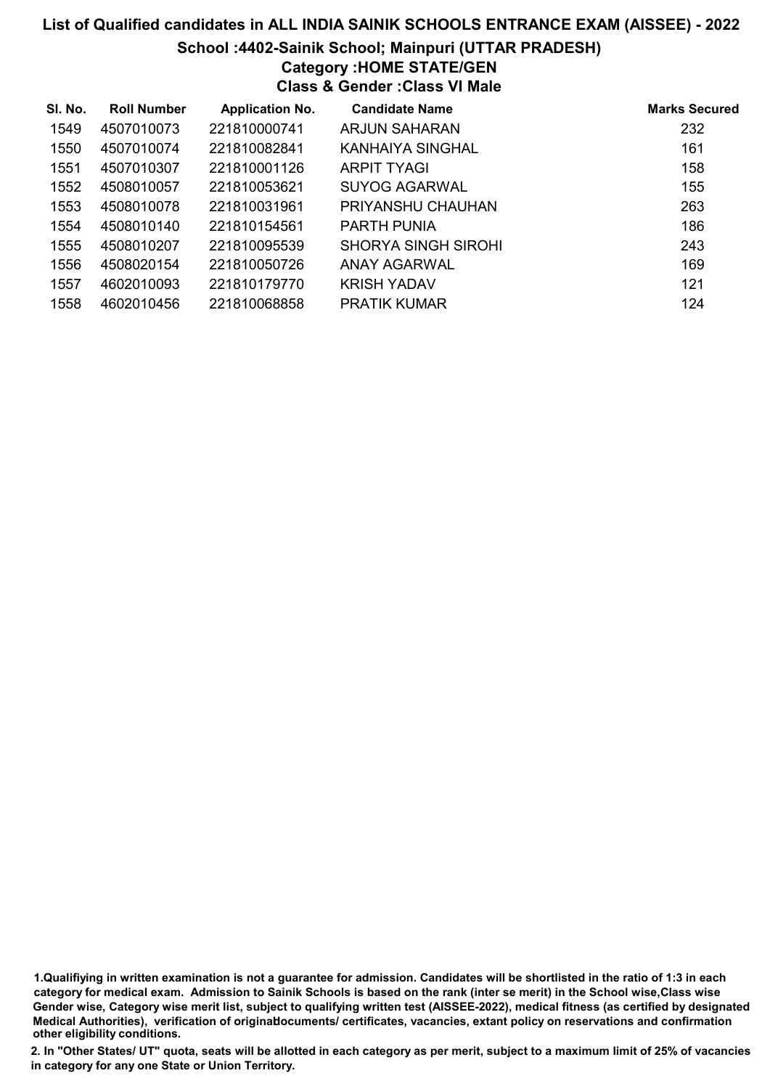# List of Qualified candidates in ALL INDIA SAINIK SCHOOLS ENTRANCE EXAM (AISSEE) - 2022 School :4402-Sainik School; Mainpuri (UTTAR PRADESH) Category :HOME STATE/GEN Class & Gender :Class VI Male

| SI. No. | <b>Roll Number</b> | <b>Application No.</b> | <b>Candidate Name</b>      | <b>Marks Secured</b> |
|---------|--------------------|------------------------|----------------------------|----------------------|
| 1549    | 4507010073         | 221810000741           | ARJUN SAHARAN              | 232                  |
| 1550    | 4507010074         | 221810082841           | KANHAIYA SINGHAL           | 161                  |
| 1551    | 4507010307         | 221810001126           | <b>ARPIT TYAGI</b>         | 158                  |
| 1552    | 4508010057         | 221810053621           | SUYOG AGARWAL              | 155                  |
| 1553    | 4508010078         | 221810031961           | PRIYANSHU CHAUHAN          | 263                  |
| 1554    | 4508010140         | 221810154561           | <b>PARTH PUNIA</b>         | 186                  |
| 1555    | 4508010207         | 221810095539           | <b>SHORYA SINGH SIROHI</b> | 243                  |
| 1556    | 4508020154         | 221810050726           | ANAY AGARWAL               | 169                  |
| 1557    | 4602010093         | 221810179770           | <b>KRISH YADAV</b>         | 121                  |
| 1558    | 4602010456         | 221810068858           | <b>PRATIK KUMAR</b>        | 124                  |

1.Qualifiying in written examination is not a guarantee for admission. Candidates will be shortlisted in the ratio of 1:3 in each category for medical exam. Admission to Sainik Schools is based on the rank (inter se merit) in the School wise,Class wise Gender wise, Category wise merit list, subject to qualifying written test (AISSEE-2022), medical fitness (as certified by designated Medical Authorities), verification of originablocuments/ certificates, vacancies, extant policy on reservations and confirmation other eligibility conditions.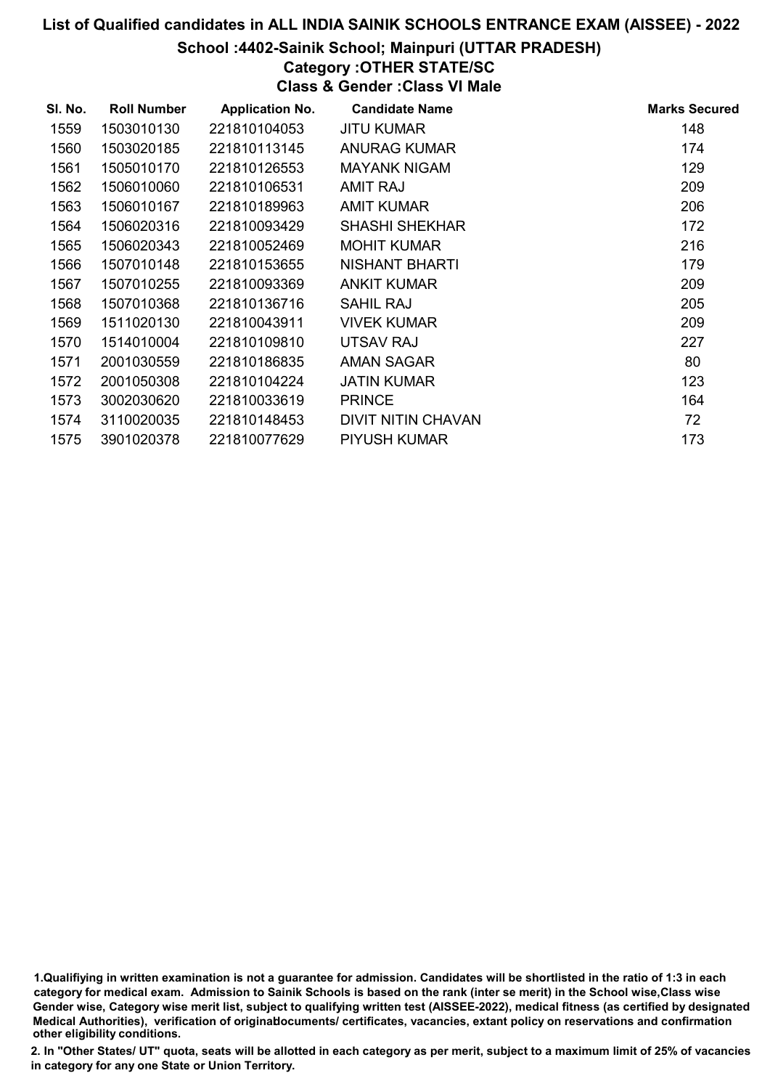School :4402-Sainik School; Mainpuri (UTTAR PRADESH)

# Category :OTHER STATE/SC

Class & Gender :Class VI Male

| SI. No. | <b>Roll Number</b> | <b>Application No.</b> | <b>Candidate Name</b>     | <b>Marks Secured</b> |
|---------|--------------------|------------------------|---------------------------|----------------------|
| 1559    | 1503010130         | 221810104053           | JITU KUMAR                | 148                  |
| 1560    | 1503020185         | 221810113145           | <b>ANURAG KUMAR</b>       | 174                  |
| 1561    | 1505010170         | 221810126553           | <b>MAYANK NIGAM</b>       | 129                  |
| 1562    | 1506010060         | 221810106531           | <b>AMIT RAJ</b>           | 209                  |
| 1563    | 1506010167         | 221810189963           | <b>AMIT KUMAR</b>         | 206                  |
| 1564    | 1506020316         | 221810093429           | <b>SHASHI SHEKHAR</b>     | 172                  |
| 1565    | 1506020343         | 221810052469           | <b>MOHIT KUMAR</b>        | 216                  |
| 1566    | 1507010148         | 221810153655           | NISHANT BHARTI            | 179                  |
| 1567    | 1507010255         | 221810093369           | <b>ANKIT KUMAR</b>        | 209                  |
| 1568    | 1507010368         | 221810136716           | SAHIL RAJ                 | 205                  |
| 1569    | 1511020130         | 221810043911           | <b>VIVEK KUMAR</b>        | 209                  |
| 1570    | 1514010004         | 221810109810           | UTSAV RAJ                 | 227                  |
| 1571    | 2001030559         | 221810186835           | AMAN SAGAR                | 80                   |
| 1572    | 2001050308         | 221810104224           | JATIN KUMAR               | 123                  |
| 1573    | 3002030620         | 221810033619           | <b>PRINCE</b>             | 164                  |
| 1574    | 3110020035         | 221810148453           | <b>DIVIT NITIN CHAVAN</b> | 72                   |
| 1575    | 3901020378         | 221810077629           | <b>PIYUSH KUMAR</b>       | 173                  |

<sup>1.</sup>Qualifiying in written examination is not a guarantee for admission. Candidates will be shortlisted in the ratio of 1:3 in each category for medical exam. Admission to Sainik Schools is based on the rank (inter se merit) in the School wise,Class wise Gender wise, Category wise merit list, subject to qualifying written test (AISSEE-2022), medical fitness (as certified by designated Medical Authorities), verification of originablocuments/ certificates, vacancies, extant policy on reservations and confirmation other eligibility conditions.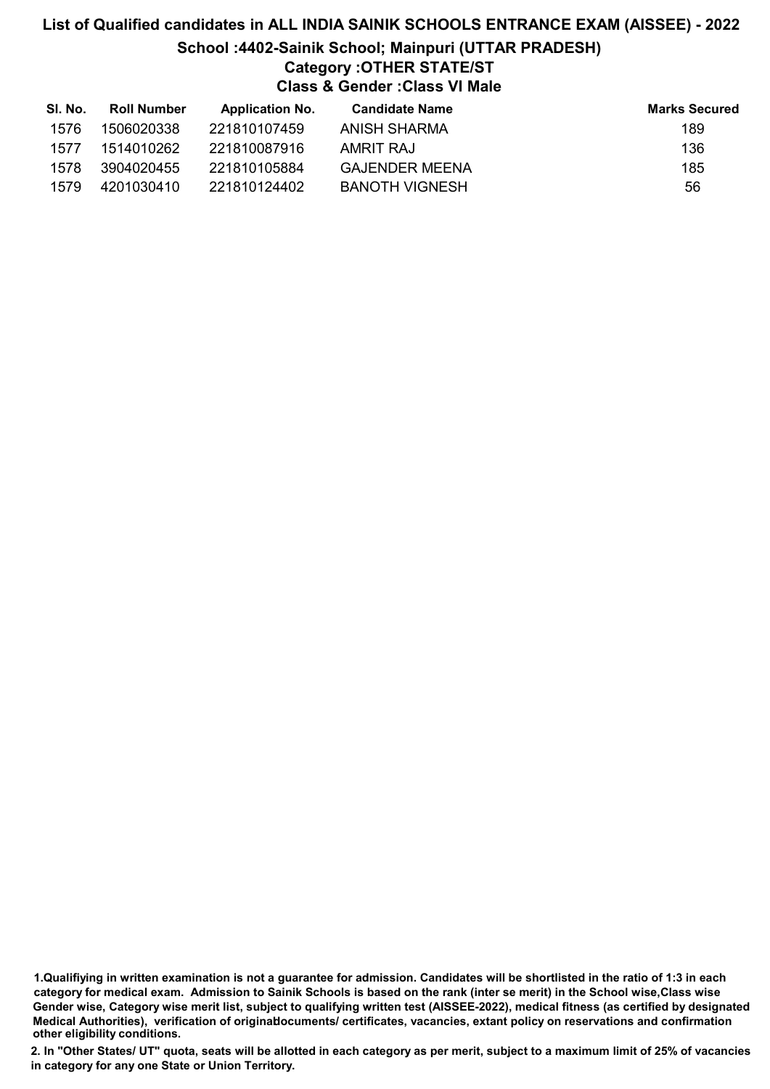# List of Qualified candidates in ALL INDIA SAINIK SCHOOLS ENTRANCE EXAM (AISSEE) - 2022 School :4402-Sainik School; Mainpuri (UTTAR PRADESH) Category :OTHER STATE/ST Class & Gender :Class VI Male

| SI. No. | <b>Roll Number</b> | <b>Application No.</b> | Candidate Name        | <b>Marks Secured</b> |
|---------|--------------------|------------------------|-----------------------|----------------------|
| 1576    | 1506020338         | 221810107459           | ANISH SHARMA          | 189                  |
| 1577    | 1514010262         | 221810087916           | AMRIT RAJ             | 136                  |
| 1578    | 3904020455         | 221810105884           | GAJENDER MEENA        | 185                  |
| 1579    | 4201030410         | 221810124402           | <b>BANOTH VIGNESH</b> | 56                   |

1.Qualifiying in written examination is not a guarantee for admission. Candidates will be shortlisted in the ratio of 1:3 in each category for medical exam. Admission to Sainik Schools is based on the rank (inter se merit) in the School wise,Class wise Gender wise, Category wise merit list, subject to qualifying written test (AISSEE-2022), medical fitness (as certified by designated Medical Authorities), verification of originablocuments/ certificates, vacancies, extant policy on reservations and confirmation other eligibility conditions.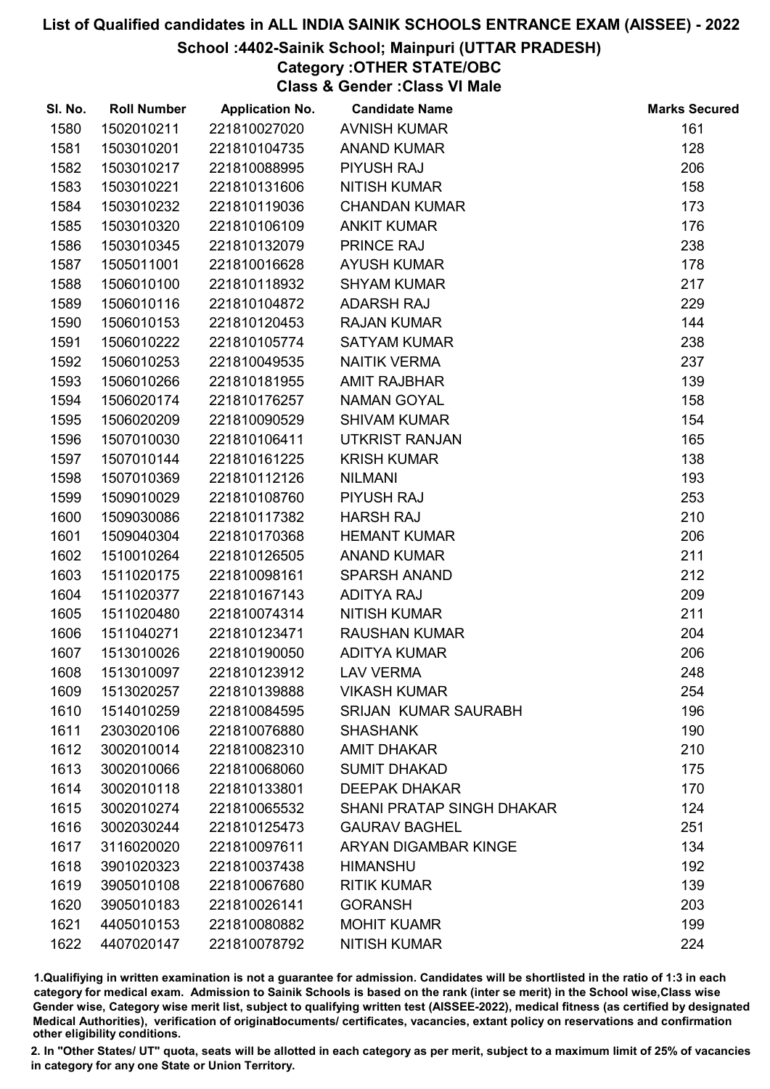#### School :4402-Sainik School; Mainpuri (UTTAR PRADESH)

# Category :OTHER STATE/OBC

Class & Gender :Class VI Male

| SI. No. | <b>Roll Number</b> | <b>Application No.</b> | <b>Candidate Name</b>            | <b>Marks Secured</b> |
|---------|--------------------|------------------------|----------------------------------|----------------------|
| 1580    | 1502010211         | 221810027020           | <b>AVNISH KUMAR</b>              | 161                  |
| 1581    | 1503010201         | 221810104735           | <b>ANAND KUMAR</b>               | 128                  |
| 1582    | 1503010217         | 221810088995           | <b>PIYUSH RAJ</b>                | 206                  |
| 1583    | 1503010221         | 221810131606           | <b>NITISH KUMAR</b>              | 158                  |
| 1584    | 1503010232         | 221810119036           | <b>CHANDAN KUMAR</b>             | 173                  |
| 1585    | 1503010320         | 221810106109           | <b>ANKIT KUMAR</b>               | 176                  |
| 1586    | 1503010345         | 221810132079           | PRINCE RAJ                       | 238                  |
| 1587    | 1505011001         | 221810016628           | <b>AYUSH KUMAR</b>               | 178                  |
| 1588    | 1506010100         | 221810118932           | <b>SHYAM KUMAR</b>               | 217                  |
| 1589    | 1506010116         | 221810104872           | <b>ADARSH RAJ</b>                | 229                  |
| 1590    | 1506010153         | 221810120453           | <b>RAJAN KUMAR</b>               | 144                  |
| 1591    | 1506010222         | 221810105774           | <b>SATYAM KUMAR</b>              | 238                  |
| 1592    | 1506010253         | 221810049535           | <b>NAITIK VERMA</b>              | 237                  |
| 1593    | 1506010266         | 221810181955           | <b>AMIT RAJBHAR</b>              | 139                  |
| 1594    | 1506020174         | 221810176257           | <b>NAMAN GOYAL</b>               | 158                  |
| 1595    | 1506020209         | 221810090529           | <b>SHIVAM KUMAR</b>              | 154                  |
| 1596    | 1507010030         | 221810106411           | <b>UTKRIST RANJAN</b>            | 165                  |
| 1597    | 1507010144         | 221810161225           | <b>KRISH KUMAR</b>               | 138                  |
| 1598    | 1507010369         | 221810112126           | <b>NILMANI</b>                   | 193                  |
| 1599    | 1509010029         | 221810108760           | <b>PIYUSH RAJ</b>                | 253                  |
| 1600    | 1509030086         | 221810117382           | <b>HARSH RAJ</b>                 | 210                  |
| 1601    | 1509040304         | 221810170368           | <b>HEMANT KUMAR</b>              | 206                  |
| 1602    | 1510010264         | 221810126505           | <b>ANAND KUMAR</b>               | 211                  |
| 1603    | 1511020175         | 221810098161           | <b>SPARSH ANAND</b>              | 212                  |
| 1604    | 1511020377         | 221810167143           | <b>ADITYA RAJ</b>                | 209                  |
| 1605    | 1511020480         | 221810074314           | <b>NITISH KUMAR</b>              | 211                  |
| 1606    | 1511040271         | 221810123471           | <b>RAUSHAN KUMAR</b>             | 204                  |
| 1607    | 1513010026         | 221810190050           | <b>ADITYA KUMAR</b>              | 206                  |
| 1608    | 1513010097         | 221810123912           | <b>LAV VERMA</b>                 | 248                  |
| 1609    | 1513020257         | 221810139888           | <b>VIKASH KUMAR</b>              | 254                  |
| 1610    | 1514010259         | 221810084595           | <b>SRIJAN KUMAR SAURABH</b>      | 196                  |
| 1611    | 2303020106         | 221810076880           | <b>SHASHANK</b>                  | 190                  |
| 1612    | 3002010014         | 221810082310           | <b>AMIT DHAKAR</b>               | 210                  |
| 1613    | 3002010066         | 221810068060           | <b>SUMIT DHAKAD</b>              | 175                  |
| 1614    | 3002010118         | 221810133801           | <b>DEEPAK DHAKAR</b>             | 170                  |
| 1615    | 3002010274         | 221810065532           | <b>SHANI PRATAP SINGH DHAKAR</b> | 124                  |
| 1616    | 3002030244         | 221810125473           | <b>GAURAV BAGHEL</b>             | 251                  |
| 1617    | 3116020020         | 221810097611           | <b>ARYAN DIGAMBAR KINGE</b>      | 134                  |
| 1618    | 3901020323         | 221810037438           | <b>HIMANSHU</b>                  | 192                  |
| 1619    | 3905010108         | 221810067680           | <b>RITIK KUMAR</b>               | 139                  |
| 1620    | 3905010183         | 221810026141           | <b>GORANSH</b>                   | 203                  |
| 1621    | 4405010153         | 221810080882           | <b>MOHIT KUAMR</b>               | 199                  |
| 1622    | 4407020147         | 221810078792           | <b>NITISH KUMAR</b>              | 224                  |

1.Qualifiying in written examination is not a guarantee for admission. Candidates will be shortlisted in the ratio of 1:3 in each category for medical exam. Admission to Sainik Schools is based on the rank (inter se merit) in the School wise,Class wise Gender wise, Category wise merit list, subject to qualifying written test (AISSEE-2022), medical fitness (as certified by designated Medical Authorities), verification of originablocuments/ certificates, vacancies, extant policy on reservations and confirmation other eligibility conditions.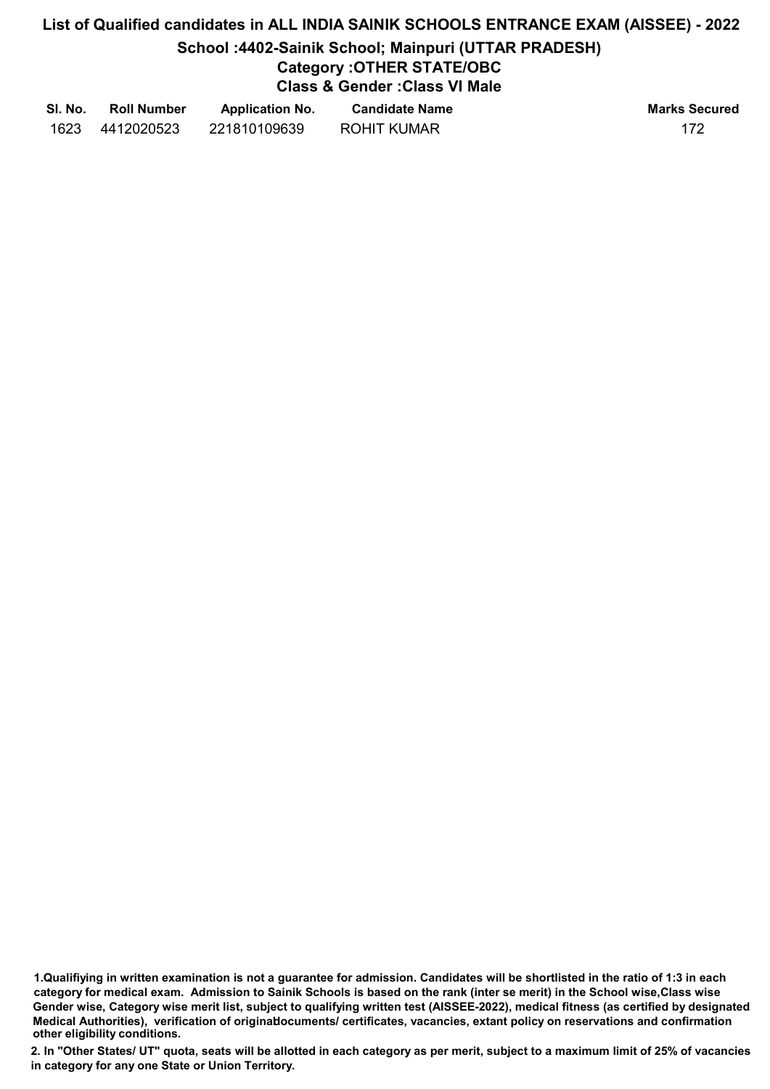# List of Qualified candidates in ALL INDIA SAINIK SCHOOLS ENTRANCE EXAM (AISSEE) - 2022 School :4402-Sainik School; Mainpuri (UTTAR PRADESH) Category :OTHER STATE/OBC Class & Gender :Class VI Male

| SI. No. | <b>Roll Number</b> | <b>Application No.</b> | <b>Candidate Name</b> | <b>Marks Secured</b> |
|---------|--------------------|------------------------|-----------------------|----------------------|
| 1623    | 4412020523         | 221810109639           | <b>ROHIT KUMAR</b>    |                      |

<sup>1.</sup>Qualifiying in written examination is not a guarantee for admission. Candidates will be shortlisted in the ratio of 1:3 in each category for medical exam. Admission to Sainik Schools is based on the rank (inter se merit) in the School wise,Class wise Gender wise, Category wise merit list, subject to qualifying written test (AISSEE-2022), medical fitness (as certified by designated Medical Authorities), verification of originablocuments/ certificates, vacancies, extant policy on reservations and confirmation other eligibility conditions.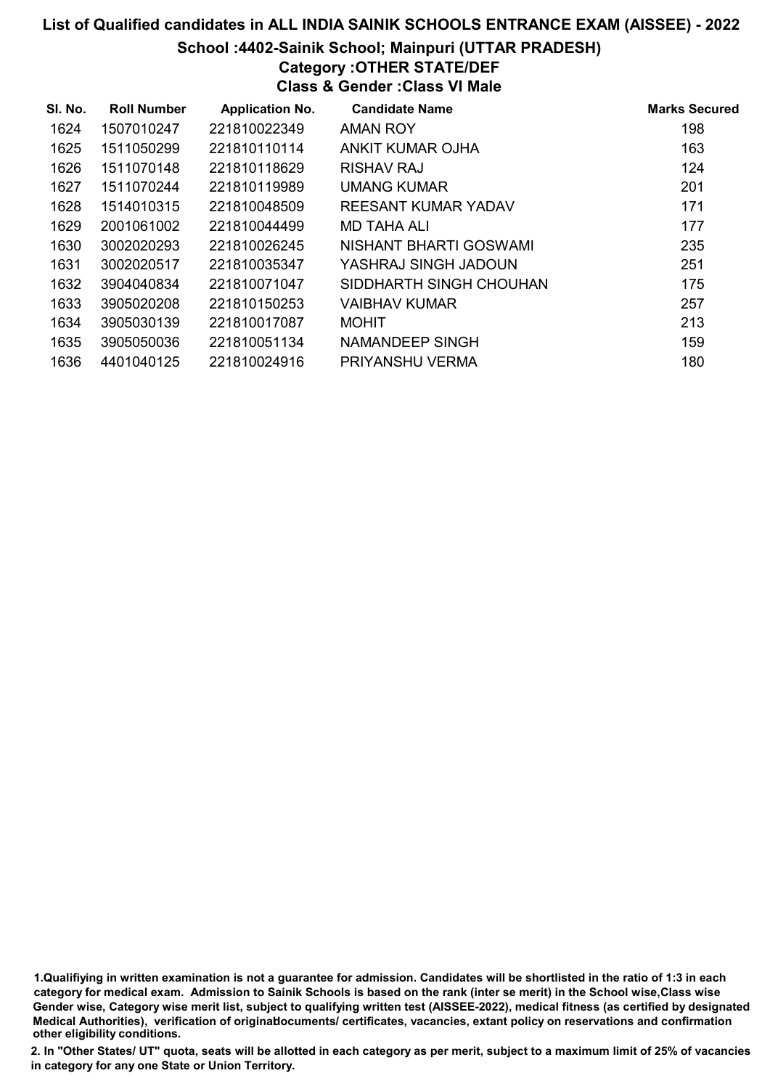School :4402-Sainik School; Mainpuri (UTTAR PRADESH)

# Category :OTHER STATE/DEF

Class & Gender :Class VI Male

| SI. No. | <b>Roll Number</b> | <b>Application No.</b> | <b>Candidate Name</b>   | <b>Marks Secured</b> |
|---------|--------------------|------------------------|-------------------------|----------------------|
| 1624    | 1507010247         | 221810022349           | <b>AMAN ROY</b>         | 198                  |
| 1625    | 1511050299         | 221810110114           | ANKIT KUMAR OJHA        | 163                  |
| 1626    | 1511070148         | 221810118629           | RISHAV RAJ              | 124                  |
| 1627    | 1511070244         | 221810119989           | <b>UMANG KUMAR</b>      | 201                  |
| 1628    | 1514010315         | 221810048509           | REESANT KUMAR YADAV     | 171                  |
| 1629    | 2001061002         | 221810044499           | MD TAHA ALI             | 177                  |
| 1630    | 3002020293         | 221810026245           | NISHANT BHARTI GOSWAMI  | 235                  |
| 1631    | 3002020517         | 221810035347           | YASHRAJ SINGH JADOUN    | 251                  |
| 1632    | 3904040834         | 221810071047           | SIDDHARTH SINGH CHOUHAN | 175                  |
| 1633    | 3905020208         | 221810150253           | <b>VAIBHAV KUMAR</b>    | 257                  |
| 1634    | 3905030139         | 221810017087           | <b>MOHIT</b>            | 213                  |
| 1635    | 3905050036         | 221810051134           | NAMANDEEP SINGH         | 159                  |
| 1636    | 4401040125         | 221810024916           | PRIYANSHU VERMA         | 180                  |

1.Qualifiying in written examination is not a guarantee for admission. Candidates will be shortlisted in the ratio of 1:3 in each category for medical exam. Admission to Sainik Schools is based on the rank (inter se merit) in the School wise,Class wise Gender wise, Category wise merit list, subject to qualifying written test (AISSEE-2022), medical fitness (as certified by designated Medical Authorities), verification of originablocuments/ certificates, vacancies, extant policy on reservations and confirmation other eligibility conditions.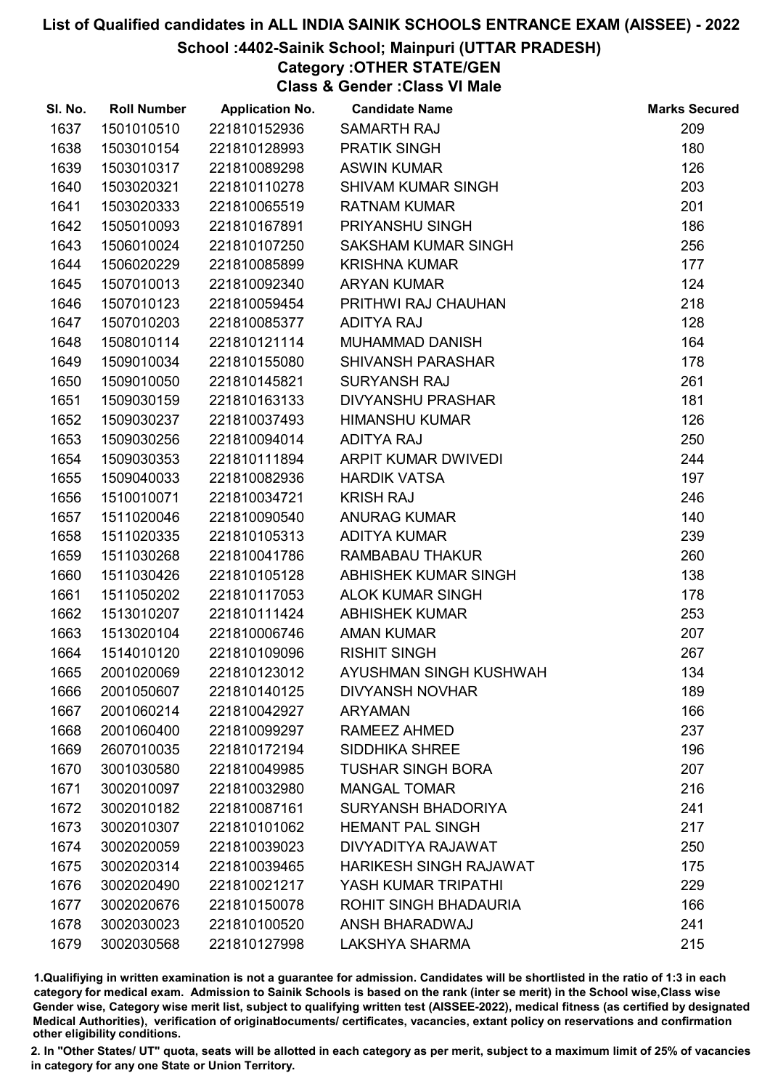## School :4402-Sainik School; Mainpuri (UTTAR PRADESH)

# Category :OTHER STATE/GEN

Class & Gender :Class VI Male

| SI. No. | <b>Roll Number</b> | <b>Application No.</b> | <b>Candidate Name</b>         | <b>Marks Secured</b> |
|---------|--------------------|------------------------|-------------------------------|----------------------|
| 1637    | 1501010510         | 221810152936           | <b>SAMARTH RAJ</b>            | 209                  |
| 1638    | 1503010154         | 221810128993           | <b>PRATIK SINGH</b>           | 180                  |
| 1639    | 1503010317         | 221810089298           | <b>ASWIN KUMAR</b>            | 126                  |
| 1640    | 1503020321         | 221810110278           | <b>SHIVAM KUMAR SINGH</b>     | 203                  |
| 1641    | 1503020333         | 221810065519           | <b>RATNAM KUMAR</b>           | 201                  |
| 1642    | 1505010093         | 221810167891           | PRIYANSHU SINGH               | 186                  |
| 1643    | 1506010024         | 221810107250           | <b>SAKSHAM KUMAR SINGH</b>    | 256                  |
| 1644    | 1506020229         | 221810085899           | <b>KRISHNA KUMAR</b>          | 177                  |
| 1645    | 1507010013         | 221810092340           | <b>ARYAN KUMAR</b>            | 124                  |
| 1646    | 1507010123         | 221810059454           | PRITHWI RAJ CHAUHAN           | 218                  |
| 1647    | 1507010203         | 221810085377           | <b>ADITYA RAJ</b>             | 128                  |
| 1648    | 1508010114         | 221810121114           | <b>MUHAMMAD DANISH</b>        | 164                  |
| 1649    | 1509010034         | 221810155080           | <b>SHIVANSH PARASHAR</b>      | 178                  |
| 1650    | 1509010050         | 221810145821           | <b>SURYANSH RAJ</b>           | 261                  |
| 1651    | 1509030159         | 221810163133           | <b>DIVYANSHU PRASHAR</b>      | 181                  |
| 1652    | 1509030237         | 221810037493           | <b>HIMANSHU KUMAR</b>         | 126                  |
| 1653    | 1509030256         | 221810094014           | <b>ADITYA RAJ</b>             | 250                  |
| 1654    | 1509030353         | 221810111894           | ARPIT KUMAR DWIVEDI           | 244                  |
| 1655    | 1509040033         | 221810082936           | <b>HARDIK VATSA</b>           | 197                  |
| 1656    | 1510010071         | 221810034721           | <b>KRISH RAJ</b>              | 246                  |
| 1657    | 1511020046         | 221810090540           | <b>ANURAG KUMAR</b>           | 140                  |
| 1658    | 1511020335         | 221810105313           | <b>ADITYA KUMAR</b>           | 239                  |
| 1659    | 1511030268         | 221810041786           | <b>RAMBABAU THAKUR</b>        | 260                  |
| 1660    | 1511030426         | 221810105128           | ABHISHEK KUMAR SINGH          | 138                  |
| 1661    | 1511050202         | 221810117053           | <b>ALOK KUMAR SINGH</b>       | 178                  |
| 1662    | 1513010207         | 221810111424           | <b>ABHISHEK KUMAR</b>         | 253                  |
| 1663    | 1513020104         | 221810006746           | <b>AMAN KUMAR</b>             | 207                  |
| 1664    | 1514010120         | 221810109096           | <b>RISHIT SINGH</b>           | 267                  |
| 1665    | 2001020069         | 221810123012           | AYUSHMAN SINGH KUSHWAH        | 134                  |
| 1666    | 2001050607         | 221810140125           | <b>DIVYANSH NOVHAR</b>        | 189                  |
| 1667    | 2001060214         | 221810042927           | <b>ARYAMAN</b>                | 166                  |
| 1668    | 2001060400         | 221810099297           | RAMEEZ AHMED                  | 237                  |
| 1669    | 2607010035         | 221810172194           | <b>SIDDHIKA SHREE</b>         | 196                  |
| 1670    | 3001030580         | 221810049985           | <b>TUSHAR SINGH BORA</b>      | 207                  |
| 1671    | 3002010097         | 221810032980           | <b>MANGAL TOMAR</b>           | 216                  |
| 1672    | 3002010182         | 221810087161           | <b>SURYANSH BHADORIYA</b>     | 241                  |
| 1673    | 3002010307         | 221810101062           | <b>HEMANT PAL SINGH</b>       | 217                  |
| 1674    | 3002020059         | 221810039023           | DIVYADITYA RAJAWAT            | 250                  |
| 1675    | 3002020314         | 221810039465           | <b>HARIKESH SINGH RAJAWAT</b> | 175                  |
| 1676    | 3002020490         | 221810021217           | YASH KUMAR TRIPATHI           | 229                  |
| 1677    | 3002020676         | 221810150078           | ROHIT SINGH BHADAURIA         | 166                  |
| 1678    | 3002030023         | 221810100520           | ANSH BHARADWAJ                | 241                  |
| 1679    | 3002030568         | 221810127998           | LAKSHYA SHARMA                | 215                  |

1.Qualifiying in written examination is not a guarantee for admission. Candidates will be shortlisted in the ratio of 1:3 in each category for medical exam. Admission to Sainik Schools is based on the rank (inter se merit) in the School wise,Class wise Gender wise, Category wise merit list, subject to qualifying written test (AISSEE-2022), medical fitness (as certified by designated Medical Authorities), verification of originablocuments/ certificates, vacancies, extant policy on reservations and confirmation other eligibility conditions.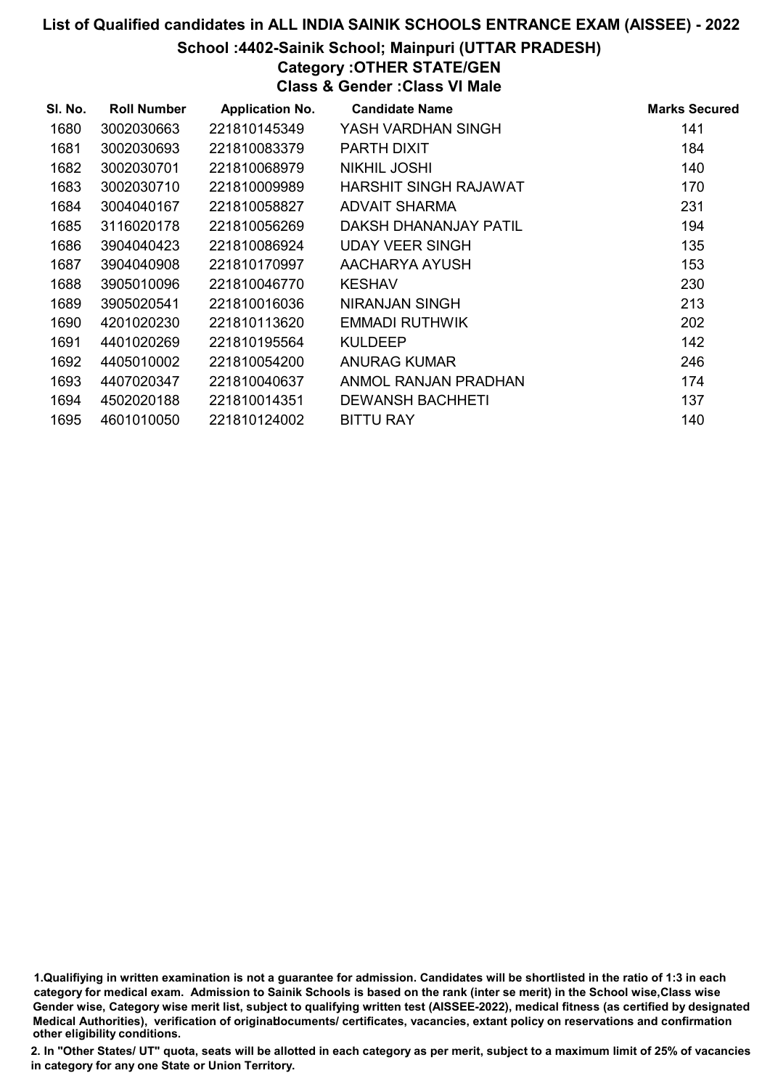## School :4402-Sainik School; Mainpuri (UTTAR PRADESH)

# Category :OTHER STATE/GEN

Class & Gender :Class VI Male

| SI. No. | <b>Roll Number</b> | <b>Application No.</b> | <b>Candidate Name</b>   | <b>Marks Secured</b> |
|---------|--------------------|------------------------|-------------------------|----------------------|
| 1680    | 3002030663         | 221810145349           | YASH VARDHAN SINGH      | 141                  |
| 1681    | 3002030693         | 221810083379           | PARTH DIXIT             | 184                  |
| 1682    | 3002030701         | 221810068979           | NIKHIL JOSHI            | 140                  |
| 1683    | 3002030710         | 221810009989           | HARSHIT SINGH RAJAWAT   | 170                  |
| 1684    | 3004040167         | 221810058827           | ADVAIT SHARMA           | 231                  |
| 1685    | 3116020178         | 221810056269           | DAKSH DHANANJAY PATIL   | 194                  |
| 1686    | 3904040423         | 221810086924           | <b>UDAY VEER SINGH</b>  | 135                  |
| 1687    | 3904040908         | 221810170997           | AACHARYA AYUSH          | 153                  |
| 1688    | 3905010096         | 221810046770           | <b>KESHAV</b>           | 230                  |
| 1689    | 3905020541         | 221810016036           | NIRANJAN SINGH          | 213                  |
| 1690    | 4201020230         | 221810113620           | EMMADI RUTHWIK          | 202                  |
| 1691    | 4401020269         | 221810195564           | <b>KULDEEP</b>          | 142                  |
| 1692    | 4405010002         | 221810054200           | ANURAG KUMAR            | 246                  |
| 1693    | 4407020347         | 221810040637           | ANMOL RANJAN PRADHAN    | 174                  |
| 1694    | 4502020188         | 221810014351           | <b>DEWANSH BACHHETI</b> | 137                  |
| 1695    | 4601010050         | 221810124002           | <b>BITTU RAY</b>        | 140                  |

1.Qualifiying in written examination is not a guarantee for admission. Candidates will be shortlisted in the ratio of 1:3 in each category for medical exam. Admission to Sainik Schools is based on the rank (inter se merit) in the School wise,Class wise Gender wise, Category wise merit list, subject to qualifying written test (AISSEE-2022), medical fitness (as certified by designated Medical Authorities), verification of originablocuments/ certificates, vacancies, extant policy on reservations and confirmation other eligibility conditions.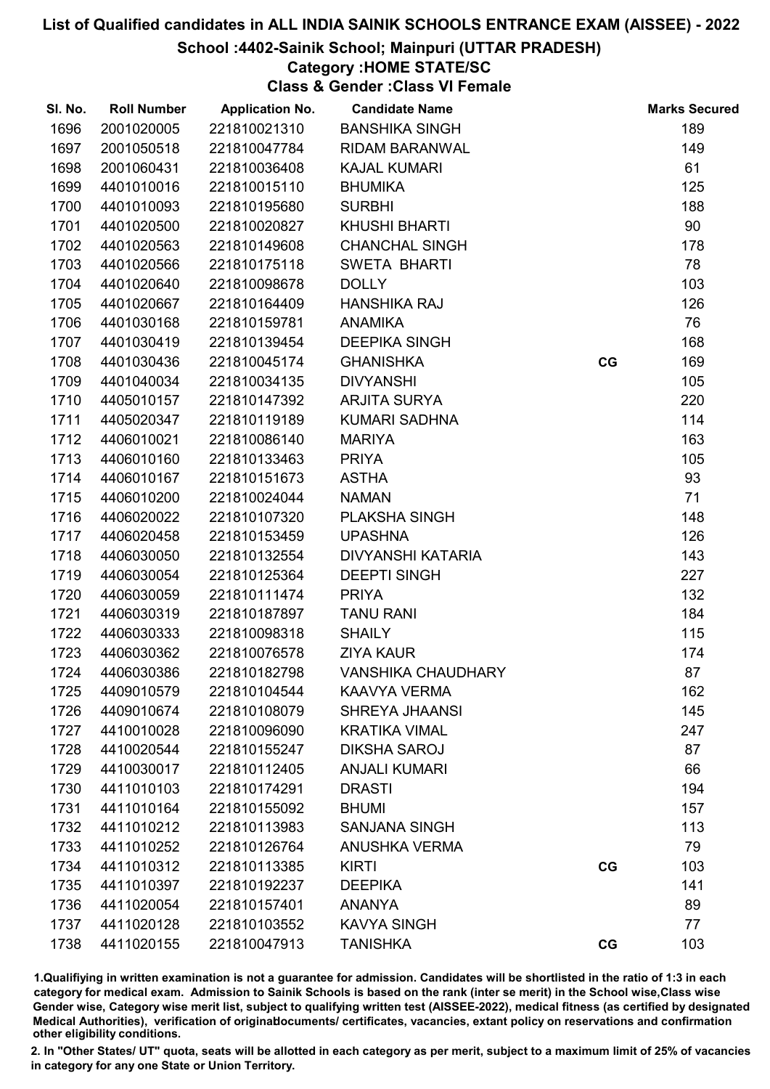### School :4402-Sainik School; Mainpuri (UTTAR PRADESH)

# Category :HOME STATE/SC

Class & Gender :Class VI Female

| SI. No. | <b>Roll Number</b> | <b>Application No.</b> | <b>Candidate Name</b>     |    | <b>Marks Secured</b> |
|---------|--------------------|------------------------|---------------------------|----|----------------------|
| 1696    | 2001020005         | 221810021310           | <b>BANSHIKA SINGH</b>     |    | 189                  |
| 1697    | 2001050518         | 221810047784           | RIDAM BARANWAL            |    | 149                  |
| 1698    | 2001060431         | 221810036408           | <b>KAJAL KUMARI</b>       |    | 61                   |
| 1699    | 4401010016         | 221810015110           | <b>BHUMIKA</b>            |    | 125                  |
| 1700    | 4401010093         | 221810195680           | <b>SURBHI</b>             |    | 188                  |
| 1701    | 4401020500         | 221810020827           | <b>KHUSHI BHARTI</b>      |    | 90                   |
| 1702    | 4401020563         | 221810149608           | <b>CHANCHAL SINGH</b>     |    | 178                  |
| 1703    | 4401020566         | 221810175118           | <b>SWETA BHARTI</b>       |    | 78                   |
| 1704    | 4401020640         | 221810098678           | <b>DOLLY</b>              |    | 103                  |
| 1705    | 4401020667         | 221810164409           | <b>HANSHIKA RAJ</b>       |    | 126                  |
| 1706    | 4401030168         | 221810159781           | <b>ANAMIKA</b>            |    | 76                   |
| 1707    | 4401030419         | 221810139454           | <b>DEEPIKA SINGH</b>      |    | 168                  |
| 1708    | 4401030436         | 221810045174           | <b>GHANISHKA</b>          | CG | 169                  |
| 1709    | 4401040034         | 221810034135           | <b>DIVYANSHI</b>          |    | 105                  |
| 1710    | 4405010157         | 221810147392           | <b>ARJITA SURYA</b>       |    | 220                  |
| 1711    | 4405020347         | 221810119189           | KUMARI SADHNA             |    | 114                  |
| 1712    | 4406010021         | 221810086140           | <b>MARIYA</b>             |    | 163                  |
| 1713    | 4406010160         | 221810133463           | <b>PRIYA</b>              |    | 105                  |
| 1714    | 4406010167         | 221810151673           | <b>ASTHA</b>              |    | 93                   |
| 1715    | 4406010200         | 221810024044           | <b>NAMAN</b>              |    | 71                   |
| 1716    | 4406020022         | 221810107320           | <b>PLAKSHA SINGH</b>      |    | 148                  |
| 1717    | 4406020458         | 221810153459           | <b>UPASHNA</b>            |    | 126                  |
| 1718    | 4406030050         | 221810132554           | <b>DIVYANSHI KATARIA</b>  |    | 143                  |
| 1719    | 4406030054         | 221810125364           | <b>DEEPTI SINGH</b>       |    | 227                  |
| 1720    | 4406030059         | 221810111474           | <b>PRIYA</b>              |    | 132                  |
| 1721    | 4406030319         | 221810187897           | <b>TANU RANI</b>          |    | 184                  |
| 1722    | 4406030333         | 221810098318           | <b>SHAILY</b>             |    | 115                  |
| 1723    | 4406030362         | 221810076578           | <b>ZIYA KAUR</b>          |    | 174                  |
| 1724    | 4406030386         | 221810182798           | <b>VANSHIKA CHAUDHARY</b> |    | 87                   |
| 1725    | 4409010579         | 221810104544           | <b>KAAVYA VERMA</b>       |    | 162                  |
| 1726    | 4409010674         | 221810108079           | SHREYA JHAANSI            |    | 145                  |
| 1727    | 4410010028         | 221810096090           | <b>KRATIKA VIMAL</b>      |    | 247                  |
| 1728    | 4410020544         | 221810155247           | <b>DIKSHA SAROJ</b>       |    | 87                   |
| 1729    | 4410030017         | 221810112405           | <b>ANJALI KUMARI</b>      |    | 66                   |
| 1730    | 4411010103         | 221810174291           | <b>DRASTI</b>             |    | 194                  |
| 1731    | 4411010164         | 221810155092           | <b>BHUMI</b>              |    | 157                  |
| 1732    | 4411010212         | 221810113983           | <b>SANJANA SINGH</b>      |    | 113                  |
| 1733    | 4411010252         | 221810126764           | <b>ANUSHKA VERMA</b>      |    | 79                   |
| 1734    | 4411010312         | 221810113385           | <b>KIRTI</b>              | CG | 103                  |
| 1735    | 4411010397         | 221810192237           | <b>DEEPIKA</b>            |    | 141                  |
| 1736    | 4411020054         | 221810157401           | <b>ANANYA</b>             |    | 89                   |
| 1737    | 4411020128         | 221810103552           | <b>KAVYA SINGH</b>        |    | 77                   |
| 1738    | 4411020155         | 221810047913           | <b>TANISHKA</b>           | CG | 103                  |

1.Qualifiying in written examination is not a guarantee for admission. Candidates will be shortlisted in the ratio of 1:3 in each category for medical exam. Admission to Sainik Schools is based on the rank (inter se merit) in the School wise,Class wise Gender wise, Category wise merit list, subject to qualifying written test (AISSEE-2022), medical fitness (as certified by designated Medical Authorities), verification of originablocuments/ certificates, vacancies, extant policy on reservations and confirmation other eligibility conditions.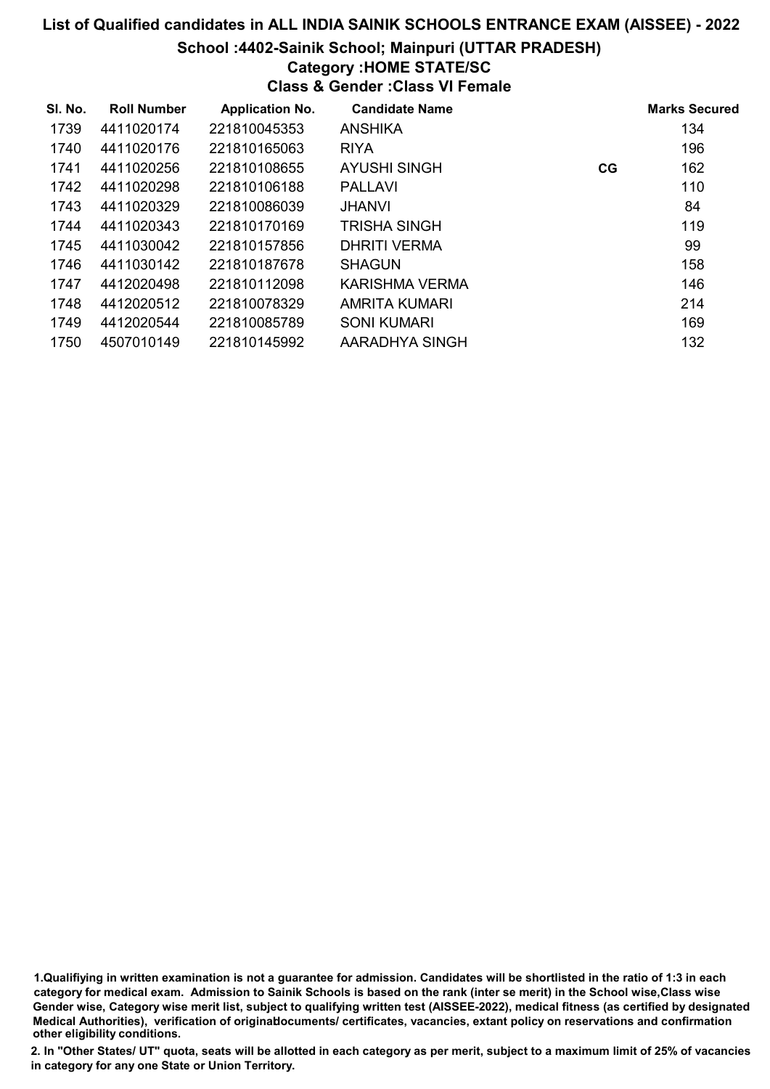#### School :4402-Sainik School; Mainpuri (UTTAR PRADESH)

# Category :HOME STATE/SC

Class & Gender :Class VI Female

| SI. No. | <b>Roll Number</b> | <b>Application No.</b> | <b>Candidate Name</b> |    | <b>Marks Secured</b> |
|---------|--------------------|------------------------|-----------------------|----|----------------------|
| 1739    | 4411020174         | 221810045353           | ANSHIKA               |    | 134                  |
| 1740    | 4411020176         | 221810165063           | <b>RIYA</b>           |    | 196                  |
| 1741    | 4411020256         | 221810108655           | <b>AYUSHI SINGH</b>   | CG | 162                  |
| 1742    | 4411020298         | 221810106188           | <b>PALLAVI</b>        |    | 110                  |
| 1743    | 4411020329         | 221810086039           | <b>JHANVI</b>         |    | 84                   |
| 1744    | 4411020343         | 221810170169           | <b>TRISHA SINGH</b>   |    | 119                  |
| 1745    | 4411030042         | 221810157856           | DHRITI VERMA          |    | 99                   |
| 1746    | 4411030142         | 221810187678           | <b>SHAGUN</b>         |    | 158                  |
| 1747    | 4412020498         | 221810112098           | <b>KARISHMA VERMA</b> |    | 146                  |
| 1748    | 4412020512         | 221810078329           | AMRITA KUMARI         |    | 214                  |
| 1749    | 4412020544         | 221810085789           | <b>SONI KUMARI</b>    |    | 169                  |
| 1750    | 4507010149         | 221810145992           | AARADHYA SINGH        |    | 132                  |

1.Qualifiying in written examination is not a guarantee for admission. Candidates will be shortlisted in the ratio of 1:3 in each category for medical exam. Admission to Sainik Schools is based on the rank (inter se merit) in the School wise,Class wise Gender wise, Category wise merit list, subject to qualifying written test (AISSEE-2022), medical fitness (as certified by designated Medical Authorities), verification of originablocuments/ certificates, vacancies, extant policy on reservations and confirmation other eligibility conditions.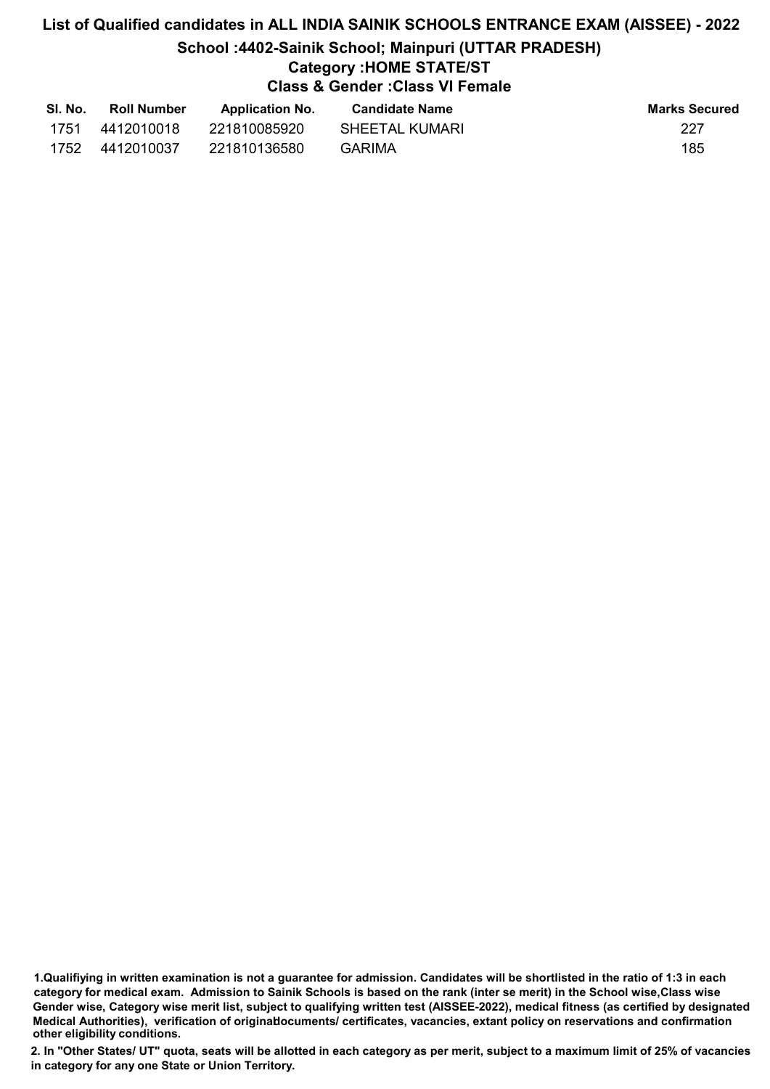# List of Qualified candidates in ALL INDIA SAINIK SCHOOLS ENTRANCE EXAM (AISSEE) - 2022 School :4402-Sainik School; Mainpuri (UTTAR PRADESH) Category :HOME STATE/ST Class & Gender :Class VI Female

| SI. No. | <b>Roll Number</b> | <b>Application No.</b> | <b>Candidate Name</b> | <b>Marks Secured</b> |
|---------|--------------------|------------------------|-----------------------|----------------------|
| 1751    | 4412010018         | 221810085920           | SHEETAL KUMARI        | 227                  |
| 1752    | 4412010037         | 221810136580           | GARIMA                | 185                  |

<sup>1.</sup>Qualifiying in written examination is not a guarantee for admission. Candidates will be shortlisted in the ratio of 1:3 in each category for medical exam. Admission to Sainik Schools is based on the rank (inter se merit) in the School wise,Class wise Gender wise, Category wise merit list, subject to qualifying written test (AISSEE-2022), medical fitness (as certified by designated Medical Authorities), verification of originablocuments/ certificates, vacancies, extant policy on reservations and confirmation other eligibility conditions.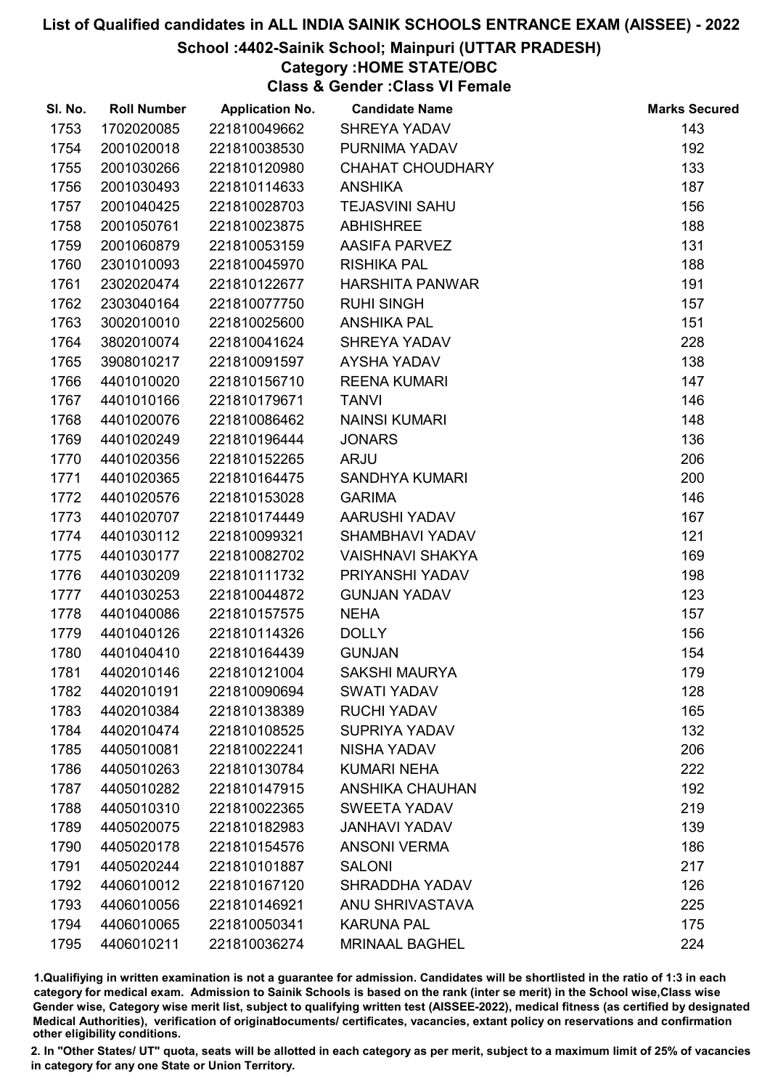## School :4402-Sainik School; Mainpuri (UTTAR PRADESH)

# Category :HOME STATE/OBC

Class & Gender :Class VI Female

| SI. No. | <b>Roll Number</b> | <b>Application No.</b> | <b>Candidate Name</b>   | <b>Marks Secured</b> |
|---------|--------------------|------------------------|-------------------------|----------------------|
| 1753    | 1702020085         | 221810049662           | SHREYA YADAV            | 143                  |
| 1754    | 2001020018         | 221810038530           | PURNIMA YADAV           | 192                  |
| 1755    | 2001030266         | 221810120980           | <b>CHAHAT CHOUDHARY</b> | 133                  |
| 1756    | 2001030493         | 221810114633           | <b>ANSHIKA</b>          | 187                  |
| 1757    | 2001040425         | 221810028703           | <b>TEJASVINI SAHU</b>   | 156                  |
| 1758    | 2001050761         | 221810023875           | <b>ABHISHREE</b>        | 188                  |
| 1759    | 2001060879         | 221810053159           | <b>AASIFA PARVEZ</b>    | 131                  |
| 1760    | 2301010093         | 221810045970           | <b>RISHIKA PAL</b>      | 188                  |
| 1761    | 2302020474         | 221810122677           | <b>HARSHITA PANWAR</b>  | 191                  |
| 1762    | 2303040164         | 221810077750           | <b>RUHI SINGH</b>       | 157                  |
| 1763    | 3002010010         | 221810025600           | <b>ANSHIKA PAL</b>      | 151                  |
| 1764    | 3802010074         | 221810041624           | SHREYA YADAV            | 228                  |
| 1765    | 3908010217         | 221810091597           | AYSHA YADAV             | 138                  |
| 1766    | 4401010020         | 221810156710           | <b>REENA KUMARI</b>     | 147                  |
| 1767    | 4401010166         | 221810179671           | <b>TANVI</b>            | 146                  |
| 1768    | 4401020076         | 221810086462           | <b>NAINSI KUMARI</b>    | 148                  |
| 1769    | 4401020249         | 221810196444           | <b>JONARS</b>           | 136                  |
| 1770    | 4401020356         | 221810152265           | <b>ARJU</b>             | 206                  |
| 1771    | 4401020365         | 221810164475           | <b>SANDHYA KUMARI</b>   | 200                  |
| 1772    | 4401020576         | 221810153028           | <b>GARIMA</b>           | 146                  |
| 1773    | 4401020707         | 221810174449           | AARUSHI YADAV           | 167                  |
| 1774    | 4401030112         | 221810099321           | SHAMBHAVI YADAV         | 121                  |
| 1775    | 4401030177         | 221810082702           | <b>VAISHNAVI SHAKYA</b> | 169                  |
| 1776    | 4401030209         | 221810111732           | PRIYANSHI YADAV         | 198                  |
| 1777    | 4401030253         | 221810044872           | <b>GUNJAN YADAV</b>     | 123                  |
| 1778    | 4401040086         | 221810157575           | <b>NEHA</b>             | 157                  |
| 1779    | 4401040126         | 221810114326           | <b>DOLLY</b>            | 156                  |
| 1780    | 4401040410         | 221810164439           | <b>GUNJAN</b>           | 154                  |
| 1781    | 4402010146         | 221810121004           | <b>SAKSHI MAURYA</b>    | 179                  |
| 1782    | 4402010191         | 221810090694           | <b>SWATI YADAV</b>      | 128                  |
| 1783    | 4402010384         | 221810138389           | <b>RUCHI YADAV</b>      | 165                  |
| 1784    | 4402010474         | 221810108525           | <b>SUPRIYA YADAV</b>    | 132                  |
| 1785    | 4405010081         | 221810022241           | <b>NISHA YADAV</b>      | 206                  |
| 1786    | 4405010263         | 221810130784           | <b>KUMARI NEHA</b>      | 222                  |
| 1787    | 4405010282         | 221810147915           | <b>ANSHIKA CHAUHAN</b>  | 192                  |
| 1788    | 4405010310         | 221810022365           | <b>SWEETA YADAV</b>     | 219                  |
| 1789    | 4405020075         | 221810182983           | <b>JANHAVI YADAV</b>    | 139                  |
| 1790    | 4405020178         | 221810154576           | <b>ANSONI VERMA</b>     | 186                  |
| 1791    | 4405020244         | 221810101887           | <b>SALONI</b>           | 217                  |
| 1792    | 4406010012         | 221810167120           | <b>SHRADDHA YADAV</b>   | 126                  |
| 1793    | 4406010056         | 221810146921           | <b>ANU SHRIVASTAVA</b>  | 225                  |
| 1794    | 4406010065         | 221810050341           | <b>KARUNA PAL</b>       | 175                  |
| 1795    | 4406010211         | 221810036274           | <b>MRINAAL BAGHEL</b>   | 224                  |

1.Qualifiying in written examination is not a guarantee for admission. Candidates will be shortlisted in the ratio of 1:3 in each category for medical exam. Admission to Sainik Schools is based on the rank (inter se merit) in the School wise,Class wise Gender wise, Category wise merit list, subject to qualifying written test (AISSEE-2022), medical fitness (as certified by designated Medical Authorities), verification of originablocuments/ certificates, vacancies, extant policy on reservations and confirmation other eligibility conditions.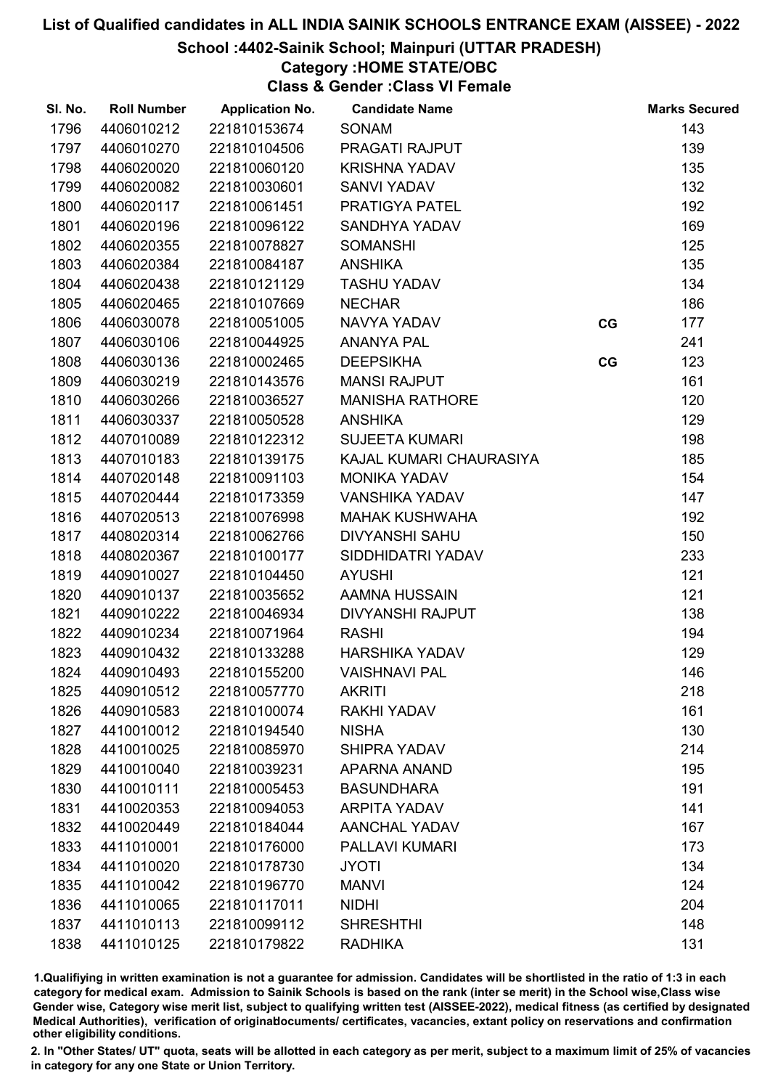## School :4402-Sainik School; Mainpuri (UTTAR PRADESH)

# Category :HOME STATE/OBC

Class & Gender :Class VI Female

| SI. No. | <b>Roll Number</b> | <b>Application No.</b> | <b>Candidate Name</b>   |    | <b>Marks Secured</b> |
|---------|--------------------|------------------------|-------------------------|----|----------------------|
| 1796    | 4406010212         | 221810153674           | <b>SONAM</b>            |    | 143                  |
| 1797    | 4406010270         | 221810104506           | PRAGATI RAJPUT          |    | 139                  |
| 1798    | 4406020020         | 221810060120           | <b>KRISHNA YADAV</b>    |    | 135                  |
| 1799    | 4406020082         | 221810030601           | <b>SANVI YADAV</b>      |    | 132                  |
| 1800    | 4406020117         | 221810061451           | PRATIGYA PATEL          |    | 192                  |
| 1801    | 4406020196         | 221810096122           | <b>SANDHYA YADAV</b>    |    | 169                  |
| 1802    | 4406020355         | 221810078827           | <b>SOMANSHI</b>         |    | 125                  |
| 1803    | 4406020384         | 221810084187           | <b>ANSHIKA</b>          |    | 135                  |
| 1804    | 4406020438         | 221810121129           | <b>TASHU YADAV</b>      |    | 134                  |
| 1805    | 4406020465         | 221810107669           | <b>NECHAR</b>           |    | 186                  |
| 1806    | 4406030078         | 221810051005           | NAVYA YADAV             | CG | 177                  |
| 1807    | 4406030106         | 221810044925           | <b>ANANYA PAL</b>       |    | 241                  |
| 1808    | 4406030136         | 221810002465           | <b>DEEPSIKHA</b>        | CG | 123                  |
| 1809    | 4406030219         | 221810143576           | <b>MANSI RAJPUT</b>     |    | 161                  |
| 1810    | 4406030266         | 221810036527           | <b>MANISHA RATHORE</b>  |    | 120                  |
| 1811    | 4406030337         | 221810050528           | <b>ANSHIKA</b>          |    | 129                  |
| 1812    | 4407010089         | 221810122312           | <b>SUJEETA KUMARI</b>   |    | 198                  |
| 1813    | 4407010183         | 221810139175           | KAJAL KUMARI CHAURASIYA |    | 185                  |
| 1814    | 4407020148         | 221810091103           | <b>MONIKA YADAV</b>     |    | 154                  |
| 1815    | 4407020444         | 221810173359           | <b>VANSHIKA YADAV</b>   |    | 147                  |
| 1816    | 4407020513         | 221810076998           | <b>MAHAK KUSHWAHA</b>   |    | 192                  |
| 1817    | 4408020314         | 221810062766           | <b>DIVYANSHI SAHU</b>   |    | 150                  |
| 1818    | 4408020367         | 221810100177           | SIDDHIDATRI YADAV       |    | 233                  |
| 1819    | 4409010027         | 221810104450           | <b>AYUSHI</b>           |    | 121                  |
| 1820    | 4409010137         | 221810035652           | AAMNA HUSSAIN           |    | 121                  |
| 1821    | 4409010222         | 221810046934           | <b>DIVYANSHI RAJPUT</b> |    | 138                  |
| 1822    | 4409010234         | 221810071964           | <b>RASHI</b>            |    | 194                  |
| 1823    | 4409010432         | 221810133288           | <b>HARSHIKA YADAV</b>   |    | 129                  |
| 1824    | 4409010493         | 221810155200           | <b>VAISHNAVI PAL</b>    |    | 146                  |
| 1825    | 4409010512         | 221810057770           | <b>AKRITI</b>           |    | 218                  |
| 1826    | 4409010583         | 221810100074           | <b>RAKHI YADAV</b>      |    | 161                  |
| 1827    | 4410010012         | 221810194540           | <b>NISHA</b>            |    | 130                  |
| 1828    | 4410010025         | 221810085970           | <b>SHIPRA YADAV</b>     |    | 214                  |
| 1829    | 4410010040         | 221810039231           | <b>APARNA ANAND</b>     |    | 195                  |
| 1830    | 4410010111         | 221810005453           | <b>BASUNDHARA</b>       |    | 191                  |
| 1831    | 4410020353         | 221810094053           | <b>ARPITA YADAV</b>     |    | 141                  |
| 1832    | 4410020449         | 221810184044           | <b>AANCHAL YADAV</b>    |    | 167                  |
| 1833    | 4411010001         | 221810176000           | <b>PALLAVI KUMARI</b>   |    | 173                  |
| 1834    | 4411010020         | 221810178730           | <b>JYOTI</b>            |    | 134                  |
| 1835    | 4411010042         | 221810196770           | <b>MANVI</b>            |    | 124                  |
| 1836    | 4411010065         | 221810117011           | <b>NIDHI</b>            |    | 204                  |
| 1837    | 4411010113         | 221810099112           | <b>SHRESHTHI</b>        |    | 148                  |
| 1838    | 4411010125         | 221810179822           | <b>RADHIKA</b>          |    | 131                  |

1.Qualifiying in written examination is not a guarantee for admission. Candidates will be shortlisted in the ratio of 1:3 in each category for medical exam. Admission to Sainik Schools is based on the rank (inter se merit) in the School wise,Class wise Gender wise, Category wise merit list, subject to qualifying written test (AISSEE-2022), medical fitness (as certified by designated Medical Authorities), verification of originablocuments/ certificates, vacancies, extant policy on reservations and confirmation other eligibility conditions.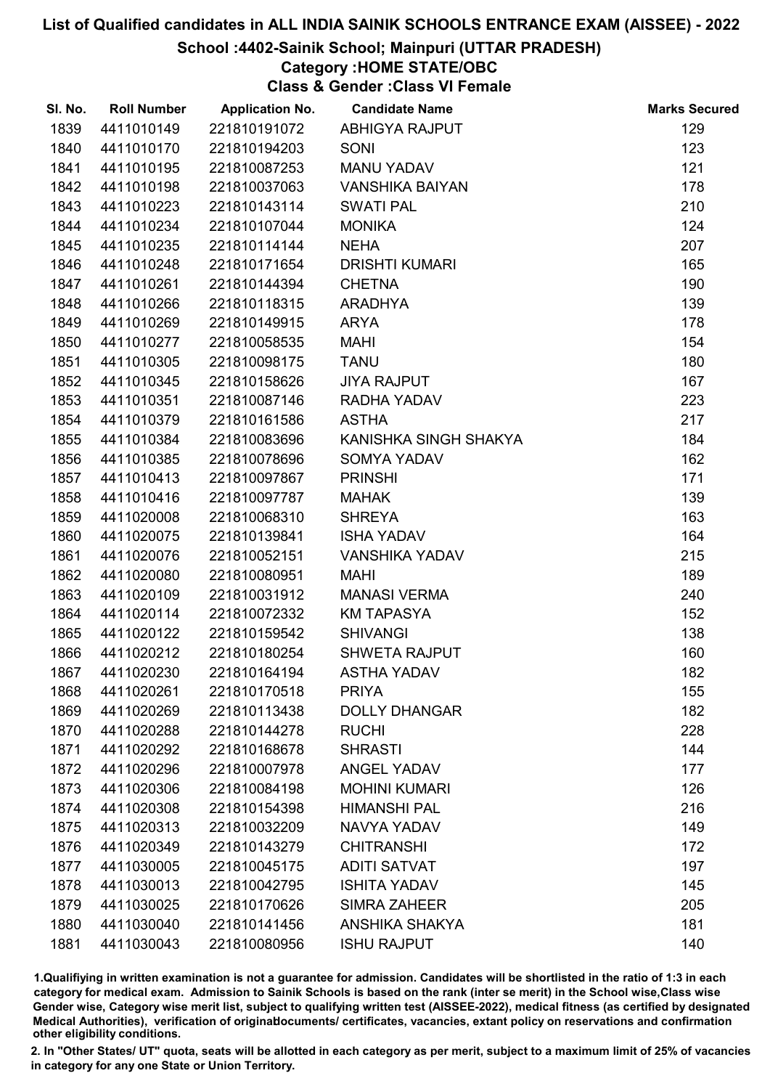#### School :4402-Sainik School; Mainpuri (UTTAR PRADESH)

# Category :HOME STATE/OBC

Class & Gender :Class VI Female

| SI. No. | <b>Roll Number</b> | <b>Application No.</b> | <b>Candidate Name</b>  | <b>Marks Secured</b> |
|---------|--------------------|------------------------|------------------------|----------------------|
| 1839    | 4411010149         | 221810191072           | <b>ABHIGYA RAJPUT</b>  | 129                  |
| 1840    | 4411010170         | 221810194203           | SONI                   | 123                  |
| 1841    | 4411010195         | 221810087253           | <b>MANU YADAV</b>      | 121                  |
| 1842    | 4411010198         | 221810037063           | <b>VANSHIKA BAIYAN</b> | 178                  |
| 1843    | 4411010223         | 221810143114           | <b>SWATI PAL</b>       | 210                  |
| 1844    | 4411010234         | 221810107044           | <b>MONIKA</b>          | 124                  |
| 1845    | 4411010235         | 221810114144           | <b>NEHA</b>            | 207                  |
| 1846    | 4411010248         | 221810171654           | <b>DRISHTI KUMARI</b>  | 165                  |
| 1847    | 4411010261         | 221810144394           | <b>CHETNA</b>          | 190                  |
| 1848    | 4411010266         | 221810118315           | <b>ARADHYA</b>         | 139                  |
| 1849    | 4411010269         | 221810149915           | ARYA                   | 178                  |
| 1850    | 4411010277         | 221810058535           | <b>MAHI</b>            | 154                  |
| 1851    | 4411010305         | 221810098175           | <b>TANU</b>            | 180                  |
| 1852    | 4411010345         | 221810158626           | <b>JIYA RAJPUT</b>     | 167                  |
| 1853    | 4411010351         | 221810087146           | RADHA YADAV            | 223                  |
| 1854    | 4411010379         | 221810161586           | <b>ASTHA</b>           | 217                  |
| 1855    | 4411010384         | 221810083696           | KANISHKA SINGH SHAKYA  | 184                  |
| 1856    | 4411010385         | 221810078696           | <b>SOMYA YADAV</b>     | 162                  |
| 1857    | 4411010413         | 221810097867           | <b>PRINSHI</b>         | 171                  |
| 1858    | 4411010416         | 221810097787           | <b>MAHAK</b>           | 139                  |
| 1859    | 4411020008         | 221810068310           | <b>SHREYA</b>          | 163                  |
| 1860    | 4411020075         | 221810139841           | <b>ISHA YADAV</b>      | 164                  |
| 1861    | 4411020076         | 221810052151           | <b>VANSHIKA YADAV</b>  | 215                  |
| 1862    | 4411020080         | 221810080951           | <b>MAHI</b>            | 189                  |
| 1863    | 4411020109         | 221810031912           | <b>MANASI VERMA</b>    | 240                  |
| 1864    | 4411020114         | 221810072332           | <b>KM TAPASYA</b>      | 152                  |
| 1865    | 4411020122         | 221810159542           | <b>SHIVANGI</b>        | 138                  |
| 1866    | 4411020212         | 221810180254           | <b>SHWETA RAJPUT</b>   | 160                  |
| 1867    | 4411020230         | 221810164194           | <b>ASTHA YADAV</b>     | 182                  |
| 1868    | 4411020261         | 221810170518           | <b>PRIYA</b>           | 155                  |
| 1869    | 4411020269         | 221810113438           | <b>DOLLY DHANGAR</b>   | 182                  |
| 1870    | 4411020288         | 221810144278           | <b>RUCHI</b>           | 228                  |
| 1871    | 4411020292         | 221810168678           | <b>SHRASTI</b>         | 144                  |
| 1872    | 4411020296         | 221810007978           | <b>ANGEL YADAV</b>     | 177                  |
| 1873    | 4411020306         | 221810084198           | <b>MOHINI KUMARI</b>   | 126                  |
| 1874    | 4411020308         | 221810154398           | <b>HIMANSHI PAL</b>    | 216                  |
| 1875    | 4411020313         | 221810032209           | <b>NAVYA YADAV</b>     | 149                  |
| 1876    | 4411020349         | 221810143279           | <b>CHITRANSHI</b>      | 172                  |
| 1877    | 4411030005         | 221810045175           | <b>ADITI SATVAT</b>    | 197                  |
| 1878    | 4411030013         | 221810042795           | <b>ISHITA YADAV</b>    | 145                  |
| 1879    | 4411030025         | 221810170626           | <b>SIMRA ZAHEER</b>    | 205                  |
| 1880    | 4411030040         | 221810141456           | <b>ANSHIKA SHAKYA</b>  | 181                  |
| 1881    | 4411030043         | 221810080956           | <b>ISHU RAJPUT</b>     | 140                  |

1.Qualifiying in written examination is not a guarantee for admission. Candidates will be shortlisted in the ratio of 1:3 in each category for medical exam. Admission to Sainik Schools is based on the rank (inter se merit) in the School wise,Class wise Gender wise, Category wise merit list, subject to qualifying written test (AISSEE-2022), medical fitness (as certified by designated Medical Authorities), verification of originablocuments/ certificates, vacancies, extant policy on reservations and confirmation other eligibility conditions.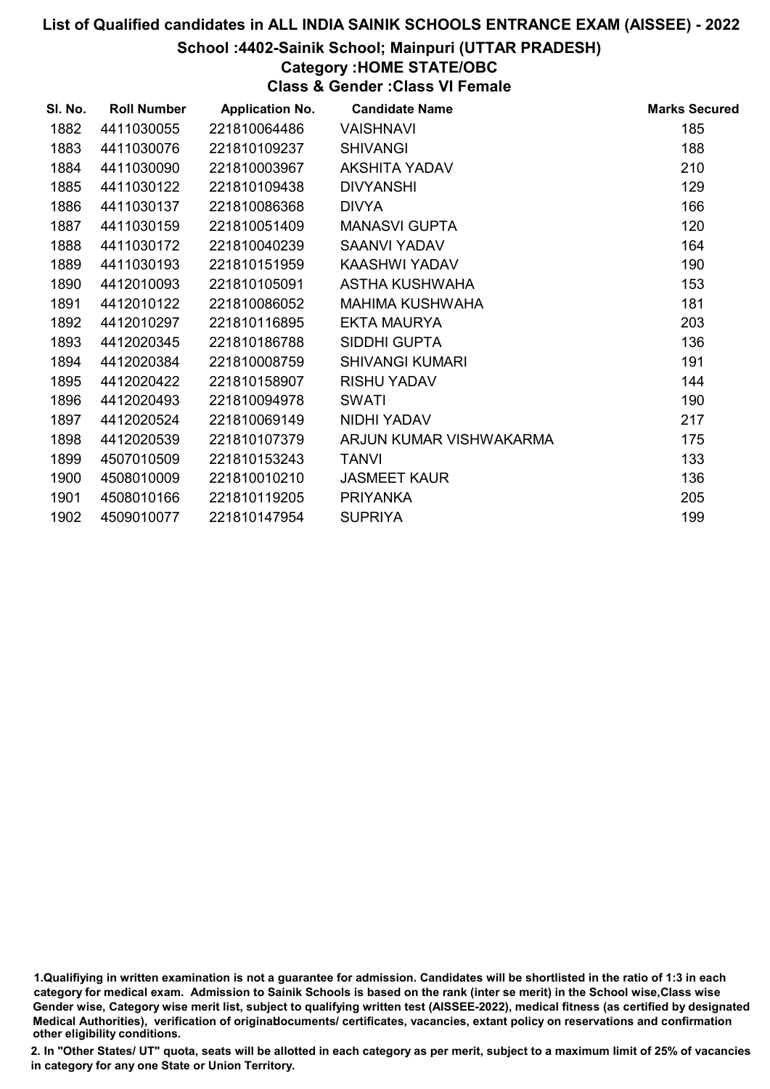#### School :4402-Sainik School; Mainpuri (UTTAR PRADESH)

# Category :HOME STATE/OBC

Class & Gender :Class VI Female

| SI. No. | <b>Roll Number</b> | <b>Application No.</b> | <b>Candidate Name</b>   | <b>Marks Secured</b> |
|---------|--------------------|------------------------|-------------------------|----------------------|
| 1882    | 4411030055         | 221810064486           | <b>VAISHNAVI</b>        | 185                  |
| 1883    | 4411030076         | 221810109237           | <b>SHIVANGI</b>         | 188                  |
| 1884    | 4411030090         | 221810003967           | <b>AKSHITA YADAV</b>    | 210                  |
| 1885    | 4411030122         | 221810109438           | <b>DIVYANSHI</b>        | 129                  |
| 1886    | 4411030137         | 221810086368           | <b>DIVYA</b>            | 166                  |
| 1887    | 4411030159         | 221810051409           | <b>MANASVI GUPTA</b>    | 120                  |
| 1888    | 4411030172         | 221810040239           | <b>SAANVI YADAV</b>     | 164                  |
| 1889    | 4411030193         | 221810151959           | KAASHWI YADAV           | 190                  |
| 1890    | 4412010093         | 221810105091           | ASTHA KUSHWAHA          | 153                  |
| 1891    | 4412010122         | 221810086052           | <b>MAHIMA KUSHWAHA</b>  | 181                  |
| 1892    | 4412010297         | 221810116895           | <b>EKTA MAURYA</b>      | 203                  |
| 1893    | 4412020345         | 221810186788           | SIDDHI GUPTA            | 136                  |
| 1894    | 4412020384         | 221810008759           | <b>SHIVANGI KUMARI</b>  | 191                  |
| 1895    | 4412020422         | 221810158907           | <b>RISHU YADAV</b>      | 144                  |
| 1896    | 4412020493         | 221810094978           | <b>SWATI</b>            | 190                  |
| 1897    | 4412020524         | 221810069149           | NIDHI YADAV             | 217                  |
| 1898    | 4412020539         | 221810107379           | ARJUN KUMAR VISHWAKARMA | 175                  |
| 1899    | 4507010509         | 221810153243           | <b>TANVI</b>            | 133                  |
| 1900    | 4508010009         | 221810010210           | <b>JASMEET KAUR</b>     | 136                  |
| 1901    | 4508010166         | 221810119205           | <b>PRIYANKA</b>         | 205                  |
| 1902    | 4509010077         | 221810147954           | <b>SUPRIYA</b>          | 199                  |

<sup>1.</sup>Qualifiying in written examination is not a guarantee for admission. Candidates will be shortlisted in the ratio of 1:3 in each category for medical exam. Admission to Sainik Schools is based on the rank (inter se merit) in the School wise,Class wise Gender wise, Category wise merit list, subject to qualifying written test (AISSEE-2022), medical fitness (as certified by designated Medical Authorities), verification of originablocuments/ certificates, vacancies, extant policy on reservations and confirmation other eligibility conditions.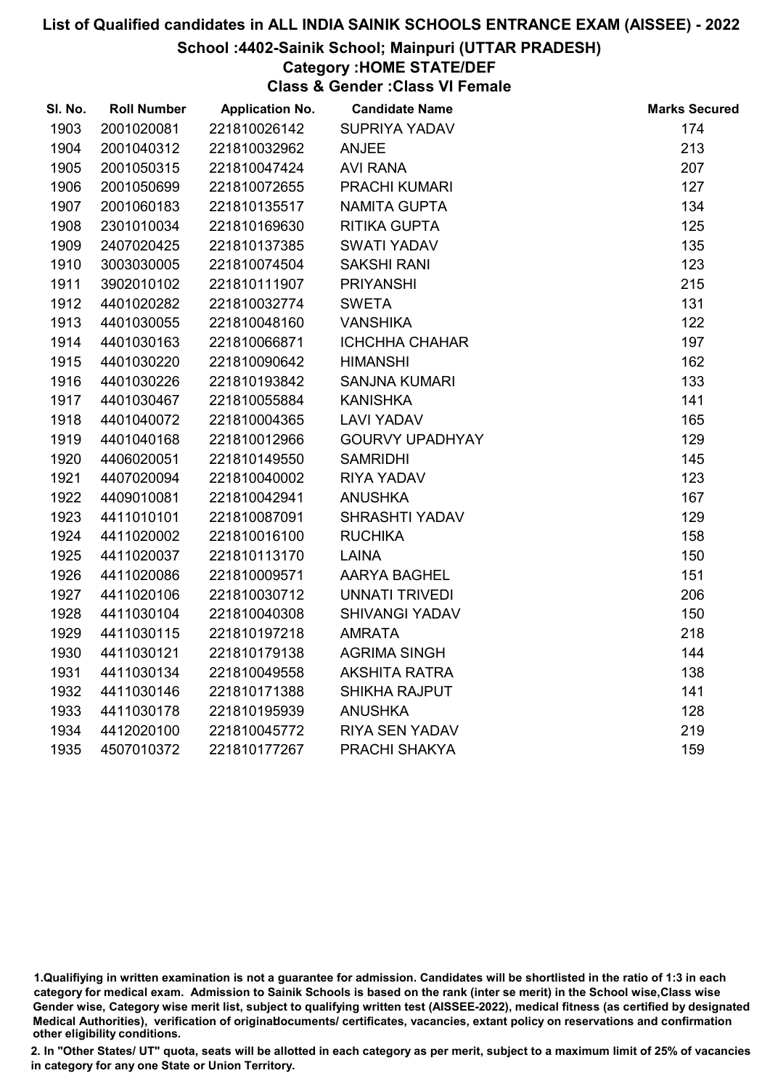#### School :4402-Sainik School; Mainpuri (UTTAR PRADESH)

# Category :HOME STATE/DEF

Class & Gender :Class VI Female

| SI. No. | <b>Roll Number</b> | <b>Application No.</b> | <b>Candidate Name</b>  | <b>Marks Secured</b> |
|---------|--------------------|------------------------|------------------------|----------------------|
| 1903    | 2001020081         | 221810026142           | SUPRIYA YADAV          | 174                  |
| 1904    | 2001040312         | 221810032962           | <b>ANJEE</b>           | 213                  |
| 1905    | 2001050315         | 221810047424           | <b>AVI RANA</b>        | 207                  |
| 1906    | 2001050699         | 221810072655           | PRACHI KUMARI          | 127                  |
| 1907    | 2001060183         | 221810135517           | <b>NAMITA GUPTA</b>    | 134                  |
| 1908    | 2301010034         | 221810169630           | <b>RITIKA GUPTA</b>    | 125                  |
| 1909    | 2407020425         | 221810137385           | <b>SWATI YADAV</b>     | 135                  |
| 1910    | 3003030005         | 221810074504           | <b>SAKSHI RANI</b>     | 123                  |
| 1911    | 3902010102         | 221810111907           | <b>PRIYANSHI</b>       | 215                  |
| 1912    | 4401020282         | 221810032774           | <b>SWETA</b>           | 131                  |
| 1913    | 4401030055         | 221810048160           | <b>VANSHIKA</b>        | 122                  |
| 1914    | 4401030163         | 221810066871           | <b>ICHCHHA CHAHAR</b>  | 197                  |
| 1915    | 4401030220         | 221810090642           | <b>HIMANSHI</b>        | 162                  |
| 1916    | 4401030226         | 221810193842           | <b>SANJNA KUMARI</b>   | 133                  |
| 1917    | 4401030467         | 221810055884           | <b>KANISHKA</b>        | 141                  |
| 1918    | 4401040072         | 221810004365           | <b>LAVI YADAV</b>      | 165                  |
| 1919    | 4401040168         | 221810012966           | <b>GOURVY UPADHYAY</b> | 129                  |
| 1920    | 4406020051         | 221810149550           | <b>SAMRIDHI</b>        | 145                  |
| 1921    | 4407020094         | 221810040002           | <b>RIYA YADAV</b>      | 123                  |
| 1922    | 4409010081         | 221810042941           | <b>ANUSHKA</b>         | 167                  |
| 1923    | 4411010101         | 221810087091           | <b>SHRASHTI YADAV</b>  | 129                  |
| 1924    | 4411020002         | 221810016100           | <b>RUCHIKA</b>         | 158                  |
| 1925    | 4411020037         | 221810113170           | <b>LAINA</b>           | 150                  |
| 1926    | 4411020086         | 221810009571           | AARYA BAGHEL           | 151                  |
| 1927    | 4411020106         | 221810030712           | UNNATI TRIVEDI         | 206                  |
| 1928    | 4411030104         | 221810040308           | <b>SHIVANGI YADAV</b>  | 150                  |
| 1929    | 4411030115         | 221810197218           | <b>AMRATA</b>          | 218                  |
| 1930    | 4411030121         | 221810179138           | <b>AGRIMA SINGH</b>    | 144                  |
| 1931    | 4411030134         | 221810049558           | <b>AKSHITA RATRA</b>   | 138                  |
| 1932    | 4411030146         | 221810171388           | <b>SHIKHA RAJPUT</b>   | 141                  |
| 1933    | 4411030178         | 221810195939           | <b>ANUSHKA</b>         | 128                  |
| 1934    | 4412020100         | 221810045772           | RIYA SEN YADAV         | 219                  |
| 1935    | 4507010372         | 221810177267           | PRACHI SHAKYA          | 159                  |
|         |                    |                        |                        |                      |

<sup>1.</sup>Qualifiying in written examination is not a guarantee for admission. Candidates will be shortlisted in the ratio of 1:3 in each category for medical exam. Admission to Sainik Schools is based on the rank (inter se merit) in the School wise,Class wise Gender wise, Category wise merit list, subject to qualifying written test (AISSEE-2022), medical fitness (as certified by designated Medical Authorities), verification of originablocuments/ certificates, vacancies, extant policy on reservations and confirmation other eligibility conditions.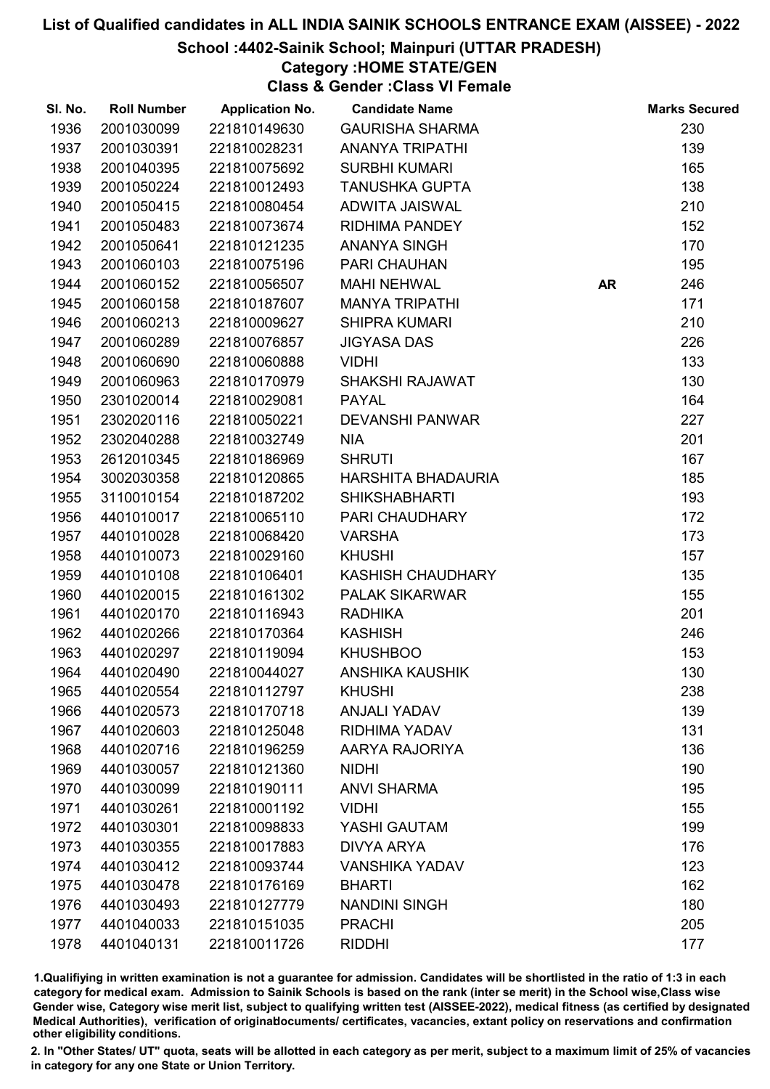#### School :4402-Sainik School; Mainpuri (UTTAR PRADESH)

# Category :HOME STATE/GEN

Class & Gender :Class VI Female

| SI. No. | <b>Roll Number</b> | <b>Application No.</b> | <b>Candidate Name</b>  |           | <b>Marks Secured</b> |
|---------|--------------------|------------------------|------------------------|-----------|----------------------|
| 1936    | 2001030099         | 221810149630           | <b>GAURISHA SHARMA</b> |           | 230                  |
| 1937    | 2001030391         | 221810028231           | <b>ANANYA TRIPATHI</b> |           | 139                  |
| 1938    | 2001040395         | 221810075692           | <b>SURBHI KUMARI</b>   |           | 165                  |
| 1939    | 2001050224         | 221810012493           | <b>TANUSHKA GUPTA</b>  |           | 138                  |
| 1940    | 2001050415         | 221810080454           | ADWITA JAISWAL         |           | 210                  |
| 1941    | 2001050483         | 221810073674           | <b>RIDHIMA PANDEY</b>  |           | 152                  |
| 1942    | 2001050641         | 221810121235           | <b>ANANYA SINGH</b>    |           | 170                  |
| 1943    | 2001060103         | 221810075196           | PARI CHAUHAN           |           | 195                  |
| 1944    | 2001060152         | 221810056507           | <b>MAHI NEHWAL</b>     | <b>AR</b> | 246                  |
| 1945    | 2001060158         | 221810187607           | <b>MANYA TRIPATHI</b>  |           | 171                  |
| 1946    | 2001060213         | 221810009627           | <b>SHIPRA KUMARI</b>   |           | 210                  |
| 1947    | 2001060289         | 221810076857           | <b>JIGYASA DAS</b>     |           | 226                  |
| 1948    | 2001060690         | 221810060888           | <b>VIDHI</b>           |           | 133                  |
| 1949    | 2001060963         | 221810170979           | <b>SHAKSHI RAJAWAT</b> |           | 130                  |
| 1950    | 2301020014         | 221810029081           | <b>PAYAL</b>           |           | 164                  |
| 1951    | 2302020116         | 221810050221           | <b>DEVANSHI PANWAR</b> |           | 227                  |
| 1952    | 2302040288         | 221810032749           | <b>NIA</b>             |           | 201                  |
| 1953    | 2612010345         | 221810186969           | <b>SHRUTI</b>          |           | 167                  |
| 1954    | 3002030358         | 221810120865           | HARSHITA BHADAURIA     |           | 185                  |
| 1955    | 3110010154         | 221810187202           | <b>SHIKSHABHARTI</b>   |           | 193                  |
| 1956    | 4401010017         | 221810065110           | PARI CHAUDHARY         |           | 172                  |
| 1957    | 4401010028         | 221810068420           | <b>VARSHA</b>          |           | 173                  |
| 1958    | 4401010073         | 221810029160           | <b>KHUSHI</b>          |           | 157                  |
| 1959    | 4401010108         | 221810106401           | KASHISH CHAUDHARY      |           | 135                  |
| 1960    | 4401020015         | 221810161302           | <b>PALAK SIKARWAR</b>  |           | 155                  |
| 1961    | 4401020170         | 221810116943           | <b>RADHIKA</b>         |           | 201                  |
| 1962    | 4401020266         | 221810170364           | <b>KASHISH</b>         |           | 246                  |
| 1963    | 4401020297         | 221810119094           | <b>KHUSHBOO</b>        |           | 153                  |
| 1964    | 4401020490         | 221810044027           | <b>ANSHIKA KAUSHIK</b> |           | 130                  |
| 1965    | 4401020554         | 221810112797           | <b>KHUSHI</b>          |           | 238                  |
| 1966    | 4401020573         | 221810170718           | <b>ANJALI YADAV</b>    |           | 139                  |
| 1967    | 4401020603         | 221810125048           | <b>RIDHIMA YADAV</b>   |           | 131                  |
| 1968    | 4401020716         | 221810196259           | AARYA RAJORIYA         |           | 136                  |
| 1969    | 4401030057         | 221810121360           | <b>NIDHI</b>           |           | 190                  |
| 1970    | 4401030099         | 221810190111           | <b>ANVI SHARMA</b>     |           | 195                  |
| 1971    | 4401030261         | 221810001192           | <b>VIDHI</b>           |           | 155                  |
| 1972    | 4401030301         | 221810098833           | YASHI GAUTAM           |           | 199                  |
| 1973    | 4401030355         | 221810017883           | <b>DIVYA ARYA</b>      |           | 176                  |
| 1974    | 4401030412         | 221810093744           | <b>VANSHIKA YADAV</b>  |           | 123                  |
| 1975    | 4401030478         | 221810176169           | <b>BHARTI</b>          |           | 162                  |
| 1976    | 4401030493         | 221810127779           | <b>NANDINI SINGH</b>   |           | 180                  |
| 1977    | 4401040033         | 221810151035           | <b>PRACHI</b>          |           | 205                  |
| 1978    | 4401040131         | 221810011726           | <b>RIDDHI</b>          |           | 177                  |

1.Qualifiying in written examination is not a guarantee for admission. Candidates will be shortlisted in the ratio of 1:3 in each category for medical exam. Admission to Sainik Schools is based on the rank (inter se merit) in the School wise,Class wise Gender wise, Category wise merit list, subject to qualifying written test (AISSEE-2022), medical fitness (as certified by designated Medical Authorities), verification of originablocuments/ certificates, vacancies, extant policy on reservations and confirmation other eligibility conditions.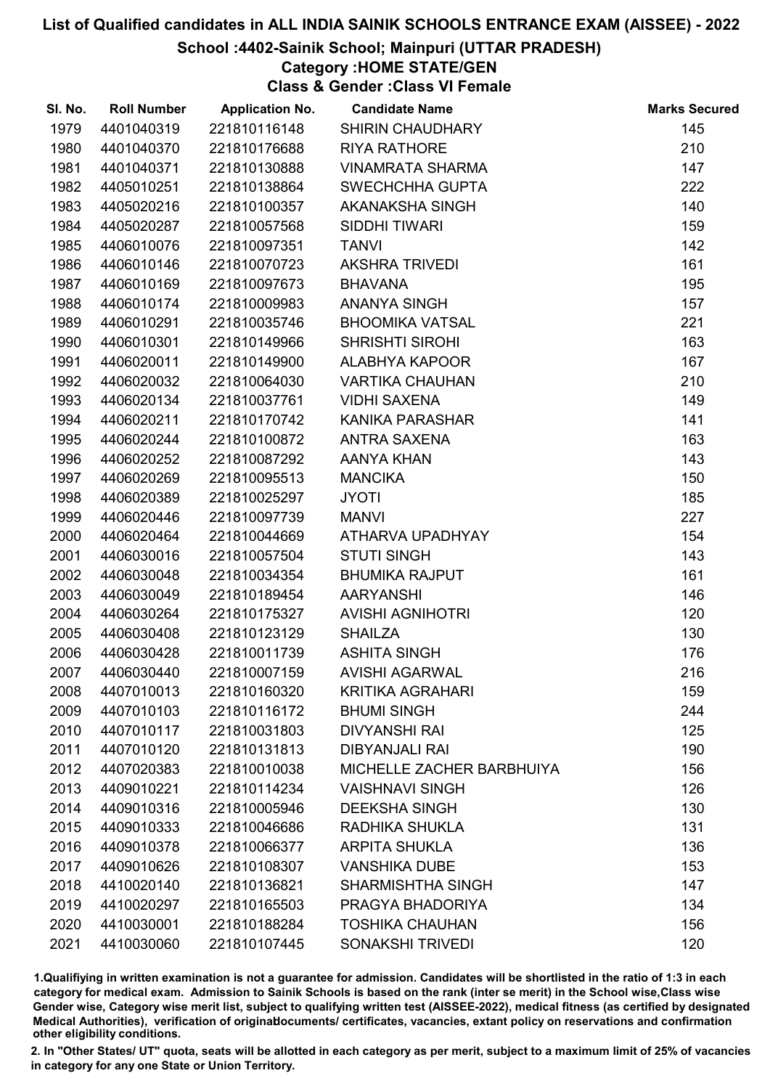## School :4402-Sainik School; Mainpuri (UTTAR PRADESH)

## Category :HOME STATE/GEN

Class & Gender :Class VI Female

| SI. No. | <b>Roll Number</b> | <b>Application No.</b> | <b>Candidate Name</b>     | <b>Marks Secured</b> |
|---------|--------------------|------------------------|---------------------------|----------------------|
| 1979    | 4401040319         | 221810116148           | <b>SHIRIN CHAUDHARY</b>   | 145                  |
| 1980    | 4401040370         | 221810176688           | <b>RIYA RATHORE</b>       | 210                  |
| 1981    | 4401040371         | 221810130888           | <b>VINAMRATA SHARMA</b>   | 147                  |
| 1982    | 4405010251         | 221810138864           | <b>SWECHCHHA GUPTA</b>    | 222                  |
| 1983    | 4405020216         | 221810100357           | AKANAKSHA SINGH           | 140                  |
| 1984    | 4405020287         | 221810057568           | SIDDHI TIWARI             | 159                  |
| 1985    | 4406010076         | 221810097351           | <b>TANVI</b>              | 142                  |
| 1986    | 4406010146         | 221810070723           | <b>AKSHRA TRIVEDI</b>     | 161                  |
| 1987    | 4406010169         | 221810097673           | <b>BHAVANA</b>            | 195                  |
| 1988    | 4406010174         | 221810009983           | ANANYA SINGH              | 157                  |
| 1989    | 4406010291         | 221810035746           | <b>BHOOMIKA VATSAL</b>    | 221                  |
| 1990    | 4406010301         | 221810149966           | <b>SHRISHTI SIROHI</b>    | 163                  |
| 1991    | 4406020011         | 221810149900           | ALABHYA KAPOOR            | 167                  |
| 1992    | 4406020032         | 221810064030           | <b>VARTIKA CHAUHAN</b>    | 210                  |
| 1993    | 4406020134         | 221810037761           | <b>VIDHI SAXENA</b>       | 149                  |
| 1994    | 4406020211         | 221810170742           | KANIKA PARASHAR           | 141                  |
| 1995    | 4406020244         | 221810100872           | <b>ANTRA SAXENA</b>       | 163                  |
| 1996    | 4406020252         | 221810087292           | AANYA KHAN                | 143                  |
| 1997    | 4406020269         | 221810095513           | <b>MANCIKA</b>            | 150                  |
| 1998    | 4406020389         | 221810025297           | <b>JYOTI</b>              | 185                  |
| 1999    | 4406020446         | 221810097739           | <b>MANVI</b>              | 227                  |
| 2000    | 4406020464         | 221810044669           | ATHARVA UPADHYAY          | 154                  |
| 2001    | 4406030016         | 221810057504           | <b>STUTI SINGH</b>        | 143                  |
| 2002    | 4406030048         | 221810034354           | <b>BHUMIKA RAJPUT</b>     | 161                  |
| 2003    | 4406030049         | 221810189454           | <b>AARYANSHI</b>          | 146                  |
| 2004    | 4406030264         | 221810175327           | <b>AVISHI AGNIHOTRI</b>   | 120                  |
| 2005    | 4406030408         | 221810123129           | <b>SHAILZA</b>            | 130                  |
| 2006    | 4406030428         | 221810011739           | <b>ASHITA SINGH</b>       | 176                  |
| 2007    | 4406030440         | 221810007159           | <b>AVISHI AGARWAL</b>     | 216                  |
| 2008    | 4407010013         | 221810160320           | <b>KRITIKA AGRAHARI</b>   | 159                  |
| 2009    | 4407010103         | 221810116172           | <b>BHUMI SINGH</b>        | 244                  |
| 2010    | 4407010117         | 221810031803           | <b>DIVYANSHI RAI</b>      | 125                  |
| 2011    | 4407010120         | 221810131813           | <b>DIBYANJALI RAI</b>     | 190                  |
| 2012    | 4407020383         | 221810010038           | MICHELLE ZACHER BARBHUIYA | 156                  |
| 2013    | 4409010221         | 221810114234           | <b>VAISHNAVI SINGH</b>    | 126                  |
| 2014    | 4409010316         | 221810005946           | <b>DEEKSHA SINGH</b>      | 130                  |
| 2015    | 4409010333         | 221810046686           | RADHIKA SHUKLA            | 131                  |
| 2016    | 4409010378         | 221810066377           | <b>ARPITA SHUKLA</b>      | 136                  |
| 2017    | 4409010626         | 221810108307           | <b>VANSHIKA DUBE</b>      | 153                  |
| 2018    | 4410020140         | 221810136821           | <b>SHARMISHTHA SINGH</b>  | 147                  |
| 2019    | 4410020297         | 221810165503           | PRAGYA BHADORIYA          | 134                  |
| 2020    | 4410030001         | 221810188284           | <b>TOSHIKA CHAUHAN</b>    | 156                  |
| 2021    | 4410030060         | 221810107445           | SONAKSHI TRIVEDI          | 120                  |

1.Qualifiying in written examination is not a guarantee for admission. Candidates will be shortlisted in the ratio of 1:3 in each category for medical exam. Admission to Sainik Schools is based on the rank (inter se merit) in the School wise,Class wise Gender wise, Category wise merit list, subject to qualifying written test (AISSEE-2022), medical fitness (as certified by designated Medical Authorities), verification of originablocuments/ certificates, vacancies, extant policy on reservations and confirmation other eligibility conditions.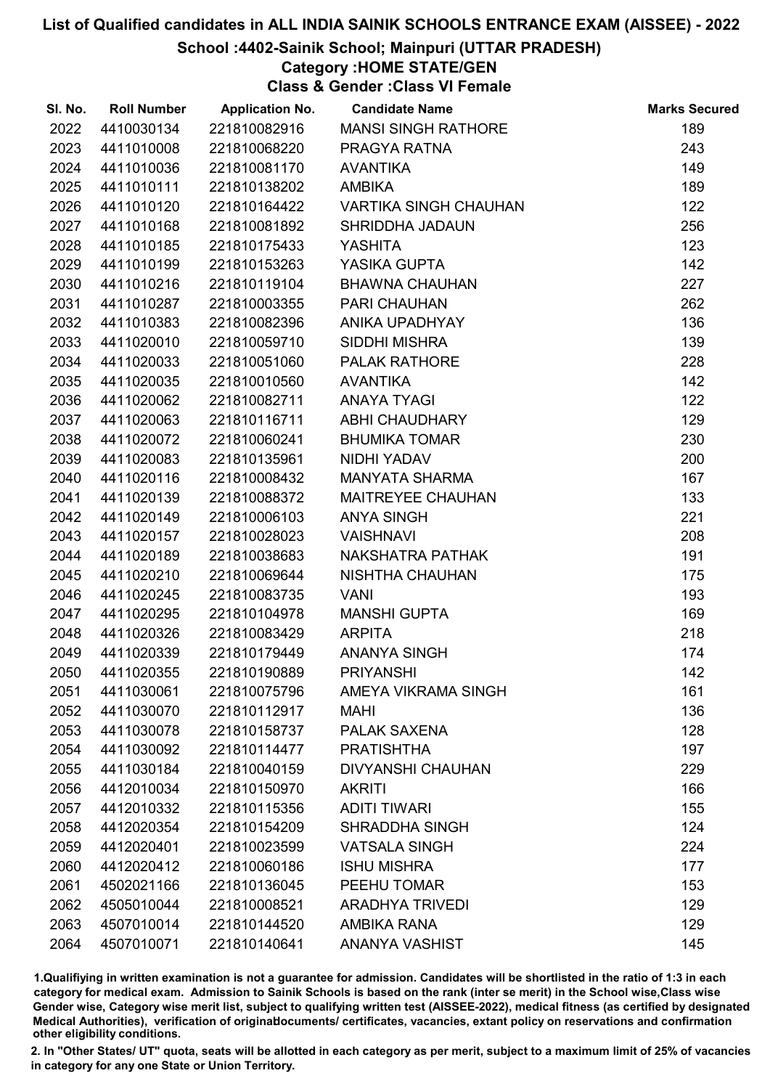## School :4402-Sainik School; Mainpuri (UTTAR PRADESH)

## Category :HOME STATE/GEN

Class & Gender :Class VI Female

| SI. No. | <b>Roll Number</b> | <b>Application No.</b> | <b>Candidate Name</b>        | <b>Marks Secured</b> |
|---------|--------------------|------------------------|------------------------------|----------------------|
| 2022    | 4410030134         | 221810082916           | <b>MANSI SINGH RATHORE</b>   | 189                  |
| 2023    | 4411010008         | 221810068220           | PRAGYA RATNA                 | 243                  |
| 2024    | 4411010036         | 221810081170           | <b>AVANTIKA</b>              | 149                  |
| 2025    | 4411010111         | 221810138202           | <b>AMBIKA</b>                | 189                  |
| 2026    | 4411010120         | 221810164422           | <b>VARTIKA SINGH CHAUHAN</b> | 122                  |
| 2027    | 4411010168         | 221810081892           | SHRIDDHA JADAUN              | 256                  |
| 2028    | 4411010185         | 221810175433           | <b>YASHITA</b>               | 123                  |
| 2029    | 4411010199         | 221810153263           | YASIKA GUPTA                 | 142                  |
| 2030    | 4411010216         | 221810119104           | <b>BHAWNA CHAUHAN</b>        | 227                  |
| 2031    | 4411010287         | 221810003355           | PARI CHAUHAN                 | 262                  |
| 2032    | 4411010383         | 221810082396           | ANIKA UPADHYAY               | 136                  |
| 2033    | 4411020010         | 221810059710           | SIDDHI MISHRA                | 139                  |
| 2034    | 4411020033         | 221810051060           | <b>PALAK RATHORE</b>         | 228                  |
| 2035    | 4411020035         | 221810010560           | <b>AVANTIKA</b>              | 142                  |
| 2036    | 4411020062         | 221810082711           | <b>ANAYA TYAGI</b>           | 122                  |
| 2037    | 4411020063         | 221810116711           | ABHI CHAUDHARY               | 129                  |
| 2038    | 4411020072         | 221810060241           | <b>BHUMIKA TOMAR</b>         | 230                  |
| 2039    | 4411020083         | 221810135961           | NIDHI YADAV                  | 200                  |
| 2040    | 4411020116         | 221810008432           | <b>MANYATA SHARMA</b>        | 167                  |
| 2041    | 4411020139         | 221810088372           | <b>MAITREYEE CHAUHAN</b>     | 133                  |
| 2042    | 4411020149         | 221810006103           | <b>ANYA SINGH</b>            | 221                  |
| 2043    | 4411020157         | 221810028023           | <b>VAISHNAVI</b>             | 208                  |
| 2044    | 4411020189         | 221810038683           | NAKSHATRA PATHAK             | 191                  |
| 2045    | 4411020210         | 221810069644           | NISHTHA CHAUHAN              | 175                  |
| 2046    | 4411020245         | 221810083735           | <b>VANI</b>                  | 193                  |
| 2047    | 4411020295         | 221810104978           | <b>MANSHI GUPTA</b>          | 169                  |
| 2048    | 4411020326         | 221810083429           | <b>ARPITA</b>                | 218                  |
| 2049    | 4411020339         | 221810179449           | <b>ANANYA SINGH</b>          | 174                  |
| 2050    | 4411020355         | 221810190889           | <b>PRIYANSHI</b>             | 142                  |
| 2051    | 4411030061         | 221810075796           | AMEYA VIKRAMA SINGH          | 161                  |
| 2052    | 4411030070         | 221810112917           | <b>MAHI</b>                  | 136                  |
| 2053    | 4411030078         | 221810158737           | <b>PALAK SAXENA</b>          | 128                  |
| 2054    | 4411030092         | 221810114477           | <b>PRATISHTHA</b>            | 197                  |
| 2055    | 4411030184         | 221810040159           | <b>DIVYANSHI CHAUHAN</b>     | 229                  |
| 2056    | 4412010034         | 221810150970           | <b>AKRITI</b>                | 166                  |
| 2057    | 4412010332         | 221810115356           | <b>ADITI TIWARI</b>          | 155                  |
| 2058    | 4412020354         | 221810154209           | <b>SHRADDHA SINGH</b>        | 124                  |
| 2059    | 4412020401         | 221810023599           | <b>VATSALA SINGH</b>         | 224                  |
| 2060    | 4412020412         | 221810060186           | <b>ISHU MISHRA</b>           | 177                  |
| 2061    | 4502021166         | 221810136045           | PEEHU TOMAR                  | 153                  |
| 2062    | 4505010044         | 221810008521           | <b>ARADHYA TRIVEDI</b>       | 129                  |
| 2063    | 4507010014         | 221810144520           | AMBIKA RANA                  | 129                  |
| 2064    | 4507010071         | 221810140641           | ANANYA VASHIST               | 145                  |

1.Qualifiying in written examination is not a guarantee for admission. Candidates will be shortlisted in the ratio of 1:3 in each category for medical exam. Admission to Sainik Schools is based on the rank (inter se merit) in the School wise,Class wise Gender wise, Category wise merit list, subject to qualifying written test (AISSEE-2022), medical fitness (as certified by designated Medical Authorities), verification of originablocuments/ certificates, vacancies, extant policy on reservations and confirmation other eligibility conditions.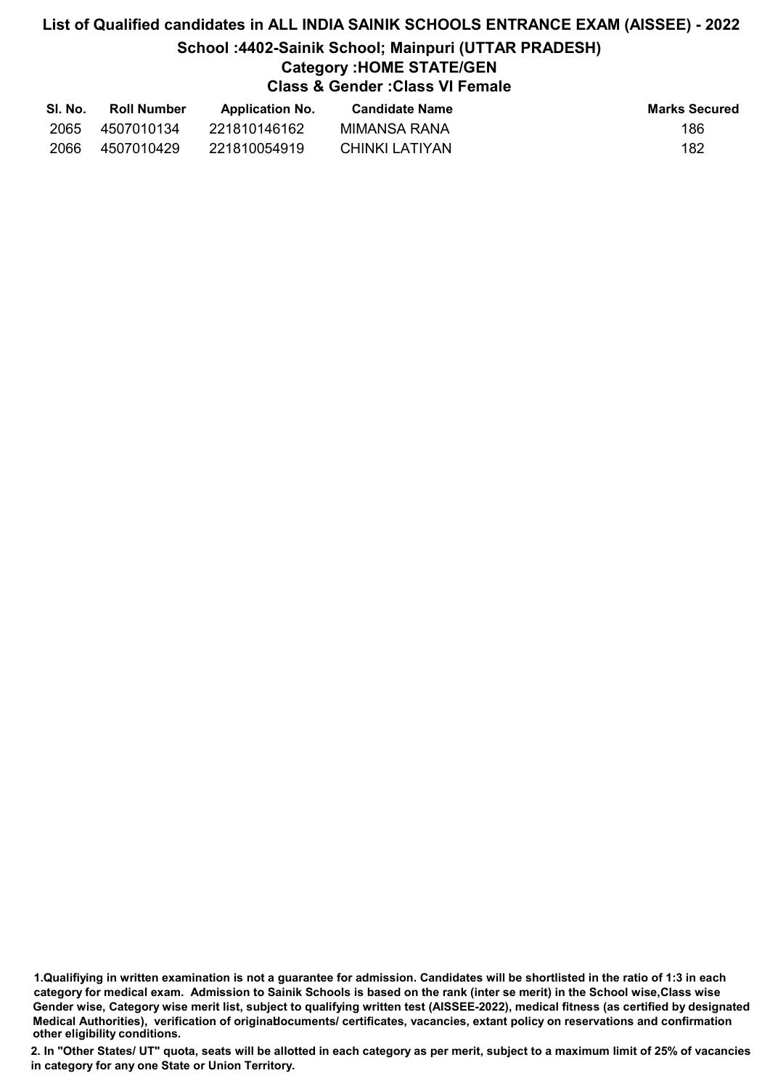# List of Qualified candidates in ALL INDIA SAINIK SCHOOLS ENTRANCE EXAM (AISSEE) - 2022 School :4402-Sainik School; Mainpuri (UTTAR PRADESH) Category :HOME STATE/GEN Class & Gender :Class VI Female

| SI. No. | <b>Roll Number</b> | <b>Application No.</b> | Candidate Name | <b>Marks Secured</b> |
|---------|--------------------|------------------------|----------------|----------------------|
| 2065    | 4507010134         | 221810146162           | MIMANSA RANA   | 186                  |
| 2066    | 4507010429         | 221810054919           | CHINKI LATIYAN | 182                  |

<sup>1.</sup>Qualifiying in written examination is not a guarantee for admission. Candidates will be shortlisted in the ratio of 1:3 in each category for medical exam. Admission to Sainik Schools is based on the rank (inter se merit) in the School wise,Class wise Gender wise, Category wise merit list, subject to qualifying written test (AISSEE-2022), medical fitness (as certified by designated Medical Authorities), verification of originablocuments/ certificates, vacancies, extant policy on reservations and confirmation other eligibility conditions.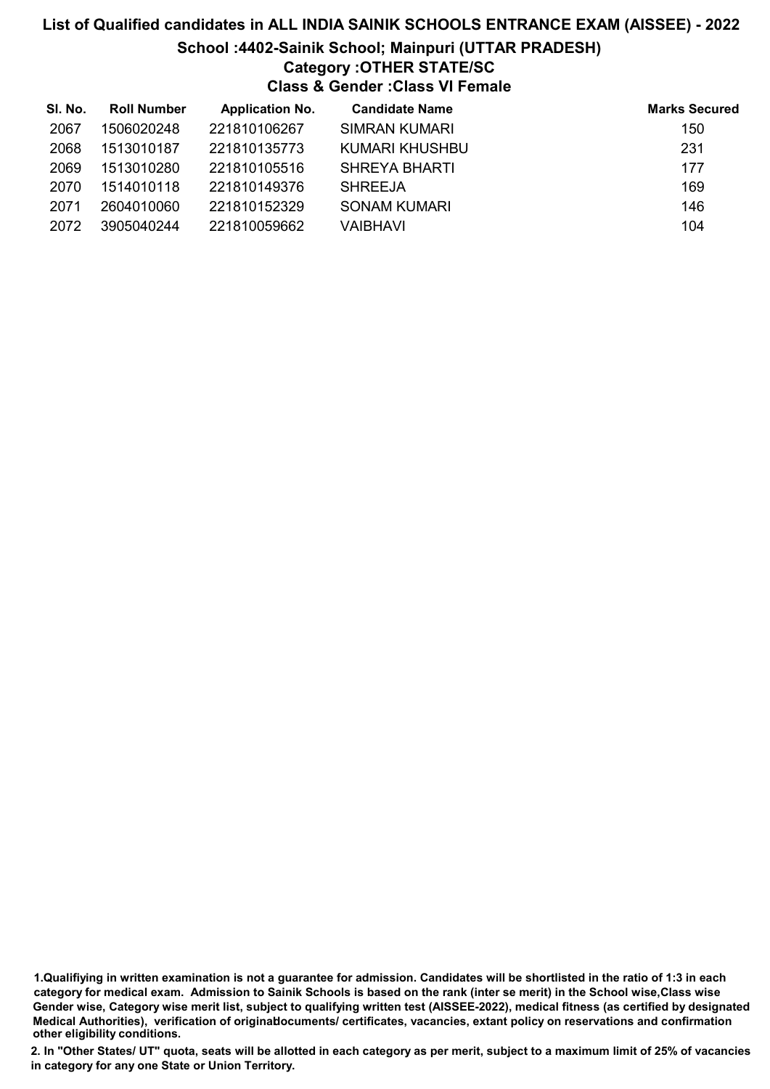# List of Qualified candidates in ALL INDIA SAINIK SCHOOLS ENTRANCE EXAM (AISSEE) - 2022 School :4402-Sainik School; Mainpuri (UTTAR PRADESH) Category :OTHER STATE/SC Class & Gender :Class VI Female

| SI. No. | <b>Roll Number</b> | <b>Application No.</b> | <b>Candidate Name</b> | <b>Marks Secured</b> |
|---------|--------------------|------------------------|-----------------------|----------------------|
| 2067    | 1506020248         | 221810106267           | SIMRAN KUMARI         | 150                  |
| 2068    | 1513010187         | 221810135773           | KUMARI KHUSHBU        | 231                  |
| 2069    | 1513010280         | 221810105516           | <b>SHREYA BHARTI</b>  | 177                  |
| 2070    | 1514010118         | 221810149376           | <b>SHREEJA</b>        | 169                  |
| 2071    | 2604010060         | 221810152329           | <b>SONAM KUMARI</b>   | 146                  |
| 2072    | 3905040244         | 221810059662           | VAIBHAVI              | 104                  |

<sup>1.</sup>Qualifiying in written examination is not a guarantee for admission. Candidates will be shortlisted in the ratio of 1:3 in each category for medical exam. Admission to Sainik Schools is based on the rank (inter se merit) in the School wise,Class wise Gender wise, Category wise merit list, subject to qualifying written test (AISSEE-2022), medical fitness (as certified by designated Medical Authorities), verification of originablocuments/ certificates, vacancies, extant policy on reservations and confirmation other eligibility conditions.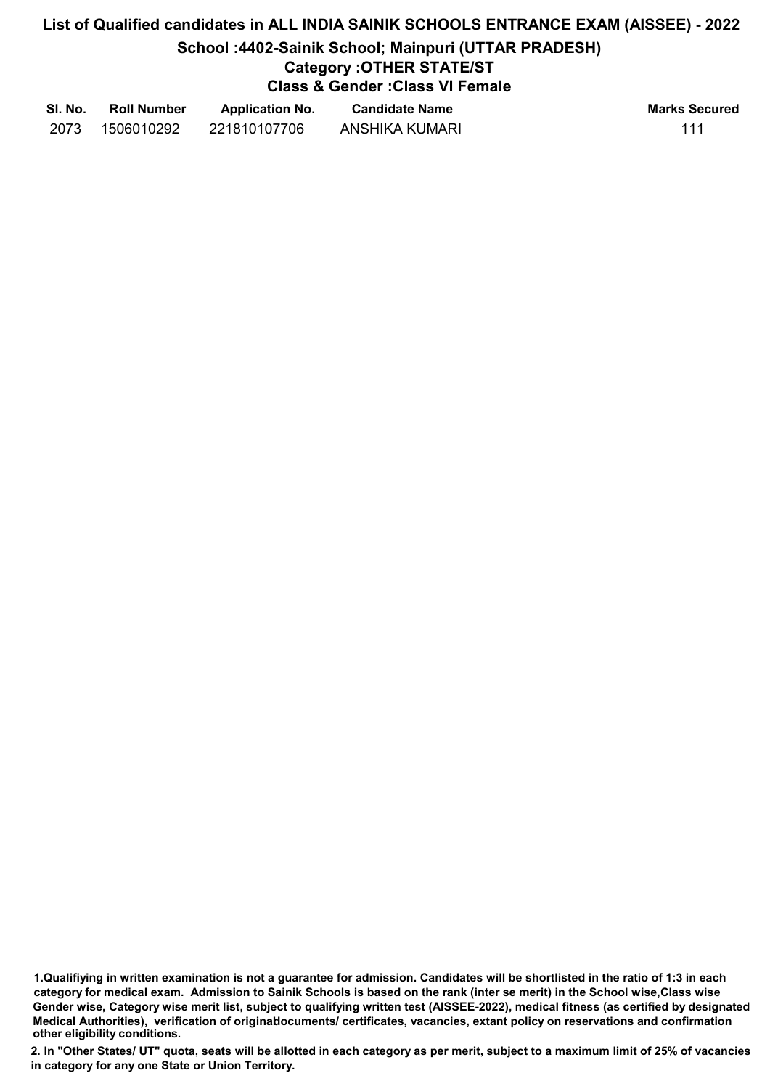# List of Qualified candidates in ALL INDIA SAINIK SCHOOLS ENTRANCE EXAM (AISSEE) - 2022 School :4402-Sainik School; Mainpuri (UTTAR PRADESH) Category :OTHER STATE/ST Class & Gender :Class VI Female

| SI. No. | <b>Roll Number</b> | <b>Application No.</b> | <b>Candidate Name</b> | <b>Marks Secured</b> |
|---------|--------------------|------------------------|-----------------------|----------------------|
| 2073    | 1506010292         | 221810107706           | <b>ANSHIKA KUMARI</b> | 111                  |

<sup>1.</sup>Qualifiying in written examination is not a guarantee for admission. Candidates will be shortlisted in the ratio of 1:3 in each category for medical exam. Admission to Sainik Schools is based on the rank (inter se merit) in the School wise,Class wise Gender wise, Category wise merit list, subject to qualifying written test (AISSEE-2022), medical fitness (as certified by designated Medical Authorities), verification of originablocuments/ certificates, vacancies, extant policy on reservations and confirmation other eligibility conditions.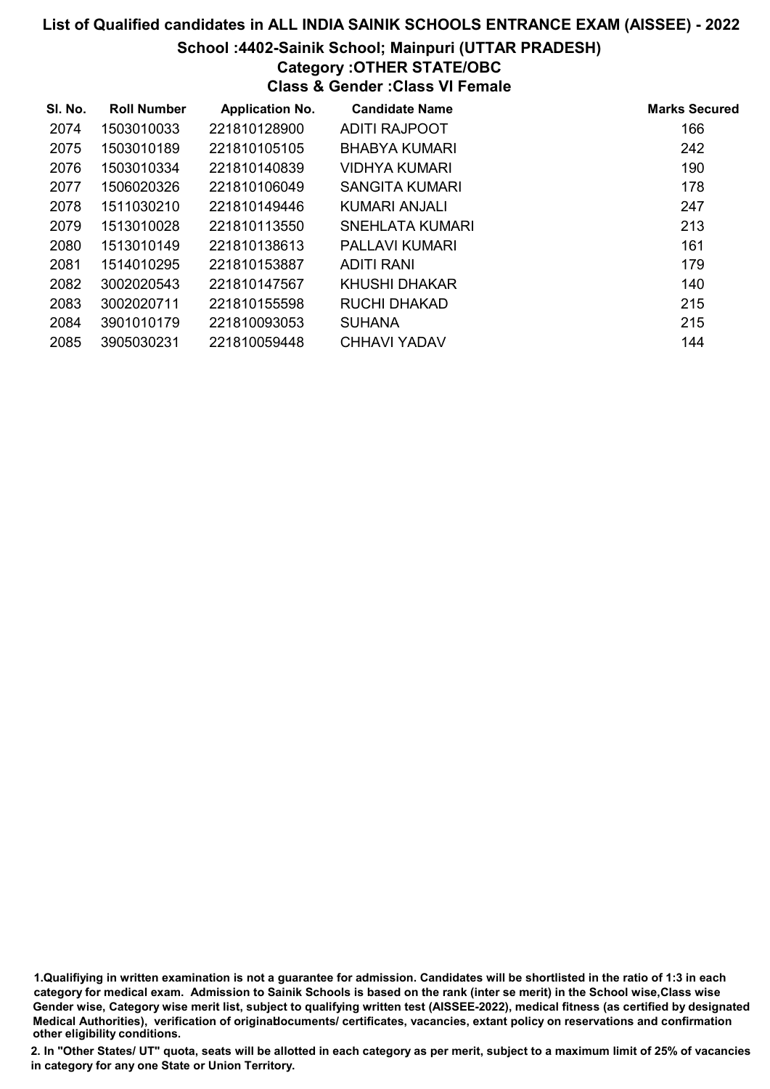## School :4402-Sainik School; Mainpuri (UTTAR PRADESH)

# Category :OTHER STATE/OBC

Class & Gender :Class VI Female

| SI. No. | <b>Roll Number</b> | <b>Application No.</b> | <b>Candidate Name</b> | <b>Marks Secured</b> |
|---------|--------------------|------------------------|-----------------------|----------------------|
| 2074    | 1503010033         | 221810128900           | ADITI RAJPOOT         | 166                  |
| 2075    | 1503010189         | 221810105105           | <b>BHABYA KUMARI</b>  | 242                  |
| 2076    | 1503010334         | 221810140839           | VIDHYA KUMARI         | 190                  |
| 2077    | 1506020326         | 221810106049           | SANGITA KUMARI        | 178                  |
| 2078    | 1511030210         | 221810149446           | KUMARI ANJALI         | 247                  |
| 2079    | 1513010028         | 221810113550           | SNEHLATA KUMARI       | 213                  |
| 2080    | 1513010149         | 221810138613           | PALLAVI KUMARI        | 161                  |
| 2081    | 1514010295         | 221810153887           | ADITI RANI            | 179                  |
| 2082    | 3002020543         | 221810147567           | KHUSHI DHAKAR         | 140                  |
| 2083    | 3002020711         | 221810155598           | <b>RUCHI DHAKAD</b>   | 215                  |
| 2084    | 3901010179         | 221810093053           | <b>SUHANA</b>         | 215                  |
| 2085    | 3905030231         | 221810059448           | CHHAVI YADAV          | 144                  |

<sup>1.</sup>Qualifiying in written examination is not a guarantee for admission. Candidates will be shortlisted in the ratio of 1:3 in each category for medical exam. Admission to Sainik Schools is based on the rank (inter se merit) in the School wise,Class wise Gender wise, Category wise merit list, subject to qualifying written test (AISSEE-2022), medical fitness (as certified by designated Medical Authorities), verification of originablocuments/ certificates, vacancies, extant policy on reservations and confirmation other eligibility conditions.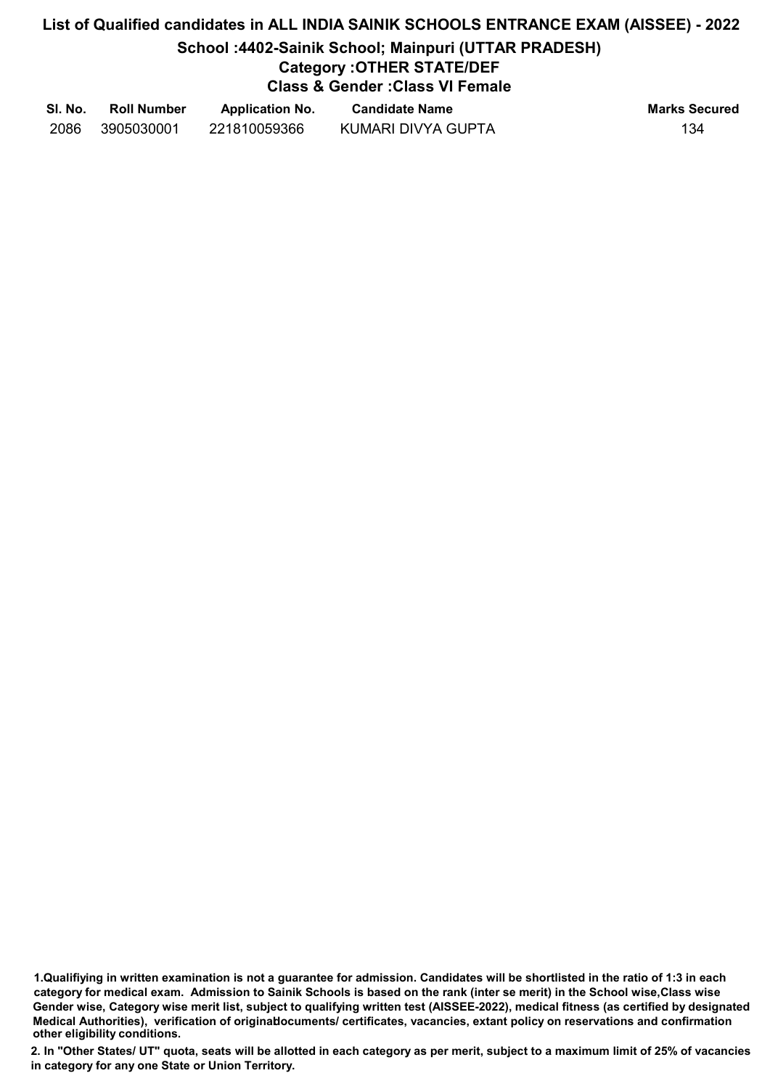# List of Qualified candidates in ALL INDIA SAINIK SCHOOLS ENTRANCE EXAM (AISSEE) - 2022 School :4402-Sainik School; Mainpuri (UTTAR PRADESH) Category :OTHER STATE/DEF

# Class & Gender :Class VI Female

| SI. No. | <b>Roll Number</b> | <b>Application No.</b> | <b>Candidate Name</b> | <b>Marks Secured</b> |
|---------|--------------------|------------------------|-----------------------|----------------------|
| 2086    | 3905030001         | 221810059366           | KUMARI DIVYA GUPTA    | 134                  |

<sup>1.</sup>Qualifiying in written examination is not a guarantee for admission. Candidates will be shortlisted in the ratio of 1:3 in each category for medical exam. Admission to Sainik Schools is based on the rank (inter se merit) in the School wise,Class wise Gender wise, Category wise merit list, subject to qualifying written test (AISSEE-2022), medical fitness (as certified by designated Medical Authorities), verification of originablocuments/ certificates, vacancies, extant policy on reservations and confirmation other eligibility conditions.